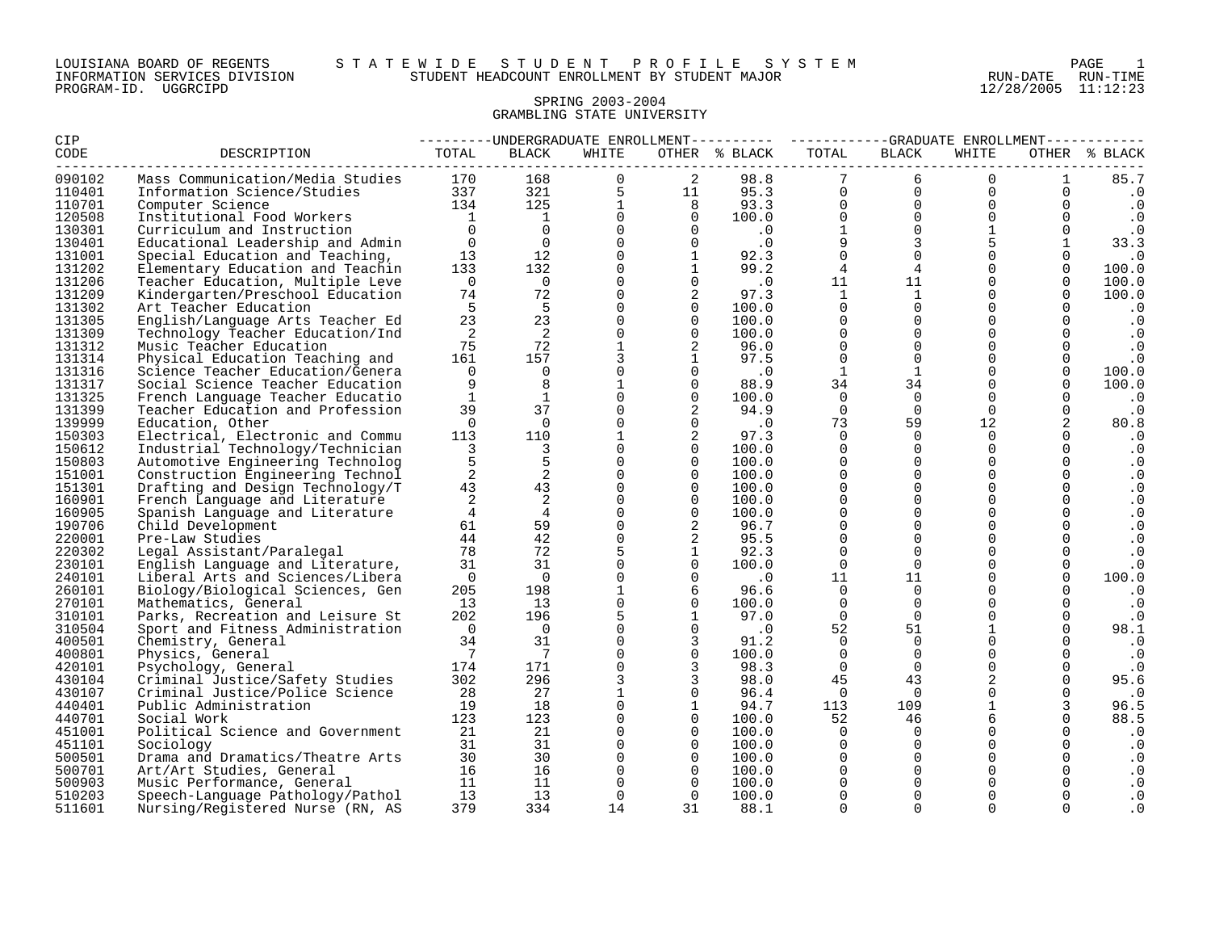| LOUISIANA BOARD OF REGENTS    |          |  |
|-------------------------------|----------|--|
| INFORMATION SERVICES DIVISION |          |  |
| PROGRAM-ID.                   | UGGRCIPD |  |

#### LOUISIANA BOARD OF REGENTS S T A T E W I D E S T U D E N T P R O F I L E S Y S T E M PAGE 1 INFORMATION SERVICES DIVISION STUDENT HEADCOUNT ENROLLMENT BY STUDENT MAJOR RUN-DATE RUN-TIME

12/28/2005 11:12:23

#### SPRING 2003-2004 GRAMBLING STATE UNIVERSITY

| CIP    |                                  |                        |                                         |                |                | ---------UNDERGRADUATE ENROLLMENT--------- ----------GRADUATE ENROLLMENT---------- |                 |                |                |              |               |
|--------|----------------------------------|------------------------|-----------------------------------------|----------------|----------------|------------------------------------------------------------------------------------|-----------------|----------------|----------------|--------------|---------------|
| CODE   | DESCRIPTION                      | TOTAL                  | BLACK                                   | WHITE          |                | OTHER % BLACK                                                                      | TOTAL           | BLACK          | WHITE          |              | OTHER % BLACK |
| 090102 | Mass Communication/Media Studies | lies 170<br>337<br>337 | 168                                     | $\Omega$       | 2              | 98.8                                                                               | $7\phantom{.0}$ | 6              | $\Omega$       | $\mathbf{1}$ | 85.7          |
| 110401 | Information Science/Studies      |                        | $\overline{321}$                        | 5              | 11             | 95.3                                                                               | $\mathbf 0$     | $\mathsf{O}$   | 0              | 0            | $\cdot$ 0     |
| 110701 | Computer Science                 | 134                    |                                         | $\mathbf{1}$   | 8              | 93.3                                                                               | $\overline{0}$  | $\overline{0}$ | $\mathbf 0$    | 0            | $\cdot$ 0     |
| 120508 | Institutional Food Workers       | $\sim$ 1               | $\begin{array}{c} 125 \\ 1 \end{array}$ | $\overline{0}$ | $\Omega$       | $73.3$<br>100.0<br>.0                                                              | $\overline{0}$  | $\mathbf 0$    | $\Omega$       | $\mathbf 0$  | $\cdot$ 0     |
| 130301 | Curriculum and Instruction       | $\Omega$               | $\overline{0}$                          | $\Omega$       | $\Omega$       |                                                                                    | $\mathbf{1}$    | $\Omega$       | $\mathbf{1}$   | $\Omega$     | $\cdot$ 0     |
| 130401 | Educational Leadership and Admin | $\overline{0}$         | $\overline{0}$                          | $\Omega$       | $\Omega$       | $\cdot$ 0                                                                          | 9               | $\overline{3}$ | 5              | $\mathbf{1}$ | 33.3          |
| 131001 | Special Education and Teaching,  | 13                     | 12                                      | $\overline{0}$ | $\mathbf{1}$   | 92.3                                                                               | $\overline{0}$  | $\Omega$       | $\overline{0}$ | $\mathbf 0$  | $\cdot$ 0     |
| 131202 | Elementary Education and Teachin | 133                    | 132                                     | $\overline{0}$ | $\mathbf{1}$   | 99.2                                                                               | $\overline{4}$  | $\overline{4}$ | $\mathbf{0}$   | $\Omega$     | 100.0         |
| 131206 | Teacher Education, Multiple Leve | $\overline{0}$         | $\overline{0}$                          | $\overline{0}$ | $\mathbf 0$    | $\overline{\phantom{0}}$ .0                                                        | 11              | 11             | $\overline{0}$ | 0            | 100.0         |
| 131209 | Kindergarten/Preschool Education | 74                     | 72                                      | $\Omega$       |                | 97.3                                                                               | $\mathbf{1}$    | $\mathbf{1}$   | $\Omega$       | $\Omega$     | 100.0         |
| 131302 | Art Teacher Education            | 5                      | 5                                       | $\Omega$       | $\Omega$       | 100.0                                                                              | $\Omega$        | $\Omega$       | $\Omega$       | $\Omega$     | $\cdot$ 0     |
| 131305 | English/Language Arts Teacher Ed | 23                     | 23                                      | $\Omega$       | $\Omega$       | 100.0                                                                              | $\Omega$        | $\Omega$       | $\Omega$       | $\Omega$     | $\cdot$ 0     |
| 131309 | Technology Teacher Education/Ind | $\overline{2}$         | $\overline{\phantom{0}}^2$              | $\mathbf 0$    | $\Omega$       | 100.0                                                                              | $\mathbf 0$     | $\Omega$       | $\Omega$       |              | $\cdot$ 0     |
| 131312 | Music Teacher Education          | 75                     | 72                                      | $\mathbf{1}$   | 2              | 96.0                                                                               | $\mathbf 0$     | $\mathbf 0$    | $\Omega$       | 0            | $\cdot$ 0     |
| 131314 | Physical Education Teaching and  | 161                    | 157                                     | 3              |                | 97.5                                                                               | $\Omega$        | $\Omega$       | $\Omega$       | $\Omega$     | $\cdot$ 0     |
| 131316 | Science Teacher Education/Genera | $\Omega$               | $\overline{0}$                          | $\mathbf 0$    | $\Omega$       | $\cdot$ 0                                                                          | $\mathbf{1}$    | $\mathbf{1}$   | $\Omega$       | $\mathbf{0}$ | 100.0         |
| 131317 | Social Science Teacher Education | 9                      | 8                                       | $\mathbf{1}$   | $\Omega$       | 88.9                                                                               | 34              | 34             | $\Omega$       | $\Omega$     | 100.0         |
| 131325 | French Language Teacher Educatio | $\mathbf{1}$           | $\overline{1}$                          | $\Omega$       | $\Omega$       | 100.0                                                                              | $\mathbf 0$     | $\Omega$       | $\mathbf 0$    |              | $\cdot$ 0     |
| 131399 | Teacher Education and Profession | 39                     | 37                                      | $\overline{0}$ | 2              | 94.9                                                                               | $\mathbf 0$     | $\Omega$       | $\overline{0}$ | $\mathbf 0$  | $\cdot$ 0     |
| 139999 | Education, Other                 | $\overline{0}$         | $\overline{0}$                          | $\Omega$       | $\Omega$       | $\overline{\phantom{0}}$ .0                                                        | 73              | 59             | 12             | 2            | 80.8          |
| 150303 | Electrical, Electronic and Commu | 113                    | 110                                     | 1              | 2              | 97.3                                                                               | $\Omega$        | $\Omega$       | $\Omega$       |              | $\cdot$ 0     |
| 150612 | Industrial Technology/Technician | 3                      | $\overline{3}$                          | $\Omega$       | $\Omega$       | 100.0                                                                              | $\Omega$        | $\Omega$       | $\Omega$       | $\Omega$     | $\cdot$ 0     |
| 150803 | Automotive Engineering Technolog | 5                      | 5                                       | $\Omega$       | $\Omega$       | 100.0                                                                              | $\Omega$        | $\Omega$       | $\Omega$       | $\Omega$     | $\cdot$ 0     |
| 151001 | Construction Engineering Technol | 2                      | 2                                       | $\overline{0}$ | $\Omega$       | 100.0                                                                              | $\mathbf 0$     | $\Omega$       | $\Omega$       | $\mathbf 0$  | $\cdot$ 0     |
| 151301 | Drafting and Design Technology/T | 43                     | 43                                      | $\mathbf 0$    | $\Omega$       | 100.0                                                                              | $\mathbf 0$     | $\Omega$       | $\Omega$       | $\Omega$     | $\cdot$ 0     |
| 160901 | French Language and Literature   | 2                      | $\overline{a}$                          | $\overline{0}$ | $\Omega$       | 100.0                                                                              | $\mathbf 0$     | $\mathbf 0$    | $\mathbf 0$    | $\mathbf 0$  | $\cdot$ 0     |
| 160905 | Spanish Language and Literature  | $\overline{4}$         | $\overline{4}$                          | $\Omega$       | $\Omega$       | 100.0                                                                              | $\Omega$        | $\Omega$       | $\Omega$       | $\Omega$     | $\cdot$ 0     |
| 190706 | Child Development                | 61                     | 59                                      | $\Omega$       | $\overline{2}$ | 96.7                                                                               | $\Omega$        | $\Omega$       | $\Omega$       | $\Omega$     | $\cdot$ 0     |
| 220001 | Pre-Law Studies                  | 44                     | 42                                      | $\Omega$       | 2              | 95.5                                                                               | $\Omega$        | $\Omega$       | $\Omega$       | $\Omega$     | $\cdot$ 0     |
| 220302 | Legal Assistant/Paralegal        | 78                     | 72                                      | 5              | 1              | 92.3                                                                               | $\mathbf 0$     | $\Omega$       | $\Omega$       | $\Omega$     | $\cdot$ 0     |
| 230101 | English Language and Literature, | 31                     | 31                                      | $\mathbf 0$    | $\Omega$       | 100.0                                                                              | $\mathbf 0$     | $\mathbf 0$    | $\Omega$       | 0            | $\cdot$ 0     |
| 240101 | Liberal Arts and Sciences/Libera | $\overline{0}$         | $\overline{0}$                          | $\Omega$       | $\Omega$       | $\cdot$ 0                                                                          | 11              | 11             | $\Omega$       |              | 100.0         |
| 260101 | Biology/Biological Sciences, Gen | 205                    | 198                                     | $\mathbf{1}$   | 6              | 96.6                                                                               | $\Omega$        | $\Omega$       | $\Omega$       |              | $\cdot$ 0     |
| 270101 | Mathematics, General             | 13                     | 13                                      | $\Omega$       | $\Omega$       | 100.0                                                                              | $\Omega$        | $\Omega$       | $\Omega$       | $\Omega$     | $\cdot$ 0     |
| 310101 | Parks, Recreation and Leisure St | 202                    | 196                                     | 5              | <sup>1</sup>   | 97.0                                                                               | $\Omega$        | $\Omega$       | $\Omega$       | $\Omega$     | $\cdot$ 0     |
| 310504 | Sport and Fitness Administration | $\overline{0}$         | $\overline{0}$                          | $\mathbf 0$    | $\Omega$       | $\cdot$ 0                                                                          | 52              | 51             | $\mathbf{1}$   | $\Omega$     | 98.1          |
| 400501 | Chemistry, General               | 34                     | 31                                      | $\Omega$       | 3              | 91.2                                                                               | $\mathbf 0$     | $\mathbf 0$    | $\Omega$       |              | $\cdot$ 0     |
| 400801 | Physics, General                 | $\overline{7}$         | $\overline{7}$                          | $\mathbf 0$    | $\mathbf 0$    | 100.0                                                                              | $\mathbf 0$     | $\mathbf 0$    | $\mathbf 0$    | 0            | $\cdot$ 0     |
| 420101 | Psychology, General              | 174                    | 171                                     | $\Omega$       | 3              | 98.3                                                                               | $\Omega$        | $\Omega$       | $\Omega$       | $\Omega$     | $\cdot$ 0     |
| 430104 | Criminal Justice/Safety Studies  | 302                    | 296                                     | 3              | 3              | 98.0                                                                               | 45              | 43             | 2              |              | 95.6          |
| 430107 | Criminal Justice/Police Science  | 28                     | 27                                      | $\mathbf{1}$   | $\Omega$       | 96.4                                                                               | $\overline{0}$  | $\Omega$       | $\Omega$       |              | $\cdot$ 0     |
| 440401 | Public Administration            | 19                     | 18                                      | $\Omega$       |                | 94.7                                                                               | 113             | 109            | $\mathbf{1}$   |              | 96.5          |
| 440701 | Social Work                      | 123                    | 123                                     | $\overline{0}$ | $\Omega$       | 100.0                                                                              | 52              | 46             | 6              |              | 88.5          |
| 451001 | Political Science and Government | 21                     | 21                                      | $\Omega$       | $\Omega$       | 100.0                                                                              | $\Omega$        | $\Omega$       | $\Omega$       | $\Omega$     | $\cdot$ 0     |
| 451101 | Sociology                        | 31                     | 31                                      | $\Omega$       | $\Omega$       | 100.0                                                                              | $\Omega$        | $\Omega$       | $\Omega$       | $\Omega$     | $\cdot$ 0     |
| 500501 | Drama and Dramatics/Theatre Arts | 30                     | 30                                      | $\Omega$       | $\Omega$       | 100.0                                                                              | $\Omega$        | $\Omega$       | $\Omega$       | $\Omega$     | $\cdot$ 0     |
| 500701 | Art/Art Studies, General         | 16                     | 16                                      | $\Omega$       | $\Omega$       | 100.0                                                                              | $\Omega$        | $\Omega$       | $\Omega$       | $\Omega$     | $\cdot$ 0     |
| 500903 | Music Performance, General       | 11                     | 11                                      | $\Omega$       | $\Omega$       | 100.0                                                                              | $\Omega$        | $\mathbf 0$    | $\Omega$       |              | $\cdot$ 0     |
| 510203 | Speech-Language Pathology/Pathol | 13                     | 13                                      | $\Omega$       | $\Omega$       | 100.0                                                                              | $\Omega$        | $\Omega$       | $\Omega$       |              | $\cdot$ 0     |
| 511601 | Nursing/Registered Nurse (RN, AS | 379                    | 334                                     | 14             | 31             | 88.1                                                                               | $\Omega$        | $\Omega$       | $\Omega$       | $\Omega$     | $\cdot$ 0     |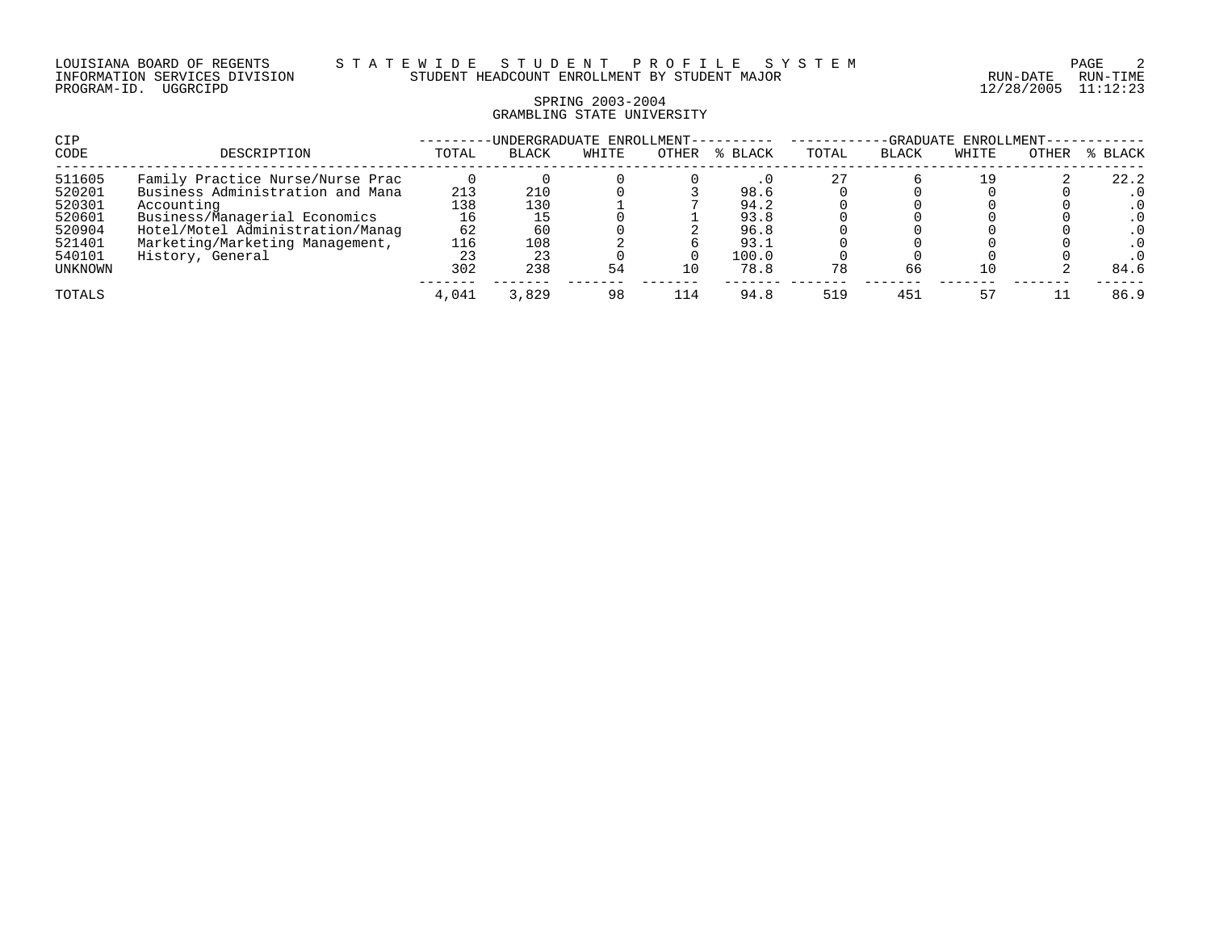# SPRING 2003-2004 GRAMBLING STATE UNIVERSITY

| CIP            |                                  |       | UNDERGRADUATE ENROLLMENT- |       |       |         | ENROLLMENT-<br>-GRADUATE |              |       |       |         |
|----------------|----------------------------------|-------|---------------------------|-------|-------|---------|--------------------------|--------------|-------|-------|---------|
| CODE           | DESCRIPTION                      | TOTAL | <b>BLACK</b>              | WHITE | OTHER | % BLACK | TOTAL                    | <b>BLACK</b> | WHITE | OTHER | % BLACK |
| 511605         | Family Practice Nurse/Nurse Prac |       |                           |       |       |         |                          |              | - 9   |       | 22.2    |
| 520201         | Business Administration and Mana | 213   | 210                       |       |       | 98.6    |                          |              |       |       |         |
| 520301         | Accounting                       | 138   | 130                       |       |       | 94.2    |                          |              |       |       |         |
| 520601         | Business/Managerial Economics    | 16    |                           |       |       | 93.8    |                          |              |       |       |         |
| 520904         | Hotel/Motel Administration/Manaq | 62    | 60                        |       |       | 96.8    |                          |              |       |       |         |
| 521401         | Marketing/Marketing Management,  | 116   | 108                       |       |       | 93.1    |                          |              |       |       |         |
| 540101         | History, General                 | 23    | 23                        |       |       | 100.0   |                          |              |       |       |         |
| <b>UNKNOWN</b> |                                  | 302   | 238                       | 54    | 10    | 78.8    | 78                       | 66           | 10    |       | 84.6    |
| TOTALS         |                                  | 4,041 | 3,829                     | 98    | 114   | 94.8    | 519                      | 451          |       |       | 86.9    |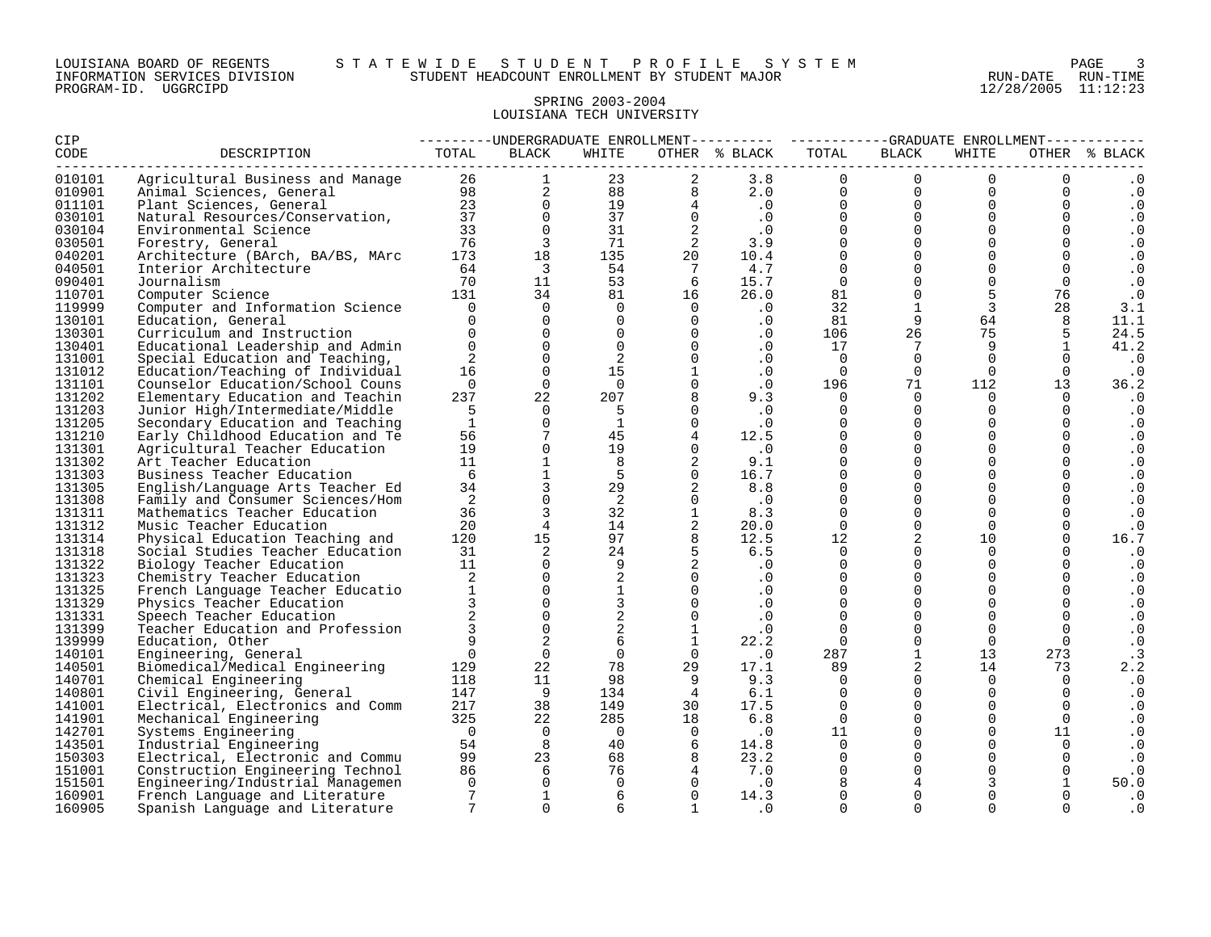#### LOUISIANA BOARD OF REGENTS S T A T E W I D E S T U D E N T P R O F I L E S Y S T E M PAGE 3 INFORMATION SERVICES DIVISION STUDENT HEADCOUNT ENROLLMENT BY STUDENT MAJOR RUN-DATE RUN-TIME

# SPRING 2003-2004 LOUISIANA TECH UNIVERSITY

| <b>CIP</b> |                                                                                                                                                                                                                                                         | ---------UNDERGRADUATE ENROLLMENT--------- ----------GRADUATE ENROLLMENT---------- |                         |                         |                                                      |                             |                |                     |                                  |                |               |
|------------|---------------------------------------------------------------------------------------------------------------------------------------------------------------------------------------------------------------------------------------------------------|------------------------------------------------------------------------------------|-------------------------|-------------------------|------------------------------------------------------|-----------------------------|----------------|---------------------|----------------------------------|----------------|---------------|
| CODE       | DESCRIPTION                                                                                                                                                                                                                                             | TOTAL                                                                              | BLACK                   | WHITE                   |                                                      | OTHER % BLACK               | TOTAL          | BLACK               | WHITE                            |                | OTHER % BLACK |
| 010101     | Agricultural Business and Manage<br>Animal Sciences, General<br>23 2 3.8 0 0<br>23 2 3.8 0 0<br>23 2 88 8 2.0 0 0<br>23 0 19 4 .0<br>23 0 19 4 .0<br>23 0 37 0 .0<br>23 0 37 0 .0<br>23 0 37 0 .0<br>23 0 37 0 .0<br>23 0 37 0 .0<br>23 0 37 0 .0<br>23 |                                                                                    |                         |                         |                                                      |                             |                |                     | $\Omega$                         |                | $\cdot$ 0     |
| 010901     |                                                                                                                                                                                                                                                         |                                                                                    |                         |                         |                                                      |                             |                |                     | $\begin{matrix}0\\0\end{matrix}$ | $\Omega$       | $\cdot$ 0     |
| 011101     |                                                                                                                                                                                                                                                         |                                                                                    |                         |                         |                                                      |                             |                |                     |                                  | $\overline{0}$ | $\cdot$ 0     |
| 030101     |                                                                                                                                                                                                                                                         |                                                                                    |                         |                         |                                                      |                             |                |                     | $\Omega$                         | $\overline{0}$ | $\cdot$ 0     |
| 030104     |                                                                                                                                                                                                                                                         |                                                                                    |                         |                         |                                                      |                             |                |                     | $\Omega$                         | $\mathbf{0}$   | $\cdot$ 0     |
| 030501     |                                                                                                                                                                                                                                                         |                                                                                    |                         |                         |                                                      |                             |                |                     | $\Omega$                         | $\overline{0}$ | $\cdot$ 0     |
| 040201     |                                                                                                                                                                                                                                                         |                                                                                    |                         |                         |                                                      |                             |                |                     | $\Omega$                         | $\overline{0}$ | $\cdot$ 0     |
| 040501     | Interior Architecture                                                                                                                                                                                                                                   | 64                                                                                 | $\overline{\mathbf{3}}$ | 54                      | $7\overline{ }$                                      | 4.7                         | $\overline{0}$ | $\overline{0}$      | $\Omega$                         | $\Omega$       | $\cdot$ 0     |
| 090401     | Journalism                                                                                                                                                                                                                                              | 70                                                                                 | 11                      |                         |                                                      | 15.7                        | $\overline{0}$ | $\overline{0}$      | $\overline{0}$                   | $\overline{0}$ | $\cdot$ 0     |
| 110701     | Computer Science                                                                                                                                                                                                                                        | 131                                                                                | 34                      |                         |                                                      | 26.0                        | 81             | $\mathsf{O}$        | 5                                | 76             | $\cdot$ 0     |
| 119999     | Computer and Information Science                                                                                                                                                                                                                        | $\overline{0}$                                                                     | $\Omega$                |                         | $\overline{0}$                                       | $\cdot$ 0                   | 32             | $\mathbf{1}$        | $\mathbf{3}$                     | 28             | 3.1           |
| 130101     | Education, General                                                                                                                                                                                                                                      | $\Omega$                                                                           | $\Omega$                | $\Omega$                | $\overline{0}$                                       | $\cdot$ 0                   | 81             | 9                   | 64                               | 8              | 11.1          |
| 130301     | Curriculum and Instruction                                                                                                                                                                                                                              | $\Omega$                                                                           | $\Omega$                | $\overline{0}$          | $\overline{0}$                                       | $\cdot$ 0                   | 106            | 26                  | 75                               | 5              | 24.5          |
| 130401     | Educational Leadership and Admin                                                                                                                                                                                                                        | $\Omega$                                                                           | $\Omega$                | $\Omega$                | $\overline{0}$                                       | $\cdot$ 0                   | 17             | 7                   | 9                                | $\mathbf{1}$   | 41.2          |
| 131001     | Special Education and Teaching,                                                                                                                                                                                                                         | 2                                                                                  | $\mathbf{0}$            | 2                       | $\overline{0}$                                       | $\cdot$ 0                   | $\overline{0}$ | $\overline{0}$      | $\Omega$                         |                | $\ddotsc 0$   |
| 131012     | Education/Teaching of Individual                                                                                                                                                                                                                        | 16                                                                                 | $\Omega$                | 15                      | 1                                                    | .0                          | $\overline{0}$ | $\overline{0}$      | $\Omega$                         | $\overline{0}$ | $\cdot$ 0     |
| 131101     | Counselor Education/School Couns                                                                                                                                                                                                                        | $\Omega$                                                                           | $\Omega$                | $\Omega$                | $\overline{0}$                                       | $\cdot$ 0                   | 196            | 71                  | 112                              | 13             | 36.2          |
| 131202     | Elementary Education and Teachin                                                                                                                                                                                                                        | 237                                                                                | 22                      | 207                     | 8                                                    | 9.3                         | $\Omega$       | $\Omega$            | $\Omega$                         | $\Omega$       | $\cdot$ 0     |
| 131203     | Junior High/Intermediate/Middle                                                                                                                                                                                                                         | .5                                                                                 | $\Omega$                | 5                       | $\Omega$                                             | $\cdot$ 0                   | $\Omega$       | $\Omega$            | $\Omega$                         | $\Omega$       | $\cdot$ 0     |
| 131205     | Secondary Education and Teaching                                                                                                                                                                                                                        | <sup>1</sup>                                                                       | $\Omega$                | $\mathbf{1}$            | $\Omega$                                             | $\cdot$ 0                   | $\Omega$       | $\mathbf 0$         | $\Omega$                         | $\Omega$       | $\cdot$ 0     |
| 131210     | Early Childhood Education and Te                                                                                                                                                                                                                        | 56                                                                                 | $7\phantom{.0}$         | 45                      | $4\overline{4}$                                      | 12.5                        | $\mathbf{0}$   | $\mathbf 0$         | $\Omega$                         | $\mathbf 0$    | $\cdot$ 0     |
| 131301     | Agricultural Teacher Education                                                                                                                                                                                                                          | 19                                                                                 | $\Omega$                | 19                      |                                                      | $0 \qquad \qquad .0$        | $\Omega$       | $\mathbf 0$         | $\Omega$                         |                | $\cdot$ 0     |
| 131302     | Art Teacher Education                                                                                                                                                                                                                                   | 11                                                                                 | $\mathbf{1}$            | 8                       | $\overline{2}$                                       | 9.1                         | $\Omega$       | $\mathbf 0$         | $\Omega$                         | $\mathbf{0}$   | $\cdot$ 0     |
| 131303     | Business Teacher Education                                                                                                                                                                                                                              | - 6                                                                                | $\overline{1}$          | 5 <sup>5</sup>          | $\overline{0}$                                       | 16.7                        | $\Omega$       | $\mathbf 0$         | $\Omega$                         | $\Omega$       | $\cdot$ 0     |
| 131305     | English/Language Arts Teacher Ed                                                                                                                                                                                                                        | 34                                                                                 | $\mathbf{3}$            | 29                      | $\overline{\mathbf{c}}$                              | 8.8                         | $\Omega$       | $\mathsf 0$         | $\Omega$                         |                | $\cdot$ 0     |
| 131308     | Family and Consumer Sciences/Hom                                                                                                                                                                                                                        | 2                                                                                  | $\mathsf 0$             | $\overline{2}$          | $\Omega$                                             | $\overline{\phantom{a}}$ .0 | $\Omega$       | $\Omega$            | $\Omega$                         | $\Omega$       | $\cdot$ 0     |
| 131311     | Mathematics Teacher Education                                                                                                                                                                                                                           | 36                                                                                 | $\overline{3}$          | 32                      | $\mathbf{1}$                                         | 8.3                         | $\Omega$       | $\mathsf{O}$        | $\Omega$                         |                | $\cdot$ 0     |
| 131312     | Music Teacher Education                                                                                                                                                                                                                                 | 20                                                                                 | $\overline{4}$          | 14                      | $2^{\circ}$<br>$\begin{array}{c} 2 \\ 8 \end{array}$ | 20.0                        | $\Omega$       | $\mathsf{O}\xspace$ | $\Omega$                         | $\mathsf{O}$   | $\cdot$ 0     |
| 131314     | Physical Education Teaching and                                                                                                                                                                                                                         | 120                                                                                | 15                      | 97                      |                                                      | 12.5                        | 12             | 2                   | 10                               | $\Omega$       | 16.7          |
| 131318     | Social Studies Teacher Education                                                                                                                                                                                                                        | 31                                                                                 | 2                       |                         | $24$ 5                                               | 6.5                         | $\Omega$       | $\mathbf 0$         | $\Omega$                         |                | $\cdot$ 0     |
| 131322     | Biology Teacher Education                                                                                                                                                                                                                               | 11                                                                                 | $\Omega$                | 9                       | $\overline{2}$                                       | $\cdot$ 0                   | $\Omega$       | $\Omega$            | $\Omega$                         | $\Omega$       | $\cdot$ 0     |
| 131323     | Chemistry Teacher Education                                                                                                                                                                                                                             | 2                                                                                  | $\Omega$                | 2                       | $\overline{0}$                                       | $\cdot$ 0                   | $\Omega$       | $\mathbf 0$         | $\Omega$                         |                | $\cdot$ 0     |
| 131325     | French Language Teacher Educatio                                                                                                                                                                                                                        | $\mathbf{1}$                                                                       | $\mathsf{O}$            | $\overline{1}$          | $\overline{0}$                                       | $\cdot$ 0                   | $\mathbf 0$    | $\mathbf 0$         | $\Omega$                         | $\mathbf 0$    | $\cdot$ 0     |
| 131329     | Physics Teacher Education                                                                                                                                                                                                                               |                                                                                    | $\Omega$                | $\overline{\mathbf{3}}$ | $\overline{0}$                                       | $\cdot$ 0                   | $\Omega$       | $\Omega$            | $\Omega$                         | $\Omega$       | $\cdot$ 0     |
| 131331     | Speech Teacher Education                                                                                                                                                                                                                                | $\overline{a}$                                                                     | $\Omega$                | $\overline{\mathbf{c}}$ | $\overline{0}$                                       | $\cdot$ 0                   | $\Omega$       | $\mathbf 0$         | $\Omega$                         | $\Omega$       | $\cdot$ 0     |
| 131399     | Teacher Education and Profession                                                                                                                                                                                                                        | $\mathbf{3}$                                                                       | $\Omega$                | $\overline{\mathbf{2}}$ | 1                                                    | $\ddot{\phantom{0}}$ .0     | $\Omega$       | $\mathbf 0$         | $\Omega$                         | $\Omega$       | $\cdot$ 0     |
| 139999     | Education, Other                                                                                                                                                                                                                                        | 9                                                                                  | 2                       | 6                       | $\overline{1}$                                       | 22.2                        | $\overline{0}$ | $\mathsf{O}$        | $\overline{0}$                   | $\overline{0}$ | $\cdot$ 0     |
| 140101     | Engineering, General                                                                                                                                                                                                                                    | $\Omega$                                                                           | $\Omega$                | $\Omega$                | $\overline{0}$                                       | $\overline{\phantom{0}}$ .0 | 287            | $\mathbf{1}$        | 13                               | 273            | $\cdot$ 3     |
| 140501     | Biomedical/Medical Engineering                                                                                                                                                                                                                          | 129                                                                                | 22                      | 78                      | 29                                                   | 17.1                        | 89             | 2                   | 14                               | 73             | 2.2           |
| 140701     | Chemical Engineering                                                                                                                                                                                                                                    | 118                                                                                | 11                      | 98                      | 9 <sup>°</sup>                                       | 9.3                         | $\Omega$       | $\mathbf 0$         | $\Omega$                         | $\mathbf 0$    | $\cdot$ 0     |
| 140801     | Civil Engineering, General                                                                                                                                                                                                                              |                                                                                    | $\overline{9}$          | 134                     | $\overline{4}$                                       | 6.1                         | $\Omega$       | $\mathbf 0$         | $\Omega$                         | $\Omega$       | $\cdot$ 0     |
| 141001     | Electrical, Electronics and Comm                                                                                                                                                                                                                        |                                                                                    | 38                      | 149                     | 30                                                   | 17.5                        | $\Omega$       | $\mathbf 0$         | $\Omega$                         | $\mathbf 0$    | $\cdot$ 0     |
| 141901     | Mechanical Engineering                                                                                                                                                                                                                                  | 118<br>147<br>Comm 217<br>200                                                      | 22                      | 285                     | 18                                                   | 6.8                         | $\Omega$       | $\mathbf 0$         | $\Omega$                         | $\Omega$       | $\cdot$ 0     |
| 142701     | Systems Engineering                                                                                                                                                                                                                                     |                                                                                    | $\overline{0}$          | $\overline{0}$          | $\overline{0}$                                       | $\cdot$ 0                   | 11             | $\overline{0}$      | $\Omega$                         | 11             | $\cdot$ 0     |
| 143501     | Industrial Engineering                                                                                                                                                                                                                                  | 54                                                                                 | 8 <sup>8</sup>          | 40                      | 6                                                    | 14.8                        | $\Omega$       | $\mathsf{O}$        | $\Omega$                         | $\mathbf 0$    | $\cdot$ 0     |
| 150303     | Electrical, Electronic and Commu                                                                                                                                                                                                                        | 99                                                                                 | 23                      | 68 —                    | 8                                                    | 23.2                        | $\Omega$       | $\mathsf{O}$        | $\Omega$                         | $\mathbf 0$    | $\cdot$ 0     |
| 151001     | Construction Engineering Technol                                                                                                                                                                                                                        | 86                                                                                 | 6                       | 76                      | $\overline{4}$                                       | 7.0                         | $\Omega$       | $\mathsf{O}\xspace$ | $\Omega$                         | $\mathsf{O}$   | $\cdot$ 0     |
| 151501     | Engineering/Industrial Managemen                                                                                                                                                                                                                        | $\Omega$                                                                           | $\Omega$                | $\overline{0}$          | $\overline{0}$                                       | $\cdot$ 0                   | 8              | $\overline{4}$      |                                  | $\mathbf{1}$   | 50.0          |
| 160901     | French Language and Literature                                                                                                                                                                                                                          | 7                                                                                  | $\mathbf{1}$            | 6                       | $\overline{0}$                                       | 14.3                        | $\Omega$       | $\mathbf 0$         |                                  |                | $\cdot$ 0     |
| 160905     | Spanish Language and Literature                                                                                                                                                                                                                         | $7\overline{ }$                                                                    | $\Omega$                | 6                       | $\overline{1}$                                       | $\cdot$ 0                   | $\Omega$       | $\Omega$            | $\Omega$                         | $\Omega$       | . 0           |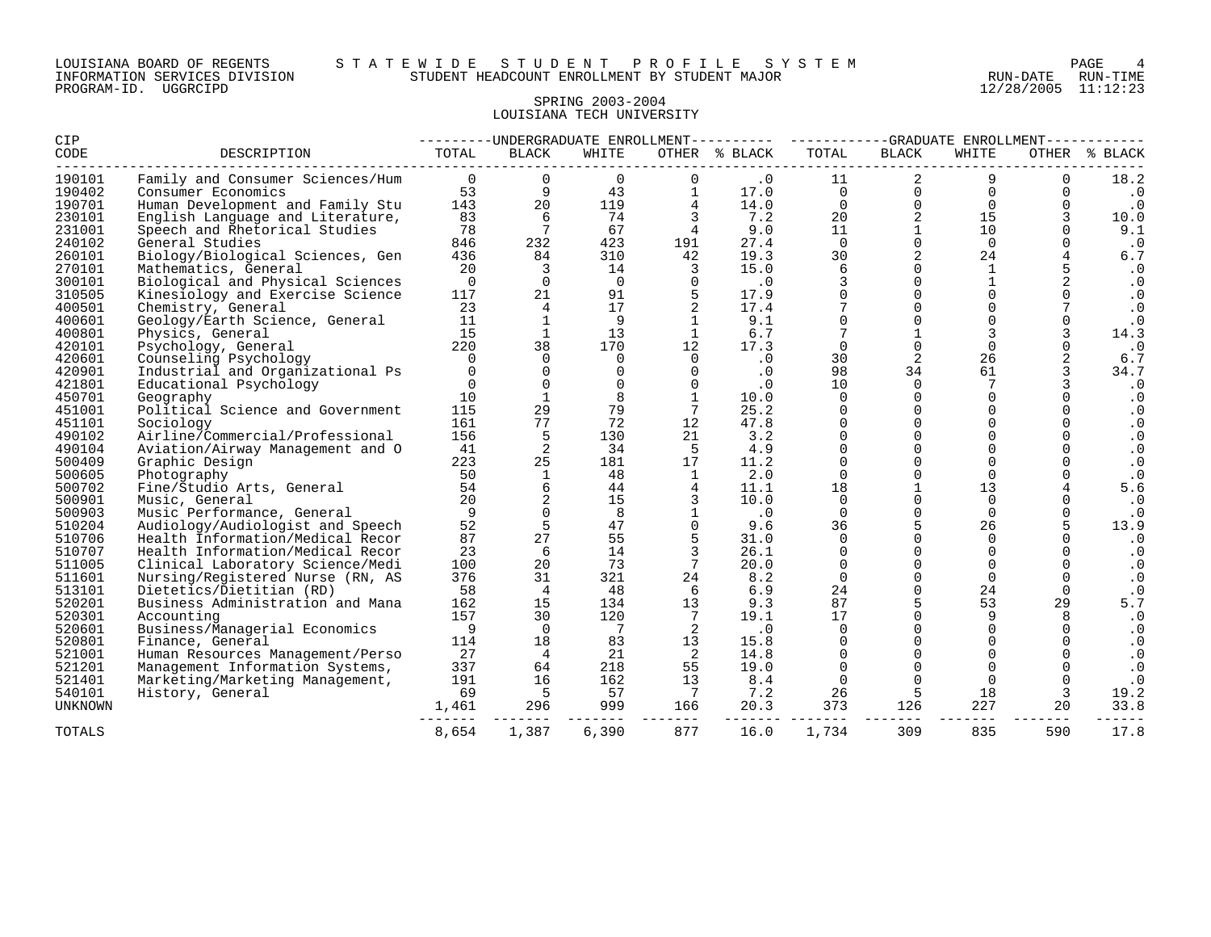# SPRING 2003-2004 LOUISIANA TECH UNIVERSITY

| CIP                      |                                  |                |                 |                |                       | ---------UNDERGRADUATE ENROLLMENT---------- ----------GRADUATE ENROLLMENT------- |                      |                      |                |             |               |
|--------------------------|----------------------------------|----------------|-----------------|----------------|-----------------------|----------------------------------------------------------------------------------|----------------------|----------------------|----------------|-------------|---------------|
| CODE                     | DESCRIPTION                      | TOTAL          | <b>BLACK</b>    | WHITE          |                       | OTHER % BLACK                                                                    | TOTAL                | <b>BLACK</b>         | WHITE          |             | OTHER % BLACK |
| 190101                   | Family and Consumer Sciences/Hum | $\overline{0}$ |                 | 0              |                       | $\cdot$ 0                                                                        | 11                   |                      | 9              |             | 18.2          |
| 190402                   | Consumer Economics               | 53             | 9               | 43             |                       | 17.0                                                                             | $\mathbf 0$          | 0                    | $\mathbf 0$    | 0           | $\cdot$ 0     |
| 190701                   | Human Development and Family Stu | 143            | 20              | 119            | 4                     | 14.0                                                                             | $\Omega$             | $\Omega$             | $\Omega$       | $\Omega$    | $\cdot$ 0     |
| 230101                   | English Language and Literature, | 83             | 6               | 74             | 3                     | 7.2                                                                              | 20                   | 2                    | 15             |             | 10.0          |
| 231001                   | Speech and Rhetorical Studies    | 78             | $7\phantom{.0}$ | 67             | $\overline{4}$        | 9.0                                                                              | 11                   | $\mathbf{1}$         | 10             |             | 9.1           |
| 240102                   | General Studies                  | 846            | 232             | 423            | 191                   | 27.4                                                                             | $\Omega$             | $\Omega$             | $\Omega$       |             | $\cdot$ 0     |
| 260101                   | Biology/Biological Sciences, Gen | 436            | 84              | 310            | 42                    | 19.3                                                                             | 30                   | 2                    | 24             |             | $6.7$         |
| 270101                   | Mathematics, General             | 20             | 3               | 14             | $\overline{3}$        | 15.0                                                                             | 6                    |                      | 1              |             | $\cdot$ 0     |
| 300101                   | Biological and Physical Sciences | $\overline{0}$ | $\Omega$        | $\overline{0}$ | $\mathbf 0$           | $\cdot$ 0                                                                        | 3                    | $\Omega$             | $\mathbf{1}$   | 2           | $\cdot$ 0     |
| 310505                   | Kinesiology and Exercise Science | 117            | 21              | 91             |                       | 17.9                                                                             | $\Omega$             | $\Omega$             |                |             | $\cdot$ 0     |
| 400501                   | Chemistry, General               | 23             | $\overline{4}$  | 17             |                       | 17.4                                                                             | 7                    | $\Omega$             | $\Omega$       |             | $\cdot$ 0     |
| 400601                   | Geology/Earth Science, General   | 11             | $\mathbf{1}$    | 9              |                       | 9.1                                                                              | 0                    | $\mathbf 0$          | $\Omega$       |             | $\cdot$ 0     |
| 400801                   | Physics, General                 | 15             | 1               | 13             |                       | 6.7                                                                              | 7                    |                      | 3              |             | 14.3          |
| 420101                   | Psychology, General              | 220            | 38              | 170            | 12                    | 17.3                                                                             | $\mathbf 0$          | $\Omega$             | $\Omega$       |             | $\cdot$ 0     |
| 420601                   | Counseling Psychology            | $\Omega$       | $\Omega$        | $\Omega$       | $\Omega$              | $\cdot$ 0                                                                        | 30                   | 2                    | 26             |             | 6.7           |
| 420901                   | Industrial and Organizational Ps | $\Omega$       | $\Omega$        | $\Omega$       | $\Omega$              | $\cdot$ 0                                                                        | 98                   | 34                   | 61             |             | 34.7          |
| 421801                   | Educational Psychology           | $\overline{0}$ | $\Omega$        | $\Omega$       | $\mathbf 0$           | .0                                                                               | 10                   | $\mathbf 0$          |                |             | $\cdot$ 0     |
| 450701                   | Geography                        | 10             | 1               | 8              |                       | 10.0                                                                             | $\Omega$             | $\Omega$             | $\Omega$       |             | $\cdot$ 0     |
| 451001                   | Political Science and Government | 115            | 29              | 79             | 7                     | 25.2                                                                             | $\Omega$             | $\Omega$             | $\Omega$       | $\Omega$    | $\cdot$ 0     |
| 451101                   | Sociology                        | 161            | 77              | 72             | 12                    | 47.8                                                                             | $\Omega$             | $\Omega$             |                |             | $\cdot$ 0     |
| 490102                   | Airline/Commercial/Professional  | 156            | 5               | 130            | 21                    | 3.2                                                                              | $\Omega$             | $\Omega$             | $\Omega$       |             | $\cdot$ 0     |
| 490104                   | Aviation/Airway Management and O | 41             | 2               | 34             | -5                    | 4.9                                                                              | 0                    | $\mathbf 0$          | $\Omega$       |             | $\cdot$ 0     |
| 500409                   | Graphic Design                   | 223            | 25              | 181            | 17                    | 11.2                                                                             | $\Omega$             | $\Omega$             | $\Omega$       |             | $\cdot$ 0     |
| 500605                   | Photography                      | 50             | $\mathbf{1}$    | 48             | $\mathbf{1}$          | 2.0                                                                              | $\mathbf 0$          | $\Omega$             | $\Omega$       |             | $\cdot$ 0     |
| 500702                   | Fine/Studio Arts, General        | 54             | 6               | 44             |                       | 11.1                                                                             | 18                   |                      | 13             |             | 5.6           |
| 500901                   | Music, General                   | 20             | 2               | 15             | 3                     | 10.0                                                                             | $\Omega$             | $\Omega$             | $\Omega$       |             | $\cdot$ 0     |
| 500903                   | Music Performance, General       | -9             | $\Omega$        | 8              |                       | $\cdot$ 0                                                                        | $\Omega$             | $\Omega$             | $\Omega$       |             | $\cdot$ 0     |
| 510204                   | Audiology/Audiologist and Speech | 52             | 5               | 47             |                       | 9.6                                                                              | 36                   | 5                    | 26             | 5           | 13.9          |
| 510706                   | Health Information/Medical Recor | 87             | 27              | 55             |                       | 31.0                                                                             | $\Omega$             | $\Omega$             | $\Omega$       |             | $\cdot$ 0     |
| 510707                   | Health Information/Medical Recor | 23             | 6               | 14             |                       | 26.1                                                                             | $\Omega$             | $\Omega$             | $\Omega$       |             | $\cdot$ 0     |
| 511005                   | Clinical Laboratory Science/Medi | 100            | 20              | 73             | 7                     | 20.0                                                                             | $\Omega$             | $\Omega$             | $\Omega$       | $\Omega$    | $\cdot$ 0     |
| 511601                   | Nursing/Registered Nurse (RN, AS | 376            | 31              | 321            | 24                    | 8.2                                                                              | $\mathbf 0$          | $\Omega$             | $\Omega$       |             | $\cdot$ 0     |
| 513101                   | Dietetics/Dietitian (RD)         | 58             | $\overline{4}$  | 48             | - 6                   | 6.9                                                                              | 24                   | $\Omega$             | 24             | $\mathbf 0$ | $\cdot$ 0     |
| 520201                   | Business Administration and Mana | 162            | 15              | 134            | 13                    | 9.3                                                                              | 87                   | 5                    | 53             | 29          | 5.7           |
| 520301                   | Accounting                       | 157            | 30              | 120            | $7\overline{ }$       | 19.1                                                                             | 17                   | $\Omega$<br>$\Omega$ | 9<br>$\cap$    | 8           | $\cdot$ 0     |
| 520601                   | Business/Managerial Economics    | $\overline{9}$ | $\Omega$        | 7              | 2                     | .0                                                                               | $\Omega$             | $\Omega$             |                | $\Omega$    | $\cdot$ 0     |
| 520801                   | Finance, General                 | 114            | 18              | 83             | 13                    | 15.8                                                                             | $\Omega$             |                      | $\Omega$       |             | $\cdot$ 0     |
| 521001                   | Human Resources Management/Perso | 27             | $\overline{4}$  | 21             | $\overline{2}$        | 14.8                                                                             | $\Omega$             | $\Omega$             | $\Omega$       |             | $\cdot$ 0     |
| 521201                   | Management Information Systems,  | 337            | 64              | 218            | 55                    | 19.0                                                                             | $\mathbf 0$          | $\mathbf 0$          | $\Omega$       |             | $\cdot$ 0     |
| 521401                   | Marketing/Marketing Management,  | 191<br>69      | 16              | 162<br>57      | 13                    | 8.4                                                                              | $\overline{0}$<br>26 | $\Omega$             | $\Omega$<br>18 |             | $\cdot$ 0     |
| 540101<br><b>UNKNOWN</b> | History, General                 | 1,461          | - 5<br>296      | 999            | $\overline{7}$<br>166 | 7.2                                                                              | 373                  | 5<br>126             | 227            | 3<br>20     | 19.2<br>33.8  |
|                          |                                  |                |                 |                | $- - - -$             | 20.3<br>-------                                                                  |                      | ----                 |                |             |               |
| <b>TOTALS</b>            |                                  | 8,654          | 1,387           | 6,390          | 877                   | 16.0                                                                             | 1,734                | 309                  | 835            | 590         | 17.8          |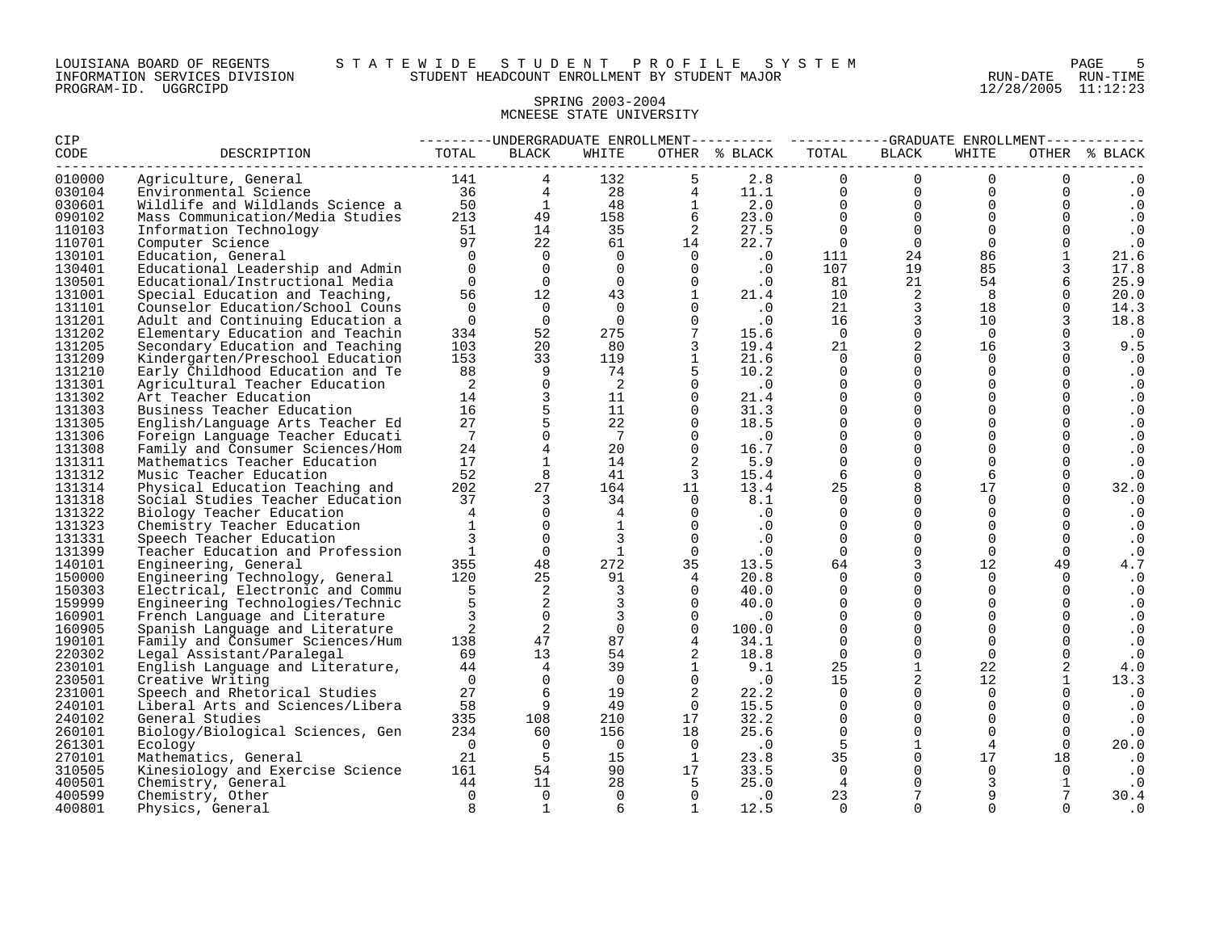#### LOUISIANA BOARD OF REGENTS S T A T E W I D E S T U D E N T P R O F I L E S Y S T E M PAGE 5 INFORMATION SERVICES DIVISION STUDENT HEADCOUNT ENROLLMENT BY STUDENT MAJOR RUN-DATE RUN-TIME

#### SPRING 2003-2004 MCNEESE STATE UNIVERSITY

| <b>CIP</b>  |                                      | ---------UNDERGRADUATE ENROLLMENT---------- ----------GRADUATE ENROLLMENT-----------<br>OTHER % BLACK |                                            |                                                                                |                                                           |                                                                                                                                                |                                         |                 |                |                |               |
|-------------|--------------------------------------|-------------------------------------------------------------------------------------------------------|--------------------------------------------|--------------------------------------------------------------------------------|-----------------------------------------------------------|------------------------------------------------------------------------------------------------------------------------------------------------|-----------------------------------------|-----------------|----------------|----------------|---------------|
| <b>CODE</b> | DESCRIPTION                          | TOTAL                                                                                                 | BLACK                                      | WHITE                                                                          |                                                           |                                                                                                                                                | TOTAL                                   | BLACK           | WHITE          |                | OTHER % BLACK |
| 010000      |                                      |                                                                                                       |                                            |                                                                                |                                                           |                                                                                                                                                |                                         |                 |                |                | $\cdot$ 0     |
| 030104      |                                      |                                                                                                       |                                            |                                                                                |                                                           |                                                                                                                                                |                                         |                 |                |                | $\cdot$ 0     |
| 030601      |                                      |                                                                                                       |                                            |                                                                                |                                                           |                                                                                                                                                |                                         |                 |                |                | $\cdot$ 0     |
| 090102      |                                      |                                                                                                       |                                            |                                                                                |                                                           |                                                                                                                                                |                                         |                 |                |                | $\cdot$ 0     |
| 110103      |                                      |                                                                                                       |                                            |                                                                                |                                                           |                                                                                                                                                |                                         |                 |                |                | $\cdot$ 0     |
| 110701      |                                      |                                                                                                       |                                            |                                                                                |                                                           |                                                                                                                                                |                                         |                 |                |                | $\cdot$ 0     |
| 130101      |                                      |                                                                                                       |                                            |                                                                                |                                                           |                                                                                                                                                |                                         |                 |                |                | 21.6          |
| 130401      |                                      |                                                                                                       |                                            | $\begin{array}{c} 0 \\ 0 \\ 12 \\ 0 \end{array}$                               |                                                           | $\begin{bmatrix} 0 & & 0 & & 0 \ 0 & & & 0 & & 0 \ 1 & & & 21.4 & & & \ 0 & & & 0 & & 0 \ 0 & & & & 0 & & & \ 0 & & & & 0 & & & \end{bmatrix}$ |                                         |                 |                |                | 17.8          |
| 130501      |                                      |                                                                                                       |                                            |                                                                                |                                                           |                                                                                                                                                |                                         |                 |                |                | 25.9          |
| 131001      | Special Education and Teaching,      | 56                                                                                                    |                                            | 43                                                                             |                                                           |                                                                                                                                                | 10                                      | $\overline{2}$  | 8              | $\Omega$       | 20.0          |
| 131101      | Counselor Education/School Couns     | $\overline{0}$                                                                                        |                                            | $\begin{matrix}0&0\\0&0\\52&2^{75}\end{matrix}$                                |                                                           |                                                                                                                                                | 21                                      | $\frac{2}{3}$   | 18             | $\mathsf{O}$   | 14.3          |
| 131201      | Adult and Continuing Education a     | $\overline{0}$                                                                                        |                                            |                                                                                |                                                           |                                                                                                                                                | $\begin{array}{c} 21 \\ 16 \end{array}$ | $\overline{3}$  | 10             | $\mathbf{3}$   | 18.8          |
| 131202      | Elementary Education and Teachin     | 334                                                                                                   |                                            |                                                                                | $\frac{1}{7}$                                             | 15.6                                                                                                                                           | $\overline{0}$                          | $\overline{0}$  | $\Omega$       | $\Omega$       | $\cdot$ 0     |
| 131205      | Secondary Education and Teaching     | 103                                                                                                   | 20                                         | 80                                                                             | $\overline{3}$                                            | 19.4                                                                                                                                           | 21                                      | $\overline{2}$  | 16             | $\mathbf{3}$   | 9.5           |
| 131209      | Kindergarten/Preschool Education     | 153                                                                                                   | 33                                         | 119                                                                            | $\overline{1}$                                            | 21.6                                                                                                                                           | $\Omega$                                | $\Omega$        | $\Omega$       |                | $\cdot$ 0     |
| 131210      | Early Childhood Education and Te     | 88                                                                                                    | 9                                          | 74                                                                             | 5                                                         | 10.2                                                                                                                                           | $\Omega$                                | $\overline{0}$  | $\Omega$       | $\mathbf 0$    | $\cdot$ 0     |
| 131301      | Agricultural Teacher Education       | $\overline{\phantom{0}}^2$                                                                            | $\mathsf{O}$                               | $\overline{\mathbf{2}}$                                                        | $\Omega$                                                  | $\cdot$ 0                                                                                                                                      | $\Omega$                                | $\overline{0}$  | $\Omega$       | $\mathbf 0$    | $\cdot$ 0     |
| 131302      | Art Teacher Education                | 14                                                                                                    | $\begin{array}{c} 3 \\ 5 \\ 5 \end{array}$ |                                                                                | $\begin{array}{ccc} 11 & & & 0 \\ 11 & & & 0 \end{array}$ | 21.4                                                                                                                                           | $\mathbf 0$                             | $\overline{0}$  | $\Omega$       | $\overline{0}$ | $\cdot$ 0     |
| 131303      | Business Teacher Education           | 16                                                                                                    |                                            |                                                                                |                                                           | 31.3                                                                                                                                           | $\Omega$                                | $\overline{0}$  | $\Omega$       | $\Omega$       | $\cdot$ 0     |
| 131305      | English/Language Arts Teacher Ed     | 27                                                                                                    |                                            | 22                                                                             | $\bigcap$                                                 | 18.5                                                                                                                                           | $\Omega$                                | $\overline{0}$  | $\Omega$       | $\mathbf 0$    | $\cdot$ 0     |
| 131306      | Foreign Language Teacher Educati     | 7                                                                                                     | $\Omega$                                   | $7\overline{ }$                                                                | $\overline{0}$                                            | $\cdot$ 0                                                                                                                                      | $\Omega$                                | $\overline{0}$  | $\Omega$       | $\Omega$       | $\cdot$ 0     |
| 131308      | Family and Consumer Sciences/Hom     | 24                                                                                                    | $\overline{4}$                             | 20                                                                             | $\overline{0}$                                            | 16.7                                                                                                                                           | $\overline{0}$                          | $\mathbf 0$     | $\Omega$       |                | $\cdot$ 0     |
| 131311      | Mathematics Teacher Education        | 17                                                                                                    | $\mathbf{1}$                               | 14                                                                             | $\overline{\phantom{a}}^2$                                | 5.9                                                                                                                                            | $\overline{0}$                          | $\mathbf 0$     | $\Omega$       | $\mathbf 0$    | $\cdot$ 0     |
| 131312      | Music Teacher Education              |                                                                                                       | 8                                          | 41                                                                             | $\overline{\mathbf{3}}$                                   | 15.4                                                                                                                                           | -6                                      | $\mathbf 0$     | 6              | $\Omega$       | $\cdot$ 0     |
| 131314      | Physical Education Teaching and      | $\frac{17}{52}$<br>202<br>37                                                                          | 27                                         |                                                                                | 164 11                                                    | 13.4                                                                                                                                           | 25                                      | 8               | 17             | $\mathbf 0$    | 32.0          |
| 131318      | Social Studies Teacher Education     |                                                                                                       | $\overline{\mathbf{3}}$                    | 34                                                                             |                                                           | $0 \t 8.1$                                                                                                                                     | $\Omega$                                | $\Omega$        | $\Omega$       | $\Omega$       | $\cdot$ 0     |
| 131322      | Biology Teacher Education            | $4\overline{4}$                                                                                       | $\Omega$                                   | $4\overline{ }$                                                                | $\overline{0}$                                            | $\cdot$ 0                                                                                                                                      | $\Omega$                                | $\mathbf 0$     | $\Omega$       |                | $\cdot$ 0     |
| 131323      | Chemistry Teacher Education          | 1                                                                                                     | $\overline{0}$                             | 1                                                                              | $\overline{0}$                                            | $\cdot$ 0                                                                                                                                      | $\Omega$                                | $\overline{0}$  | $\Omega$       | $\overline{0}$ | $\cdot$ 0     |
| 131331      | Speech Teacher Education             |                                                                                                       | $\overline{0}$                             | $\overline{3}$                                                                 | $\bigcap$                                                 | $\cdot$ 0                                                                                                                                      | $\Omega$                                | $\Omega$        | $\Omega$       | $\Omega$       | $\cdot$ 0     |
| 131399      | Teacher Education and Profession     | $\sim$ 1                                                                                              | $\Omega$                                   | $\mathbf{1}$                                                                   | $\overline{0}$                                            | $\cdot$ 0                                                                                                                                      | $\Omega$                                | $\mathbf 0$     | $\Omega$       | $\overline{0}$ | $\cdot$ 0     |
| 140101      | Engineering, General                 |                                                                                                       | 355 48                                     |                                                                                | $27\overline{2}$ $3\overline{5}$                          | 13.5                                                                                                                                           | 64                                      | $\overline{3}$  | 12             | 49             | 4.7           |
| 150000      | Engineering Technology, General      | 120                                                                                                   | 25                                         | 91                                                                             | $\overline{4}$                                            | 20.8                                                                                                                                           | $\Omega$                                | $\Omega$        | $\Omega$       | $\Omega$       | $\cdot$ 0     |
| 150303      | Electrical, Electronic and Commu     |                                                                                                       | $\frac{1}{2}$                              | $\overline{\mathbf{3}}$                                                        | $\overline{0}$                                            | 40.0                                                                                                                                           | $\Omega$                                | $\mathbf 0$     | $\overline{0}$ | $\mathbf 0$    | $\cdot$ 0     |
| 159999      | Engineering Technologies/Technic     | $\frac{5}{5}$                                                                                         |                                            | $\overline{\mathbf{3}}$                                                        | $\overline{0}$                                            | 40.0                                                                                                                                           | $\overline{0}$                          | $\overline{0}$  | $\Omega$       | $\mathbf 0$    | $\cdot$ 0     |
| 160901      | French Language and Literature       | $3^{\circ}$                                                                                           |                                            | $\overline{\mathbf{3}}$                                                        | $\overline{0}$                                            | $\overline{\phantom{a}}$ .0                                                                                                                    | $\Omega$                                | $\overline{0}$  | $\Omega$       | $\Omega$       | $\cdot$ 0     |
| 160905      | Spanish Language and Literature      | $\overline{a}$                                                                                        | $\begin{array}{c}0\\2\\47\end{array}$      | $\overline{0}$                                                                 | $\overline{0}$                                            | 100.0                                                                                                                                          | $\Omega$                                | $\mathbf 0$     | $\Omega$       | $\Omega$       | $\cdot$ 0     |
| 190101      | Family and Consumer Sciences/Hum     | 138                                                                                                   |                                            | 87                                                                             | $\overline{4}$                                            | 34.1                                                                                                                                           | $\Omega$                                | $\mathsf{O}$    | $\Omega$       | $\Omega$       | $\cdot$ 0     |
| 220302      | Legal Assistant/Paralegal            | $69$<br>$44$                                                                                          | 13                                         | 54                                                                             | 2                                                         | 18.8                                                                                                                                           | $\Omega$                                | $\mathsf{O}$    | $\Omega$       | $\mathbf 0$    | $\cdot$ 0     |
| 230101      | English Language and Literature,     |                                                                                                       | $4\overline{4}$                            | 39                                                                             |                                                           | 1 9.1                                                                                                                                          | 25                                      | $\mathbf{1}$    | 22             | 2              | 4.0           |
| 230501      | Creative Writing                     | $\overline{0}$                                                                                        | $\overline{0}$                             | $\overline{0}$                                                                 | $\overline{0}$                                            | $\overline{\phantom{a}}$ .0                                                                                                                    | 15                                      | $\overline{a}$  | 12             |                | 13.3          |
| 231001      | Speech and Rhetorical Studies        | 27                                                                                                    | $6\overline{6}$                            | 19                                                                             | $\overline{\mathbf{2}}$                                   | 22.2                                                                                                                                           | $\Omega$                                | $\Omega$        | $\Omega$       |                | $\cdot$ 0     |
| 240101      | Liberal Arts and Sciences/Libera     | 58                                                                                                    | 9                                          | 49                                                                             | $\overline{0}$                                            | 15.5                                                                                                                                           | $\Omega$                                | $\overline{0}$  | $\Omega$       | $\Omega$       | $\cdot$ 0     |
| 240102      | General Studies                      | 335                                                                                                   | 108                                        |                                                                                |                                                           |                                                                                                                                                | $\Omega$                                | $\overline{0}$  | $\Omega$       | $\Omega$       | $\cdot$ . 0   |
| 260101      | Biology/Biological Sciences, Gen 234 |                                                                                                       | 60                                         |                                                                                |                                                           | 210 17 32.2<br>156 18 25.6<br>25.6                                                                                                             | $\overline{0}$                          | $\overline{0}$  | $\overline{0}$ | $\overline{0}$ | $\cdot$ 0     |
| 261301      | Ecology                              | $\overline{0}$                                                                                        | $\overline{0}$                             | $\overline{0}$                                                                 |                                                           |                                                                                                                                                | 5 <sup>5</sup>                          | 1               | $\overline{4}$ | $\Omega$       | 20.0          |
| 270101      | Mathematics, General                 | 21                                                                                                    | $\ddot{5}$                                 |                                                                                |                                                           |                                                                                                                                                | 35                                      | $\overline{0}$  | 17             | 18             | $\cdot$ 0     |
| 310505      | Kinesiology and Exercise Science     | 161                                                                                                   |                                            | $\begin{array}{ccc} & & & & & 0 \\ & 5 & & 15 \\ 54 & & & 0 \end{array}$<br>90 |                                                           | $\begin{array}{ccc} 0 & .0 \\ 1 & 23.8 \\ 17 & 33.5 \end{array}$                                                                               | $\overline{0}$                          | $\mathbf{0}$    | $\Omega$       | $\overline{0}$ | $\cdot$ 0     |
| 400501      | Chemistry, General                   | 44                                                                                                    | 11                                         | 28                                                                             | $5^{\circ}$                                               | 25.0                                                                                                                                           | $\overline{4}$                          | $\mathbf 0$     |                | $\mathbf{1}$   | $\cdot$ 0     |
| 400599      | Chemistry, Other                     | $\overline{0}$                                                                                        | $\overline{0}$                             | $\overline{0}$                                                                 | $\overline{0}$                                            | $\cdot$ 0                                                                                                                                      | 23                                      | $7\overline{ }$ |                |                | 30.4          |
| 400801      | Physics, General                     | 8                                                                                                     | $\overline{1}$                             | 6                                                                              | $\overline{1}$                                            | 12.5                                                                                                                                           | $\Omega$                                | $\Omega$        | $\Omega$       |                | . 0           |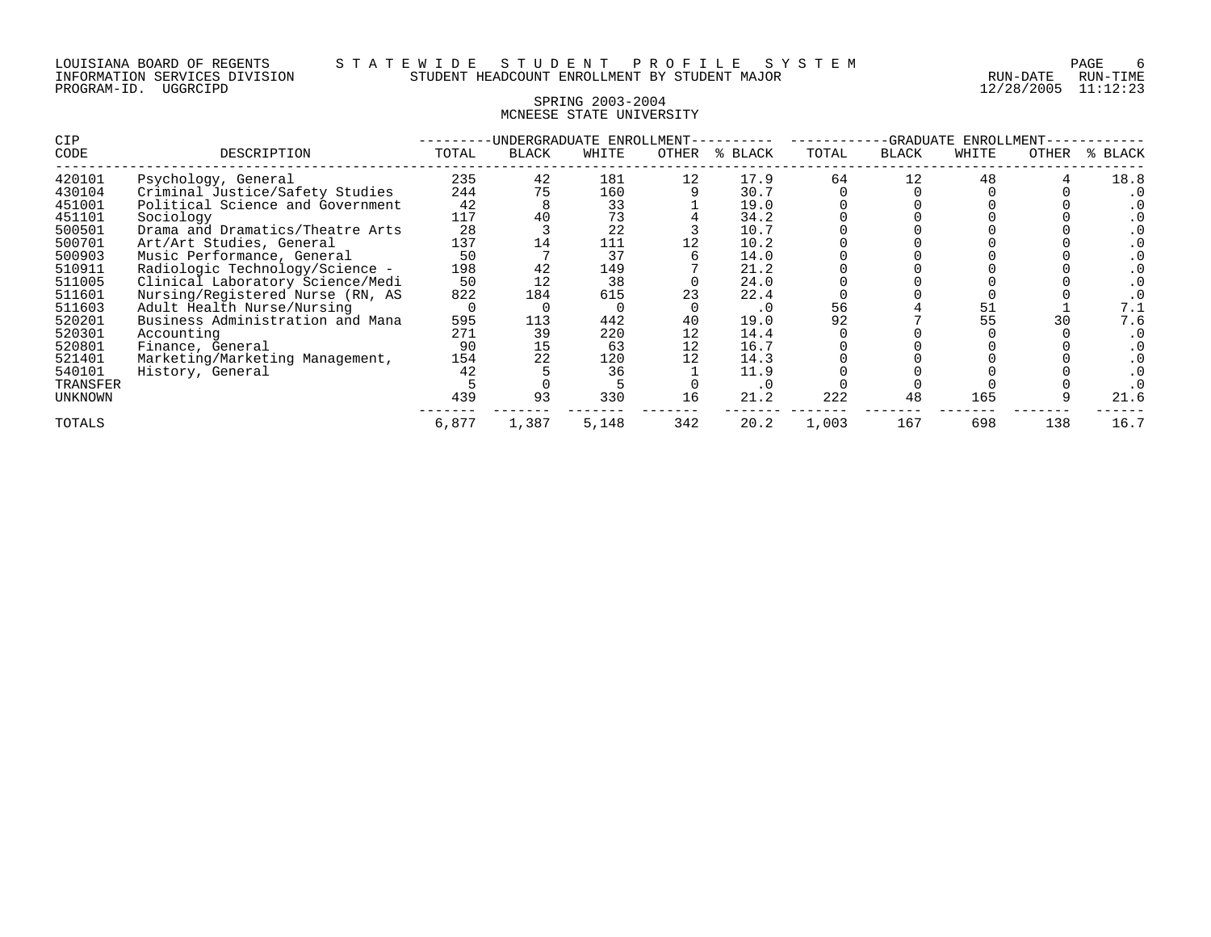#### SPRING 2003-2004 MCNEESE STATE UNIVERSITY

| CIP      |                                  | UNDERGRADUATE<br>ENROLLMENT |              |       |       |         | -GRADUATE<br>ENROLLMENT |              |       |       |         |
|----------|----------------------------------|-----------------------------|--------------|-------|-------|---------|-------------------------|--------------|-------|-------|---------|
| CODE     | DESCRIPTION                      | TOTAL                       | <b>BLACK</b> | WHITE | OTHER | % BLACK | TOTAL                   | <b>BLACK</b> | WHITE | OTHER | % BLACK |
| 420101   | Psychology, General              | 235                         | 42           | 181   | 12    | 17.9    | 64                      |              | 48    |       | 18.8    |
| 430104   | Criminal Justice/Safety Studies  | 244                         | 75           | 160   |       | 30.7    |                         |              |       |       |         |
| 451001   | Political Science and Government | 42                          |              | 33    |       | 19.0    |                         |              |       |       |         |
| 451101   | Sociology                        | 117                         | 40           | 73    |       | 34.2    |                         |              |       |       |         |
| 500501   | Drama and Dramatics/Theatre Arts | 28                          |              | 22    |       | 10.7    |                         |              |       |       |         |
| 500701   | Art/Art Studies, General         | 137                         | 14           | 111   |       | 10.2    |                         |              |       |       |         |
| 500903   | Music Performance, General       | 50                          |              | 37    |       | 14.0    |                         |              |       |       |         |
| 510911   | Radiologic Technology/Science -  | 198                         | 42           | 149   |       | 21.2    |                         |              |       |       |         |
| 511005   | Clinical Laboratory Science/Medi | 50                          | 12           | 38    |       | 24.0    |                         |              |       |       |         |
| 511601   | Nursing/Registered Nurse (RN, AS | 822                         | 184          | 615   | 23    | 22.4    |                         |              |       |       |         |
| 511603   | Adult Health Nurse/Nursing       |                             |              |       |       | . 0     | 56                      |              |       |       | 7.1     |
| 520201   | Business Administration and Mana | 595                         | 113          | 442   | 40    | 19.0    | 92                      |              | 55    |       | 7.6     |
| 520301   | Accounting                       | 271                         | 39           | 220   | 12    | 14.4    |                         |              |       |       |         |
| 520801   | Finance, General                 | 90                          | 15           | 63    | 12    | 16.7    |                         |              |       |       |         |
| 521401   | Marketing/Marketing Management,  | 154                         | 22           | 120   |       | 14.3    |                         |              |       |       |         |
| 540101   | History, General                 | 42                          |              | 36    |       | 11.9    |                         |              |       |       |         |
| TRANSFER |                                  |                             |              |       |       | . 0     |                         |              |       |       |         |
| UNKNOWN  |                                  | 439                         | 93           | 330   | 16    | 21.2    | 222                     | 48           | 165   |       | 21.6    |
| TOTALS   |                                  | 6,877                       | 1,387        | 5,148 | 342   | 20.2    | 1,003                   | 167          | 698   | 138   | 16.7    |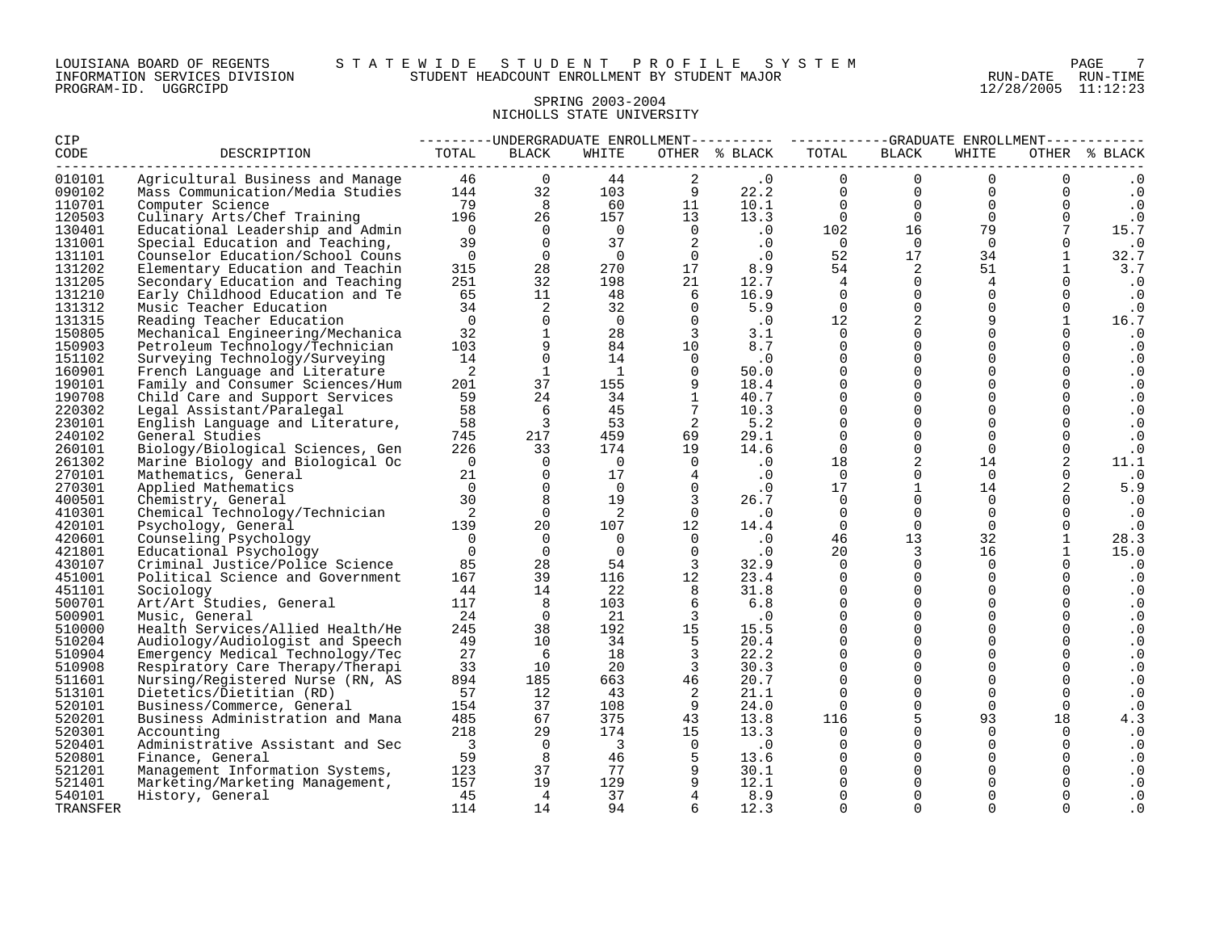#### SPRING 2003-2004 NICHOLLS STATE UNIVERSITY

| CIP      |                                  |                          |                         |                         |                            |                                 |                           | ---------UNDERGRADUATE ENROLLMENT---------- ---------GRADUATE ENROLLMENT---------- |                 |                 |               |
|----------|----------------------------------|--------------------------|-------------------------|-------------------------|----------------------------|---------------------------------|---------------------------|------------------------------------------------------------------------------------|-----------------|-----------------|---------------|
| CODE     | DESCRIPTION                      | TOTAL                    | <b>BLACK</b>            | WHITE                   |                            | OTHER % BLACK                   | TOTAL<br>________________ | BLACK                                                                              | WHITE           |                 | OTHER % BLACK |
| 010101   | Agricultural Business and Manage |                          | 46<br>$\Omega$          | 44                      | $\overline{a}$             | $\cdot$ 0                       | $\Omega$                  | $\overline{0}$                                                                     | $\Omega$        | $\Omega$        | $\cdot$ 0     |
| 090102   | Mass Communication/Media Studies |                          | 144<br>32               | 103                     | - 9                        | 22.2                            | $\overline{0}$            | $\overline{0}$                                                                     | $\overline{0}$  | $\mathbf{0}$    | $\cdot$ 0     |
| 110701   | Computer Science                 | 79                       | 8 <sup>8</sup>          | 60                      | 11                         | 10.1                            | $\overline{0}$            | $\overline{0}$                                                                     | $\overline{0}$  | $\mathbf 0$     | $\cdot$ 0     |
| 120503   | Culinary Arts/Chef Training      |                          | 196<br>26               | 157                     | 13                         | 13.3                            | $\overline{0}$            | $\overline{0}$                                                                     | $\overline{0}$  | $\overline{0}$  | $\cdot$ 0     |
| 130401   | Educational Leadership and Admin | $\bigcap$                | $\overline{0}$          | $\overline{0}$          |                            | $\begin{matrix}0&0\end{matrix}$ | 102                       | 16                                                                                 | 79              | $7\overline{ }$ | 15.7          |
| 131001   | Special Education and Teaching,  | 39                       | $\overline{0}$          | 37                      | $\overline{2}$             | $\cdot$ 0                       | $\overline{0}$            | $\overline{0}$                                                                     | $\Omega$        | $\mathbf 0$     | $\cdot$ 0     |
| 131101   | Counselor Education/School Couns | $\overline{0}$           | $\overline{0}$          | $\Omega$                | $\overline{0}$             | $\cdot$ 0                       | 52                        | 17                                                                                 | 34              | $\mathbf{1}$    | 32.7          |
| 131202   | Elementary Education and Teachin | 315                      | 28                      | 270                     | 17                         | 8.9                             | 54                        | $\overline{2}$                                                                     | 51              |                 | 3.7           |
| 131205   | Secondary Education and Teaching | 251                      | 32                      | 198                     | 21                         | 12.7                            | $4^{\circ}$               | $\overline{0}$                                                                     | $4\overline{ }$ | $\mathbf 0$     | $\cdot$ 0     |
| 131210   | Early Childhood Education and Te | 65                       | 11                      | 48                      | 6                          | 16.9                            | $\Omega$                  | $\mathsf{O}$                                                                       | $\Omega$        | $\Omega$        | $\cdot$ 0     |
| 131312   | Music Teacher Education          | 34                       | 2                       | 32                      | $\overline{0}$             | 5.9                             | $\overline{0}$            | $\mathsf{O}$                                                                       | $\overline{0}$  | $\overline{0}$  | $\cdot$ 0     |
| 131315   | Reading Teacher Education        | $\overline{0}$           | $\overline{0}$          | $\Omega$                | $\Omega$                   | $\cdot$ 0                       | 12                        | $\overline{a}$                                                                     | 9               | $\mathbf{1}$    | 16.7          |
| 150805   | Mechanical Engineering/Mechanica | 32                       | $\mathbf{1}$            | 28                      | $\overline{3}$             | 3.1                             | $\Omega$                  | $\Omega$                                                                           | $\Omega$        |                 | $\cdot$ 0     |
| 150903   | Petroleum Technology/Technician  | 103                      | 9                       | 84                      | 10                         | 8.7                             | $\Omega$                  | $\mathbf 0$                                                                        | $\Omega$        | $\Omega$        | $\cdot$ 0     |
| 151102   | Surveying Technology/Surveying   | 14                       | $\mathsf{O}$            | 14                      | $\overline{0}$             | $\cdot$ 0                       | $\Omega$                  | $\mathsf{O}$                                                                       | $\Omega$        | $\Omega$        | $\cdot$ 0     |
| 160901   | French Language and Literature   | $\overline{2}$           | $\mathbf{1}$            | $\overline{1}$          | $\Omega$                   | 50.0                            | $\Omega$                  | $\mathbf 0$                                                                        | $\Omega$        | $\mathbf 0$     | $\cdot$ 0     |
| 190101   | Family and Consumer Sciences/Hum | 201                      | 37                      | 155                     | 9                          | 18.4                            | $\Omega$                  | $\mathbf{0}$                                                                       | $\Omega$        | $\Omega$        | $\cdot$ 0     |
| 190708   | Child Care and Support Services  | 59                       | 24                      | 34                      | $\mathbf{1}$               | 40.7                            | $\Omega$                  | $\overline{0}$                                                                     | $\Omega$        | $\mathbf 0$     | $\cdot$ 0     |
| 220302   | Legal Assistant/Paralegal        | 58                       | - 6                     | 45                      | 7                          | 10.3                            | $\mathbf 0$               | $\mathbf 0$                                                                        | $\mathbf 0$     | $\mathbf 0$     | $\cdot$ 0     |
| 230101   | English Language and Literature, | 58                       | $\overline{\mathbf{3}}$ | 53                      | $\overline{2}$             | 5.2                             | $\Omega$                  | $\mathbf{0}$                                                                       | $\Omega$        |                 | $\cdot$ 0     |
| 240102   | General Studies                  | 745                      | 217                     | 459                     | 69                         | 29.1                            | $\Omega$                  | $\mathsf{O}\xspace$                                                                | $\Omega$        | $\mathbf 0$     | $\cdot$ 0     |
| 260101   | Biology/Biological Sciences, Gen | 226                      | 33                      | 174                     | 19                         | 14.6                            | $\Omega$                  | $\mathbf 0$                                                                        | $\Omega$        | $\mathbf 0$     | $\cdot$ 0     |
| 261302   | Marine Biology and Biological Oc | $\overline{0}$           | $\Omega$                | $\overline{0}$          | $\Omega$                   | $\cdot$ 0                       | 18                        | $\sqrt{2}$                                                                         | 14              | 2               | 11.1          |
| 270101   | Mathematics, General             | 21                       | $\Omega$                | 17                      | $\overline{4}$             | $\cdot$ 0                       | $\Omega$                  | $\mathbf{0}$                                                                       | $\Omega$        | $\Omega$        | $\cdot$ 0     |
| 270301   | Applied Mathematics              | $\overline{0}$           | $\overline{0}$          | $\overline{0}$          | $\overline{0}$             | $\cdot$ 0                       | 17                        | $\mathbf{1}$                                                                       | 14              | 2               | 5.9           |
| 400501   | Chemistry, General               | 30                       | 8                       | 19                      | $\overline{3}$             | 26.7                            | $\overline{0}$            | $\mathsf{O}$                                                                       | $\Omega$        | $\overline{0}$  | $\cdot$ 0     |
| 410301   | Chemical Technology/Technician   | $\overline{\phantom{a}}$ | $\Omega$                | 2                       | $\overline{0}$             | $\cdot$ 0                       | $\mathbf 0$               | $\mathbf{0}$                                                                       | $\mathbf 0$     | $\mathbf 0$     | $\cdot$ 0     |
| 420101   | Psychology, General              | 139                      | 20                      | 107                     | 12                         | 14.4                            | $\Omega$                  | $\overline{0}$                                                                     | $\Omega$        | $\mathbf 0$     | $\cdot$ 0     |
| 420601   | Counseling Psychology            | $\overline{\mathbf{0}}$  | $\Omega$                | $\Omega$                | $\Omega$                   | $\cdot$ 0                       | 46                        | 13                                                                                 | 32              | $\mathbf{1}$    | 28.3          |
| 421801   | Educational Psychology           | $\overline{0}$           | $\Omega$                | $\overline{0}$          | $\overline{0}$             | $\cdot$ 0                       | 20                        | $\overline{3}$                                                                     | 16              |                 | 15.0          |
| 430107   | Criminal Justice/Police Science  | 85                       | 28                      | 54                      | $\overline{\mathbf{3}}$    | 32.9                            | $\Omega$                  | $\mathbf{0}$                                                                       | $\Omega$        | $\Omega$        | $\cdot$ 0     |
| 451001   | Political Science and Government | 167                      | 39                      | 116                     | 12                         | 23.4                            | $\Omega$                  | $\mathbf{0}$                                                                       | $\Omega$        | $\Omega$        | $\cdot$ 0     |
| 451101   | Sociology                        | 44                       | 14                      | 22                      | 8                          | 31.8                            | $\Omega$                  | $\mathsf{O}$                                                                       | $\Omega$        | $\mathsf{O}$    | $\cdot$ 0     |
| 500701   | Art/Art Studies, General         | 117                      | 8 <sup>8</sup>          | 103                     | 6                          | 6.8                             | $\Omega$                  | $\mathbf{0}$                                                                       | $\Omega$        | $\Omega$        | $\cdot$ 0     |
| 500901   | Music, General                   | 24                       | $\overline{0}$          | 21                      | $\overline{\mathbf{3}}$    | $\cdot$ 0                       | $\mathbf 0$               | $\mathbf 0$                                                                        | $\Omega$        | $\mathbf 0$     | $\cdot$ 0     |
| 510000   | Health Services/Allied Health/He | 245                      | 38                      | 192                     | 15                         | 15.5                            | $\Omega$                  | $\mathbf 0$                                                                        | $\Omega$        | $\mathbf 0$     | $\cdot$ 0     |
| 510204   | Audiology/Audiologist and Speech | 49                       | 10                      | 34                      | -5                         | 20.4                            | $\Omega$                  | $\mathbf 0$                                                                        | $\Omega$        | $\Omega$        | $\cdot$ 0     |
| 510904   | Emergency Medical Technology/Tec | 27                       | 6                       | 18                      | $\overline{\mathbf{3}}$    | 22.2                            | $\Omega$                  | $\mathbf 0$                                                                        | $\Omega$        | $\mathbf 0$     | $\cdot$ 0     |
| 510908   | Respiratory Care Therapy/Therapi | 33                       | 10                      | 20                      | $\overline{\mathbf{3}}$    | 30.3                            | $\Omega$                  | $\mathbf 0$                                                                        | $\Omega$        | $\Omega$        | $\cdot$ 0     |
| 511601   | Nursing/Registered Nurse (RN, AS | 894                      | 185                     | 663                     | 46                         | 20.7                            | $\Omega$                  | $\mathbf 0$                                                                        | $\Omega$        | $\Omega$        | $\cdot$ 0     |
| 513101   | Dietetics/Dietitian (RD)         | 57                       | 12                      | 43                      | $\overline{\phantom{0}}^2$ | 21.1                            | $\Omega$                  | $\mathbf 0$                                                                        | $\Omega$        | $\mathbf{0}$    | $\cdot$ 0     |
| 520101   | Business/Commerce, General       | 154                      | 37                      | 108                     | - 9                        | 24.0                            | $\Omega$                  | $\mathsf{O}$                                                                       | $\Omega$        | $\mathbf 0$     | $\cdot$ 0     |
| 520201   | Business Administration and Mana | 485                      | 67                      | 375                     | 43                         | 13.8                            | 116                       | $5\phantom{.0}$                                                                    | 93              | 18              | 4.3           |
| 520301   | Accounting                       | 218                      | 29                      | 174                     | 15                         | 13.3                            | $\Omega$                  | $\Omega$                                                                           | $\Omega$        | $\Omega$        | $\cdot$ 0     |
| 520401   | Administrative Assistant and Sec | $\overline{\mathbf{3}}$  | $\overline{0}$          | $\overline{\mathbf{3}}$ | $\overline{0}$             | $\cdot$ 0                       | $\Omega$                  | $\mathbf 0$                                                                        | $\Omega$        | $\Omega$        | $\cdot$ 0     |
| 520801   | Finance, General                 | 59                       | 8                       | 46                      | $-5$                       | 13.6                            | $\Omega$                  | $\mathbf 0$                                                                        | $\Omega$        | $\mathbf 0$     | $\cdot$ 0     |
| 521201   | Management Information Systems,  | 123                      | 37                      | 77                      | $\overline{9}$             | 30.1                            | $\Omega$                  | $\mathbf{0}$                                                                       | $\Omega$        | $\mathbf 0$     | $\cdot$ 0     |
| 521401   | Marketing/Marketing Management,  | 157                      | 19                      | 129                     | 9                          | 12.1                            | $\Omega$                  | $\mathsf{O}$                                                                       | $\Omega$        | $\mathbf 0$     | $\cdot$ 0     |
| 540101   | History, General                 | 45                       | $\overline{4}$          | 37                      | $\overline{4}$             | 8.9                             | $\Omega$                  | $\mathbf 0$                                                                        |                 |                 | $\cdot$ 0     |
| TRANSFER |                                  | 114                      | 14                      | 94                      | 6                          | 12.3                            | $\Omega$                  | $\Omega$                                                                           | $\Omega$        | $\mathbf 0$     | . 0           |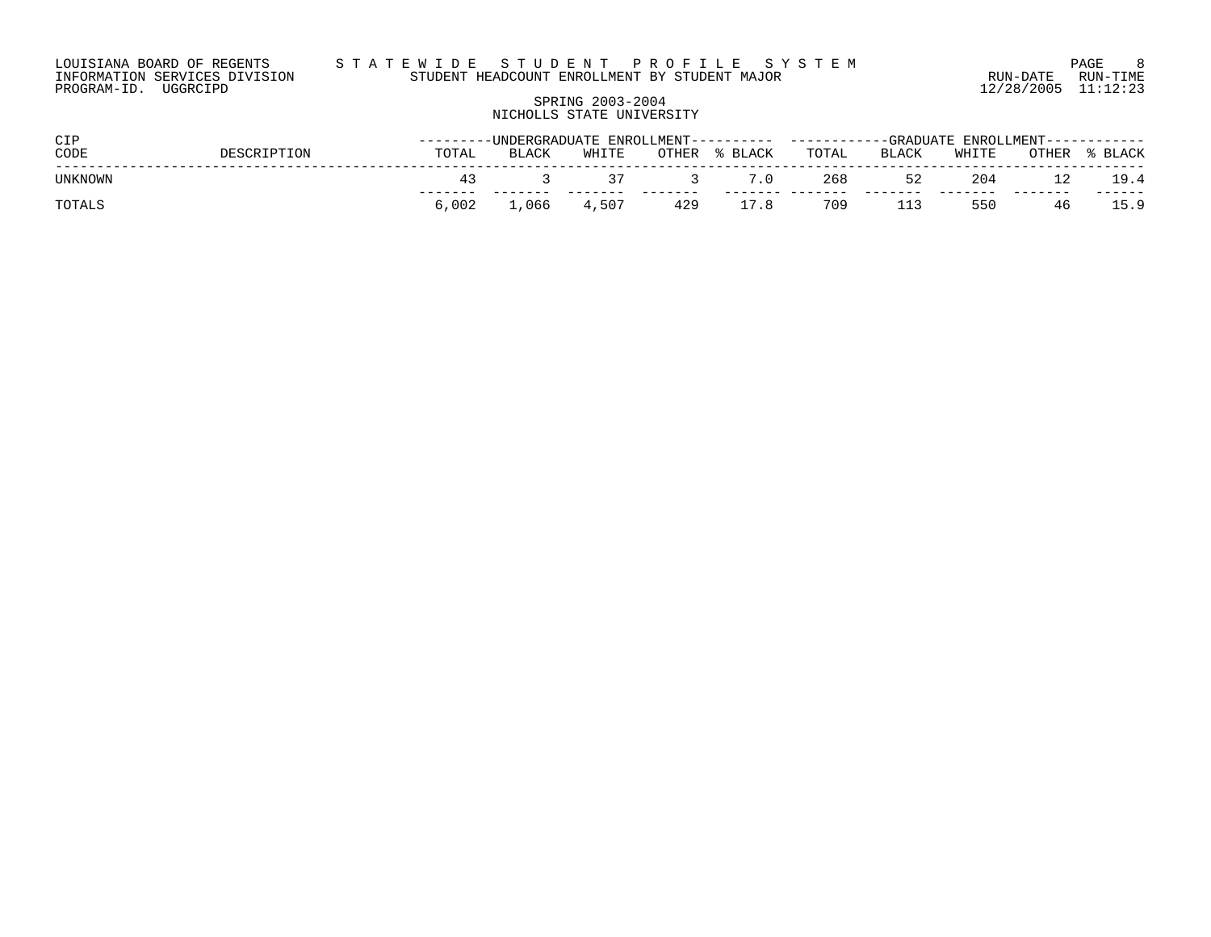# SPRING 2003-2004 NICHOLLS STATE UNIVERSITY

| <b>CIP</b>     |             |       |       |             |       |         |       |       | ---------UNDERGRADUATE ENROLLMENT---------- -----------GRADUATE ENROLLMENT----------- |    |               |  |  |
|----------------|-------------|-------|-------|-------------|-------|---------|-------|-------|---------------------------------------------------------------------------------------|----|---------------|--|--|
| CODE           | DESCRIPTION | TOTAL | BLACK | WHITE       | OTHER | % BLACK | TOTAL | BLACK | WHITE                                                                                 |    | OTHER % BLACK |  |  |
| <b>UNKNOWN</b> |             |       |       | 37          |       | 7.0     | 268   | 52    | 204                                                                                   |    | 19.4          |  |  |
| TOTALS         |             | 6.002 |       | 1,066 4,507 | 429   | 17.8    | 709   | 113   | 550                                                                                   | 46 | 15.9          |  |  |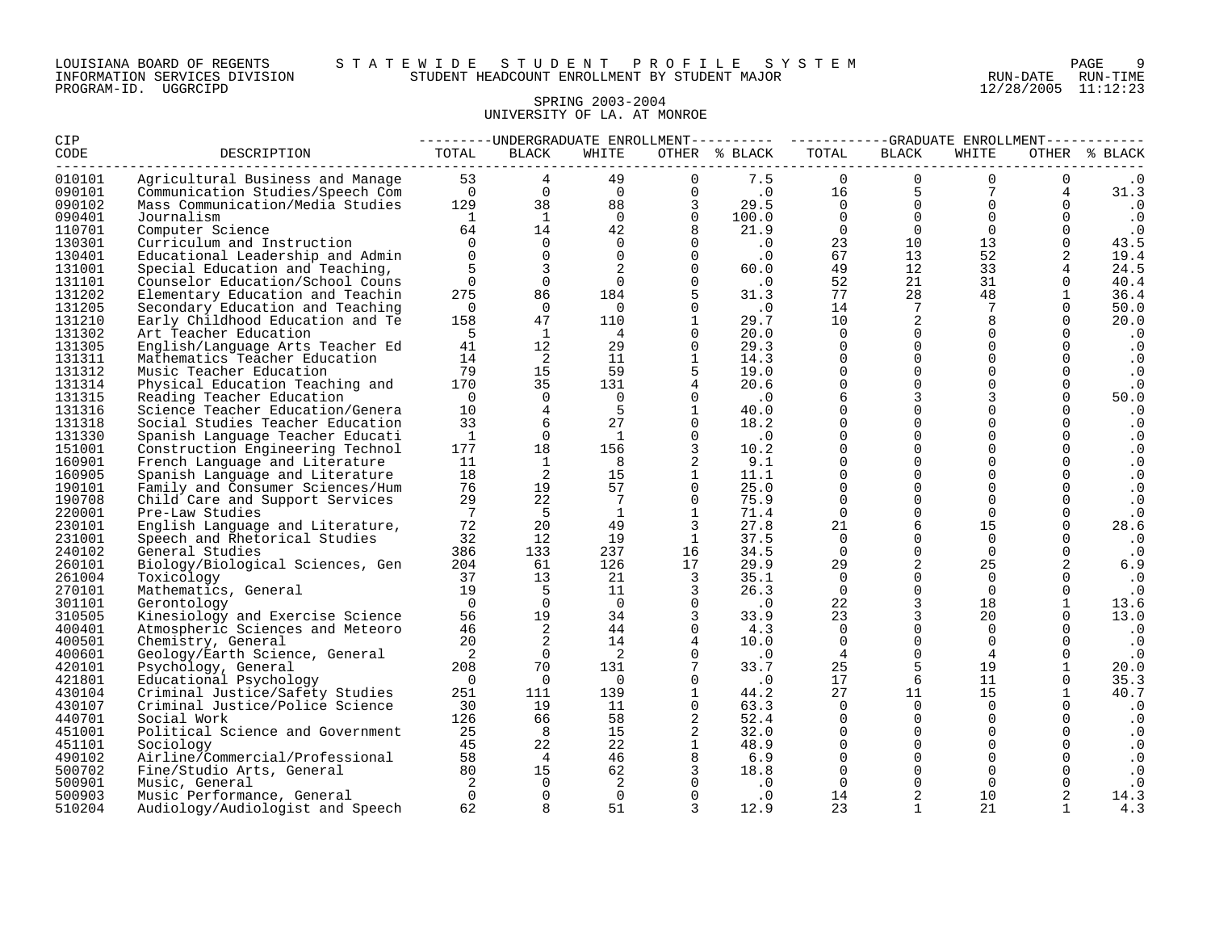#### LOUISIANA BOARD OF REGENTS S T A T E W I D E S T U D E N T P R O F I L E S Y S T E M PAGE 9 INFORMATION SERVICES DIVISION STUDENT HEADCOUNT ENROLLMENT BY STUDENT MAJOR RUN-DATE RUN-TIME

# SPRING 2003-2004 UNIVERSITY OF LA. AT MONROE

| <b>CIP</b>       |                                                                                                                                                                                                                                      | ---------UNDERGRADUATE ENROLLMENT--------- ----------GRADUATE ENROLLMENT---------- |                     |                      |                          |                                                          |                |                                                          |                |                                |                   |
|------------------|--------------------------------------------------------------------------------------------------------------------------------------------------------------------------------------------------------------------------------------|------------------------------------------------------------------------------------|---------------------|----------------------|--------------------------|----------------------------------------------------------|----------------|----------------------------------------------------------|----------------|--------------------------------|-------------------|
| CODE             | DESCRIPTION<br>Agricultural Business and Manage 53 4<br>Communication Studies/Speech Com 0 0 0 0 0<br>Mass Communication/Media Studies 129 38 88 3<br>Mass Communication/Media Studies 129 38 88 3<br>1 1 0 0<br>64 14 42 8<br>0 0 0 |                                                                                    |                     |                      |                          | OTHER % BLACK                                            | TOTAL          | <b>BLACK</b>                                             | WHITE          |                                | OTHER % BLACK     |
| 010101           |                                                                                                                                                                                                                                      |                                                                                    |                     |                      |                          | 7.5                                                      | $\Omega$       | $\Omega$                                                 | $\Omega$       | $\overline{0}$                 | $\cdot$ 0         |
| 090101           |                                                                                                                                                                                                                                      |                                                                                    |                     |                      |                          | $\frac{16}{16}$                                          |                | $\frac{5}{0}$                                            | $7\overline{}$ | 4                              | 31.3              |
| 090102           |                                                                                                                                                                                                                                      |                                                                                    |                     |                      |                          | 29.5                                                     | $\overline{0}$ |                                                          | $\Omega$       | $\Omega$                       | $\cdot$ 0         |
| 090401           |                                                                                                                                                                                                                                      |                                                                                    |                     |                      |                          | $\begin{array}{c} 100.0 \\ 21.9 \\ .0 \\ .0 \end{array}$ | $\overline{0}$ | $\begin{bmatrix} 0 \\ 0 \\ 10 \\ 13 \\ 12 \end{bmatrix}$ | $\overline{0}$ | $\overline{0}$                 | $\cdot$ 0         |
| 110701           |                                                                                                                                                                                                                                      |                                                                                    |                     |                      |                          |                                                          | $\overline{0}$ |                                                          | $\overline{0}$ | $\overline{0}$                 | $\cdot$ 0         |
| 130301           |                                                                                                                                                                                                                                      |                                                                                    |                     |                      |                          |                                                          | 23<br>67       |                                                          | 13             | $\overline{0}$                 | 43.5              |
| 130401           | Educational Leadership and Admin                                                                                                                                                                                                     | $\Omega$                                                                           | $\overline{0}$      | $\overline{0}$       | $\overline{0}$           |                                                          |                |                                                          | 52             | 2                              | 19.4              |
| 131001           | Special Education and Teaching,                                                                                                                                                                                                      | $5^{\circ}$                                                                        | $\overline{3}$      | 2                    | $\Omega$                 | 60.0                                                     | 49             | 12                                                       | 33             | $\overline{4}$                 | 24.5              |
| 131101           | Counselor Education/School Couns                                                                                                                                                                                                     | $\Omega$                                                                           | $\overline{0}$      | $\overline{0}$       | $\overline{0}$           | $\overline{\phantom{0}}$ .                               | 52             | 21                                                       | 31             | $\Omega$                       | 40.4              |
| 131202           | Elementary Education and Teachin                                                                                                                                                                                                     | 275                                                                                | 86                  | 184                  |                          | 31.3                                                     | 77             | 28                                                       | 48             | $\mathbf{1}$                   | 36.4              |
| 131205           | Secondary Education and Teaching                                                                                                                                                                                                     | $\overline{0}$                                                                     | $\overline{0}$      | $\overline{0}$       | $\Omega$                 | $\cdot$ 0                                                | 14             | 7                                                        | $7^{\circ}$    | $\overline{0}$                 | 50.0              |
| 131210           | Early Childhood Education and Te                                                                                                                                                                                                     | 158                                                                                | 47                  | 110                  | $\overline{1}$           | 29.7                                                     | 10             | $\overline{a}$                                           | 8              | $\Omega$                       | 20.0              |
| 131302           | Art Teacher Education                                                                                                                                                                                                                | $5^{\circ}$                                                                        | 1                   | $\overline{4}$       | $\Omega$                 | 20.0                                                     | $\overline{0}$ | $\mathbf 0$                                              | $\Omega$       | $\Omega$                       | $\cdot$ 0         |
| 131305           | English/Language Arts Teacher Ed                                                                                                                                                                                                     | 41                                                                                 | 12                  | 29                   | $\Omega$                 | 29.3                                                     | $\Omega$       | $\mathbf 0$                                              | $\Omega$       | $\Omega$                       | $\cdot$ 0         |
| 131311           | Mathematics Teacher Education                                                                                                                                                                                                        | 14                                                                                 | $\overline{2}$      | 11                   | $\overline{1}$           | 14.3                                                     | $\Omega$       | $\Omega$                                                 | $\Omega$       | $\Omega$                       | $\cdot$ 0         |
| 131312           | Music Teacher Education                                                                                                                                                                                                              | 79                                                                                 | 15                  | 59                   |                          | 19.0                                                     | $\Omega$       | $\mathbf 0$                                              | $\Omega$       | $\Omega$                       | $\cdot$ 0         |
| 131314           | Physical Education Teaching and                                                                                                                                                                                                      | 170                                                                                | 35                  | 131                  | $\overline{4}$           | 20.6                                                     | $\Omega$       | $\mathbf 0$                                              | $\Omega$       | $\Omega$                       | $\cdot$ 0         |
| 131315           | Reading Teacher Education                                                                                                                                                                                                            | $\overline{0}$                                                                     | $\mathbf 0$         | $\overline{0}$       | $\Omega$                 | $\cdot$ 0                                                | 6              | $\mathbf{3}$                                             | $\overline{3}$ | $\Omega$                       | 50.0              |
| 131316           | Science Teacher Education/Genera                                                                                                                                                                                                     | 10                                                                                 | $\overline{4}$      | $-5$                 | $\overline{1}$           | 40.0                                                     | $\Omega$       | $\Omega$                                                 | $\Omega$       | $\Omega$                       | $\cdot$ 0         |
| 131318           | Social Studies Teacher Education                                                                                                                                                                                                     | 33                                                                                 | 6                   | 27                   | $\overline{0}$           | 18.2                                                     | $\Omega$       | $\Omega$                                                 | $\Omega$       | $\Omega$                       | $\cdot$ 0         |
| 131330           | Spanish Language Teacher Educati                                                                                                                                                                                                     | $\mathbf{1}$                                                                       | $\overline{0}$      | $\frac{1}{2}$        | $\Omega$                 | $\cdot$ 0                                                | $\Omega$       | $\mathbf 0$                                              | $\Omega$       | $\overline{0}$                 | $\cdot$ 0         |
| 151001           | Construction Engineering Technol                                                                                                                                                                                                     | 177                                                                                | 18                  | 156                  | 3                        | 10.2                                                     | $\Omega$       | $\mathbf 0$                                              | $\Omega$       | $\overline{0}$                 | $\cdot$ 0         |
| 160901           | French Language and Literature                                                                                                                                                                                                       | 11                                                                                 | $\mathbf{1}$        | 8 <sup>1</sup>       | 2                        | 9.1                                                      | $\mathbf 0$    | $\mathbf 0$                                              | $\Omega$       | $\mathbf{0}$                   | $\cdot$ 0         |
| 160905           | Spanish Language and Literature                                                                                                                                                                                                      | 18                                                                                 | $\overline{2}$      | 15                   | 1                        | 11.1                                                     | $\Omega$       | $\Omega$                                                 | $\Omega$       | $\Omega$                       | $\cdot$ 0         |
| 190101           | Family and Consumer Sciences/Hum                                                                                                                                                                                                     | 76                                                                                 | 19                  | 57                   | $\overline{0}$           | 25.0                                                     | $\Omega$       | $\Omega$                                                 | $\Omega$       | $\Omega$                       | $\cdot$ 0         |
| 190708           | Child Care and Support Services                                                                                                                                                                                                      | 29                                                                                 | 22                  | 7                    | $\Omega$                 | 75.9                                                     | $\Omega$       | $\mathbf 0$                                              | $\Omega$       | $\Omega$                       | $\cdot$ 0         |
| 220001           | Pre-Law Studies                                                                                                                                                                                                                      | $\overline{7}$                                                                     | $5^{\circ}$         | $\mathbf{1}$         | $\mathbf{1}$             | 71.4                                                     | $\Omega$       | $\mathbf 0$                                              | $\Omega$       | $\Omega$                       | $\cdot$ 0         |
| 230101           | English Language and Literature,                                                                                                                                                                                                     | 72                                                                                 | 20                  | 49                   | 3                        | 27.8                                                     | 21             | 6                                                        | 15             | $\mathbf{0}$                   | 28.6              |
| 231001           | Speech and Rhetorical Studies                                                                                                                                                                                                        | 32                                                                                 | 12                  | 19                   | $\overline{1}$           | 37.5                                                     | $\Omega$       | $\Omega$                                                 | $\Omega$       | $\Omega$                       | $\cdot$ 0         |
| 240102           | General Studies                                                                                                                                                                                                                      | 386                                                                                | 133                 | 237                  | 16                       | 34.5                                                     | $\Omega$       | $\overline{0}$                                           | $\Omega$       | $\mathbf{0}$                   | $\cdot$ 0         |
| 260101           | Biology/Biological Sciences, Gen                                                                                                                                                                                                     | 204                                                                                | 61                  | 126                  | 17                       | 29.9                                                     | 29             | 2                                                        | 25             | 2                              | 6.9               |
| 261004           | Toxicology                                                                                                                                                                                                                           | 37                                                                                 | 13                  | 21                   | $\overline{\mathbf{3}}$  | 35.1                                                     | $\overline{0}$ | $\mathbf 0$                                              | $\Omega$       |                                | $\cdot$ 0         |
| 270101           | Mathematics, General                                                                                                                                                                                                                 | 19<br>$\bigcap$                                                                    | 5<br>$\overline{0}$ | 11<br>$\overline{0}$ | 3<br>$\Omega$            | 26.3                                                     | $\Omega$       | $\mathsf{O}$                                             | $\Omega$       | $\overline{0}$<br>$\mathbf{1}$ | $\cdot$ 0         |
| 301101           | Gerontology                                                                                                                                                                                                                          |                                                                                    | 19                  |                      | $\overline{\phantom{a}}$ | $\cdot$ 0                                                | 22<br>23       | $\mathbf{3}$<br>$\overline{3}$                           | 18<br>20       | $\Omega$                       | 13.6              |
| 310505<br>400401 | Kinesiology and Exercise Science                                                                                                                                                                                                     | 56<br>46                                                                           | $\overline{2}$      | 34<br>44             | $\Omega$                 | 33.9<br>4.3                                              | $\overline{0}$ | $\mathbf 0$                                              | $\Omega$       | $\Omega$                       | 13.0              |
| 400501           | Atmospheric Sciences and Meteoro                                                                                                                                                                                                     | 20                                                                                 | 2                   | 14                   | $\overline{4}$           | 10.0                                                     | $\overline{0}$ | $\mathbf 0$                                              | $\mathbf 0$    | $\Omega$                       | $\cdot$ 0         |
| 400601           | Chemistry, General                                                                                                                                                                                                                   | $\overline{\phantom{a}}$                                                           | $\Omega$            | $\overline{2}$       |                          | $\cdot$ 0                                                | $\overline{4}$ | $\overline{0}$                                           | 4              | $\overline{0}$                 | $\cdot$ 0         |
| 420101           | Geology/Earth Science, General<br>Psychology, General                                                                                                                                                                                | 208                                                                                | 70                  | 131                  | $\overline{7}$           | 33.7                                                     | 25             | 5                                                        | 19             | $\mathbf{1}$                   | $\cdot$ 0<br>20.0 |
| 421801           |                                                                                                                                                                                                                                      | $\overline{0}$                                                                     | $\overline{0}$      | $\overline{0}$       | $\Omega$                 | $\cdot$ 0                                                | 17             | 6                                                        | 11             | $\overline{0}$                 | 35.3              |
| 430104           | Educational Psychology<br>Criminal Justice/Safety Studies                                                                                                                                                                            | 251                                                                                | 111                 | 139                  | $\mathbf{1}$             | 44.2                                                     | 27             | 11                                                       | 15             | $\mathbf{1}$                   | 40.7              |
| 430107           | Criminal Justice/Police Science                                                                                                                                                                                                      | 30                                                                                 | 19                  | 11                   | $\Omega$                 | 63.3                                                     | $\Omega$       | $\overline{0}$                                           | $\Omega$       |                                | $\cdot$ 0         |
| 440701           | Social Work                                                                                                                                                                                                                          | 126                                                                                | 66                  | 58                   | 2                        | 52.4                                                     | $\Omega$       | $\overline{0}$                                           | $\Omega$       | $\Omega$                       | $\cdot$ 0         |
| 451001           | Political Science and Government                                                                                                                                                                                                     | 25                                                                                 | 8                   | 15                   | 2                        | 32.0                                                     | $\Omega$       | $\mathbf 0$                                              | $\Omega$       | $\Omega$                       | $\cdot$ 0         |
| 451101           | Sociology                                                                                                                                                                                                                            | 45                                                                                 | 22                  | 22                   | $\overline{1}$           | 48.9                                                     | $\Omega$       | $\mathbf 0$                                              | $\Omega$       | $\overline{0}$                 | $\cdot$ 0         |
| 490102           | Airline/Commercial/Professional                                                                                                                                                                                                      | 58                                                                                 | $\overline{4}$      | 46                   | $\frac{1}{8}$            | 6.9                                                      | $\Omega$       | $\Omega$                                                 | $\Omega$       | $\Omega$                       | $\cdot$ 0         |
| 500702           | Fine/Studio Arts, General                                                                                                                                                                                                            | 80                                                                                 | 15                  | 62                   | $\overline{\mathbf{3}}$  | 18.8                                                     | $\overline{0}$ | $\overline{0}$                                           | $\mathbf 0$    |                                | $\cdot$ 0         |
| 500901           | Music, General                                                                                                                                                                                                                       | $\overline{2}$                                                                     | $\overline{0}$      | $\overline{a}$       | $\overline{0}$           |                                                          | $\overline{0}$ | $\mathbf 0$                                              | $\Omega$       | $\mathbf{0}$                   | $\cdot$ 0         |
| 500903           | Music Performance, General                                                                                                                                                                                                           | $\overline{0}$                                                                     | $\overline{0}$      | $\overline{0}$       | $\overline{0}$           | $\begin{array}{c} .0 \\ .0 \end{array}$                  | 14             | 2                                                        | 10             |                                | 14.3              |
| 510204           | Audiology/Audiologist and Speech                                                                                                                                                                                                     | 62                                                                                 | 8                   | 51                   | $\overline{3}$           | 12.9                                                     | 23             | 1                                                        | 21             | 1                              | 4.3               |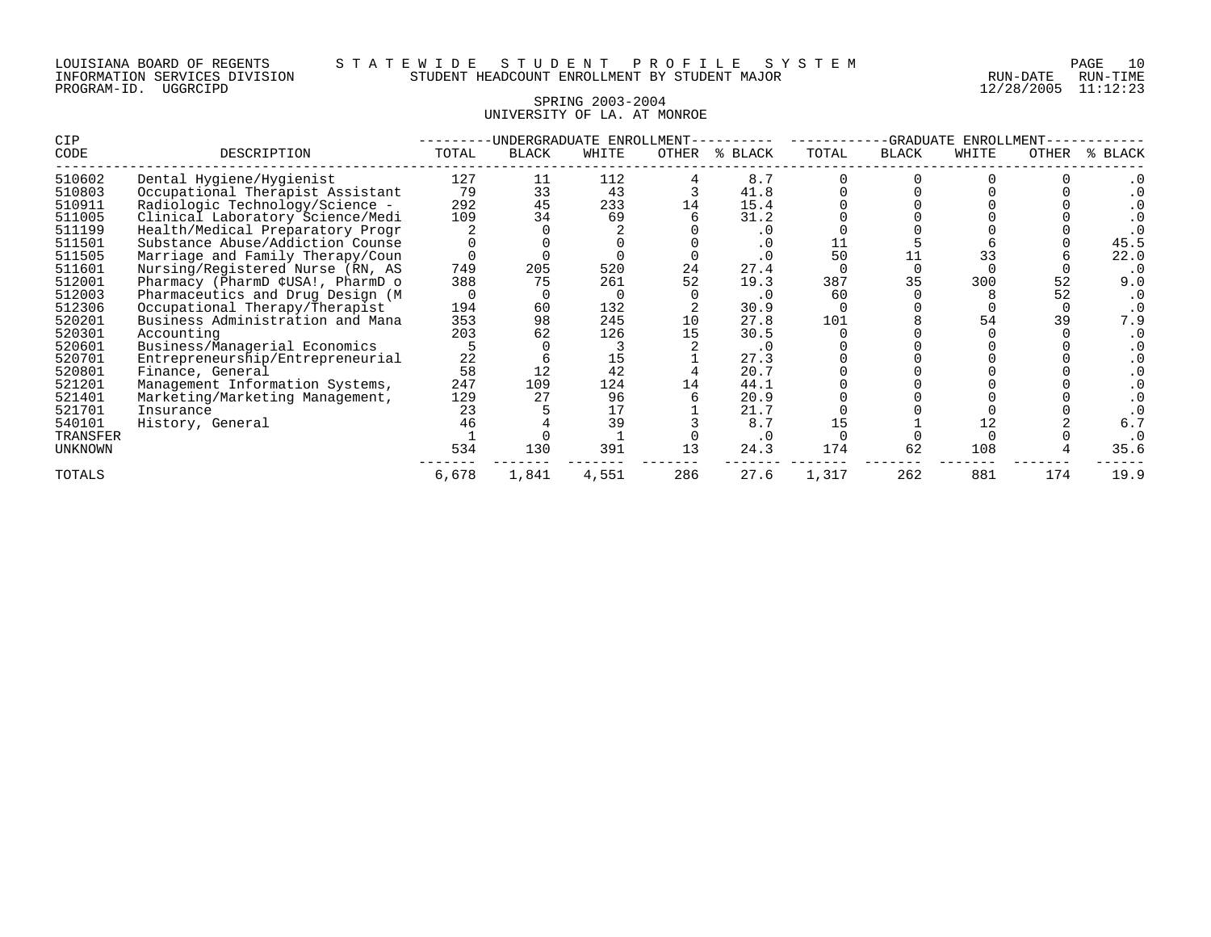| LOUISIANA BOARD OF REGENTS    |          |  |
|-------------------------------|----------|--|
| INFORMATION SERVICES DIVISION |          |  |
| PROGRAM-ID.                   | UGGRCIPD |  |

12/28/2005 11:12:23

#### SPRING 2003-2004 UNIVERSITY OF LA. AT MONROE

| CIP           |                                  | ·UNDERGRADUATE<br>ENROLLMENT |       |       |       |         | -GRADUATE<br>ENROLLMENT |              |       |       |         |
|---------------|----------------------------------|------------------------------|-------|-------|-------|---------|-------------------------|--------------|-------|-------|---------|
| CODE          | DESCRIPTION                      | TOTAL                        | BLACK | WHITE | OTHER | % BLACK | TOTAL                   | <b>BLACK</b> | WHITE | OTHER | % BLACK |
| 510602        | Dental Hygiene/Hygienist         | 127                          | 11    | 112   |       | 8.7     |                         |              |       |       |         |
| 510803        | Occupational Therapist Assistant | 79                           | 33    | 43    |       | 41.8    |                         |              |       |       |         |
| 510911        | Radiologic Technology/Science -  | 292                          | 45    | 233   |       | 15.4    |                         |              |       |       |         |
| 511005        | Clinical Laboratory Science/Medi | 109                          | 34    | 69    |       | 31.2    |                         |              |       |       |         |
| 511199        | Health/Medical Preparatory Progr |                              |       |       |       | . 0     |                         |              |       |       |         |
| 511501        | Substance Abuse/Addiction Counse |                              |       |       |       |         |                         |              |       |       | 45.5    |
| 511505        | Marriage and Family Therapy/Coun |                              |       |       |       |         | 50                      |              | 33    |       | 22.0    |
| 511601        | Nursing/Registered Nurse (RN, AS | 749                          | 205   | 520   | 24    | 27.4    |                         | <sup>0</sup> |       |       |         |
| 512001        | Pharmacy (PharmD ¢USA!, PharmD o | 388                          | 75    | 261   | 52    | 19.3    | 387                     | 35           | 300   | 52    | 9.0     |
| 512003        | Pharmaceutics and Drug Design (M |                              |       |       |       | . 0     | 60                      |              |       | 52    |         |
| 512306        | Occupational Therapy/Therapist   | 194                          | 60    | 132   |       | 30.9    |                         |              |       |       |         |
| 520201        | Business Administration and Mana | 353                          | 98    | 245   | 10    | 27.8    | 101                     |              |       | 39    | 7.9     |
| 520301        | Accounting                       | 203                          | 62    | 126   |       | 30.5    |                         |              |       |       |         |
| 520601        | Business/Managerial Economics    |                              |       |       |       | . 0     |                         |              |       |       |         |
| 520701        | Entrepreneurship/Entrepreneurial | 22                           |       | 15    |       | 27.3    |                         |              |       |       |         |
| 520801        | Finance, General                 | 58                           | 12    | 42    |       | 20.7    |                         |              |       |       |         |
| 521201        | Management Information Systems,  | 247                          | 109   | 124   |       | 44.1    |                         |              |       |       |         |
| 521401        | Marketing/Marketing Management,  | 129                          | 27    | 96    |       | 20.9    |                         |              |       |       |         |
| 521701        | Insurance                        | 23                           |       | 17    |       | 21.7    |                         |              |       |       |         |
| 540101        | History, General                 | 46                           |       | 39    |       | 8.7     |                         |              | 12    |       | 6.7     |
| TRANSFER      |                                  |                              |       |       |       | . 0     |                         |              |       |       |         |
| UNKNOWN       |                                  | 534                          | 130   | 391   | 13    | 24.3    | 174                     | 62           | 108   |       | 35.6    |
| <b>TOTALS</b> |                                  | 6,678                        | 1,841 | 4,551 | 286   | 27.6    | 1,317                   | 262          | 881   | 174   | 19.9    |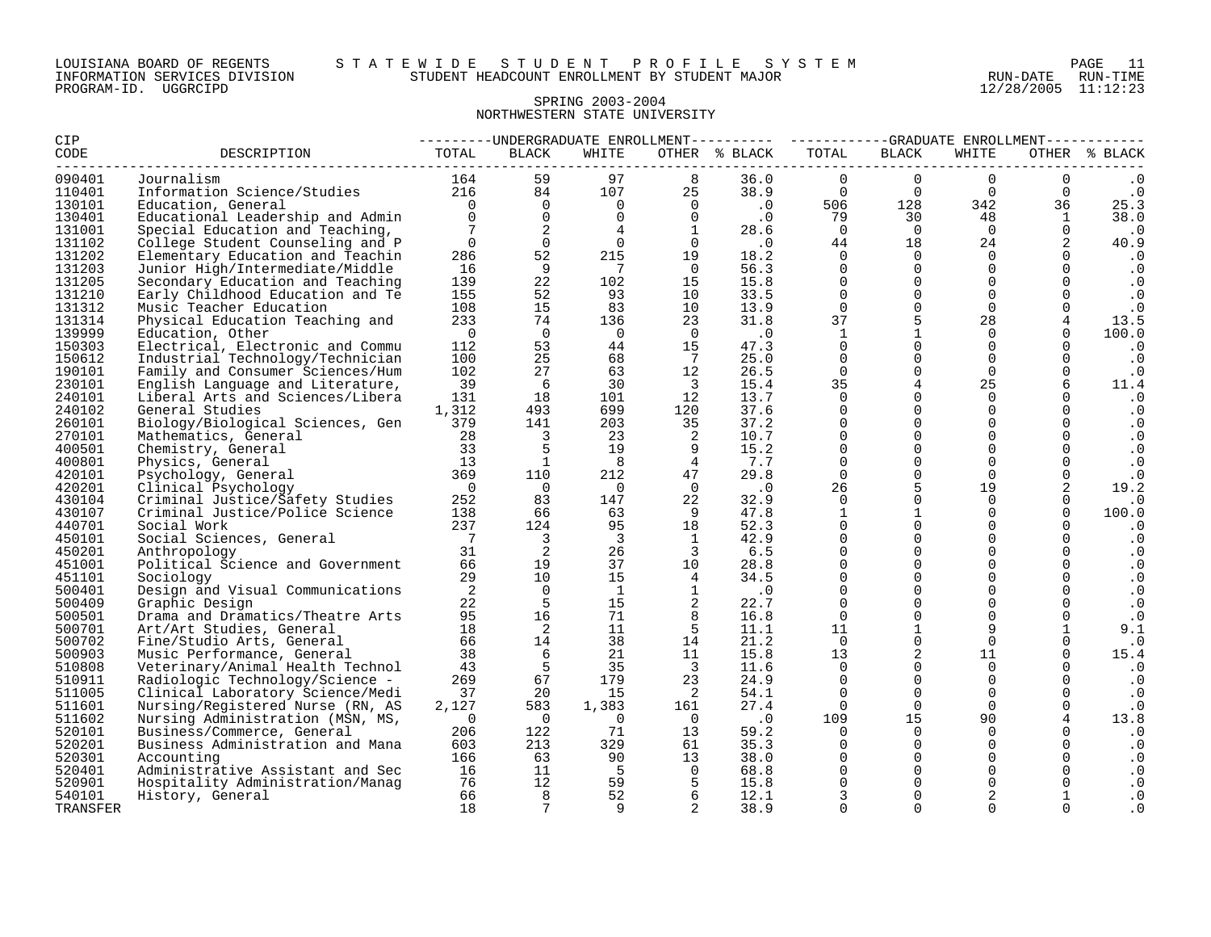#### SPRING 2003-2004 NORTHWESTERN STATE UNIVERSITY

| CIP              |                                  |                 |                                                                                                                                   |                         |                                  |                             | ---------UNDERGRADUATE ENROLLMENT---------- ----------GRADUATE ENROLLMENT----------- |                     |                                                                               |                      |                         |
|------------------|----------------------------------|-----------------|-----------------------------------------------------------------------------------------------------------------------------------|-------------------------|----------------------------------|-----------------------------|--------------------------------------------------------------------------------------|---------------------|-------------------------------------------------------------------------------|----------------------|-------------------------|
| CODE             | DESCRIPTION                      | TOTAL           | BLACK                                                                                                                             | WHITE                   |                                  | OTHER % BLACK               | TOTAL                                                                                | BLACK               | WHITE                                                                         |                      | OTHER % BLACK           |
| 090401           | Journalism                       |                 | $\begin{array}{cccc} 164 & & 59 & & 57 \\ 216 & & 84 & & 107 & & 25 \\ & & \ddots & \ddots & \ddots & \ddots & 0 & 0 \end{array}$ |                         |                                  | 36.0                        | $\Omega$                                                                             | $\Omega$            | $\Omega$                                                                      | $\Omega$             |                         |
| 110401           | Information Science/Studies      |                 |                                                                                                                                   |                         |                                  |                             | $38.9$ 0                                                                             | $\overline{0}$      | $\overline{0}$                                                                | $\Omega$             | $\ddot{\phantom{0}}$ .0 |
| 130101           | Education, General               |                 |                                                                                                                                   |                         |                                  | $\overline{\phantom{a}}$ .0 |                                                                                      |                     | 342<br>$\begin{array}{cc} 128 & \qquad & 342 \\ 30 & \qquad & 48 \end{array}$ | 36                   | 25.3                    |
| 130401           | Educational Leadership and Admin | $\overline{0}$  | $\begin{matrix}0\\0\end{matrix}$                                                                                                  | $\overline{0}$          | $\begin{matrix}0\\0\end{matrix}$ | $\cdot$ 0                   | 506<br>79                                                                            |                     |                                                                               | $\mathbf{1}$         | 38.0                    |
| 131001           | Special Education and Teaching,  | $7\phantom{.0}$ | $\overline{\mathbf{c}}$                                                                                                           | 4                       | $\overline{1}$                   | 28.6                        | $\bigcirc$                                                                           | $\overline{0}$      | $\overline{0}$                                                                | $\overline{0}$       | $\cdot$ 0               |
| 131102           | College Student Counseling and P | $\mathbf 0$     | $\overline{0}$                                                                                                                    | $\overline{0}$          | $\overline{0}$                   | $\cdot$ 0                   | 44                                                                                   | 18                  | 24                                                                            | $\overline{2}$       | 40.9                    |
| 131202           | Elementary Education and Teachin | 286             | 52                                                                                                                                | 215                     | 19                               | 18.2                        | $\overline{0}$                                                                       | $\overline{0}$      | $\Omega$                                                                      | $\Omega$             | $\cdot$ 0               |
| 131203           | Junior High/Intermediate/Middle  | 16              | 9                                                                                                                                 | $\overline{7}$          | $\overline{0}$                   | 56.3                        | $\Omega$                                                                             | $\overline{0}$      | $\Omega$                                                                      | $\Omega$             | $\cdot$ 0               |
| 131205           | Secondary Education and Teaching | 139             | 22                                                                                                                                | 102                     | 15                               | 15.8                        | $\Omega$                                                                             | $\ddot{\mathbf{0}}$ | $\Omega$                                                                      | $\Omega$             | . 0                     |
| 131210           | Early Childhood Education and Te | 155             | 52                                                                                                                                | 93                      | 10                               | 33.5                        | $\Omega$                                                                             | $\mathbf 0$         | $\Omega$                                                                      | $\Omega$             | $\cdot$ 0               |
| 131312           | Music Teacher Education          | 108             | 15                                                                                                                                | 83                      | 10                               | 13.9                        | $\Omega$                                                                             | $\mathbf 0$         | $\Omega$                                                                      | $\Omega$             | $\cdot$ 0               |
| 131314           | Physical Education Teaching and  | 233             | 74                                                                                                                                | 136                     | 23                               | 31.8                        | 37                                                                                   | 5                   | 28                                                                            | 4                    | 13.5                    |
| 139999           | Education, Other                 | $\overline{0}$  | $\overline{0}$                                                                                                                    | $\bigcirc$              | $\overline{0}$                   | $\cdot$ 0                   | 1                                                                                    | $\mathbf{1}$        | $\Omega$                                                                      | $\mathbf 0$          | 100.0                   |
| 150303           | Electrical, Electronic and Commu | 112             | 53                                                                                                                                | 44                      | 15                               | 47.3                        | $\Omega$                                                                             | $\mathbf 0$         | $\Omega$                                                                      | $\Omega$             | $\cdot$ 0               |
| 150612           | Industrial Technology/Technician | 100             | 25                                                                                                                                | 68                      | $\overline{7}$                   | 25.0                        | $\Omega$                                                                             | $\mathbf 0$         | $\Omega$                                                                      | $\Omega$             | $\cdot$ 0               |
| 190101           | Family and Consumer Sciences/Hum | 102             | 27                                                                                                                                | 63                      | 12                               | 26.5                        | $\Omega$                                                                             | $\mathbf 0$         | $\Omega$                                                                      | $\mathbf 0$          |                         |
| 230101           |                                  | 39              | $6\overline{6}$                                                                                                                   | 30                      | $\overline{\mathbf{3}}$          | 15.4                        | 35                                                                                   | $\overline{4}$      | 25                                                                            |                      | $\cdot$ 0               |
|                  | English Language and Literature, |                 |                                                                                                                                   |                         |                                  |                             | $\Omega$                                                                             | $\mathbf 0$         | $\Omega$                                                                      |                      | 11.4                    |
| 240101<br>240102 | Liberal Arts and Sciences/Libera | 131             | 18                                                                                                                                | 101<br>699              | 12                               | 13.7<br>37.6                | $\Omega$                                                                             | $\Omega$            | $\Omega$                                                                      | $\Omega$<br>$\Omega$ | $\cdot$ 0               |
|                  | General Studies                  | 1,312           | 493<br>141                                                                                                                        |                         | 120                              |                             |                                                                                      | $\Omega$            | $\Omega$                                                                      |                      | $\cdot$ 0               |
| 260101           | Biology/Biological Sciences, Gen | 379             |                                                                                                                                   | 203                     | 35                               | 37.2                        | $\Omega$<br>$\Omega$                                                                 | $\Omega$            |                                                                               | $\Omega$<br>$\Omega$ | $\cdot$ 0               |
| 270101           | Mathematics, General             | $\frac{28}{33}$ | $\overline{\phantom{a}}$                                                                                                          | 23                      | $\overline{\phantom{0}}^2$       | 10.7                        |                                                                                      |                     | $\Omega$                                                                      |                      | $\cdot$ 0               |
| 400501           | Chemistry, General               |                 | 5                                                                                                                                 | 19                      | - 9                              | 15.2                        | $\Omega$                                                                             | $\mathbf 0$         | $\Omega$                                                                      | $\Omega$             | $\cdot$ 0               |
| 400801           | Physics, General<br>369          | 13              | $\overline{1}$                                                                                                                    | 8                       | $\frac{4}{3}$                    | 7.7                         | $\Omega$                                                                             | $\mathbf 0$         | $\Omega$                                                                      | $\Omega$             | $\cdot$ 0               |
| 420101           | Psychology, General              |                 | 110                                                                                                                               | 212                     | 47                               | 29.8                        | $\Omega$                                                                             | $\mathbf 0$         | $\Omega$                                                                      | $\mathbf 0$          | $\cdot$ 0               |
| 420201           | Clinical Psychology              | $\overline{0}$  | $\overline{0}$                                                                                                                    | $\overline{0}$          | $\overline{0}$                   | $\cdot$ 0                   | 26                                                                                   | 5                   | 19                                                                            | 2                    | 19.2                    |
| 430104           | Criminal Justice/Safety Studies  | 252             | 83                                                                                                                                | 147                     | 22                               | 32.9                        | $\Omega$                                                                             | $\Omega$            | $\Omega$                                                                      | $\Omega$             | . 0                     |
| 430107           | Criminal Justice/Police Science  | 138             | 66                                                                                                                                | 63                      | 9                                | 47.8                        | $\mathbf{1}$                                                                         | $\mathbf{1}$        | $\Omega$                                                                      | $\Omega$             | 100.0                   |
| 440701           | Social Work                      | 237             | 124                                                                                                                               | 95                      | 18                               | 52.3                        | $\Omega$                                                                             | $\mathbf 0$         | $\Omega$                                                                      | 0                    | $\cdot$ 0               |
| 450101           | Social Sciences, General         | $\overline{7}$  | $\overline{\phantom{a}}$                                                                                                          | $\overline{\mathbf{3}}$ | $\overline{1}$                   | 42.9                        | $\Omega$                                                                             | $\Omega$            | $\Omega$                                                                      | $\Omega$             | $\cdot$ 0               |
| 450201           | Anthropology                     | 31              | 2                                                                                                                                 | 26                      | $\overline{\phantom{a}}$         | 6.5                         | $\Omega$                                                                             | $\mathbf{0}$        | $\Omega$                                                                      | $\Omega$             | $\cdot$ 0               |
| 451001           | Political Science and Government | 66              | 19                                                                                                                                | 37                      | 10                               | 28.8                        | $\Omega$                                                                             | $\Omega$            | $\Omega$                                                                      | $\Omega$             | $\cdot$ 0               |
| 451101           | Sociology                        | 29              | 10                                                                                                                                | 15                      | $\frac{4}{3}$                    | 34.5                        | $\Omega$                                                                             | $\Omega$            | $\Omega$                                                                      | $\Omega$             | $\cdot$ 0               |
| 500401           | Design and Visual Communications | 2               | $\Omega$                                                                                                                          | $\overline{1}$          | $\overline{1}$                   | $\cdot$ 0                   | $\Omega$                                                                             | $\mathbf{0}$        | $\Omega$                                                                      | $\Omega$             | $\cdot$ 0               |
| 500409           | Graphic Design                   | 22              | 5                                                                                                                                 | 15                      | $\overline{\phantom{a}}$         | 22.7                        | $\Omega$                                                                             | $\mathbf 0$         | $\Omega$                                                                      | $\Omega$             | $\cdot$ 0               |
| 500501           | Drama and Dramatics/Theatre Arts | 95              | 16                                                                                                                                | 71                      | 8                                | 16.8                        | $\mathbf 0$                                                                          | $\mathbf 0$         | $\Omega$                                                                      | $\mathbf 0$          | $\cdot$ 0               |
| 500701           | Art/Art Studies, General         | 18              | $\overline{a}$                                                                                                                    | 11                      | $-5$                             | 11.1                        | 11                                                                                   | $\mathbf{1}$        | 9                                                                             | $\mathbf{1}$         | 9.1                     |
| 500702           | Fine/Studio Arts, General        | 66              | 14                                                                                                                                | 38                      | 14                               | 21.2                        | $\overline{0}$                                                                       | $\mathbf 0$         | $\mathbf 0$                                                                   | $\mathbf 0$          | $\cdot$ 0               |
| 500903           | Music Performance, General       | 38              | $6\overline{6}$                                                                                                                   | 21                      | 11                               | 15.8                        | 13                                                                                   | 2                   | 11                                                                            | $\Omega$             | 15.4                    |
| 510808           | Veterinary/Animal Health Technol | 43              | $-5$                                                                                                                              | 35                      | $\overline{\mathbf{3}}$          | 11.6                        | $\overline{0}$                                                                       | $\mathbf{0}$        | $\overline{0}$                                                                | $\Omega$             | $\cdot$ 0               |
| 510911           | Radiologic Technology/Science -  | 269             | 67                                                                                                                                | 179                     | 23                               | 24.9                        | $\Omega$                                                                             | $\Omega$            | $\Omega$                                                                      | $\Omega$             | $\cdot$ 0               |
| 511005           | Clinical Laboratory Science/Medi | 37              | 20                                                                                                                                | 15                      | $\overline{a}$                   | 54.1                        | $\Omega$                                                                             | $\Omega$            | $\Omega$                                                                      | $\Omega$             | $\cdot$ 0               |
| 511601           | Nursing/Registered Nurse (RN, AS | 2,127           | 583                                                                                                                               | 1,383                   | 161                              | 27.4                        | $\Omega$                                                                             | $\Omega$            | $\Omega$                                                                      | $\Omega$             | $\cdot$ 0               |
| 511602           | Nursing Administration (MSN, MS, | $\overline{0}$  | $\overline{0}$                                                                                                                    | $\overline{0}$          | $\overline{0}$                   | $\cdot$ 0                   | 109                                                                                  | 15                  | 90                                                                            | $\overline{4}$       | 13.8                    |
| 520101           | Business/Commerce, General       | 206             | 122                                                                                                                               | 71                      | 13                               | 59.2                        | $\Omega$                                                                             | $\Omega$            | $\Omega$                                                                      |                      | $\cdot$ 0               |
| 520201           | Business Administration and Mana | 603             | 213                                                                                                                               | 329                     | 61                               | 35.3                        | $\Omega$                                                                             | $\mathbf 0$         | $\Omega$                                                                      | $\overline{0}$       | $\cdot$ 0               |
| 520301           | Accounting                       | 166             | 63                                                                                                                                | 90                      | 13                               | 38.0                        | $\Omega$                                                                             | $\mathbf 0$         | $\Omega$                                                                      | $\Omega$             | . 0                     |
| 520401           | Administrative Assistant and Sec | 16              | 11                                                                                                                                | 5                       | $\overline{0}$                   | 68.8                        | $\Omega$                                                                             | $\Omega$            | $\Omega$                                                                      | $\Omega$             | . 0                     |
| 520901           | Hospitality Administration/Manaq | 76              | 12                                                                                                                                | 59                      | $-5$                             | 15.8                        | $\Omega$                                                                             | $\Omega$            | $\Omega$                                                                      | $\Omega$             | . 0                     |
| 540101           | History, General                 | 66              | 8                                                                                                                                 | 52                      | $6\overline{6}$                  | 12.1                        | 3                                                                                    | $\mathbf 0$         |                                                                               |                      | . 0                     |
| TRANSFER         |                                  | 18              | 7                                                                                                                                 | 9                       | 2                                | 38.9                        | $\Omega$                                                                             | $\Omega$            | $\Omega$                                                                      | $\Omega$             | . 0                     |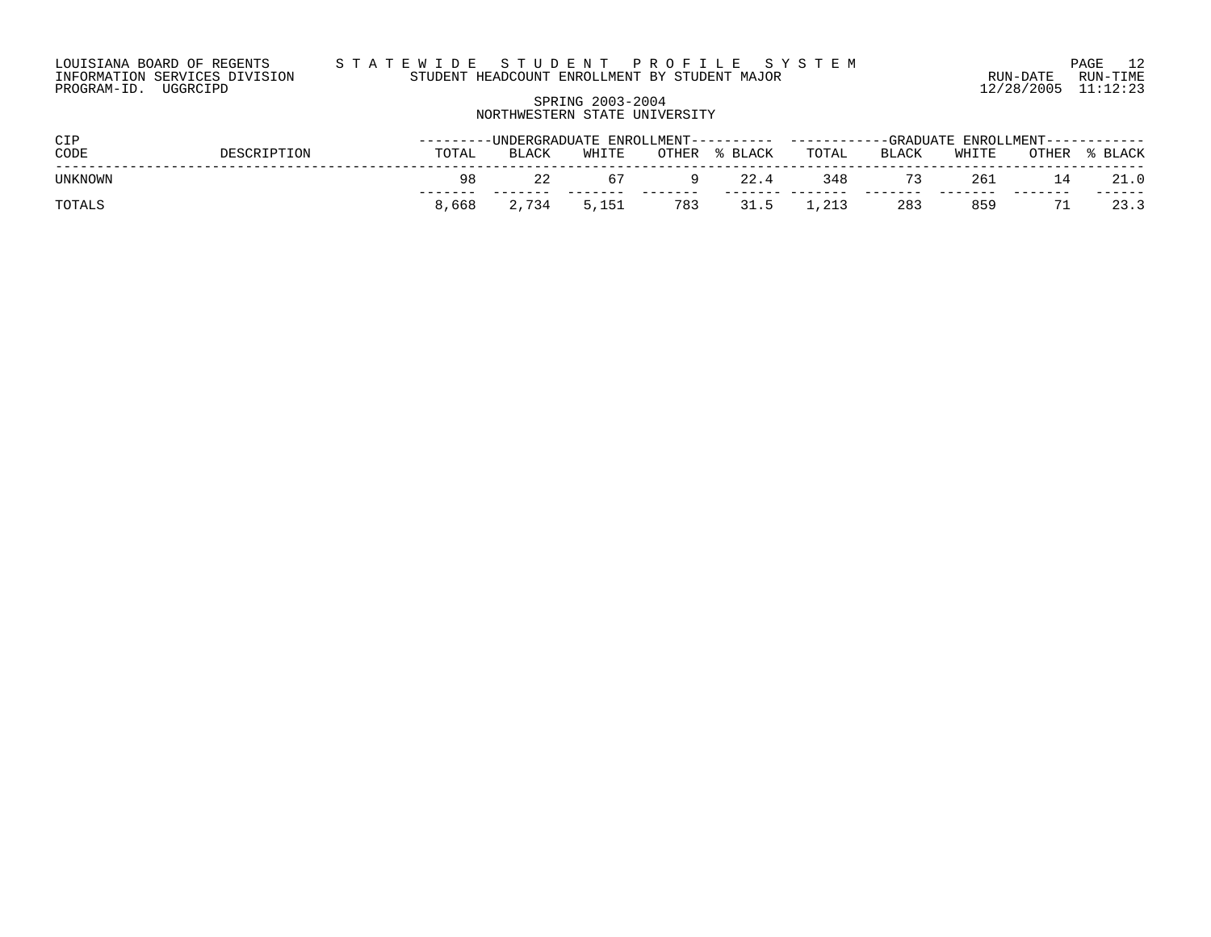# SPRING 2003-2004 NORTHWESTERN STATE UNIVERSITY

| <b>CIP</b> |               | ----------UNDERGRADUATE ENROLLMENT----------<br>$\cdots$ FNROLLMENT------<br>------------GRADUATE . |              |       |              |         |       |       |       |       |       |
|------------|---------------|-----------------------------------------------------------------------------------------------------|--------------|-------|--------------|---------|-------|-------|-------|-------|-------|
| CODE       | <b>TPTION</b> | TOTAL                                                                                               | <b>BLACK</b> | WHITE | <b>OTHER</b> | % BLACK | TOTAL | BLACK | WHITE | OTHER | BLACK |
| UNKNOWN    |               | 98.                                                                                                 | 22           |       |              | 22.4    | 348   |       | 261   |       | 21.0  |
| TOTAL      |               | 8,668                                                                                               | 2,734        | 5,151 | 783          | 31.5    |       | 283   | 859   |       | 23.3  |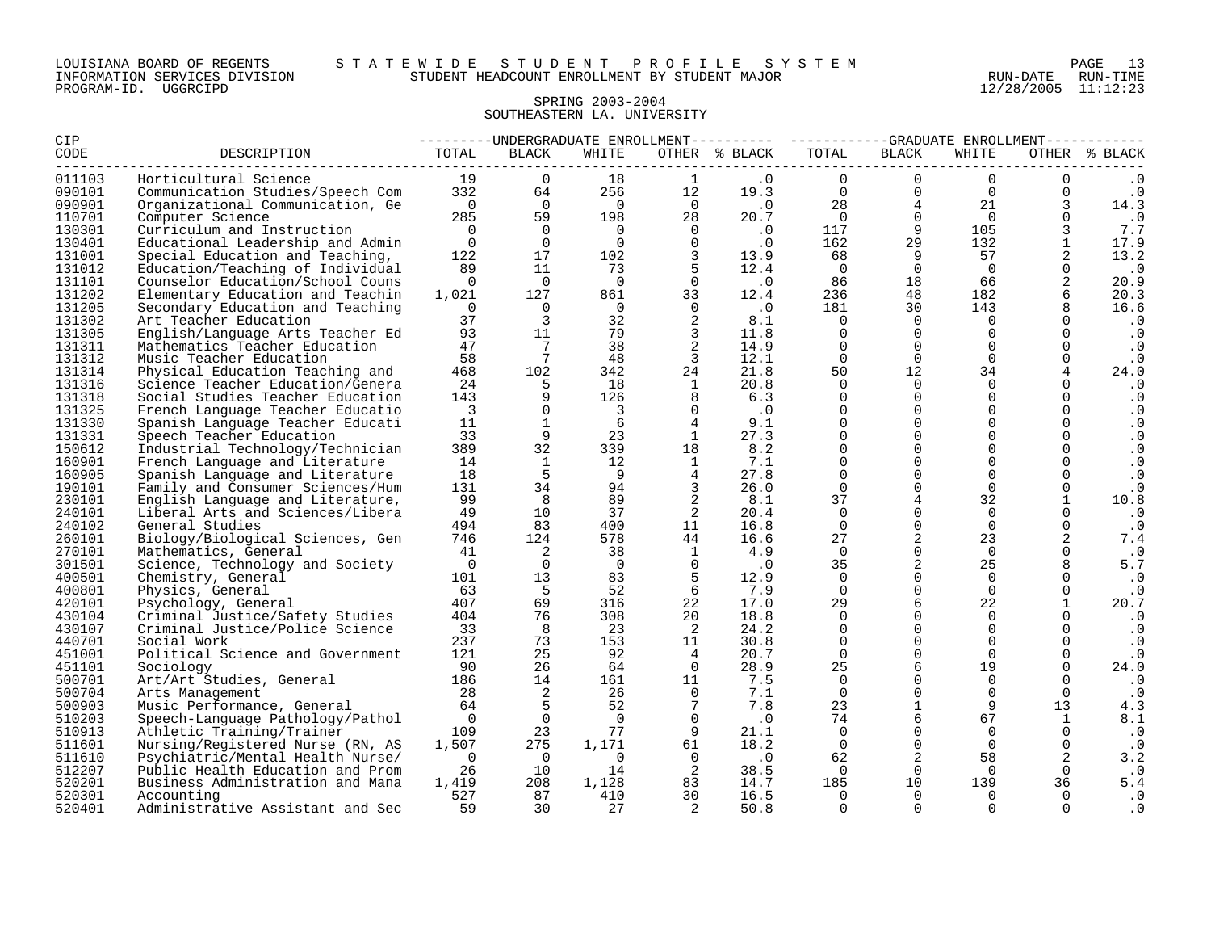#### LOUISIANA BOARD OF REGENTS S T A T E W I D E S T U D E N T P R O F I L E S Y S T E M PAGE 13 INFORMATION SERVICES DIVISION STUDENT HEADCOUNT ENROLLMENT BY STUDENT MAJOR RUN-DATE RUN-TIME

# SPRING 2003-2004 SOUTHEASTERN LA. UNIVERSITY

| CIP    |                                  |                         |                |                         |                | ---------UNDERGRADUATE ENROLLMENT--------- ----------GRADUATE ENROLLMENT--------- |                |                |                |              |               |
|--------|----------------------------------|-------------------------|----------------|-------------------------|----------------|-----------------------------------------------------------------------------------|----------------|----------------|----------------|--------------|---------------|
| CODE   | DESCRIPTION                      | TOTAL                   | BLACK          | WHITE                   |                | OTHER % BLACK                                                                     | TOTAL          | <b>BLACK</b>   | WHITE          |              | OTHER % BLACK |
| 011103 | Horticultural Science            | 19                      | $\Omega$       | 18                      | $\mathbf{1}$   | $\cdot$ 0                                                                         | $\Omega$       | $\Omega$       | $\Omega$       |              |               |
| 090101 | Communication Studies/Speech Com | 332                     | 64             | 256                     | 12             | 19.3                                                                              | $\mathbf 0$    | $\mathbf 0$    | $\overline{0}$ | 0            | $\cdot$ 0     |
| 090901 | Organizational Communication, Ge | $\overline{0}$          | $\overline{0}$ | $\overline{0}$          | $\overline{0}$ | $\cdot$ 0                                                                         | 28             | $\overline{4}$ | 21             |              | 14.3          |
| 110701 | Computer Science                 | 285                     | 59             | 198                     | 28             | 20.7                                                                              | $\overline{0}$ | $\mathbf 0$    | $\Omega$       | 0            | $\cdot$ 0     |
| 130301 | Curriculum and Instruction       | $\bigcap$               | $\Omega$       | $\Omega$                | $\overline{0}$ | $\cdot$ 0                                                                         | 117            | 9              | 105            |              | 7.7           |
| 130401 | Educational Leadership and Admin | $\overline{0}$          | $\Omega$       | $\Omega$                | $\Omega$       | $\cdot$ 0                                                                         | 162            | 29             | 132            | $\mathbf{1}$ | 17.9          |
| 131001 | Special Education and Teaching,  | 122                     | 17             | 102                     | 3              | 13.9                                                                              | 68             | 9              | 57             | 2            | 13.2          |
| 131012 | Education/Teaching of Individual | 89                      | 11             | 73                      | 5              | 12.4                                                                              | $\overline{0}$ | $\overline{0}$ | $\overline{0}$ |              | $\cdot$ 0     |
| 131101 | Counselor Education/School Couns | $\Omega$                | $\overline{0}$ | $\overline{0}$          | $\Omega$       | $\cdot$ 0                                                                         | 86             | 18             | 66             | 2            | 20.9          |
| 131202 | Elementary Education and Teachin | 1,021                   | 127            | 861                     | 33             | 12.4                                                                              | 236            | 48             | 182            |              | 20.3          |
| 131205 | Secondary Education and Teaching | $\Omega$                | $\Omega$       | $\overline{0}$          | $\Omega$       | $\cdot$ 0                                                                         | 181            | 30             | 143            |              | 16.6          |
| 131302 | Art Teacher Education            | 37                      | $\overline{3}$ | 32                      | 2              | 8.1                                                                               | $\Omega$       | $\Omega$       | $\Omega$       |              | $\cdot$ 0     |
| 131305 | English/Language Arts Teacher Ed | 93                      | 11             | 79                      | $\overline{3}$ | 11.8                                                                              | $\Omega$       | $\mathbf 0$    | $\Omega$       |              | $\cdot$ 0     |
| 131311 | Mathematics Teacher Education    | 47                      | 7              | 38                      | 2              | 14.9                                                                              | $\Omega$       | $\mathbf 0$    | $\Omega$       | 0            | $\cdot$ 0     |
| 131312 | Music Teacher Education          | 58                      | 7              | 48                      | $\overline{3}$ | 12.1                                                                              | $\Omega$       | $\Omega$       | $\cap$         |              | $\cdot$ 0     |
| 131314 | Physical Education Teaching and  | 468                     | 102            | 342                     | 24             | 21.8                                                                              | 50             | 12             | 34             |              | 24.0          |
| 131316 | Science Teacher Education/Genera | 24                      | -5             | 18                      | $\mathbf{1}$   | 20.8                                                                              | $\Omega$       | $\Omega$       | $\Omega$       |              | $\cdot$ 0     |
| 131318 | Social Studies Teacher Education | 143                     | 9              | 126                     | 8              | 6.3                                                                               | $\Omega$       | $\Omega$       | $\Omega$       | $\Omega$     | $\cdot$ 0     |
| 131325 | French Language Teacher Educatio | $\overline{\mathbf{3}}$ | $\Omega$       | $\overline{\mathbf{3}}$ | $\mathbf{0}$   | $\cdot$ 0                                                                         | $\Omega$       | $\mathbf 0$    | 0              | $\mathbf 0$  | . 0           |
| 131330 | Spanish Language Teacher Educati | 11                      | $\mathbf{1}$   | 6                       | $\overline{4}$ | 9.1                                                                               | $\Omega$       | $\mathsf{O}$   | 0              |              | $\cdot$ 0     |
| 131331 | Speech Teacher Education         | 33                      | 9              | 23                      | <sup>1</sup>   | 27.3                                                                              | $\Omega$       | $\mathbf 0$    | 0              | $\mathbf 0$  | $\cdot$ 0     |
| 150612 | Industrial Technology/Technician | 389                     | 32             | 339                     | 18             | 8.2                                                                               | $\Omega$       | $\mathbf 0$    | $\cap$         |              | $\cdot$ 0     |
| 160901 | French Language and Literature   | 14                      | $\mathbf{1}$   | 12                      | $\mathbf{1}$   | 7.1                                                                               | $\Omega$       | $\mathbf 0$    | $\Omega$       |              | $\cdot$ 0     |
| 160905 | Spanish Language and Literature  | 18                      | 5              | - 9                     | $\overline{4}$ | 27.8                                                                              | $\Omega$       | $\mathbf 0$    | $\Omega$       | $\Omega$     | $\cdot$ 0     |
| 190101 | Family and Consumer Sciences/Hum | 131                     | 34             | 94                      | $\overline{3}$ | 26.0                                                                              | $\mathbf 0$    | $\mathbf 0$    | $\Omega$       | $\mathbf 0$  | $\cdot$ 0     |
| 230101 | English Language and Literature, | 99                      | 8              | 89                      | 2              | 8.1                                                                               | 37             | $\overline{4}$ | 32             |              | 10.8          |
| 240101 | Liberal Arts and Sciences/Libera | 49                      | 10             | 37                      | 2              | 20.4                                                                              | $\Omega$       | $\mathbf 0$    | $\Omega$       |              | $\cdot$ 0     |
| 240102 | General Studies                  | 494                     | 83             | 400                     | 11             | 16.8                                                                              | $\Omega$       | $\mathsf{O}$   | $\Omega$       | $\Omega$     | $\cdot$ 0     |
| 260101 | Biology/Biological Sciences, Gen | 746                     | 124            | 578                     | 44             | 16.6                                                                              | 27             | 2              | 23             | 2            | 7.4           |
| 270101 | Mathematics, General             | 41                      | 2              | 38                      | $\overline{1}$ | 4.9                                                                               | $\Omega$       | $\mathbf 0$    | $\Omega$       | $\Omega$     | $\cdot$ 0     |
| 301501 | Science, Technology and Society  | $\overline{0}$          | $\Omega$       | $\overline{0}$          | $\Omega$       | $\cdot$ 0                                                                         | 35             | 2              | 25             | 8            | 5.7           |
| 400501 | Chemistry, General               | 101                     | 13             | 83                      | 5              | 12.9                                                                              | $\Omega$       | $\mathbf 0$    | $\Omega$       | 0            | $\cdot$ 0     |
| 400801 | Physics, General                 | 63                      | 5              | 52                      | 6              | 7.9                                                                               | $\Omega$       | $\mathsf{O}$   | $\Omega$       | $\mathsf{O}$ | . 0           |
| 420101 | Psychology, General              | 407                     | 69             | 316                     | 22             | 17.0                                                                              | 29             | 6              | 22             | $\mathbf{1}$ | 20.7          |
| 430104 | Criminal Justice/Safety Studies  | 404                     | 76             | 308                     | 20             | 18.8                                                                              | $\Omega$       | $\Omega$       | $\Omega$       |              | $\cdot$ 0     |
| 430107 | Criminal Justice/Police Science  | 33                      | 8              | 23                      | $\overline{2}$ | 24.2                                                                              | $\Omega$       | $\mathbf 0$    | 0              | $\Omega$     | $\cdot$ 0     |
| 440701 | Social Work                      | 237                     | 73             | 153                     | 11             | 30.8                                                                              | $\Omega$       | $\mathbf 0$    | $\Omega$       | $\Omega$     | $\cdot$ 0     |
| 451001 | Political Science and Government | 121                     | 25             | 92                      | $\overline{4}$ | 20.7                                                                              | $\mathbf 0$    | $\mathsf{O}$   | $\Omega$       | 0            | $\cdot$ 0     |
| 451101 | Sociology                        | 90                      | 26             | 64                      | $\Omega$       | 28.9                                                                              | 25             | 6              | 19             |              | 24.0          |
| 500701 | Art/Art Studies, General         | 186                     | 14             | 161                     | 11             | 7.5                                                                               | $\Omega$       | $\Omega$       | $\Omega$       |              | $\cdot$ 0     |
| 500704 | Arts Management                  | 28                      | 2              | 26                      | $\Omega$       | 7.1                                                                               | $\Omega$       | $\Omega$       | $\Omega$       | $\Omega$     | $\cdot$ 0     |
| 500903 | Music Performance, General       | 64                      | 5              | 52                      | 7              | 7.8                                                                               | 23             | $\mathbf{1}$   | 9              | 13           | 4.3           |
| 510203 | Speech-Language Pathology/Pathol | $\Omega$                | $\Omega$       | $\Omega$                | $\Omega$       | $\cdot$ 0                                                                         | 74             | 6              | 67             | 1            | 8.1           |
| 510913 | Athletic Training/Trainer        | 109                     | 23             | 77                      | 9              | 21.1                                                                              | 0              | $\mathbf 0$    | 0              | $\mathbf 0$  | $\cdot$ 0     |
| 511601 | Nursing/Registered Nurse (RN, AS | 1,507                   | 275            | 1,171                   | 61             | 18.2                                                                              | $\Omega$       | $\mathbf 0$    | $\Omega$       | $\mathbf 0$  | . 0           |
| 511610 | Psychiatric/Mental Health Nurse/ | $\overline{0}$          | $\overline{0}$ | $\Omega$                | $\Omega$       | $\cdot$ 0                                                                         | 62             | 2              | 58             | 2            | 3.2           |
| 512207 | Public Health Education and Prom | 26                      | 10             | 14                      | $\overline{2}$ | 38.5                                                                              | $\overline{0}$ | $\overline{0}$ | $\overline{0}$ | $\Omega$     | $\cdot$ 0     |
| 520201 | Business Administration and Mana | 1,419                   | 208            | 1,128                   | 83             | 14.7                                                                              | 185            | 10             | 139            | 36           | 5.4           |
| 520301 | Accounting                       | 527                     | 87             | 410                     | 30             | 16.5                                                                              | $\Omega$       | $\mathbf 0$    | 0              | $\Omega$     | $\cdot$ 0     |
| 520401 | Administrative Assistant and Sec | 59                      | 30             | 27                      | 2              | 50.8                                                                              | $\Omega$       | $\Omega$       | $\Omega$       | $\Omega$     | . 0           |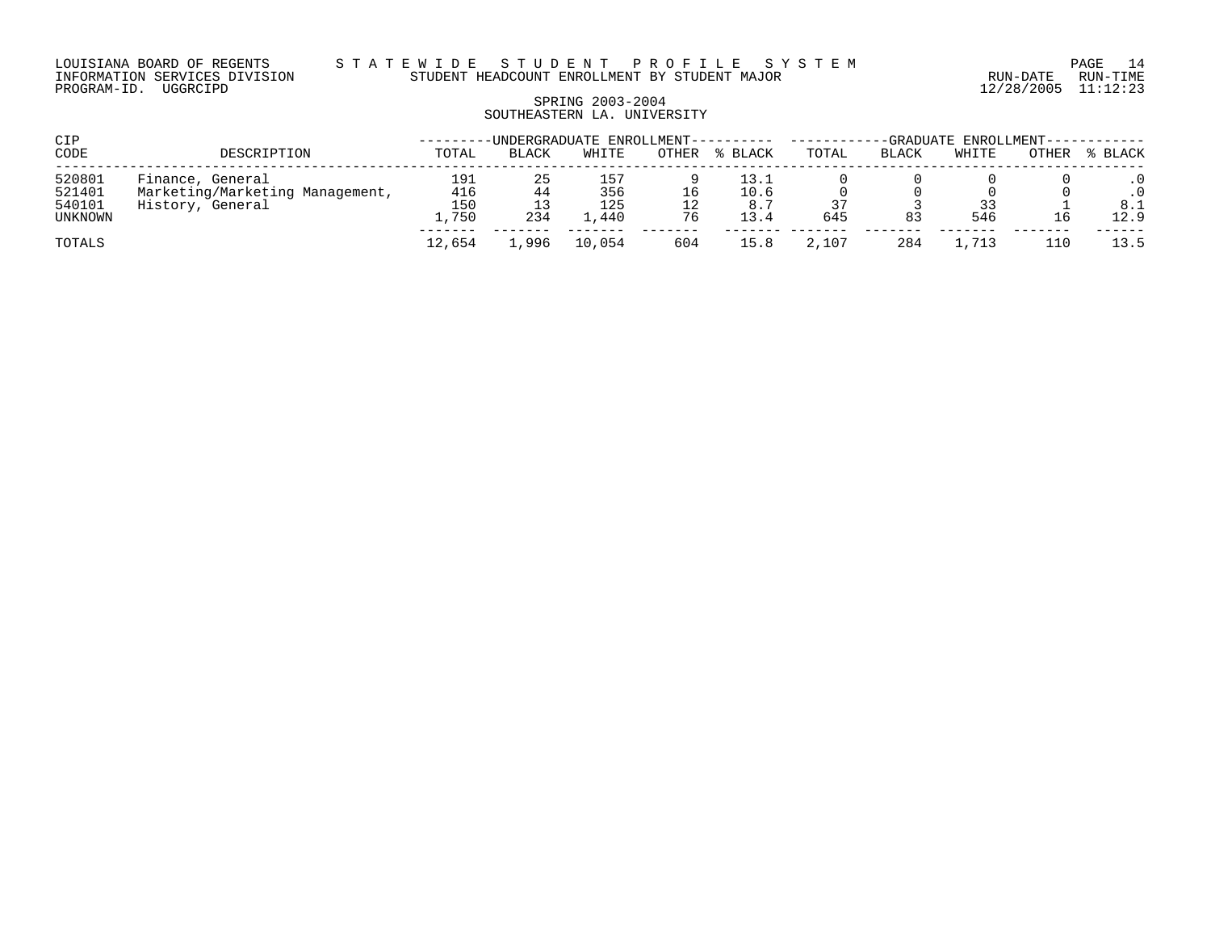# SPRING 2003-2004 SOUTHEASTERN LA. UNIVERSITY

| CIP     |                                 |        |              | -UNDERGRADUATE ENROLLMENT---- |       |       | -GRADUATE ENROLLMENT--- |       |       |              |       |
|---------|---------------------------------|--------|--------------|-------------------------------|-------|-------|-------------------------|-------|-------|--------------|-------|
| CODE    | DESCRIPTION                     | TOTAL  | <b>BLACK</b> | WHITE                         | OTHER | BLACK | TOTAL                   | BLACK | WHITE | <b>OTHER</b> | BLACK |
| 520801  | Finance, General                | 191    | 25           | 157                           |       | 13.1  |                         |       |       |              |       |
| 521401  | Marketing/Marketing Management, | 416    | 44           | 356                           | 16    | 10.6  |                         |       |       |              |       |
| 540101  | History, General                | 150    |              | 125                           |       | 8.7   |                         |       | 33    |              | 8.1   |
| UNKNOWN |                                 | 1,750  | 234          | 440                           | 76    | 13.4  | 645                     | 83    | 546   |              | 12.9  |
| TOTALS  |                                 | 12,654 | ,996         | 10,054                        | 604   | 15.8  | 2,107                   | 284   |       | 110          | 13.5  |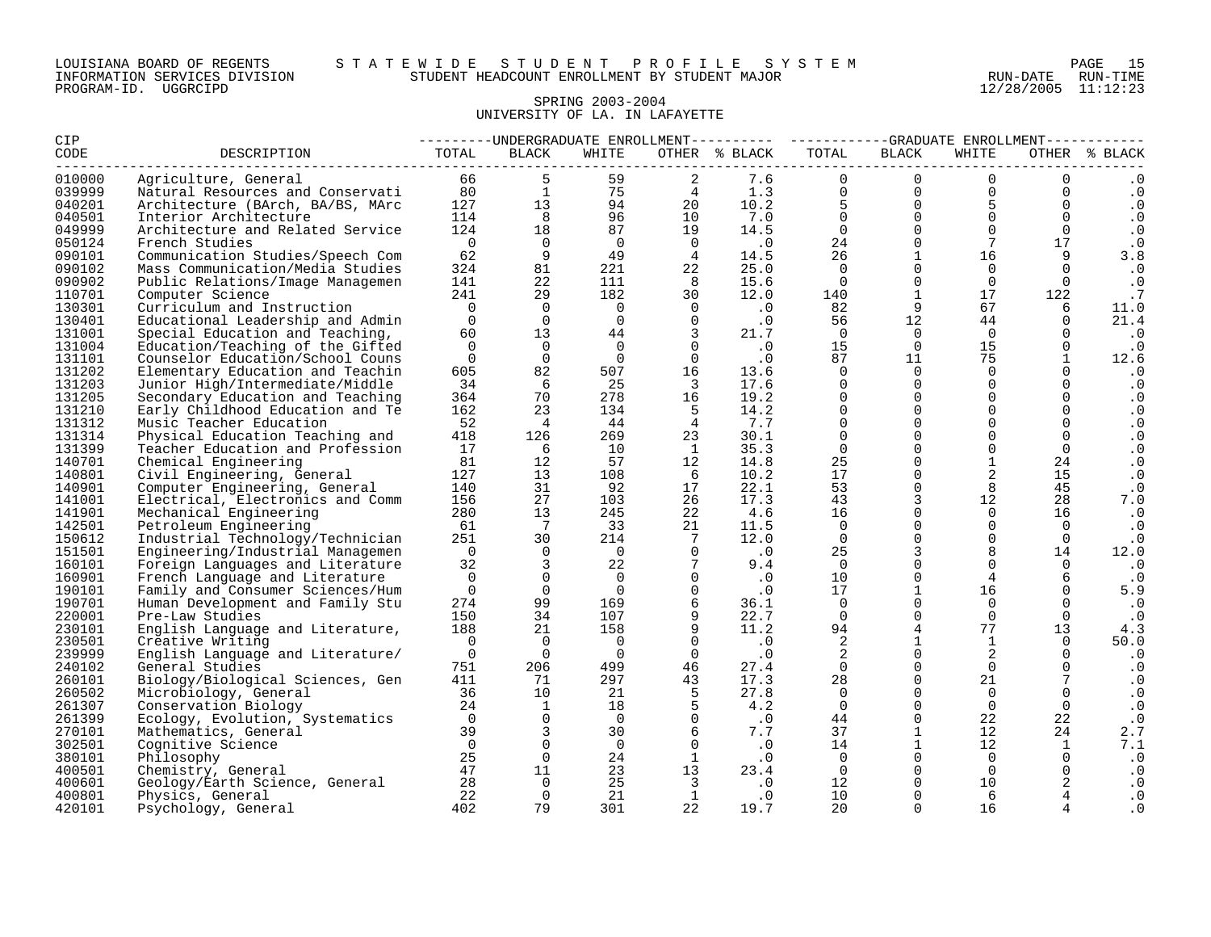| LOUISIANA BOARD OF REGENTS    |          |  |
|-------------------------------|----------|--|
| INFORMATION SERVICES DIVISION |          |  |
| PROGRAM-ID.                   | UGGRCIPD |  |

#### LOUISIANA BOARD OF REGENTS S T A T E W I D E S T U D E N T P R O F I L E S Y S T E M PAGE 15 INFORMATION SERVICES DIVISION STUDENT HEADCOUNT ENROLLMENT BY STUDENT MAJOR RUN-DATE RUN-TIME WILL TRADCOUNT ENROLLMENT BY STUDENT MAJOR AND PROGRAM-PATE RUN-TIME STUDENT IS A LOCAL MAJOR CONTRACT PROGRAM-<br>12/28/2005 11:12:23

# SPRING 2003-2004 UNIVERSITY OF LA. IN LAFAYETTE

| CIP              |                                                     |                       |                              |                |                                  |                                       |                   | ---------UNDERGRADUATE ENROLLMENT--------- ----------GRADUATE ENROLLMENT---------- |                      |                   |                        |  |
|------------------|-----------------------------------------------------|-----------------------|------------------------------|----------------|----------------------------------|---------------------------------------|-------------------|------------------------------------------------------------------------------------|----------------------|-------------------|------------------------|--|
| CODE             | DESCRIPTION                                         | TOTAL                 | BLACK                        | WHITE          |                                  | OTHER % BLACK                         | TOTAL             | BLACK                                                                              | WHITE                |                   | OTHER % BLACK          |  |
| 010000           | Agriculture, General                                | 66 8                  |                              | 59             | 2                                | 7.6                                   | $\Omega$          | $\overline{0}$                                                                     | $\Omega$             | $\overline{0}$    |                        |  |
| 039999           | Natural Resources and Conservati 80                 |                       | $\mathbf{1}$                 | 75             | 4                                | 1.3                                   | $\overline{0}$    | $\overline{0}$                                                                     | $\overline{0}$       | $\overline{0}$    | $\cdot$ 0              |  |
| 040201           | Architecture (BArch, BA/BS, MArc                    | $\frac{127}{114}$     | 13                           | 94<br>96       | 20                               | 10.2                                  | 5                 | $\overline{0}$                                                                     | 5 <sub>5</sub>       | $\overline{0}$    | $\cdot$ 0              |  |
| 040501           | Interior Architecture                               |                       | 8 <sup>1</sup>               |                | 10                               | 7.0                                   | $\overline{0}$    | $\overline{0}$                                                                     | $\Omega$             | $\Omega$          | $\cdot$ 0              |  |
| 049999           | Architecture and Related Service                    | 124                   | 18                           | 87             | 19                               | 14.5                                  | $\overline{0}$    | $\overline{0}$                                                                     | $\Omega$             | $\overline{0}$    | $\cdot$ 0              |  |
| 050124           | French Studies                                      | $\overline{0}$        | $\overline{0}$               | $\Omega$       | $\overline{0}$                   | $\cdot$ 0                             | 24                | $\mathsf{O}$                                                                       | 7                    | 17                | $\cdot$ 0              |  |
| 090101           | Communication Studies/Speech Com                    | 62                    | 9                            | 49             | $\frac{4}{3}$                    | 14.5                                  | 26                | $\mathbf{1}$                                                                       | 16                   | 9                 | 3.8                    |  |
| 090102           | Mass Communication/Media Studies                    | 324                   | 81                           | 221            | 22                               | 25.0                                  | $\Omega$          | $\Omega$                                                                           | $\Omega$             | $\Omega$          | $\cdot$ 0              |  |
| 090902           | Public Relations/Image Managemen                    | 141                   | 22                           | 111            | 8                                | 15.6                                  | $\overline{0}$    | $\Omega$                                                                           | $\Omega$             | $\Omega$          | $\cdot$ 0              |  |
| 110701           | Computer Science                                    | 241                   | 29                           | 182            | 30                               | 12.0                                  | 140               | <sup>1</sup>                                                                       | 17                   | 122               | $\cdot$ 7              |  |
| 130301           | Curriculum and Instruction                          | $\bigcap$             | $\Omega$                     | $\overline{0}$ | $\overline{0}$                   | $\begin{array}{c} 0 \\ 0 \end{array}$ | 82                | 9                                                                                  | 67                   | 6                 | 11.0                   |  |
| 130401           | Educational Leadership and Admin                    | $\Omega$              | $\overline{0}$               | $\Omega$       | $\overline{0}$                   |                                       | 56                | 12 <sup>°</sup>                                                                    | 44                   | $\Omega$          | 21.4                   |  |
| 131001           | Special Education and Teaching,                     | 60                    | 13                           | 44             | $\overline{3}$                   | 21.7                                  | $\overline{0}$    | $\Omega$                                                                           | $\overline{0}$       | $\mathbf 0$       | $\cdot$ 0              |  |
| 131004           | Education/Teaching of the Gifted                    | $\Omega$              | $\overline{0}$               | $\Omega$       | $\overline{0}$                   | $\overline{\phantom{a}}$ .0           | 15                | $\overline{0}$                                                                     | 15                   | $\Omega$          | $\cdot$ 0              |  |
| 131101           | Counselor Education/School Couns                    | $\overline{0}$        | $\overline{0}$               | $\overline{0}$ | $\overline{0}$                   | $\cdot$ 0                             | 87                | 11                                                                                 | 75                   | $\mathbf{1}$      | 12.6                   |  |
| 131202           | Elementary Education and Teachin                    | 605                   | 82                           | 507            | 16                               | 13.6                                  | $\Omega$          | $\overline{0}$                                                                     | $\Omega$             | $\Omega$          | $\cdot$ 0              |  |
| 131203           | Junior High/Intermediate/Middle                     | 34                    | 6                            | 25             | $\overline{\phantom{a}}$         | 17.6                                  | $\Omega$          | $\mathbf 0$                                                                        | $\Omega$             | $\Omega$          | $\cdot$ 0              |  |
| 131205           | Secondary Education and Teaching                    | 364                   | 70                           | 278            | 16                               | 19.2                                  | $\Omega$          | $\mathbf 0$                                                                        | $\Omega$             | $\Omega$          | $\cdot$ 0              |  |
| 131210           | Early Childhood Education and Te                    | 162                   | 23                           | 134            | $5^{\circ}$                      | 14.2                                  | $\Omega$          | $\Omega$                                                                           | $\Omega$             | $\Omega$          | $\cdot$ 0              |  |
| 131312           | Music Teacher Education                             | 52                    | $\overline{4}$               | 44             | $\overline{4}$                   | 7.7                                   | $\Omega$          | $\Omega$                                                                           | $\Omega$             | $\Omega$          | $\cdot$ 0              |  |
| 131314           | Physical Education Teaching and                     | 418                   | 126                          | 269            | 23                               | 30.1                                  | $\Omega$          | $\mathbf 0$                                                                        | $\Omega$             | $\mathbf 0$       | $\cdot$ 0              |  |
| 131399           | Teacher Education and Profession                    | 17                    | 6                            | 10             | $\mathbf{1}$                     | 35.3                                  | $\overline{0}$    | $\mathbf 0$                                                                        | $\mathbf 0$          | $\overline{0}$    | $\cdot$ 0              |  |
| 140701           | Chemical Engineering                                | 81                    | 12                           | 57             | 12                               | 14.8                                  | 25                | $\mathsf{O}$                                                                       | $\mathbf{1}$         | 24                | $\cdot$ 0              |  |
| 140801           | Civil Engineering, General                          | 127                   | 13                           | 108            | 6                                | 10.2                                  | 17                | $\Omega$                                                                           | 2                    | 15                | $\cdot$ 0              |  |
| 140901           | Computer Engineering, General                       | 140                   | 31                           | 92             | 17                               | 22.1                                  | 53                | $\Omega$                                                                           | 8                    | 45                | $\cdot$ 0              |  |
| 141001           | Electrical, Electronics and Comm                    | 156                   | 27                           | 103            | 26                               | 17.3                                  | 43                | $\overline{3}$                                                                     | 12                   | 28                | 7.0                    |  |
| 141901           | Mechanical Engineering                              | 280                   | 13                           | 245            | 22                               | 4.6                                   | 16                | $\Omega$                                                                           | $\Omega$             | 16                | $\cdot$ 0              |  |
| 142501           | Petroleum Engineering                               | 61                    | $7\phantom{.0}\phantom{.0}7$ | 33             | 21                               | 11.5                                  | $\Omega$          | $\mathsf{O}$                                                                       | $\Omega$             | $\overline{0}$    | $\cdot$ 0              |  |
| 150612           | Industrial Technology/Technician                    | 251                   | 30                           | 214            | $\overline{7}$                   | 12.0                                  | $\overline{0}$    | $\mathbf{0}$                                                                       | $\Omega$             | $\overline{0}$    | $\cdot$ 0              |  |
| 151501           | Engineering/Industrial Managemen                    | $\overline{0}$        | $\overline{0}$               | $\overline{0}$ | $\overline{0}$                   | $\cdot$ 0                             | 25                | $\overline{3}$                                                                     | 8                    | 14                | 12.0                   |  |
| 160101           | Foreign Languages and Literature                    | 32                    | $\overline{3}$               | 22             | $\overline{7}$<br>$\overline{0}$ | 9.4                                   | $\overline{0}$    | $\Omega$                                                                           | $\Omega$             | $\Omega$          | $\cdot$ 0              |  |
| 160901           | French Language and Literature                      | $\overline{0}$        | $\mathbf 0$                  | $\overline{0}$ |                                  | $\cdot$ 0                             | 10                | $\mathbf{0}$                                                                       | 4                    | 6                 | $\cdot$ 0              |  |
| 190101           | Family and Consumer Sciences/Hum                    | $\overline{0}$        | $\overline{0}$               | $\overline{0}$ | $\overline{0}$                   | $\cdot$ 0                             | 17                | $\mathbf{1}$                                                                       | 16                   | $\Omega$          | 5.9                    |  |
| 190701           | Human Development and Family Stu                    | 274                   | 99                           | 169            | 6                                | 36.1                                  | $\overline{0}$    | $\mathbf 0$<br>$\mathbf 0$                                                         | $\Omega$             | $\Omega$          | $\cdot$ 0              |  |
| 220001           | Pre-Law Studies                                     | 150                   | 34                           | 107<br>158     | 9<br>9                           | 22.7                                  | $\mathbf 0$<br>94 | $\overline{4}$                                                                     | $\overline{0}$<br>77 | $\mathbf 0$<br>13 | . 0                    |  |
| 230101<br>230501 | English Language and Literature,                    | 188<br>$\overline{0}$ | 21<br>$\overline{0}$         | $\overline{0}$ | $\Omega$                         | 11.2                                  | 2                 | $\mathbf{1}$                                                                       | 1                    | $\Omega$          | 4.3                    |  |
| 239999           | Creative Writing                                    | $\overline{0}$        | $\Omega$                     | $\overline{0}$ | $\overline{0}$                   | $\cdot$ 0<br>$\cdot$ 0                | 2                 | $\Omega$                                                                           | 2                    | $\Omega$          | 50.0                   |  |
| 240102           | English Language and Literature/<br>General Studies | 751                   | 206                          | 499            | 46                               | 27.4                                  | $\Omega$          | $\mathbf 0$                                                                        | $\Omega$             | $\Omega$          | $\cdot$ 0              |  |
| 260101           |                                                     | 411                   | 71                           | 297            | 43                               | 17.3                                  | 28                | $\mathbf{0}$                                                                       | 21                   | $7\phantom{.0}$   | $\cdot$ 0              |  |
| 260502           | Biology/Biological Sciences, Gen                    |                       | 10                           | 21             | $-5$                             | 27.8                                  | $\Omega$          | $\Omega$                                                                           | $\Omega$             | $\Omega$          | $\cdot$ 0<br>$\cdot$ 0 |  |
| 261307           | Microbiology, General<br>Conservation Biology       | $\frac{36}{24}$       | $\overline{1}$               | 18             |                                  | 4.2                                   | $\overline{0}$    | $\Omega$                                                                           | $\overline{0}$       | $\overline{0}$    | $\cdot$ 0              |  |
| 261399           |                                                     | $\overline{0}$        | $\overline{0}$               | $\overline{0}$ | $\overline{0}$                   |                                       | 44                | $\mathbf 0$                                                                        | 22                   | 22                |                        |  |
| 270101           | Ecology, Evolution, Systematics                     | 39                    | 3                            | 30             | 6                                | $\cdot$ 0<br>7.7                      | 37                | 1                                                                                  | 12                   | 24                | $\cdot$ 0<br>2.7       |  |
| 302501           | Mathematics, General<br>Cognitive Science           | $\overline{0}$        | $\Omega$                     | $\Omega$       | $\Omega$                         | $\cdot$ 0                             | 14                | $\mathbf{1}$                                                                       | $12 \overline{ }$    | $\mathbf{1}$      | 7.1                    |  |
| 380101           | Philosophy                                          | 25                    | $\overline{0}$               | 24             | $\mathbf{1}$                     | $\cdot$ 0                             | $\overline{0}$    | $\Omega$                                                                           | $\Omega$             | $\Omega$          | $\cdot$ 0              |  |
| 400501           | Chemistry, General                                  | 47                    | 11                           | 23             | 13                               | 23.4                                  | $\overline{0}$    | $\Omega$                                                                           | $\Omega$             | $\overline{0}$    | $\cdot$ 0              |  |
| 400601           | Geology/Earth Science, General                      | 28                    | $\overline{0}$               | 25             | $\overline{\mathbf{3}}$          | $\ddotsc 0$                           | 12                | $\mathbf 0$                                                                        | 10                   | 2                 | $\cdot$ 0              |  |
| 400801           | Physics, General                                    | 22                    | $\overline{0}$               | 21             | $\mathbf{1}$                     | $\cdot$ 0                             | 10                | $\Omega$                                                                           | 6                    |                   | $\cdot$ 0              |  |
| 420101           | Psychology, General                                 | 402                   | 79                           | 301            | 22                               | 19.7                                  | 20                | $\Omega$                                                                           | 16                   |                   | . 0                    |  |
|                  |                                                     |                       |                              |                |                                  |                                       |                   |                                                                                    |                      |                   |                        |  |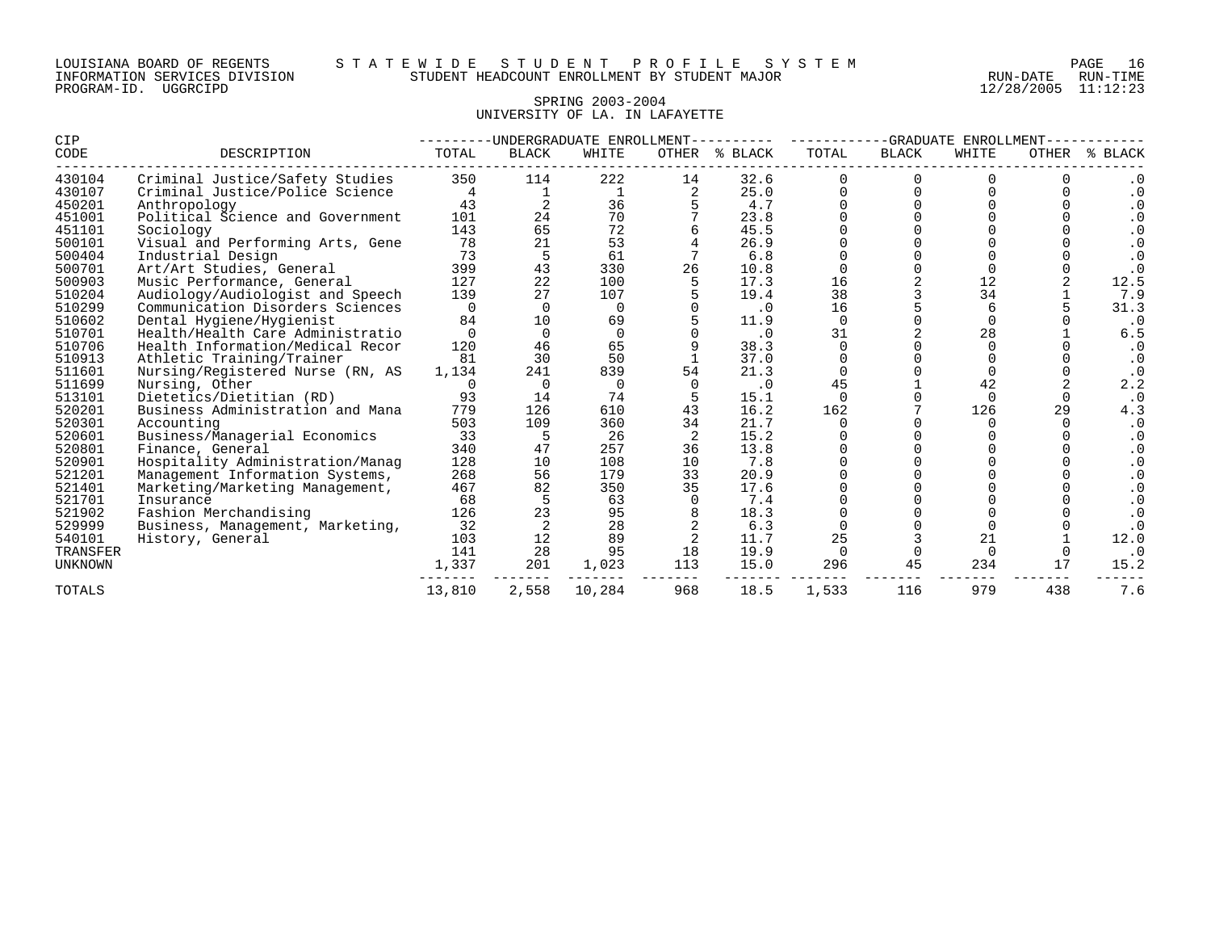| LOUISIANA BOARD OF REGENTS    |          |  |
|-------------------------------|----------|--|
| INFORMATION SERVICES DIVISION |          |  |
| PROGRAM-ID.                   | UGGRCIPD |  |

12/28/2005 11:12:23

# SPRING 2003-2004 UNIVERSITY OF LA. IN LAFAYETTE

| CIP            |                                  | -UNDERGRADUATE ENROLLMENT- |              |          |       |           | -GRADUATE<br>ENROLLMENT |              |          |       |                        |
|----------------|----------------------------------|----------------------------|--------------|----------|-------|-----------|-------------------------|--------------|----------|-------|------------------------|
| CODE           | DESCRIPTION                      | TOTAL                      | <b>BLACK</b> | WHITE    | OTHER | % BLACK   | TOTAL                   | <b>BLACK</b> | WHITE    | OTHER | % BLACK                |
| 430104         | Criminal Justice/Safety Studies  | 350                        | 114          | 222      | 14    | 32.6      |                         |              |          |       |                        |
| 430107         | Criminal Justice/Police Science  | 4                          |              |          |       | 25.0      |                         |              |          |       |                        |
| 450201         | Anthropology                     | 43                         |              | 36       |       | 4.7       |                         |              |          |       |                        |
| 451001         | Political Science and Government | 101                        | 24           | 70       |       | 23.8      |                         |              |          |       | $\cdot$ 0              |
| 451101         | Sociology                        | 143                        | 65           | 72       |       | 45.5      |                         |              |          |       | $\cdot$ 0              |
| 500101         | Visual and Performing Arts, Gene | 78                         | 21           | 53       |       | 26.9      |                         |              |          |       | $\cdot$ 0              |
| 500404         | Industrial Design                | 73                         | 5            | 61       |       | 6.8       |                         |              |          |       | $\cdot$ 0              |
| 500701         | Art/Art Studies, General         | 399                        | 43           | 330      | 26    | 10.8      |                         |              |          |       | $\cdot$ 0              |
| 500903         | Music Performance, General       | 127                        | 22           | 100      |       | 17.3      | 16                      |              | 12       |       | 12.5                   |
| 510204         | Audiology/Audiologist and Speech | 139                        | 27           | 107      |       | 19.4      | 38                      |              | 34       |       | 7.9                    |
| 510299         | Communication Disorders Sciences | $\Omega$                   | $\Omega$     | $\Omega$ |       | $\cdot$ 0 | 16                      |              | 6        |       | 31.3                   |
| 510602         | Dental Hygiene/Hygienist         | 84                         | 10           | 69       |       | 11.9      | $\Omega$                |              | $\Omega$ |       | $\cdot$ 0              |
| 510701         | Health/Health Care Administratio | $\Omega$                   | $\Omega$     | $\Omega$ |       | $\cdot$ 0 | 31                      |              | 28       |       | 6.5                    |
| 510706         | Health Information/Medical Recor | 120                        | 46           | 65       |       | 38.3      | $\Omega$                |              |          |       |                        |
| 510913         | Athletic Training/Trainer        | 81                         | 30           | 50       |       | 37.0      |                         |              |          |       | $\cdot$ 0              |
| 511601         | Nursing/Registered Nurse (RN, AS | 1,134                      | 241          | 839      | 54    | 21.3      |                         |              |          |       | $\boldsymbol{\cdot}$ 0 |
| 511699         | Nursing, Other                   | 0                          |              | $\Omega$ |       | $\cdot$ 0 | 45                      |              | 42       |       | 2.2                    |
| 513101         | Dietetics/Dietitian (RD)         | 93                         | 14           | 74       |       | 15.1      |                         |              |          |       | $\cdot$ 0              |
| 520201         | Business Administration and Mana | 779                        | 126          | 610      | 43    | 16.2      | 162                     |              | 126      | 29    | 4.3                    |
| 520301         | Accounting                       | 503                        | 109          | 360      | 34    | 21.7      |                         |              |          |       | $\cdot$ 0              |
| 520601         | Business/Managerial Economics    | 33                         | 5            | 26       | 2     | 15.2      |                         |              |          |       | $\cdot$ 0              |
| 520801         | Finance, General                 | 340                        | 47           | 257      | 36    | 13.8      |                         |              |          |       | $\cdot$ 0              |
| 520901         | Hospitality Administration/Manag | 128                        | 10           | 108      | 10    | 7.8       |                         |              |          |       |                        |
| 521201         | Management Information Systems,  | 268                        | 56           | 179      | 33    | 20.9      |                         |              |          |       |                        |
| 521401         | Marketing/Marketing Management,  | 467                        | 82           | 350      | 35    | 17.6      |                         |              |          |       |                        |
| 521701         | Insurance                        | 68                         | 5            | 63       |       | 7.4       |                         |              |          |       |                        |
| 521902         | Fashion Merchandising            | 126                        | 23           | 95       |       | 18.3      |                         |              |          |       |                        |
| 529999         | Business, Management, Marketing, | 32                         |              | 28       |       | 6.3       |                         |              |          |       |                        |
| 540101         | History, General                 | 103                        | 12           | 89       |       | 11.7      | 25                      |              | 21       |       | 12.0                   |
| TRANSFER       |                                  | 141                        | 28           | 95       | 18    | 19.9      |                         |              |          |       | $\cdot$ 0              |
| <b>UNKNOWN</b> |                                  | 1,337                      | 201          | 1,023    | 113   | 15.0      | 296                     | 45           | 234      | 17    | 15.2                   |
| TOTALS         |                                  | 13,810                     | 2,558        | 10,284   | 968   | 18.5      | 1,533                   | 116          | 979      | 438   | 7.6                    |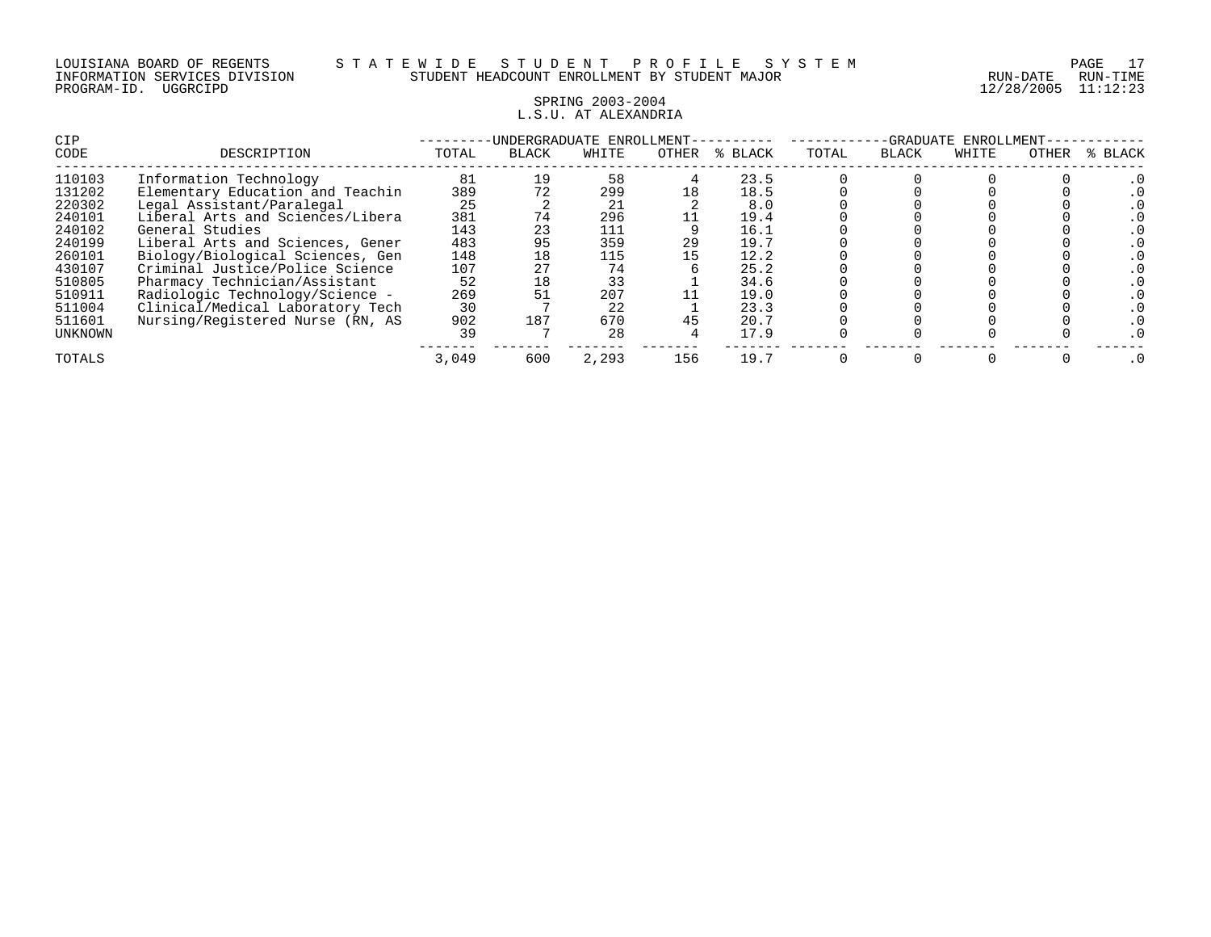#### SPRING 2003-2004 L.S.U. AT ALEXANDRIA

| <b>CIP</b> |                                  | <b>INDERGRADUATE</b><br>ENROLLMENT- |              |       |       |         |       | -GRADUATE<br>ENROLLMENT |       |       |         |  |
|------------|----------------------------------|-------------------------------------|--------------|-------|-------|---------|-------|-------------------------|-------|-------|---------|--|
| CODE       | DESCRIPTION                      | TOTAL                               | <b>BLACK</b> | WHITE | OTHER | % BLACK | TOTAL | <b>BLACK</b>            | WHITE | OTHER | % BLACK |  |
| 110103     | Information Technology           | 81                                  | 19           | 58    |       | 23.5    |       |                         |       |       |         |  |
| 131202     | Elementary Education and Teachin | 389                                 | 72           | 299   | 18    | 18.5    |       |                         |       |       |         |  |
| 220302     | Legal Assistant/Paralegal        | 25                                  |              | 21    |       | 8.0     |       |                         |       |       |         |  |
| 240101     | Liberal Arts and Sciences/Libera | 381                                 | 74           | 296   |       | 19.4    |       |                         |       |       |         |  |
| 240102     | General Studies                  | 143                                 | 23           | 111   |       | 16.1    |       |                         |       |       |         |  |
| 240199     | Liberal Arts and Sciences, Gener | 483                                 | 95           | 359   | 29    | 19.7    |       |                         |       |       |         |  |
| 260101     | Biology/Biological Sciences, Gen | 148                                 | 18           | 115   | 15    | 12.2    |       |                         |       |       |         |  |
| 430107     | Criminal Justice/Police Science  | 107                                 |              | 74    |       | 25.2    |       |                         |       |       |         |  |
| 510805     | Pharmacy Technician/Assistant    | 52                                  | 18           | 33    |       | 34.6    |       |                         |       |       |         |  |
| 510911     | Radiologic Technology/Science -  | 269                                 |              | 207   |       | 19.0    |       |                         |       |       |         |  |
| 511004     | Clinical/Medical Laboratory Tech | 30                                  |              | 22    |       | 23.3    |       |                         |       |       |         |  |
| 511601     | Nursing/Registered Nurse (RN, AS | 902                                 | 187          | 670   | 45    | 20.7    |       |                         |       |       |         |  |
| UNKNOWN    |                                  | 39                                  |              | 28    |       | 17.9    |       |                         |       |       |         |  |
| TOTALS     |                                  | 3,049                               | 600          | 2,293 | 156   | 19.7    |       |                         |       |       |         |  |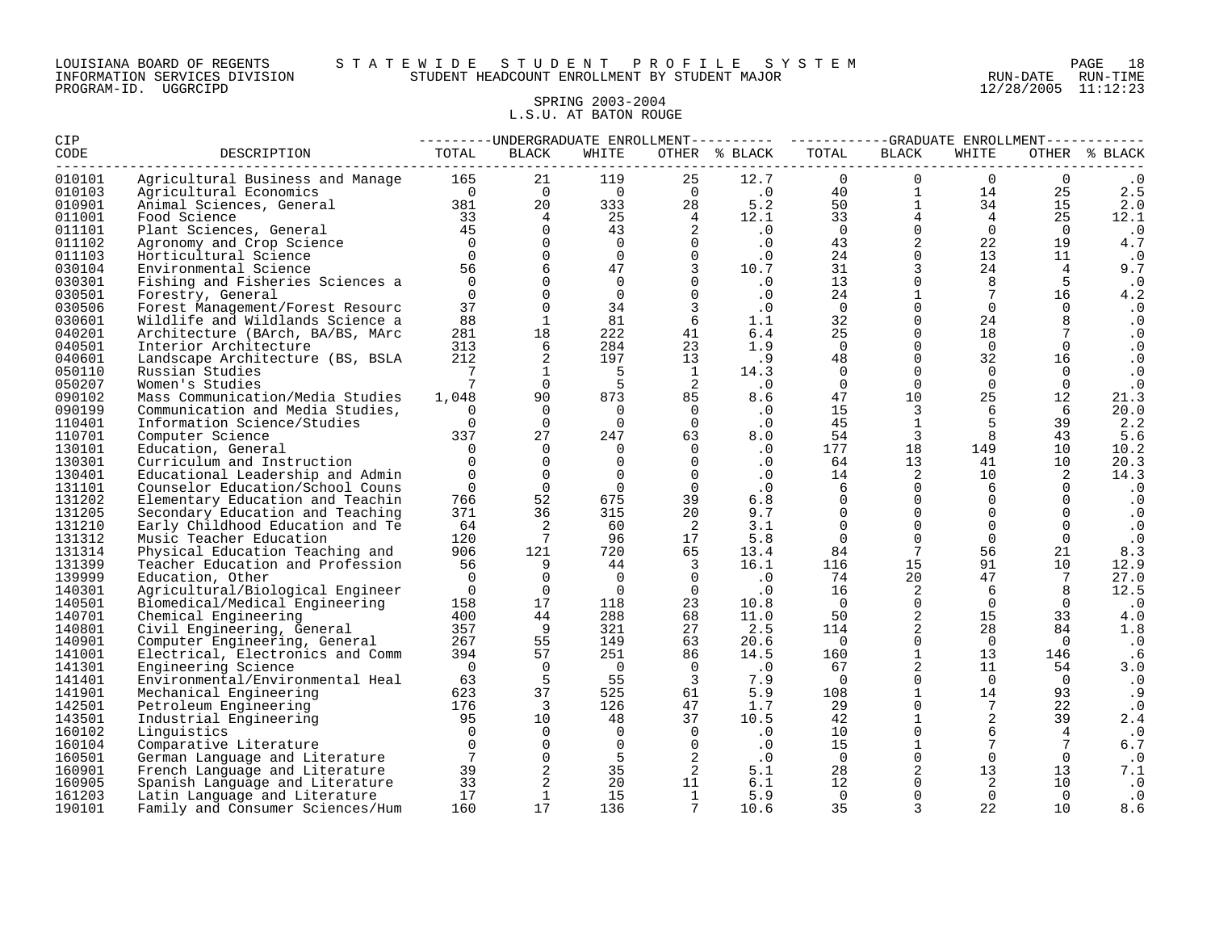#### LOUISIANA BOARD OF REGENTS S T A T E W I D E S T U D E N T P R O F I L E S Y S T E M PAGE 18 INFORMATION SERVICES DIVISION STUDENT HEADCOUNT ENROLLMENT BY STUDENT MAJOR RUN-DATE RUN-TIME

#### SPRING 2003-2004 L.S.U. AT BATON ROUGE

| CIP    |                                  |                 |                 |                |                | ---------UNDERGRADUATE ENROLLMENT---------- ----------GRADUATE ENROLLMENT----------- |                |                 |                 |                 |               |
|--------|----------------------------------|-----------------|-----------------|----------------|----------------|--------------------------------------------------------------------------------------|----------------|-----------------|-----------------|-----------------|---------------|
| CODE   | DESCRIPTION                      | TOTAL           | BLACK           | WHITE          |                | OTHER % BLACK                                                                        | TOTAL          | <b>BLACK</b>    | WHITE           |                 | OTHER % BLACK |
| 010101 | Agricultural Business and Manage | 165             | 21              | 119            | 25             | 12.7                                                                                 | $\mathbf 0$    | $\Omega$        | $\mathbf 0$     | $\Omega$        |               |
| 010103 | Agricultural Economics           | $\overline{0}$  | $\overline{0}$  | $\overline{0}$ | $\overline{0}$ | $\cdot$ 0                                                                            | 40             | $\mathbf{1}$    | 14              | 25              | 2.5           |
| 010901 | Animal Sciences, General         | 381             | 20              | 333            | 28             | 5.2                                                                                  | 50             | $\mathbf{1}$    | 34              | 15              | 2.0           |
| 011001 | Food Science                     | 33              | $\overline{4}$  | 25             | $\overline{4}$ | 12.1                                                                                 | 33             | $\overline{4}$  | $4\overline{ }$ | 25              | 12.1          |
| 011101 | Plant Sciences, General          | 45              | $\Omega$        | 43             | 2              | $\cdot$ 0                                                                            | $\overline{0}$ | $\Omega$        | $\Omega$        | $\Omega$        | $\cdot$ 0     |
| 011102 | Agronomy and Crop Science        | $\overline{0}$  | $\Omega$        | $\overline{0}$ | $\Omega$       | $\cdot$ 0                                                                            | 43             | $\overline{a}$  | 22              | 19              | 4.7           |
| 011103 | Horticultural Science            | $\Omega$        | $\Omega$        | $\Omega$       | $\Omega$       | $\cdot$ 0                                                                            | 24             | $\Omega$        | 13              | 11              | $\cdot$ 0     |
| 030104 | Environmental Science            | 56              | 6               | 47             | $\overline{3}$ | 10.7                                                                                 | 31             | $\overline{3}$  | 24              | $\overline{4}$  | 9.7           |
| 030301 | Fishing and Fisheries Sciences a | $\Omega$        | $\Omega$        | $\overline{0}$ | $\Omega$       | .0                                                                                   | 13             | $\mathbf 0$     | 8               | 5               | $\cdot$ 0     |
| 030501 | Forestry, General                | $\Omega$        | $\Omega$        | $\Omega$       | $\Omega$       | $\cdot$ 0                                                                            | 24             | $\mathbf{1}$    | $7\phantom{.0}$ | 16              | 4.2           |
| 030506 | Forest Management/Forest Resourc | 37              | $\mathbf 0$     | 34             | $\overline{3}$ | .0                                                                                   | $\overline{0}$ | $\mathbf 0$     | $\Omega$        | $\Omega$        | $\cdot$ 0     |
| 030601 | Wildlife and Wildlands Science a | 88              | $\mathbf{1}$    | 81             | 6              | 1.1                                                                                  | 32             | $\Omega$        | 24              | 8               | $\cdot$ 0     |
| 040201 | Architecture (BArch, BA/BS, MArc | 281             | 18              | 222            | 41             | 6.4                                                                                  | 25             | $\Omega$        | 18              |                 | $\cdot$ 0     |
| 040501 | Interior Architecture            | 313             | 6               | 284            | 23             | 1.9                                                                                  | $\mathbf 0$    | $\Omega$        | $\overline{0}$  | $\mathbf 0$     | $\cdot$ 0     |
| 040601 | Landscape Architecture (BS, BSLA | 212             | 2               | 197            | 13             | .9                                                                                   | 48             | $\Omega$        | 32              | 16              | $\cdot$ 0     |
| 050110 | Russian Studies                  | -7              | $\mathbf{1}$    | -5             | <sup>1</sup>   | 14.3                                                                                 | $\Omega$       | $\Omega$        | $\Omega$        | $\Omega$        | $\cdot$ 0     |
| 050207 | Women's Studies                  | $7\phantom{.0}$ | $\Omega$        | -5             | -2             | $\cdot$ 0                                                                            | $\Omega$       | $\Omega$        | $\Omega$        | $\Omega$        | $\cdot$ 0     |
| 090102 | Mass Communication/Media Studies | 1,048           | 90              | 873            | 85             | 8.6                                                                                  | 47             | 10              | 25              | 12              | 21.3          |
| 090199 | Communication and Media Studies, | $\Omega$        | $\Omega$        | $\Omega$       | $\overline{0}$ | $\cdot$ 0                                                                            | 15             | 3               | 6               | 6               | 20.0          |
| 110401 | Information Science/Studies      | $\Omega$        | $\Omega$        | $\Omega$       | $\Omega$       | .0                                                                                   | 45             | $\mathbf{1}$    | 5               | 39              | 2.2           |
| 110701 | Computer Science                 | 337             | 27              | 247            | 63             | 8.0                                                                                  | 54             | $\overline{3}$  | 8               | 43              | 5.6           |
| 130101 | Education, General               | $\Omega$        | $\Omega$        | $\Omega$       | $\Omega$       | $\cdot$ 0                                                                            | 177            | 18              | 149             | 10 <sup>°</sup> | 10.2          |
| 130301 | Curriculum and Instruction       | $\Omega$        | $\Omega$        | $\Omega$       | $\Omega$       | $\cdot$ 0                                                                            | 64             | 13              | 41              | 10              | 20.3          |
| 130401 | Educational Leadership and Admin | $\Omega$        | $\Omega$        | $\Omega$       | $\Omega$       | $\cdot$ 0                                                                            | 14             | 2               | 10              | 2               | 14.3          |
| 131101 | Counselor Education/School Couns | $\Omega$        | $\overline{0}$  | $\Omega$       | $\Omega$       | $\cdot$ 0                                                                            | 6              | $\Omega$        | 6               | $\Omega$        | $\cdot$ 0     |
| 131202 | Elementary Education and Teachin | 766             | 52              | 675            | 39             | 6.8                                                                                  | $\mathbf 0$    | $\mathbf 0$     | $\mathbf 0$     | 0               | $\cdot$ 0     |
| 131205 | Secondary Education and Teaching | 371             | 36              | 315            | 20             | 9.7                                                                                  | $\Omega$       | $\Omega$        | $\Omega$        | $\Omega$        | $\cdot$ 0     |
| 131210 | Early Childhood Education and Te | 64              | 2               | 60             | -2             | 3.1                                                                                  | $\Omega$       | $\Omega$        | $\Omega$        | $\Omega$        | $\cdot$ 0     |
| 131312 | Music Teacher Education          | 120             | $7\overline{ }$ | 96             | 17             | 5.8                                                                                  | $\Omega$       | $\Omega$        | $\mathbf 0$     | $\mathbf 0$     | $\cdot$ 0     |
| 131314 | Physical Education Teaching and  | 906             | 121             | 720            | 65             | 13.4                                                                                 | 84             | $7\phantom{.0}$ | 56              | 21              | 8.3           |
| 131399 | Teacher Education and Profession | 56              | 9               | 44             | 3              | 16.1                                                                                 | 116            | 15              | 91              | 10              | 12.9          |
| 139999 | Education, Other                 | $\Omega$        | $\Omega$        | $\Omega$       | $\Omega$       | $\cdot$ 0                                                                            | 74             | 20              | 47              | $7\phantom{.0}$ | 27.0          |
| 140301 | Agricultural/Biological Engineer | $\overline{0}$  | $\Omega$        | $\Omega$       | $\Omega$       | $\cdot$ 0                                                                            | 16             | 2               | 6               | 8               | 12.5          |
| 140501 | Biomedical/Medical Engineering   | 158             | 17              | 118            | 23             | 10.8                                                                                 | $\overline{0}$ | $\mathbf 0$     | $\Omega$        | $\Omega$        | $\cdot$ 0     |
| 140701 | Chemical Engineering             | 400             | 44              | 288            | 68             | 11.0                                                                                 | 50             | 2               | 15              | 33              | 4.0           |
| 140801 | Civil Engineering, General       | 357             | - 9             | 321            | 27             | 2.5                                                                                  | 114            | 2               | 28              | 84              | 1.8           |
| 140901 | Computer Engineering, General    | 267             | 55              | 149            | 63             | 20.6                                                                                 | $\overline{0}$ | $\Omega$        | $\Omega$        | $\Omega$        | $\cdot$ 0     |
| 141001 | Electrical, Electronics and Comm | 394             | 57              | 251            | 86             | 14.5                                                                                 | 160            | $\mathbf{1}$    | 13              | 146             | .6            |
| 141301 | Engineering Science              | $\bigcirc$      | $\Omega$        | $\overline{0}$ | $\overline{0}$ | $\cdot$ 0                                                                            | 67             | 2               | 11              | 54              | 3.0           |
| 141401 | Environmental/Environmental Heal | 63              | 5               | 55             | $\overline{3}$ | 7.9                                                                                  | $\overline{0}$ | $\Omega$        | $\overline{0}$  | $\overline{0}$  | $\cdot$ 0     |
| 141901 | Mechanical Engineering           | 623             | 37              | 525            | 61             | 5.9                                                                                  | 108            | $\mathbf{1}$    | 14              | 93              | . 9           |
| 142501 | Petroleum Engineering            | 176             | 3               | 126            | 47             | 1.7                                                                                  | 29             | $\Omega$        | $7\phantom{.0}$ | 22              | $\cdot$ 0     |
| 143501 | Industrial Engineering           | 95              | 10              | 48             | 37             | 10.5                                                                                 | 42             | $\mathbf{1}$    | 2               | 39              | 2.4           |
| 160102 | Linguistics                      | $\Omega$        | $\Omega$        | $\Omega$       | $\Omega$       | .0                                                                                   | 10             | $\Omega$        | 6               | 4               | $\cdot$ 0     |
| 160104 | Comparative Literature           | $\Omega$        | $\Omega$        | $\Omega$       | $\Omega$       | $\cdot$ 0                                                                            | 15             | $\mathbf{1}$    | 7               |                 | $\,6$ . $7$   |
| 160501 | German Language and Literature   | 7               | $\overline{0}$  | -5             | 2              | $\cdot$ 0                                                                            | $\overline{0}$ | $\Omega$        | $\Omega$        | $\Omega$        | $\cdot$ 0     |
| 160901 | French Language and Literature   | 39              |                 | 35             | 2              | 5.1                                                                                  | 28             | 2               | 13              | 13              | 7.1           |
| 160905 | Spanish Language and Literature  | 33              | $\overline{a}$  | 20             | 11             | 6.1                                                                                  | 12             | $\Omega$        | 2               | 10              | $\cdot$ 0     |
| 161203 | Latin Language and Literature    | 17              | $\mathbf{1}$    | 15             | $\mathbf{1}$   | 5.9                                                                                  | $\overline{0}$ | $\Omega$        | $\Omega$        | $\Omega$        | $\cdot$ 0     |
| 190101 | Family and Consumer Sciences/Hum | 160             | 17              | 136            | 7              | 10.6                                                                                 | 35             | 3               | 22              | 10              | 8.6           |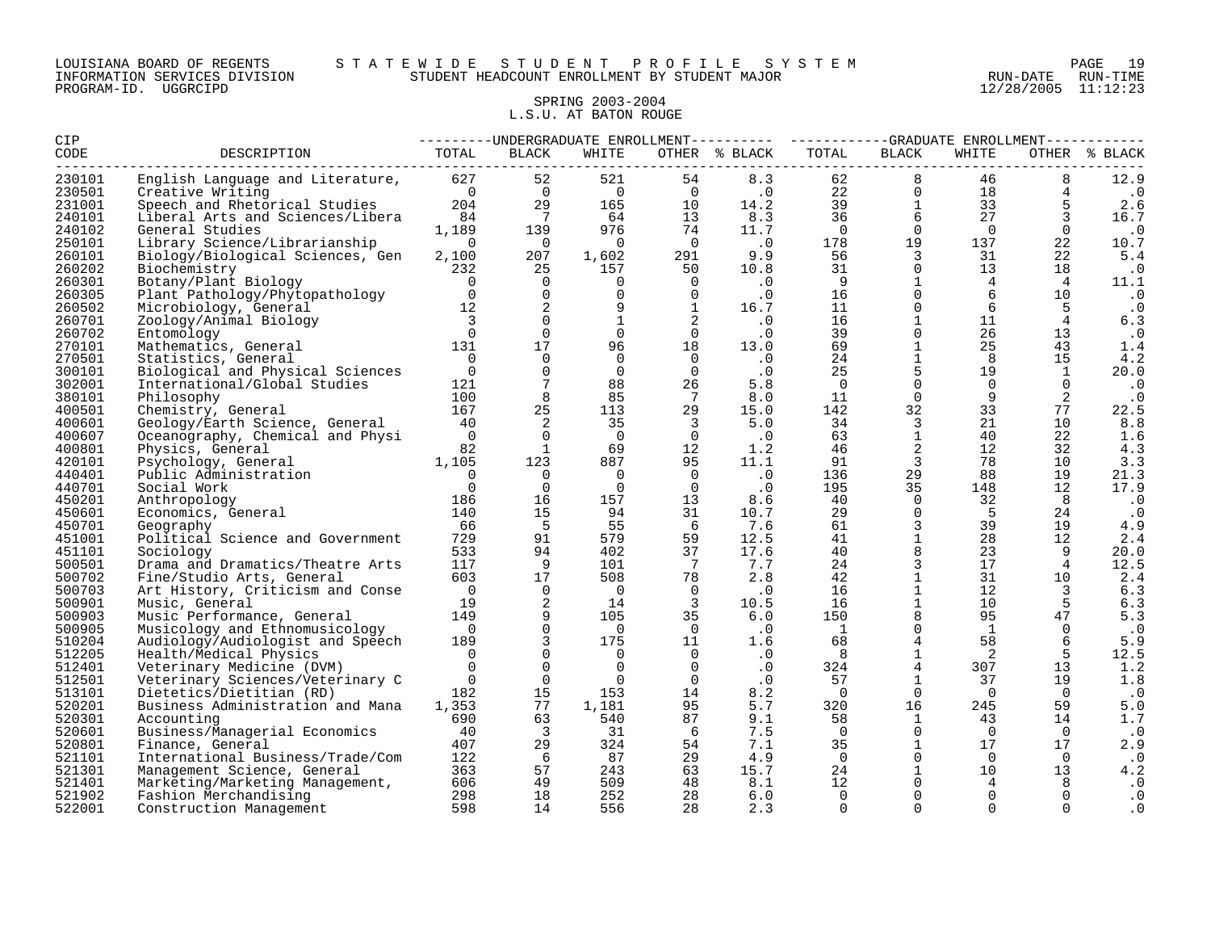#### LOUISIANA BOARD OF REGENTS S T A T E W I D E S T U D E N T P R O F I L E S Y S T E M PAGE 19 INFORMATION SERVICES DIVISION STUDENT HEADCOUNT ENROLLMENT BY STUDENT MAJOR RUN-DATE RUN-TIME

#### SPRING 2003-2004 L.S.U. AT BATON ROUGE

| CIP              |                                                                  | ---------UNDERGRADUATE ENROLLMENT--------- ----------GRADUATE ENROLLMENT---------- |                 |                |                         |               |                |                               |                 |                |               |
|------------------|------------------------------------------------------------------|------------------------------------------------------------------------------------|-----------------|----------------|-------------------------|---------------|----------------|-------------------------------|-----------------|----------------|---------------|
| CODE             | DESCRIPTION                                                      | TOTAL                                                                              | BLACK           | WHITE          |                         | OTHER % BLACK | TOTAL          | BLACK                         | WHITE           |                | OTHER % BLACK |
| 230101           | English Language and Literature, 627                             |                                                                                    | 52              | 521            | 54                      | 8.3           | 62             | 8                             | 46              | 8              | 12.9          |
| 230501           | Creative Writing                                                 | $\overline{0}$                                                                     | $\overline{0}$  | $\overline{0}$ | $\overline{0}$          | $\cdot$ 0     | 22             | $\overline{0}$                | 18              |                | $\cdot$ 0     |
| 231001           | Speech and Rhetorical Studies                                    | 204                                                                                | 29              | 165            | 10                      | 14.2          | 39             | $\mathbf{1}$                  | 33              |                | 2.6           |
| 240101           | Liberal Arts and Sciences/Libera                                 | 84                                                                                 | $\overline{7}$  | 64             | 13                      | 8.3           | 36             | $6\overline{6}$               | 27              | 3              | 16.7          |
| 240102           | General Studies                                                  | 1,189                                                                              | 139             | 976            | 74                      | 11.7          | $\overline{0}$ | $\Omega$                      | $\overline{0}$  | $\Omega$       | $\cdot$ 0     |
| 250101           | Library Science/Librarianship                                    | $\overline{0}$                                                                     | $\overline{0}$  | $\overline{0}$ | $\overline{0}$          | $\cdot$ 0     | 178            | 19                            | 137             | 22             | 10.7          |
| 260101           | Biology/Biological Sciences, Gen                                 | 2,100                                                                              | 207             | 1,602          | 291                     | 9.9           | 56             | $\overline{3}$                | 31              | 22             | 5.4           |
| 260202           | Biochemistry                                                     | 232                                                                                | 25              | 157            | 50                      | 10.8          | 31             | $\mathbf 0$                   | 13 <sup>°</sup> | 18             | $\cdot$ 0     |
| 260301           | Botany/Plant Biology                                             | $\overline{0}$                                                                     | $\overline{0}$  | $\Omega$       | $\Omega$                | $\cdot$ 0     | - 9            | 1                             | 4               | 4              | 11.1          |
| 260305           | Plant Pathology/Phytopathology                                   | $\sim$ 0                                                                           | $\mathbf 0$     | $\Omega$       | $\Omega$                | $\cdot$ 0     | 16             | $\Omega$                      | 6               | 10             | $\cdot$ 0     |
| 260502           | Microbiology, General                                            | 12                                                                                 | 2               | 9              | $\mathbf{1}$            | 16.7          | 11             | $\mathbf 0$                   | 6               | 5              | $\cdot$ 0     |
| 260701           | Zoology/Animal Biology                                           | $\overline{\mathbf{3}}$                                                            | $\Omega$        | 1              | 2                       | .0            | 16             | $\mathbf{1}$                  | 11              | $\overline{4}$ | 6.3           |
| 260702           | Entomology                                                       | $\overline{0}$                                                                     | $\mathbf 0$     | $\Omega$       | $\overline{0}$          | $\cdot$ 0     | 39             | $\mathbf{0}$                  | 26              | 13             | $\cdot$ 0     |
| 270101           | Mathematics, General                                             | 131                                                                                | 17              | 96             | 18                      | 13.0          | 69             | $\mathbf{1}$                  | 25              | 43             | 1.4           |
| 270501           | Statistics, General                                              | $\overline{0}$                                                                     | $\Omega$        | $\Omega$       | $\overline{0}$          | $\cdot$ 0     | 24             | $\mathbf{1}$                  | 8               | 15             | 4.2           |
| 300101           | Biological and Physical Sciences                                 | $\overline{0}$                                                                     | $\mathbf 0$     | $\Omega$       | $\overline{0}$          | $\cdot$ 0     | 25             | 5                             | 19              | $\mathbf{1}$   | 20.0          |
| 302001           | International/Global Studies                                     | 121                                                                                | $7\phantom{.0}$ | 88             | 26                      | 5.8           | $\overline{0}$ | $\Omega$                      | $\Omega$        | $\Omega$       | $\cdot$ 0     |
| 380101           | Philosophy                                                       | 100                                                                                | 8               | 85             | $\overline{7}$          | 8.0           | 11             | $\mathbf 0$                   | 9               | 2              | $\cdot$ 0     |
| 400501           | Chemistry, General                                               | 167                                                                                | 25              | 113            | 29                      | 15.0          | 142            | 32                            | 33              | 77             | 22.5          |
| 400601           | Geology/Earth Science, General                                   | 40                                                                                 | 2               | 35             | $\overline{\mathbf{3}}$ | 5.0           | 34             | 3                             | 21              | 10             | 8.8           |
| 400607           | Oceanography, Chemical and Physi                                 | $\bigcirc$                                                                         | $\Omega$        | $\overline{0}$ | $\overline{0}$          | $\cdot$ 0     | 63             | 1                             | 40              | 22             | 1.6           |
| 400801           | Physics, General                                                 | 82                                                                                 | 1               | 69             | 12                      | 1.2           | 46             | $\overline{a}$                | 12              | 32             | 4.3           |
| 420101           | Psychology, General                                              | 1,105                                                                              | 123             | 887            | 95                      | 11.1          | 91             | $\overline{3}$                | 78              | 10             | 3.3           |
| 440401           | Public Administration                                            | $\Omega$                                                                           | $\Omega$        | $\Omega$       | $\overline{0}$          | $\cdot$ 0     | 136            | 29                            | 88              | 19             | 21.3          |
| 440701           | Social Work                                                      | $\Omega$                                                                           | $\overline{0}$  | $\overline{0}$ | $\overline{0}$          | $\cdot$ 0     | 195            | 35                            | 148             | 12             | 17.9          |
| 450201           | Anthropology                                                     | 186                                                                                | 16              | 157            | 13                      | 8.6           | 40             | $\overline{0}$<br>$\mathbf 0$ | 32              | 8              | $\cdot$ 0     |
| 450601           | Economics, General                                               | 140                                                                                | 15              | 94             | 31                      | 10.7          | 29             |                               | -5              | 24<br>19       | $\cdot$ 0     |
| 450701           | Geography                                                        | 66<br>729                                                                          | 5<br>91         | 55<br>579      | 6<br>59                 | 7.6<br>12.5   | 61<br>41       | $\mathbf{3}$                  | 39<br>28        | 12             | 4.9           |
| 451001<br>451101 | Political Science and Government                                 | 533                                                                                | 94              | 402            | 37                      | 17.6          | 40             | $\mathbf{1}$<br>8             | 23              | 9              | 2.4<br>20.0   |
| 500501           | Sociology<br>Drama and Dramatics/Theatre Arts                    | 117                                                                                | 9               | 101            | $\overline{7}$          | 7.7           | 24             | $\mathsf{3}$                  | 17              | $\overline{4}$ | 12.5          |
| 500702           | Fine/Studio Arts, General                                        | 603                                                                                | 17              | 508            | 78                      | 2.8           | 42             | $\mathbf{1}$                  | 31              | 10             | 2.4           |
| 500703           | Art History, Criticism and Conse                                 | $\overline{0}$                                                                     | $\overline{0}$  | $\overline{0}$ | $\overline{0}$          | $\cdot$ 0     | 16             | $\mathbf{1}$                  | 12              | $\overline{3}$ | 6.3           |
| 500901           | Music, General                                                   | 19                                                                                 | 2               | 14             | $\overline{3}$          | 10.5          | 16             | $\mathbf{1}$                  | 10              | -5             | 6.3           |
| 500903           | Music Performance, General                                       | 149                                                                                | 9               | 105            | 35                      | 6.0           | 150            | 8                             | 95              | 47             | 5.3           |
| 500905           | Musicology and Ethnomusicology                                   | $\overline{0}$                                                                     | $\mathsf{O}$    | $\Omega$       | $\overline{0}$          | $\cdot$ 0     | $\overline{1}$ | $\mathbf 0$                   | $\mathbf{1}$    | $\overline{0}$ | $\cdot$ 0     |
| 510204           | Audiology/Audiologist and Speech                                 | 189                                                                                | 3               | 175            | 11                      | 1.6           | 68             | $\overline{4}$                | 58              | 6              | 5.9           |
| 512205           | Health/Medical Physics                                           | $\overline{0}$                                                                     | 0               | $\overline{0}$ | $\overline{0}$          | .0            | 8              | $1\,$                         | $\overline{c}$  | 5              | 12.5          |
| 512401           | Veterinary Medicine (DVM)                                        | $\Omega$                                                                           | $\Omega$        | $\Omega$       | $\cap$                  | $\cdot$ 0     | 324            | $\overline{4}$                | 307             | 13             | 1.2           |
| 512501           | Veterinary Sciences/Veterinary C                                 | $\Omega$                                                                           | $\mathbf 0$     | $\Omega$       | $\overline{0}$          | $\cdot$ 0     | 57             | $\mathbf{1}$                  | 37              | 19             | 1.8           |
| 513101           | Dietetics/Dietitian (RD)                                         | 182                                                                                | 15              | 153            | 14                      | 8.2           | $\overline{0}$ | $\Omega$                      | $\overline{0}$  | $\overline{0}$ | $\cdot$ 0     |
| 520201           | Business Administration and Mana                                 | 1,353                                                                              | 77              | 1,181          | 95                      | 5.7           | 320            | 16                            | 245             | 59             | 5.0           |
| 520301           | Accounting                                                       | 690                                                                                | 63              | 540            | 87                      | 9.1           | 58             | 1                             | 43              | 14             | 1.7           |
| 520601           | Business/Managerial Economics                                    | 40                                                                                 | $\overline{3}$  | 31             | - 6                     | 7.5           | $\overline{0}$ | $\mathbf 0$                   | $\overline{0}$  | $\overline{0}$ | $\cdot$ 0     |
| 520801           | Finance, General                                                 | 407                                                                                | 29              | 324            | 54                      | 7.1           | 35             | 1                             | 17              | 17             | 2.9           |
| 521101           | International Business/Trade/Com                                 | 122                                                                                | - 6             | 87             | 29                      | 4.9           | $\overline{0}$ | $\Omega$                      | $\Omega$        | $\Omega$       | $\cdot$ 0     |
| 521301           | Management Science, General                                      | 363                                                                                | 57              | 243            | 63                      | 15.7          | 24             | $\mathbf{1}$                  | 10 <sup>°</sup> | 13             | 4.2           |
| 521401           | Marketing/Marketing Management, 606<br>Fashion Merchandising 298 |                                                                                    | 49              | 509            | 48                      | 8.1           | 12             | $\Omega$                      | 4               | 8              | $\cdot$ 0     |
| 521902           | Fashion Merchandising                                            |                                                                                    | 18              | 252            | 28                      | 6.0           | $\overline{0}$ | $\mathbf 0$                   | 0               | $\Omega$       | $\cdot$ 0     |
| 522001           | Construction Management                                          | 598                                                                                | 14              | 556            | 28                      | 2.3           | $\mathbf 0$    | $\mathbf 0$                   | $\Omega$        | $\mathbf 0$    | $\cdot$ 0     |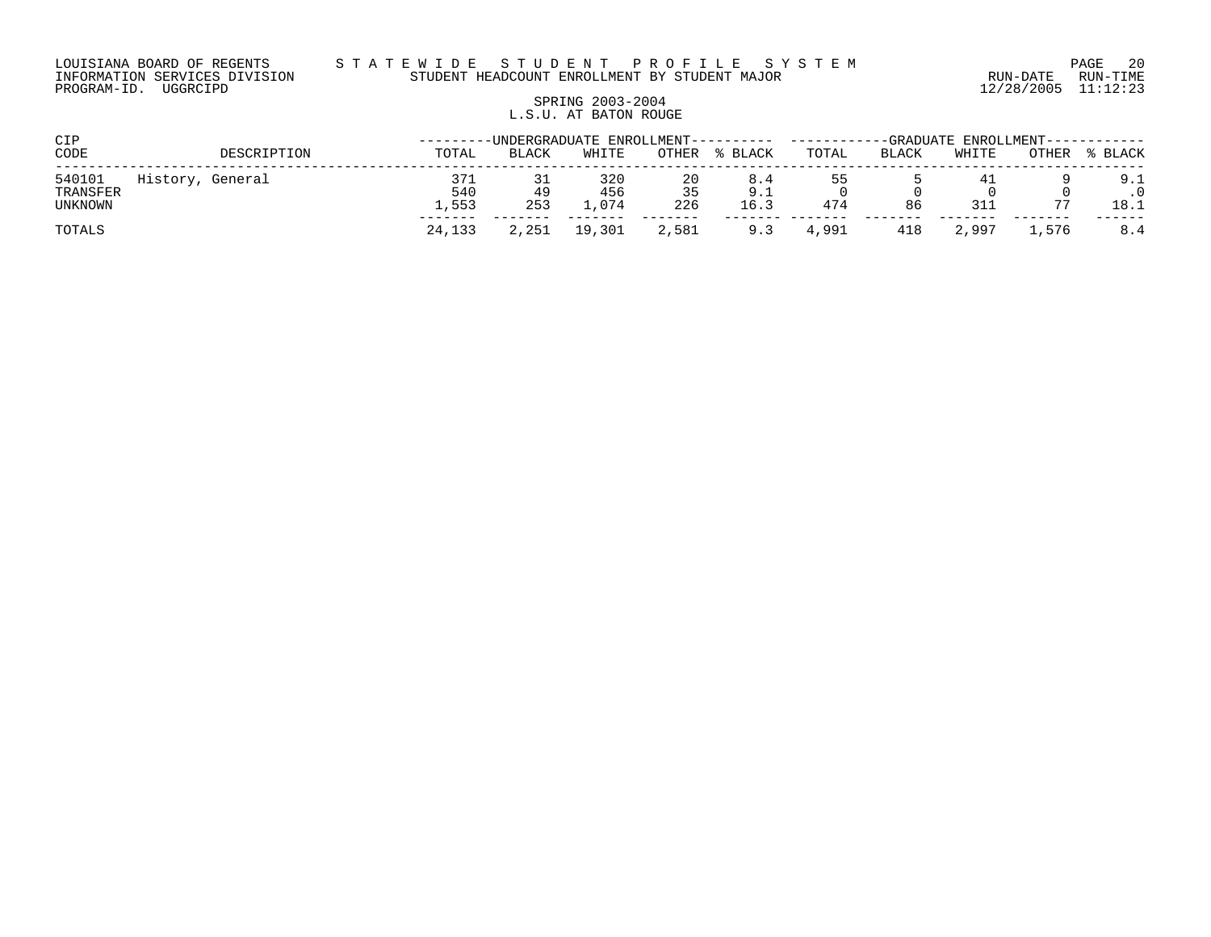# SPRING 2003-2004 L.S.U. AT BATON ROUGE

| CIP                           |                  |             |                     |              |                    | -UNDERGRADUATE ENROLLMENT---------- |                    | -GRADUATE ENROLLMENT---- |       |           |              |             |
|-------------------------------|------------------|-------------|---------------------|--------------|--------------------|-------------------------------------|--------------------|--------------------------|-------|-----------|--------------|-------------|
| CODE                          |                  | DESCRIPTION | TOTAL               | <b>BLACK</b> | WHITE              | OTHER                               | % BLACK            | TOTAL                    | BLACK | WHITE     | <b>OTHER</b> | % BLACK     |
| 540101<br>TRANSFER<br>UNKNOWN | History, General |             | 371<br>540<br>1,553 | 49<br>253    | 320<br>456<br>.074 | 20<br>35<br>226                     | 8.4<br>9.1<br>16.3 | 474                      | 86    | 41<br>311 |              | 9.1<br>18.1 |
| TOTALS                        |                  |             | 24,133              | 2,251        | 19,301             | 2,581                               | 9.3                | 4,991                    | 418   | 2,997     | 1,576        | 8.4         |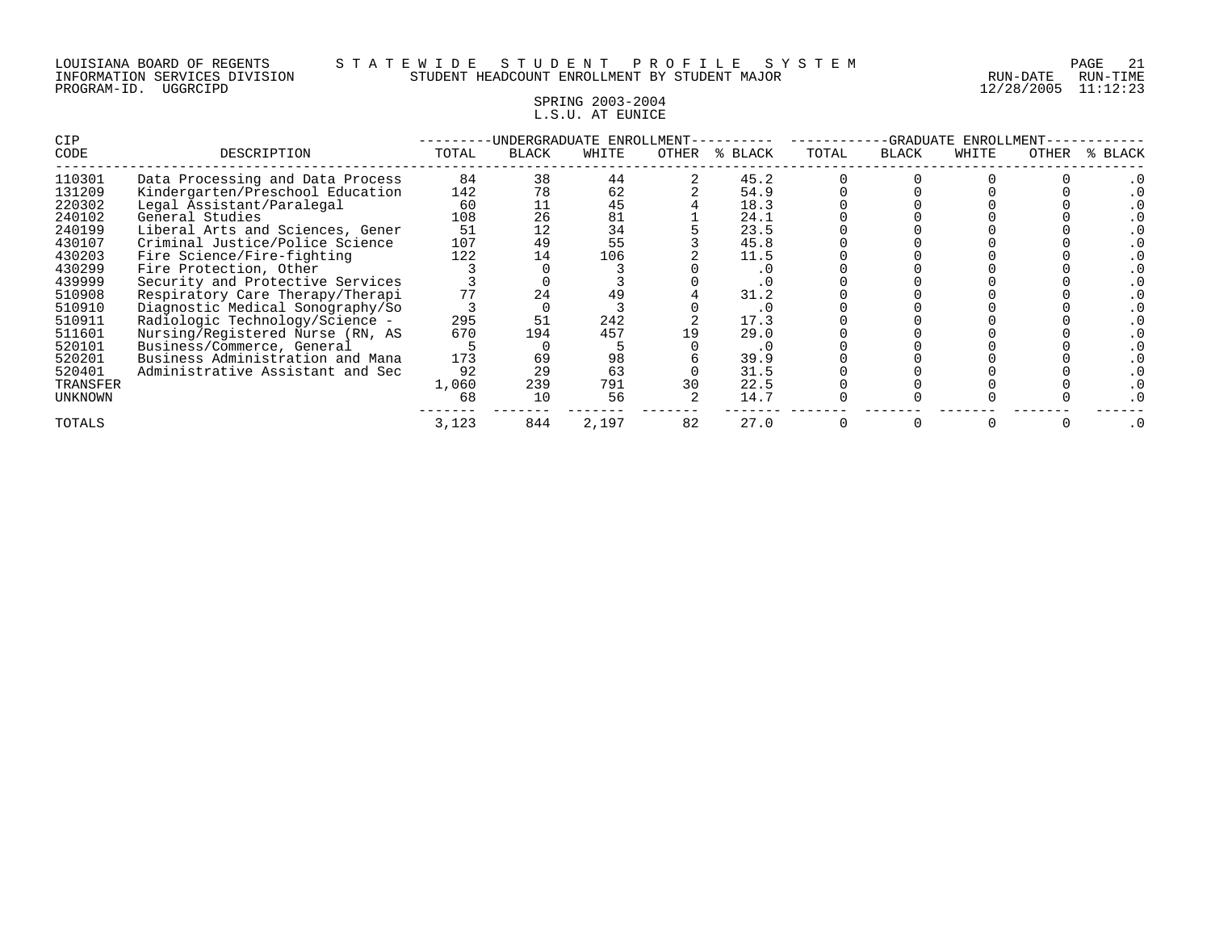#### SPRING 2003-2004 L.S.U. AT EUNICE

| CIP      |                                  |       |              | UNDERGRADUATE ENROLLMENT- |       |         |       | -GRADUATE    | ENROLLMENT |       |         |
|----------|----------------------------------|-------|--------------|---------------------------|-------|---------|-------|--------------|------------|-------|---------|
| CODE     | DESCRIPTION                      | TOTAL | <b>BLACK</b> | WHITE                     | OTHER | % BLACK | TOTAL | <b>BLACK</b> | WHITE      | OTHER | % BLACK |
| 110301   | Data Processing and Data Process | 84    | 38           | 44                        |       | 45.2    |       |              |            |       |         |
| 131209   | Kindergarten/Preschool Education | 142   | 78           | 62                        |       | 54.9    |       |              |            |       |         |
| 220302   | Legal Assistant/Paralegal        | 60    |              | 45                        |       | 18.3    |       |              |            |       |         |
| 240102   | General Studies                  | 108   | 26           | 81                        |       | 24.1    |       |              |            |       |         |
| 240199   | Liberal Arts and Sciences, Gener | 51    | 12           | 34                        |       | 23.5    |       |              |            |       |         |
| 430107   | Criminal Justice/Police Science  | 107   | 49           | 55                        |       | 45.8    |       |              |            |       |         |
| 430203   | Fire Science/Fire-fighting       | 122   | 14           | 106                       |       | 11.5    |       |              |            |       |         |
| 430299   | Fire Protection, Other           |       |              |                           |       |         |       |              |            |       |         |
| 439999   | Security and Protective Services |       |              |                           |       |         |       |              |            |       |         |
| 510908   | Respiratory Care Therapy/Therapi | 77    | 24           | 49                        |       | 31.2    |       |              |            |       |         |
| 510910   | Diagnostic Medical Sonography/So |       |              |                           |       | . 0     |       |              |            |       |         |
| 510911   | Radiologic Technology/Science -  | 295   | 51           | 242                       |       | 17.3    |       |              |            |       |         |
| 511601   | Nursing/Registered Nurse (RN, AS | 670   | 194          | 457                       |       | 29.0    |       |              |            |       |         |
| 520101   | Business/Commerce, General       |       |              |                           |       | . 0     |       |              |            |       |         |
| 520201   | Business Administration and Mana | 173   | 69           | 98                        |       | 39.9    |       |              |            |       |         |
| 520401   | Administrative Assistant and Sec | 92    | 29           | 63                        |       | 31.5    |       |              |            |       |         |
| TRANSFER |                                  | 1,060 | 239          | 791                       | 30    | 22.5    |       |              |            |       |         |
| UNKNOWN  |                                  | 68    | 10           | 56                        |       | 14.7    |       |              |            |       |         |
| TOTALS   |                                  | 3,123 | 844          | 2,197                     | 82    | 27.0    |       |              |            |       | .0      |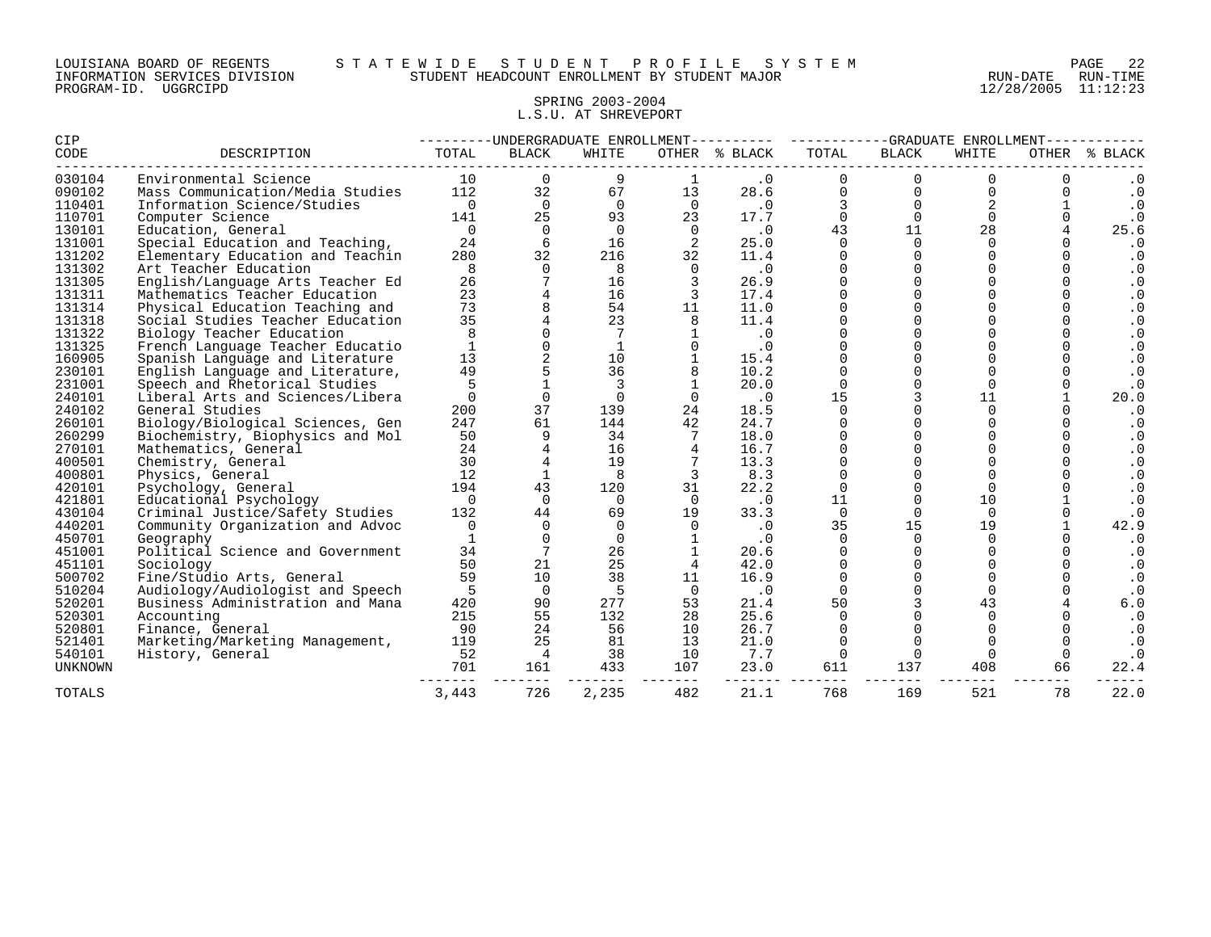#### LOUISIANA BOARD OF REGENTS S T A T E W I D E S T U D E N T P R O F I L E S Y S T E M PAGE 22 INFORMATION SERVICES DIVISION STUDENT HEADCOUNT ENROLLMENT BY STUDENT MAJOR RUN-DATE RUN-TIME

#### SPRING 2003-2004 L.S.U. AT SHREVEPORT

| CIP            |                                  |                | ---------UNDERGRADUATE ENROLLMENT- |              |          |               |          |                | -GRADUATE ENROLLMENT |          |           |
|----------------|----------------------------------|----------------|------------------------------------|--------------|----------|---------------|----------|----------------|----------------------|----------|-----------|
| CODE           | DESCRIPTION                      | TOTAL          | <b>BLACK</b>                       | WHITE        |          | OTHER % BLACK | TOTAL    | <b>BLACK</b>   | WHITE                | OTHER    | % BLACK   |
| 030104         | Environmental Science            | 10             | $\Omega$                           | 9            |          | $\cdot$ 0     | $\Omega$ | $\Omega$       | $\Omega$             |          | . 0       |
| 090102         | Mass Communication/Media Studies | 112            | 32                                 | 67           | 13       | 28.6          | $\Omega$ | $\Omega$       | $\Omega$             |          | $\cdot$ 0 |
| 110401         | Information Science/Studies      | $\overline{0}$ | $\Omega$                           | $\Omega$     | $\Omega$ | .0            |          | $\Omega$       |                      |          | $\cdot$ 0 |
| 110701         | Computer Science                 | 141            | 25                                 | 93           | 23       | 17.7          | $\Omega$ | $\Omega$       | $\Omega$             |          | $\cdot$ 0 |
| 130101         | Education, General               | $\overline{0}$ | $\Omega$                           | $\Omega$     | $\Omega$ | $\cdot$ 0     | 43       | 11             | 28                   |          | 25.6      |
| 131001         | Special Education and Teaching,  | 24             | 6                                  | 16           |          | 25.0          | $\Omega$ | $\Omega$       | $\Omega$             |          | $\cdot$ 0 |
| 131202         | Elementary Education and Teachin | 280            | 32                                 | 216          | 32       | 11.4          | O        | $\mathbf 0$    | $\Omega$             |          | $\cdot$ 0 |
| 131302         | Art Teacher Education            | 8              | $\Omega$                           | 8            | $\Omega$ | $\cdot$ 0     |          | $\Omega$       |                      |          | $\cdot$ 0 |
| 131305         | English/Language Arts Teacher Ed | 26             |                                    | 16           |          | 26.9          |          | $\Omega$       |                      |          | $\cdot$ 0 |
| 131311         | Mathematics Teacher Education    | 23             |                                    | 16           |          | 17.4          |          | $\Omega$       |                      |          | $\cdot$ 0 |
| 131314         | Physical Education Teaching and  | 73             |                                    | 54           | 11       | 11.0          |          | $\Omega$       |                      |          | $\cdot$ 0 |
| 131318         | Social Studies Teacher Education | 35             |                                    | 23           |          | 11.4          |          | $\Omega$       |                      |          | $\cdot$ 0 |
| 131322         | Biology Teacher Education        | 8              |                                    | 7            |          | $\cdot$ 0     |          | $\Omega$       |                      |          | $\cdot$ 0 |
| 131325         | French Language Teacher Educatio | $\mathbf{1}$   |                                    | $\mathbf{1}$ |          | $\cdot$ 0     |          | $\mathbf 0$    |                      |          | $\cdot$ 0 |
| 160905         | Spanish Language and Literature  | 13             |                                    | 10           |          | 15.4          |          |                |                      |          | $\cdot$ 0 |
| 230101         | English Language and Literature, | 49             |                                    | 36           |          | 10.2          |          | $\Omega$       |                      |          | $\cdot$ 0 |
| 231001         | Speech and Rhetorical Studies    | 5              |                                    | 3            |          | 20.0          | $\Omega$ | $\Omega$       | $\Omega$             |          | . 0       |
| 240101         | Liberal Arts and Sciences/Libera | $\mathbf 0$    | $\Omega$                           | $\Omega$     |          | $\cdot$ 0     | 15       | 3              | 11                   |          | 20.0      |
| 240102         | General Studies                  | 200            | 37                                 | 139          | 24       | 18.5          |          | $\Omega$       | $\Omega$             |          | $\cdot$ 0 |
| 260101         | Biology/Biological Sciences, Gen | 247            | 61                                 | 144          | 42       | 24.7          |          | $\Omega$       |                      |          | $\cdot$ 0 |
| 260299         | Biochemistry, Biophysics and Mol | 50             | 9                                  | 34           |          | 18.0          |          | $\overline{0}$ |                      |          | $\cdot$ 0 |
| 270101         | Mathematics, General             | 24             |                                    | 16           |          | 16.7          |          |                |                      |          | $\cdot$ 0 |
| 400501         | Chemistry, General               | 30             |                                    | 19           |          | 13.3          |          | $\Omega$       |                      |          | $\cdot$ 0 |
| 400801         | Physics, General                 | 12             |                                    | 8            | 3        | 8.3           | $\Omega$ | $\mathbf 0$    | $\Omega$             |          | $\cdot$ 0 |
| 420101         | Psychology, General              | 194            | 43                                 | 120          | 31       | 22.2          | $\Omega$ | $\Omega$       | $\Omega$             |          | $\cdot$ 0 |
| 421801         | Educational Psychology           | $\Omega$       | $\Omega$                           | $\Omega$     | $\Omega$ | $\cdot$ 0     | 11       | $\Omega$       | 10                   |          |           |
| 430104         | Criminal Justice/Safety Studies  | 132            | 44                                 | 69           | 19       | 33.3          | $\Omega$ | $\Omega$       | $\Omega$             | $\Omega$ | $\cdot$ 0 |
| 440201         | Community Organization and Advoc | 0              | $\Omega$                           | $\Omega$     | $\Omega$ | $\cdot$ 0     | 35       | 15             | 19                   |          | 42.9      |
| 450701         | Geography                        |                |                                    | 0            |          | $\cdot$ 0     |          | $\Omega$       | $\Omega$             |          | $\cdot$ 0 |
| 451001         | Political Science and Government | 34             | 7                                  | 26           |          | 20.6          | 0        | $\Omega$       | $\Omega$             |          | $\cdot$ 0 |
| 451101         | Sociology                        | 50             | 21                                 | 25           |          | 42.0          | 0        | $\overline{0}$ | $\Omega$             |          | $\cdot$ 0 |
| 500702         | Fine/Studio Arts, General        | 59             | 10                                 | 38           | 11       | 16.9          | $\Omega$ | $\Omega$       | $\Omega$             |          | $\cdot$ 0 |
| 510204         | Audiology/Audiologist and Speech | -5             | $\Omega$                           | 5            | 0        | $\cdot$ 0     | $\Omega$ | $\Omega$       | $\Omega$             |          |           |
| 520201         | Business Administration and Mana | 420            | 90                                 | 277          | 53       | 21.4          | 50       | 3              | 43                   |          | 6.0       |
| 520301         | Accounting                       | 215            | 55                                 | 132          | 28       | 25.6          | $\Omega$ |                | $\Omega$             |          | $\cdot$ 0 |
| 520801         | Finance, General                 | 90             | 24                                 | 56           | 10       | 26.7          |          |                |                      |          | $\cdot$ 0 |
| 521401         | Marketing/Marketing Management,  | 119            | 25                                 | 81           | 13       | 21.0          | $\Omega$ | $\Omega$       | $\Omega$             |          | $\cdot$ 0 |
| 540101         | History, General                 | 52             | $\overline{4}$                     | 38           | 10       | 7.7           | $\Omega$ | $\Omega$       | $\Omega$             |          | $\cdot$ 0 |
| <b>UNKNOWN</b> |                                  | 701            | 161                                | 433          | 107      | 23.0          | 611      | 137            | 408                  | 66       | 22.4      |
| TOTALS         |                                  | 3,443          | 726                                | 2,235        | 482      | 21.1          | 768      | 169            | 521                  | 78       | 22.0      |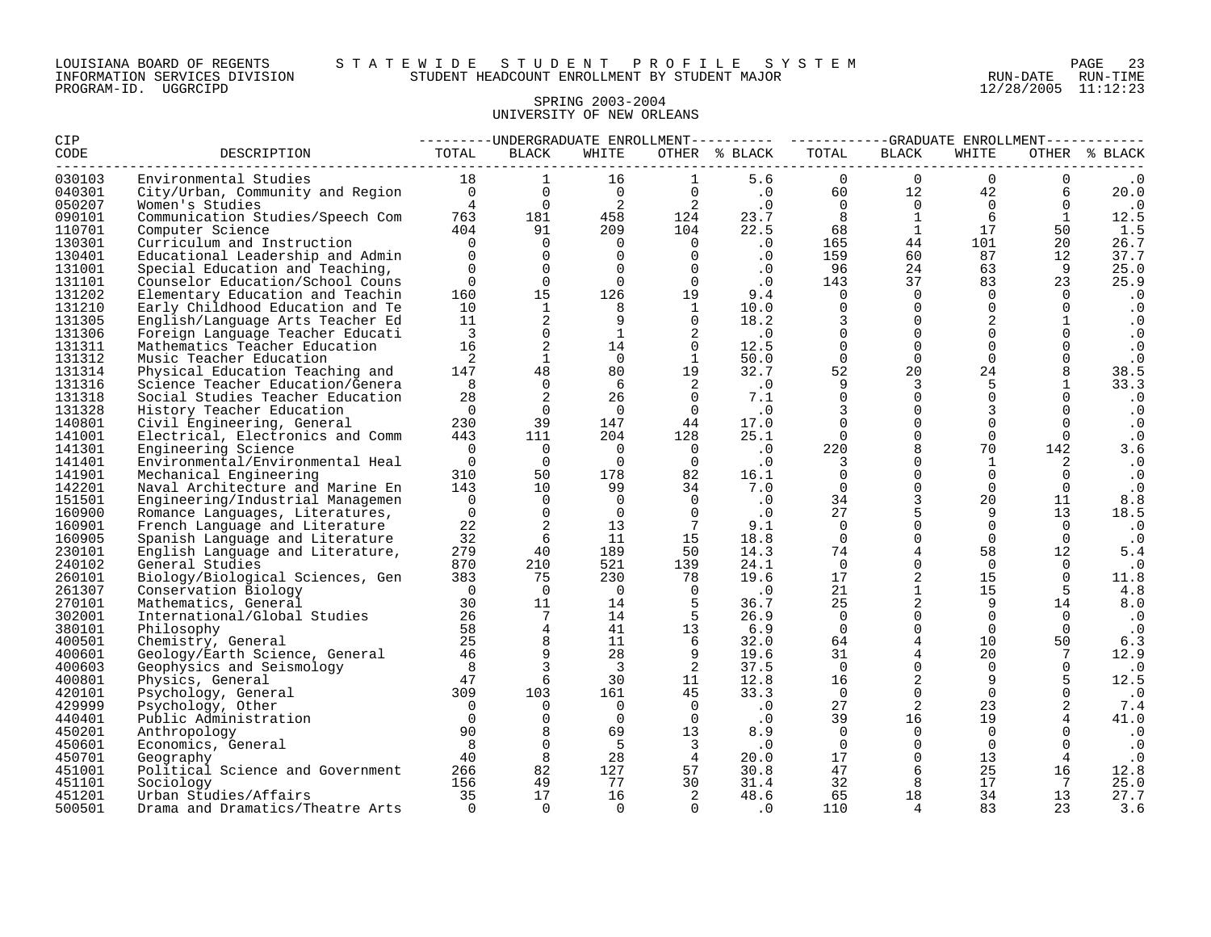#### LOUISIANA BOARD OF REGENTS S T A T E W I D E S T U D E N T P R O F I L E S Y S T E M PAGE 23 INFORMATION SERVICES DIVISION STUDENT HEADCOUNT ENROLLMENT BY STUDENT MAJOR RUN-DATE RUN-TIME

# SPRING 2003-2004 UNIVERSITY OF NEW ORLEANS

| CIP              |                                            |                |                 |                            |                            | --------UNDERGRADUATE ENROLLMENT--------- ---------GRADUATE ENROLLMENT---------- |                      |                            |                 |                      |                   |
|------------------|--------------------------------------------|----------------|-----------------|----------------------------|----------------------------|----------------------------------------------------------------------------------|----------------------|----------------------------|-----------------|----------------------|-------------------|
| CODE             | DESCRIPTION                                | TOTAL          | <b>BLACK</b>    | WHITE                      |                            | OTHER % BLACK                                                                    | TOTAL                | <b>BLACK</b>               | WHITE           |                      | OTHER % BLACK     |
| 030103           | Environmental Studies                      | 18             | $\mathbf{1}$    | 16                         |                            | 5.6                                                                              | $\mathbf 0$          | $\overline{0}$             | $\Omega$        | 0                    |                   |
| 040301           | City/Urban, Community and Region 0         |                | $\Omega$        | $\overline{0}$             | $\Omega$                   | $\overline{\phantom{a}}$ .0                                                      | 60                   | 12                         | 42              | 6                    | 20.0              |
| 050207           | Women's Studies                            | $\overline{4}$ | $\overline{0}$  | $\overline{\phantom{a}}^2$ | $\overline{\mathbf{c}}$    | $\cdot$ 0                                                                        | $\overline{0}$       | $\overline{0}$             | $\overline{0}$  | $\overline{0}$       | $\cdot$ 0         |
| 090101           | Communication Studies/Speech Com           | 763            | 181             | 458                        | 124                        | 23.7                                                                             | 8 <sup>1</sup>       | 1                          | 6               | 1                    | 12.5              |
| 110701           | Computer Science                           | 404            | 91              | 209                        | 104                        | 22.5                                                                             | 68                   | $\mathbf{1}$               | 17              | 50                   | 1.5               |
| 130301           | Curriculum and Instruction                 | $\Omega$       | $\Omega$        | $\overline{0}$             | $\overline{0}$             | $\cdot$ 0                                                                        | 165                  | 44                         | 101             | 20                   | 26.7              |
| 130401           | Educational Leadership and Admin           | $\Omega$       | $\Omega$        | $\overline{0}$             | $\Omega$                   | $\cdot$ 0                                                                        | 159                  | 60                         | 87              | 12                   | 37.7              |
| 131001           | Special Education and Teaching,            | $\Omega$       | $\Omega$        | $\Omega$                   | $\Omega$                   | $\cdot$ 0                                                                        | 96                   | 24                         | 63              | 9                    | 25.0              |
| 131101           | Counselor Education/School Couns           | $\overline{0}$ | $\overline{0}$  | $\overline{0}$             | $\overline{0}$             | $\cdot$ 0                                                                        | 143                  | 37                         | 83              | 23                   | 25.9              |
| 131202           | Elementary Education and Teachin           | 160            | 15              | 126                        | 19                         | 9.4                                                                              | $\overline{0}$       | $\overline{0}$             | $\overline{0}$  | $\Omega$             | $\cdot$ 0         |
| 131210           | Early Childhood Education and Te           | 10             | 1               | 8                          | $\overline{1}$             | 10.0                                                                             | $\Omega$             | $\Omega$                   | $\Omega$        | $\Omega$             | $\cdot$ 0         |
| 131305           | English/Language Arts Teacher Ed           | 11             | $\overline{a}$  | - 9                        | $\Omega$                   | 18.2                                                                             | 3                    | $\Omega$                   | 2               | $\mathbf{1}$         | $\cdot$ 0         |
| 131306           | Foreign Language Teacher Educati           | $\overline{3}$ | $\mathbf{0}$    | $\mathbf{1}$               | 2                          | $\cdot$ 0                                                                        | $\Omega$             | $\Omega$                   | $\Omega$        | $\Omega$             | $\cdot$ 0         |
| 131311           | Mathematics Teacher Education              | 16             | 2               | 14                         | $\overline{0}$             | 12.5                                                                             | $\Omega$             | $\Omega$                   | $\Omega$        | $\Omega$             | $\cdot$ 0         |
| 131312           | Music Teacher Education                    | 2              | $\mathbf{1}$    | $\overline{0}$             | $\mathbf{1}$               | 50.0                                                                             | $\mathbf 0$          | $\mathbf 0$                | $\mathbf 0$     | $\Omega$             | $\cdot$ 0         |
| 131314           | Physical Education Teaching and            | 147            | 48              | 80                         | 19                         | 32.7                                                                             | 52                   | 20                         | 24              | 8                    | 38.5              |
| 131316           | Science Teacher Education/Genera           | 8              | $\overline{0}$  | -6                         | $\overline{\phantom{0}}^2$ | $\overline{\phantom{0}}$ .                                                       | 9                    | 3                          | 5               | 1                    | 33.3              |
| 131318           | Social Studies Teacher Education           | 28             | 2               | 26                         | $\Omega$                   | 7.1                                                                              | $\Omega$             | $\Omega$                   | $\mathbf 0$     | $\Omega$             | $\cdot$ 0         |
| 131328           | History Teacher Education                  | $\overline{0}$ | $\Omega$        | $\overline{0}$             | $\overline{0}$             | $\cdot$ 0                                                                        | 3                    | $\Omega$                   | 3               | $\Omega$             | $\cdot$ 0         |
| 140801           | Civil Engineering, General                 | 230            | 39              | 147                        | 44                         | 17.0                                                                             | $\Omega$             | $\mathbf 0$                | $\Omega$        | $\Omega$             | $\cdot$ 0         |
| 141001           | Electrical, Electronics and Comm           | 443            | 111             | 204                        | 128                        | 25.1                                                                             | $\overline{0}$       | $\mathbf 0$                | $\Omega$        | $\Omega$             | $\cdot$ 0         |
| 141301           | Engineering Science                        | $\overline{0}$ | $\overline{0}$  | $\overline{0}$             | $\overline{0}$             | $\cdot$ 0                                                                        | 220                  | 8                          | 70              | 142                  | 3.6               |
| 141401           | Environmental/Environmental Heal           | $\overline{0}$ | $\overline{0}$  | $\overline{0}$             | $\overline{0}$             | $\cdot$ 0                                                                        | $\overline{3}$       | $\mathbf 0$                | 1               | 2                    | $\cdot$ 0         |
| 141901           | Mechanical Engineering                     | 310            | 50              | 178                        | 82                         | 16.1                                                                             | $\Omega$             | $\Omega$                   | $\Omega$        | $\Omega$             | $\cdot$ 0         |
| 142201           | Naval Architecture and Marine En           | 143            | 10              | 99                         | 34                         | 7.0                                                                              | $\Omega$             | $\Omega$                   | $\Omega$        | $\Omega$             | $\cdot$ 0         |
| 151501           | Engineering/Industrial Managemen           | $\overline{0}$ | $\overline{0}$  | $\Omega$                   | $\Omega$                   | $\cdot$ 0                                                                        | 34                   | $\mathbf{3}$               | 20              | 11                   | 8.8               |
| 160900           | Romance Languages, Literatures,            | $\mathbf 0$    | $\overline{0}$  | $\overline{0}$             | $\Omega$                   | $\cdot$ 0                                                                        | 27                   | 5                          | 9               | 13                   | 18.5              |
| 160901           | French Language and Literature             | 22             | 2               | 13                         | $\overline{7}$             | 9.1                                                                              | $\Omega$             | $\mathbf 0$                | $\mathbf 0$     | $\Omega$             | $\cdot$ 0         |
| 160905           | Spanish Language and Literature            | 32             | 6               | 11                         | 15                         | 18.8                                                                             | $\overline{0}$       | $\mathbf 0$                | $\Omega$        | $\Omega$             | $\cdot$ 0         |
| 230101           | English Language and Literature,           | 279            | 40              | 189                        | 50                         | 14.3<br>24.1                                                                     | 74                   | $\overline{4}$<br>$\Omega$ | 58              | $12 \overline{ }$    | 5.4               |
| 240102<br>260101 | General Studies                            | 870<br>383     | 210<br>75       | 521<br>230                 | 139<br>78                  | 19.6                                                                             | $\overline{0}$<br>17 | 2                          | $\Omega$<br>15  | $\Omega$<br>$\Omega$ | $\cdot$ 0<br>11.8 |
|                  | Biology/Biological Sciences, Gen           | $\overline{0}$ | $\overline{0}$  | $\overline{0}$             |                            |                                                                                  | 21                   | $\mathbf{1}$               |                 |                      |                   |
| 261307<br>270101 | Conservation Biology                       | 30             | 11              | 14                         | $\overline{0}$<br>5        | $\cdot$ 0                                                                        | 25                   | $\overline{a}$             | 15<br>9         | - 5<br>14            | 4.8               |
|                  | Mathematics, General                       | 26             | $7\overline{ }$ | 14                         | 5                          | 36.7<br>26.9                                                                     | $\overline{0}$       | $\mathbf 0$                | $\mathbf 0$     | $\Omega$             | 8.0               |
| 302001<br>380101 | International/Global Studies<br>Philosophy | 58             | $\overline{4}$  | 41                         | 13                         | 6.9                                                                              | $\overline{0}$       | $\mathbf 0$                | $\Omega$        | $\Omega$             | . 0               |
| 400501           | Chemistry, General                         | 25             | 8               | 11                         | - 6                        | 32.0                                                                             | 64                   | $\overline{4}$             | 10 <sup>°</sup> | 50                   | $\cdot$ 0<br>6.3  |
| 400601           | Geology/Earth Science, General             | 46             | 9               | 28                         |                            | 19.6                                                                             | 31                   | $\overline{4}$             | 20              | $7\phantom{.0}$      | 12.9              |
| 400603           | Geophysics and Seismology                  | 8              | $\overline{3}$  | 3                          | $\overline{2}$             | 37.5                                                                             | $\Omega$             | $\Omega$                   | $\Omega$        | $\Omega$             | $\cdot$ 0         |
| 400801           | Physics, General                           | 47             | 6               | 30                         | 11                         | 12.8                                                                             | 16                   | $\overline{a}$             | 9               | 5                    | 12.5              |
| 420101           | Psychology, General                        | 309            | 103             | 161                        | 45                         | 33.3                                                                             | $\overline{0}$       | $\Omega$                   | $\Omega$        | $\Omega$             | $\cdot$ 0         |
| 429999           | Psychology, Other                          | $\Omega$       | $\Omega$        | $\overline{0}$             | $\overline{0}$             | $\cdot$ 0                                                                        | 27                   | 2                          | 23              | 2                    | 7.4               |
| 440401           | Public Administration                      | $\Omega$       | $\mathbf 0$     | $\overline{0}$             | $\overline{0}$             | $\cdot$ 0                                                                        | 39                   | 16                         | 19              |                      | 41.0              |
| 450201           | Anthropology                               | 90             | 8               | 69                         | 13                         | 8.9                                                                              | $\Omega$             | $\Omega$                   | $\Omega$        |                      | $\cdot$ 0         |
| 450601           | Economics, General                         | 8              | $\Omega$        | 5                          | $\overline{\mathbf{3}}$    | $\cdot$ 0                                                                        | $\overline{0}$       | $\Omega$                   | $\overline{0}$  | $\Omega$             | $\cdot$ 0         |
| 450701           | Geography                                  | 40             | 8               | 28                         | $\overline{4}$             | 20.0                                                                             | 17                   | $\Omega$                   | 13              | $\overline{4}$       | $\cdot$ 0         |
| 451001           | Political Science and Government           | 266            | 82              | 127                        | 57                         | 30.8                                                                             | 47                   | 6                          | 25              | 16                   | 12.8              |
| 451101           | Sociology                                  | 156            | 49              | 77                         | 30                         | 31.4                                                                             | 32                   | 8                          | 17              | 7                    | 25.0              |
| 451201           | Urban Studies/Affairs                      | 35             | 17              | 16                         | 2                          | 48.6                                                                             | 65                   | 18                         | 34              | 13                   | 27.7              |
| 500501           | Drama and Dramatics/Theatre Arts           | $\Omega$       | $\Omega$        | $\Omega$                   | $\Omega$                   | $\cdot$ 0                                                                        | 110                  | $\overline{4}$             | 83              | 23                   | 3.6               |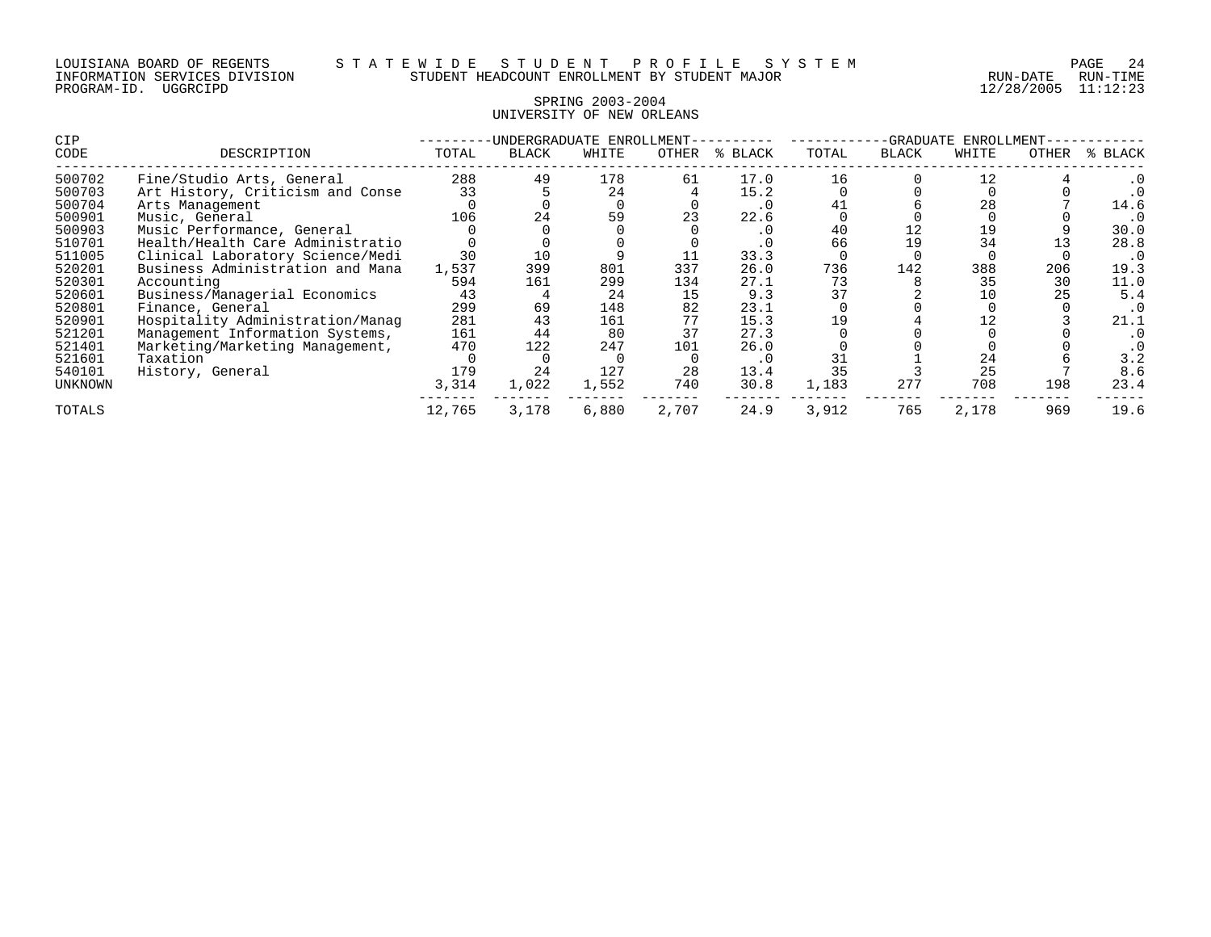# SPRING 2003-2004 UNIVERSITY OF NEW ORLEANS

| <b>CIP</b>     |                                  |        | -UNDERGRADUATE ENROLLMENT- |       |       |         |       | -GRADUATE    | ENROLLMENT |       |         |
|----------------|----------------------------------|--------|----------------------------|-------|-------|---------|-------|--------------|------------|-------|---------|
| CODE           | DESCRIPTION                      | TOTAL  | BLACK                      | WHITE | OTHER | % BLACK | TOTAL | <b>BLACK</b> | WHITE      | OTHER | % BLACK |
| 500702         | Fine/Studio Arts, General        | 288    | 49                         | 178   | 61    | 17.0    | 16    |              | 12         |       |         |
| 500703         | Art History, Criticism and Conse | 33     |                            | 24    |       | 15.2    |       |              |            |       |         |
| 500704         | Arts Management                  |        |                            |       |       | . 0     |       |              | 28         |       | 14.6    |
| 500901         | Music, General                   | 106    | 24                         | 59    |       | 22.6    |       |              |            |       |         |
| 500903         | Music Performance, General       |        |                            |       |       | . 0     | 40    | 12           | 19         |       | 30.0    |
| 510701         | Health/Health Care Administratio |        |                            |       |       |         | 66    | 19           | 34         |       | 28.8    |
| 511005         | Clinical Laboratory Science/Medi | 30     |                            |       |       | 33.3    |       |              |            |       |         |
| 520201         | Business Administration and Mana | 1,537  | 399                        | 801   | 337   | 26.0    | 736   | 142          | 388        | 206   | 19.3    |
| 520301         | Accounting                       | 594    | 161                        | 299   | 134   | 27.1    | 73    |              | 35         | 30    | 11.0    |
| 520601         | Business/Managerial Economics    | 43     |                            | 24    | 15    | 9.3     |       |              | 10         | 25    | 5.4     |
| 520801         | Finance, General                 | 299    | 69                         | 148   | 82    | 23.1    |       |              |            |       |         |
| 520901         | Hospitality Administration/Manaq | 281    | 43                         | 161   | 77    | 15.3    | 19    |              |            |       | 21.1    |
| 521201         | Management Information Systems,  | 161    | 44                         | 80    | 37    | 27.3    |       |              |            |       |         |
| 521401         | Marketing/Marketing Management,  | 470    | 122                        | 247   | 101   | 26.0    |       |              |            |       |         |
| 521601         | Taxation                         |        |                            |       |       | . 0     |       |              | 24         |       | 3.2     |
| 540101         | History, General                 | 179    | 24                         | 127   | 28    | 13.4    |       |              | 25         |       | 8.6     |
| <b>UNKNOWN</b> |                                  | 3,314  | 1,022                      | 1,552 | 740   | 30.8    | 1,183 | 277          | 708        | 198   | 23.4    |
| TOTALS         |                                  | 12,765 | 3,178                      | 6,880 | 2,707 | 24.9    | 3,912 | 765          | 2,178      | 969   | 19.6    |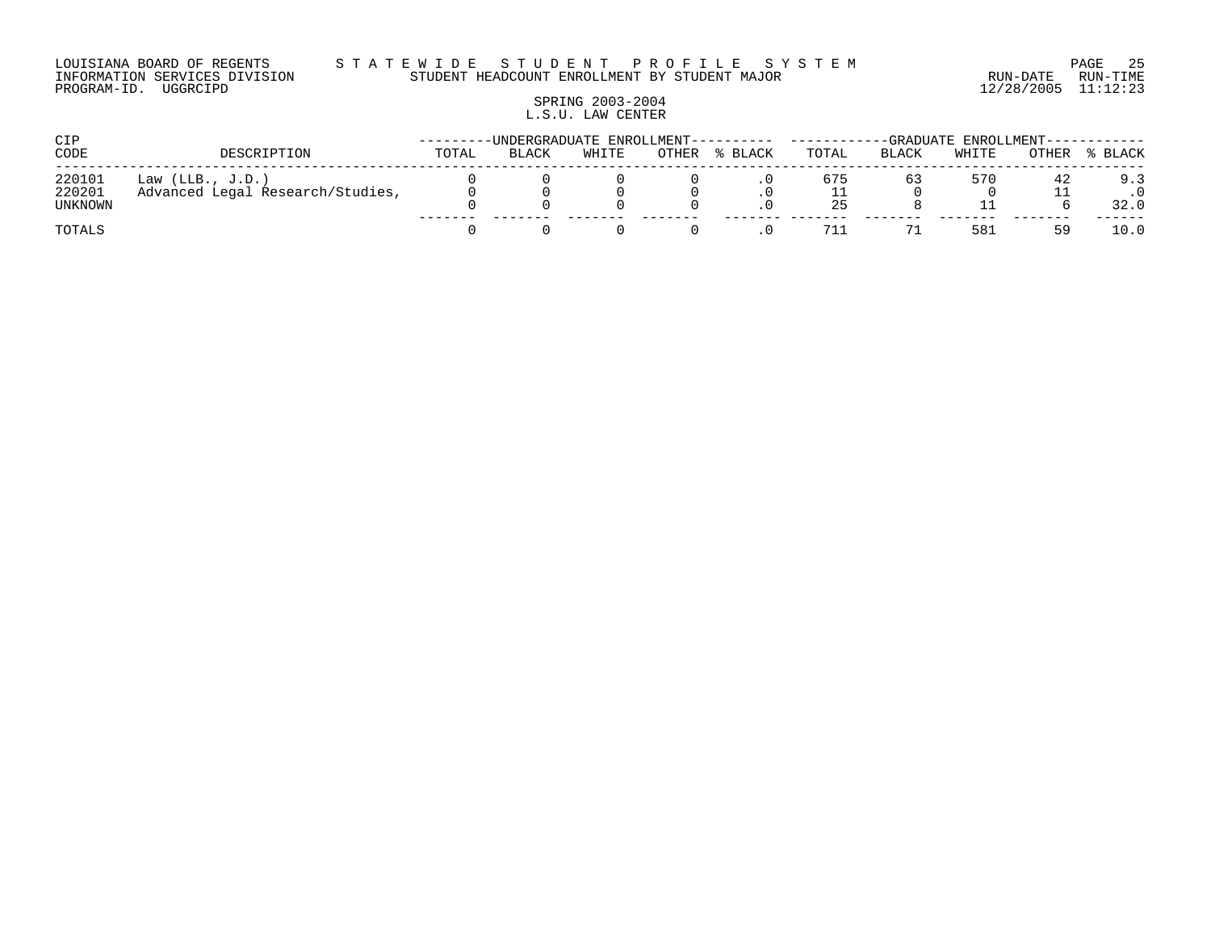#### LOUISIANA BOARD OF REGENTS S T A T E W I D E S T U D E N T P R O F I L E S Y S T E M PAGE 25 INFORMATION SERVICES DIVISION STUDENT HEADCOUNT ENROLLMENT BY STUDENT MAJOR RUN-DATE RUN-TIME

# SPRING 2003-2004 L.S.U. LAW CENTER

| CIP                         |                                                        |       | -UNDERGRADUATE ENROLLMENT---------- ------ |       |       |         | -GRADUATE ENROLLMENT----------- |       |       |       |             |
|-----------------------------|--------------------------------------------------------|-------|--------------------------------------------|-------|-------|---------|---------------------------------|-------|-------|-------|-------------|
| CODE                        | DESCRIPTION                                            | TOTAL | BLACK                                      | WHITE | OTHER | % BLACK | TOTAL                           | BLACK | WHITE | OTHER | % BLACK     |
| 220101<br>220201<br>UNKNOWN | Law $(LLB., J.D.)$<br>Advanced Legal Research/Studies, |       |                                            |       |       |         | 675<br>25                       | 63    | 570   |       | 9.3<br>32.0 |
| TOTALS                      |                                                        |       |                                            |       |       |         | 711                             |       | 581   |       | 10.0        |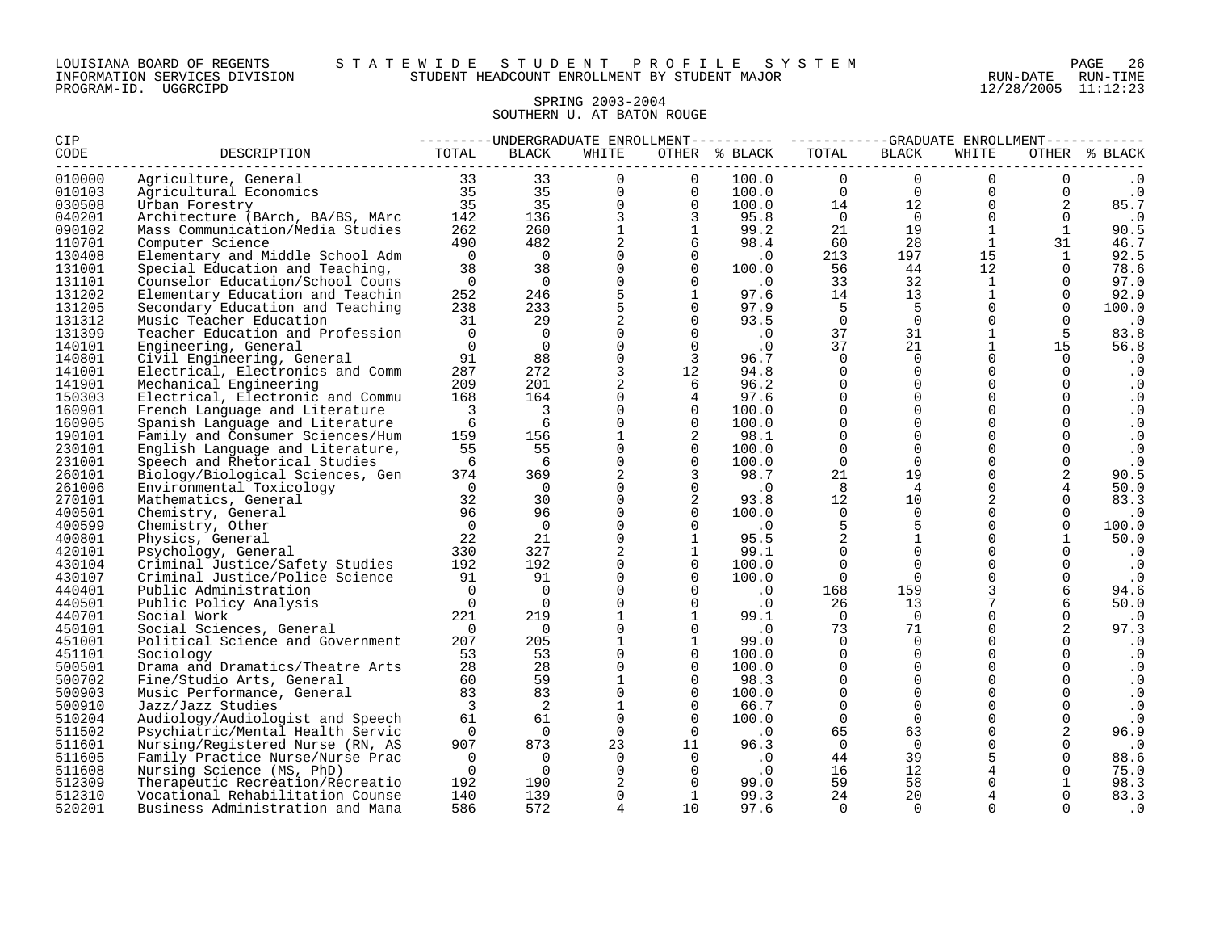#### SPRING 2003-2004 SOUTHERN U. AT BATON ROUGE

| <b>CIP</b> |                                                                                                                                                                                                                                                                                               |                                        |                         |                |                                  | --------UNDERGRADUATE ENROLLMENT---------- ---------GRADUATE ENROLLMENT----------                |                 |                |              |                                                               |               |
|------------|-----------------------------------------------------------------------------------------------------------------------------------------------------------------------------------------------------------------------------------------------------------------------------------------------|----------------------------------------|-------------------------|----------------|----------------------------------|--------------------------------------------------------------------------------------------------|-----------------|----------------|--------------|---------------------------------------------------------------|---------------|
| CODE       | DESCRIPTION<br>Agriculture, General<br>Agricultural Economics<br>Urban Forestry<br>Architecture (BArch, BA/BS, MArc<br>142<br>136<br>262<br>260<br>11<br>1490<br>482<br>26<br>260<br>10<br>10<br>26<br>26<br>260<br>11<br>490<br>26<br>26<br>26<br>26<br>26<br>26<br>20<br>26<br>26<br>26<br> |                                        |                         |                |                                  | OTHER % BLACK                                                                                    | TOTAL           | BLACK          | WHITE        |                                                               | OTHER % BLACK |
| 010000     |                                                                                                                                                                                                                                                                                               |                                        |                         |                |                                  | $\begin{array}{cccc} 100.0 & 0 & 0 \ 100.0 & 0 & 0 \ 100.0 & 14 & 12 \ 95.8 & 0 & 0 \end{array}$ |                 |                | $\Omega$     | $\overline{0}$                                                | $\cdot$ 0     |
| 010103     |                                                                                                                                                                                                                                                                                               |                                        |                         |                |                                  |                                                                                                  |                 |                |              | $\begin{bmatrix} 0 \\ 0 \\ 0 \end{bmatrix}$<br>$\overline{0}$ | $\cdot$ 0     |
| 030508     |                                                                                                                                                                                                                                                                                               |                                        |                         |                |                                  |                                                                                                  |                 |                |              | $\overline{2}$                                                | 85.7          |
| 040201     |                                                                                                                                                                                                                                                                                               |                                        |                         |                |                                  |                                                                                                  |                 |                | $\Omega$     | $\Omega$                                                      | $\cdot$ 0     |
| 090102     |                                                                                                                                                                                                                                                                                               |                                        |                         |                |                                  | 99.2                                                                                             | 21              | 19             | 1            | $\overline{1}$                                                | 90.5          |
| 110701     |                                                                                                                                                                                                                                                                                               |                                        |                         |                |                                  | 98.4                                                                                             | 60              | 28             | $\mathbf{1}$ | 31                                                            | 46.7          |
| 130408     |                                                                                                                                                                                                                                                                                               |                                        |                         |                |                                  | $\begin{array}{ccc} & & 0 & \end{array}$ . O                                                     | 213             | 197            | 15           | 1                                                             | 92.5          |
| 131001     | Special Education and Teaching,                                                                                                                                                                                                                                                               | 38                                     | 38                      | $\overline{0}$ | $\begin{matrix}0\\0\end{matrix}$ | 100.0                                                                                            | 56              | 44             | 12           |                                                               | 78.6          |
| 131101     | Counselor Education/School Couns                                                                                                                                                                                                                                                              | $\overline{0}$                         | $\overline{0}$          | $\Omega$       |                                  | $\overline{\phantom{0}}$ .                                                                       | 33              | 32             | $\mathbf{1}$ | $\Omega$                                                      | 97.0          |
| 131202     | Elementary Education and Teachin                                                                                                                                                                                                                                                              | 252                                    | 246                     | $5^{\circ}$    | $\frac{1}{0}$                    | 97.6                                                                                             | 14              | 13             | $\mathbf{1}$ | $\Omega$                                                      | 92.9          |
| 131205     | Secondary Education and Teaching                                                                                                                                                                                                                                                              | 238                                    | 233                     | 5 <sub>5</sub> |                                  | $0$ 97.9                                                                                         | $-5$            | 5 <sup>5</sup> | $\Omega$     | $\Omega$                                                      | 100.0         |
| 131312     | Music Teacher Education                                                                                                                                                                                                                                                                       | 31                                     | 29                      | $\overline{2}$ |                                  | $0 \t 93.5$<br>93.5<br>$.0$                                                                      | $\overline{0}$  | $\overline{0}$ | $\Omega$     | $\Omega$                                                      | $\cdot$ 0     |
| 131399     | Teacher Education and Profession                                                                                                                                                                                                                                                              | $\overline{0}$                         | $\overline{0}$          | $\overline{0}$ | $\overline{0}$                   |                                                                                                  | 37              | 31             | $\mathbf{1}$ | 5                                                             | 83.8          |
| 140101     | Engineering, General                                                                                                                                                                                                                                                                          | $\overline{0}$                         | $\overline{0}$          | $\Omega$       |                                  | $\overline{0}$ . $0$                                                                             | 37              | 21             | $\mathbf{1}$ | 15                                                            | 56.8          |
| 140801     | Civil Engineering, General                                                                                                                                                                                                                                                                    | 91                                     | 88                      | $\Omega$       |                                  | 3 96.7                                                                                           | $\Omega$        | $\Omega$       | $\Omega$     | $\Omega$                                                      | . 0           |
| 141001     | Electrical, Electronics and Comm                                                                                                                                                                                                                                                              | 287                                    | 272                     | $3^{\circ}$    | 12                               | 94.8                                                                                             | $\Omega$        | $\Omega$       | $\Omega$     | $\Omega$                                                      | . 0           |
| 141901     | Mechanical Engineering                                                                                                                                                                                                                                                                        | 209                                    | 201                     | $\overline{2}$ | 6                                | 96.2                                                                                             | $\Omega$        | $\Omega$       | $\Omega$     | $\Omega$                                                      | $\cdot$ 0     |
| 150303     | Electrical, Electronic and Commu                                                                                                                                                                                                                                                              | 168                                    | 164                     | $\mathbf 0$    | $\overline{4}$                   | 97.6                                                                                             | $\mathbf 0$     | $\overline{0}$ | $\mathbf{0}$ | 0                                                             | $\cdot$ 0     |
| 160901     | French Language and Literature                                                                                                                                                                                                                                                                | $\overline{\phantom{a}}$               | $\overline{\mathbf{3}}$ | $\Omega$       | $\overline{\phantom{0}}$         | 100.0                                                                                            | $\Omega$        | $\Omega$       | $\Omega$     | $\Omega$                                                      | $\cdot$ 0     |
| 160905     | Spanish Language and Literature                                                                                                                                                                                                                                                               | 6                                      | 6                       | $\mathbf{0}$   | $\overline{0}$                   | 100.0                                                                                            | $\Omega$        | $\Omega$       | $\Omega$     | $\Omega$                                                      | $\cdot$ 0     |
| 190101     | Family and Consumer Sciences/Hum                                                                                                                                                                                                                                                              | 159                                    | 156                     | 1              | $\overline{\phantom{0}}^2$       | 98.1                                                                                             | $\Omega$        | $\Omega$       | $\Omega$     | $\Omega$                                                      | $\cdot$ 0     |
| 230101     | English Language and Literature,                                                                                                                                                                                                                                                              | 55                                     | 55                      | $\Omega$       | $\overline{0}$                   | 100.0                                                                                            | $\Omega$        | $\Omega$       | $\Omega$     |                                                               | $\cdot$ 0     |
| 231001     | Speech and Rhetorical Studies                                                                                                                                                                                                                                                                 | 6                                      | 6                       | $\Omega$       | $\overline{0}$                   | 100.0                                                                                            | $\Omega$        | $\overline{0}$ | $\Omega$     | $\Omega$                                                      | $\cdot$ 0     |
| 260101     | Biology/Biological Sciences, Gen                                                                                                                                                                                                                                                              | 374                                    | 369                     | 2              | $\overline{\phantom{a}}$         | 98.7                                                                                             | 21              | 19             | $\Omega$     | 2                                                             | 90.5          |
| 261006     | Environmental Toxicology                                                                                                                                                                                                                                                                      | $\overline{0}$                         | $\overline{0}$          | $\overline{0}$ | $\overline{0}$                   | $\cdot$ 0                                                                                        | 8               | $\overline{4}$ | $\Omega$     |                                                               | 50.0          |
| 270101     | Mathematics, General                                                                                                                                                                                                                                                                          | $\begin{array}{c}0\\32\\96\end{array}$ | 30                      | $\Omega$       | $\overline{\phantom{a}}$         | 93.8                                                                                             | 12 <sup>°</sup> | 10             | 2            | $\Omega$                                                      | 83.3          |
| 400501     | Chemistry, General                                                                                                                                                                                                                                                                            |                                        | 96                      | $\Omega$       | $\overline{0}$                   | 100.0                                                                                            | $\Omega$        | $\overline{0}$ | $\Omega$     |                                                               | . 0           |
| 400599     | Chemistry, Other                                                                                                                                                                                                                                                                              | $\overline{0}$                         | $\overline{0}$          | $\overline{0}$ | $\Omega$                         | $\overline{\phantom{0}}$ .                                                                       | 5               | 5              | $\Omega$     | $\Omega$                                                      | 100.0         |
| 400801     | Physics, General                                                                                                                                                                                                                                                                              | $\frac{22}{330}$                       | 21                      | $\Omega$       | $\mathbf{1}$                     | 95.5                                                                                             |                 | $\mathbf{1}$   | $\Omega$     |                                                               | 50.0          |
| 420101     | Psychology, General                                                                                                                                                                                                                                                                           |                                        | 327                     | $\overline{2}$ | $\mathbf{1}$                     | 99.1                                                                                             | $\mathbf 0$     | $\overline{0}$ | $\Omega$     |                                                               | . 0           |
| 430104     | Criminal Justice/Safety Studies                                                                                                                                                                                                                                                               | $\frac{192}{2}$                        | 192                     | $\overline{0}$ | $\overline{0}$                   | 100.0                                                                                            | $\overline{0}$  | $\Omega$       | $\Omega$     | $\Omega$                                                      | . 0           |
| 430107     | Criminal Justice/Police Science                                                                                                                                                                                                                                                               | 91                                     | 91                      | $\overline{0}$ | $\overline{0}$                   | 100.0                                                                                            | $\overline{0}$  | $\overline{0}$ |              | 0                                                             | $\cdot$ 0     |
| 440401     | Public Administration                                                                                                                                                                                                                                                                         | $\overline{0}$                         | $\Omega$                | $\Omega$       | $\Omega$                         |                                                                                                  | 168             | 159            |              | 6                                                             | 94.6          |
| 440501     | Public Policy Analysis                                                                                                                                                                                                                                                                        | $\overline{0}$                         | $\bigcirc$              | $\Omega$       | $\Omega$                         | $\begin{array}{c} 0 \\ 0 \end{array}$                                                            | 26              | 13             |              |                                                               | 50.0          |
| 440701     | Social Work                                                                                                                                                                                                                                                                                   | 221                                    | 219                     | $\mathbf{1}$   | 1                                | 99.1                                                                                             | $\overline{0}$  | $\overline{0}$ | $\Omega$     | 0                                                             | $\cdot$ 0     |
| 450101     | Social Sciences, General                                                                                                                                                                                                                                                                      | $\overline{0}$                         | $\overline{0}$          | $\Omega$       | $\Omega$                         | $\overline{\phantom{0}}$ .                                                                       | 73              | 71             | $\Omega$     | 2                                                             | 97.3          |
| 451001     | Political Science and Government                                                                                                                                                                                                                                                              | 207                                    | 205                     | $\mathbf{1}$   | $\overline{1}$                   | 99.0                                                                                             | $\Omega$        | $\overline{0}$ | $\Omega$     |                                                               | . 0           |
| 451101     | Sociology                                                                                                                                                                                                                                                                                     | 53                                     | 53                      | $\mathbf{0}$   | $\overline{0}$                   | 100.0                                                                                            | $\Omega$        | $\overline{0}$ | $\Omega$     | $\Omega$                                                      | . 0           |
| 500501     | Drama and Dramatics/Theatre Arts                                                                                                                                                                                                                                                              | 28                                     | 28                      | $\Omega$       | $\overline{0}$                   | 100.0                                                                                            | $\Omega$        | $\Omega$       | $\Omega$     |                                                               | $\cdot$ 0     |
| 500702     | Fine/Studio Arts, General                                                                                                                                                                                                                                                                     | 60                                     | 59                      | $\mathbf{1}$   | $\Omega$                         | 98.3                                                                                             | $\Omega$        | $\Omega$       | $\Omega$     | $\Omega$                                                      | $\cdot$ 0     |
| 500903     | Music Performance, General                                                                                                                                                                                                                                                                    | 83                                     | 83                      | $\Omega$       | $\overline{0}$                   | 100.0                                                                                            | $\Omega$        | $\Omega$       | $\Omega$     |                                                               | $\cdot$ 0     |
| 500910     | Jazz/Jazz Studies                                                                                                                                                                                                                                                                             | $\overline{3}$                         | 2                       | $\mathbf{1}$   | $\Omega$                         | 66.7                                                                                             | $\Omega$        | $\Omega$       | $\Omega$     |                                                               | $\cdot$ 0     |
| 510204     | Audiology/Audiologist and Speech                                                                                                                                                                                                                                                              | 61                                     | 61                      | $\Omega$       | $\overline{0}$                   | 100.0                                                                                            | $\Omega$        | $\overline{0}$ | $\Omega$     | 0                                                             | $\cdot$ 0     |
| 511502     | Psychiatric/Mental Health Servic                                                                                                                                                                                                                                                              | $\overline{0}$                         | $\overline{0}$          | $\overline{0}$ | $\overline{0}$                   | $\sim$ 0                                                                                         | 65              | 63             | 0            |                                                               | 96.9          |
| 511601     | Nursing/Registered Nurse (RN, AS                                                                                                                                                                                                                                                              | 907                                    | 873                     |                |                                  | $\begin{matrix} 0 & 0 \\ 23 & 11 & 96.3 \\ 0 & 0 & 0 \\ 0 & 0 & 0 \end{matrix}$                  | $\overline{0}$  | $\Omega$       | $\Omega$     |                                                               | $\cdot$ 0     |
| 511605     | Family Practice Nurse/Nurse Prac                                                                                                                                                                                                                                                              | $\overline{0}$                         | $\overline{0}$          |                |                                  |                                                                                                  | 44              | 39             |              | $\Omega$                                                      | 88.6          |
| 511608     | Nursing Science (MS, PhD)                                                                                                                                                                                                                                                                     | $\overline{0}$                         | $\overline{0}$          | $\overline{0}$ | $\overline{0}$                   | $\cdot$ 0                                                                                        | 16              | 12             |              | $\Omega$                                                      | 75.0          |
| 512309     | Therapeutic Recreation/Recreatio                                                                                                                                                                                                                                                              | 192                                    | 190                     | 2              |                                  | $\overline{0}$ 99.0                                                                              | 59              | 58             |              | $\mathbf{1}$                                                  | 98.3          |
| 512310     | Vocational Rehabilitation Counse                                                                                                                                                                                                                                                              | 140                                    | 139                     | $\Omega$       | $\overline{1}$                   | 99.3                                                                                             | 24              | 20             |              |                                                               | 83.3          |
| 520201     | Business Administration and Mana                                                                                                                                                                                                                                                              | 586                                    | 572                     | $\overline{4}$ | 10                               | 97.6                                                                                             | $\Omega$        | $\Omega$       | $\Omega$     | $\Omega$                                                      | . 0           |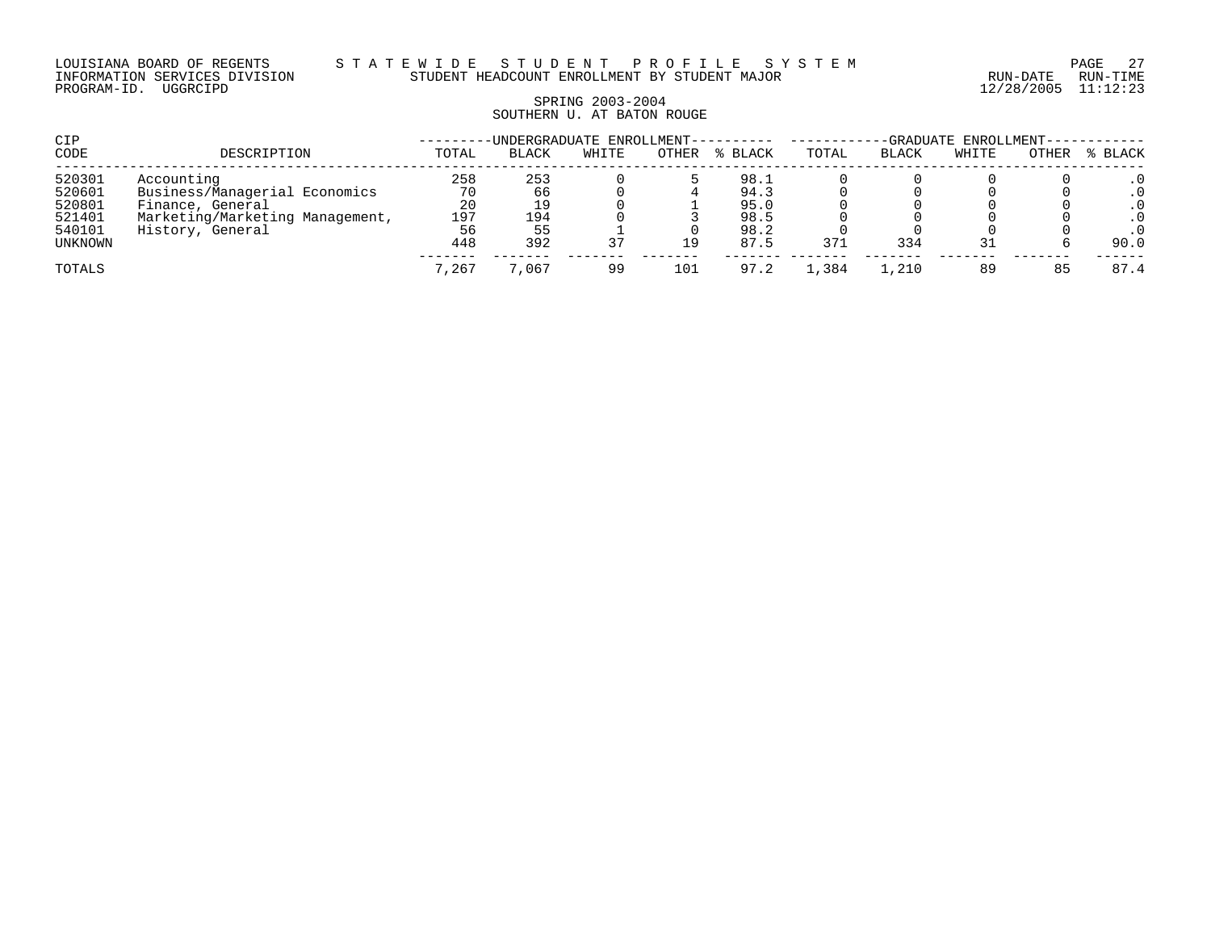#### LOUISIANA BOARD OF REGENTS S T A T E W I D E S T U D E N T P R O F I L E S Y S T E M PAGE 27 INFORMATION SERVICES DIVISION STUDENT HEADCOUNT ENROLLMENT BY STUDENT MAJOR RUN-DATE RUN-TIME

# SPRING 2003-2004 SOUTHERN U. AT BATON ROUGE

| CIP     |                                 |       | -UNDERGRADUATE ENROLLMENT---------- |       | -GRADUATE ENROLLMENT----- |         |       |       |       |       |           |
|---------|---------------------------------|-------|-------------------------------------|-------|---------------------------|---------|-------|-------|-------|-------|-----------|
| CODE    | DESCRIPTION                     | TOTAL | <b>BLACK</b>                        | WHITE | OTHER                     | % BLACK | TOTAL | BLACK | WHITE | OTHER | % BLACK   |
| 520301  | Accounting                      | 258   | 253                                 |       |                           | 98.1    |       |       |       |       |           |
| 520601  | Business/Managerial Economics   | 70    | 66                                  |       |                           | 94.3    |       |       |       |       | $\cdot$ 0 |
| 520801  | Finance, General                | 20    | 19                                  |       |                           | 95.0    |       |       |       |       | . 0       |
| 521401  | Marketing/Marketing Management, | 197   | 194                                 |       |                           | 98.5    |       |       |       |       | . 0       |
| 540101  | History, General                | 56    | 55                                  |       |                           | 98.2    |       |       |       |       | . 0       |
| UNKNOWN |                                 | 448   | 392                                 | 37    | 19                        | 87.5    | 371   | 334   |       |       | 90.0      |
| TOTALS  |                                 | 7,267 | .067                                | 99    | 101                       | 97.2    | 1,384 | 1,210 | 89    | 85    | 87.4      |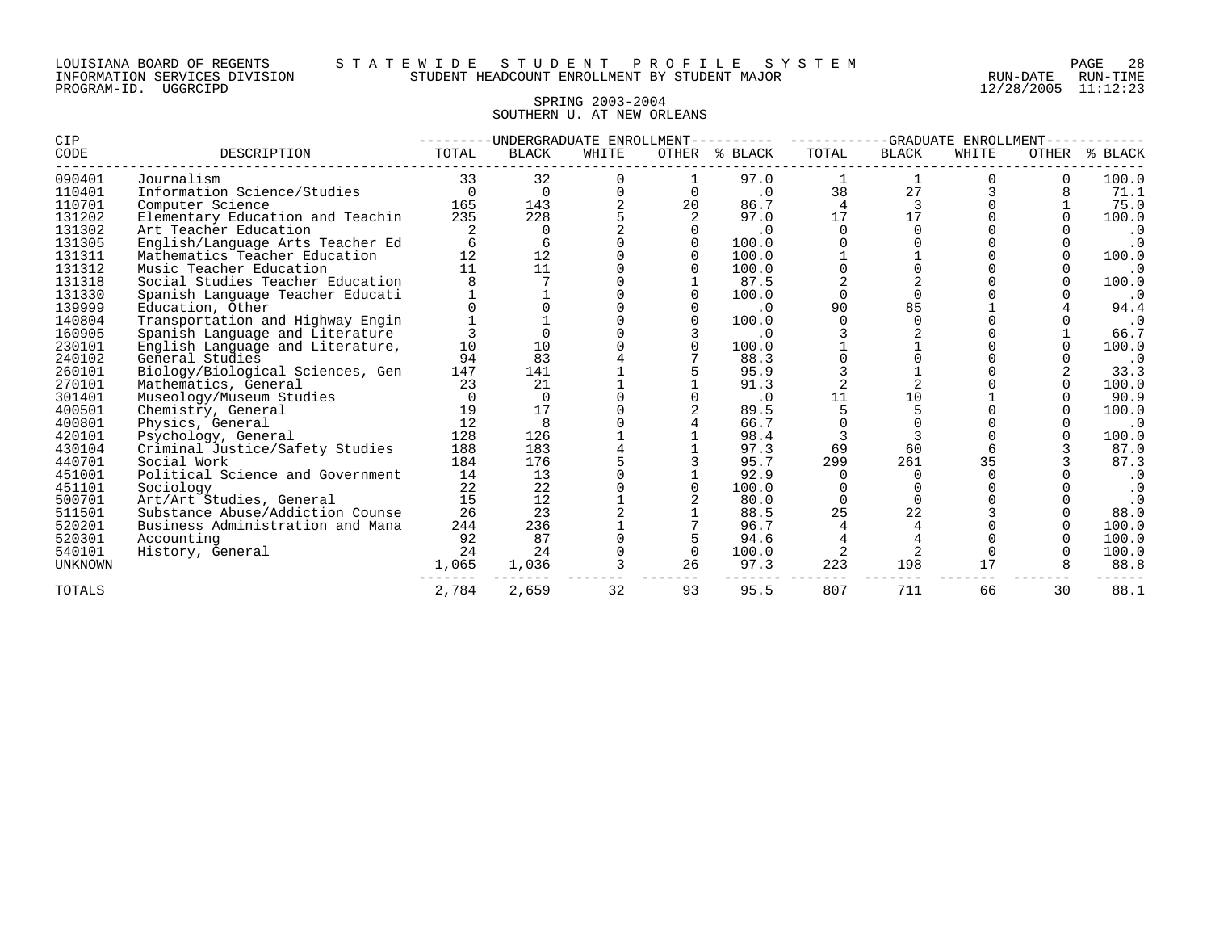# SPRING 2003-2004 SOUTHERN U. AT NEW ORLEANS

| CIP            |                                  | -UNDERGRADUATE ENROLLMENT- |              |       |    |               |       | -GRADUATE<br>ENROLLMENT |       |       |           |  |
|----------------|----------------------------------|----------------------------|--------------|-------|----|---------------|-------|-------------------------|-------|-------|-----------|--|
| CODE           | DESCRIPTION                      | TOTAL                      | <b>BLACK</b> | WHITE |    | OTHER % BLACK | TOTAL | <b>BLACK</b>            | WHITE | OTHER | % BLACK   |  |
| 090401         | Journalism                       | 33                         | 32           |       |    | 97.0          |       |                         |       |       | 100.0     |  |
| 110401         | Information Science/Studies      | 0                          | $\Omega$     |       |    | $\cdot$ 0     | 38    | 27                      |       |       | 71.1      |  |
| 110701         | Computer Science                 | 165                        | 143          |       | 20 | 86.7          |       | 3                       |       |       | 75.0      |  |
| 131202         | Elementary Education and Teachin | 235                        | 228          |       |    | 97.0          | 17    | 17                      |       |       | 100.0     |  |
| 131302         | Art Teacher Education            |                            |              |       |    | $\cdot$ 0     |       |                         |       |       | $\cdot$ 0 |  |
| 131305         | English/Language Arts Teacher Ed |                            |              |       |    | 100.0         |       |                         |       |       | $\cdot$ 0 |  |
| 131311         | Mathematics Teacher Education    | 12                         | 12           |       |    | 100.0         |       |                         |       |       | 100.0     |  |
| 131312         | Music Teacher Education          | 11                         | 11           |       |    | 100.0         |       |                         |       |       | $\cdot$ 0 |  |
| 131318         | Social Studies Teacher Education |                            |              |       |    | 87.5          |       |                         |       |       | 100.0     |  |
| 131330         | Spanish Language Teacher Educati |                            |              |       |    | 100.0         |       | $\Omega$                |       |       | $\cdot$ 0 |  |
| 139999         | Education, Other                 |                            |              |       |    | $\cdot$ 0     | 90    | 85                      |       |       | 94.4      |  |
| 140804         | Transportation and Highway Engin |                            |              |       |    | 100.0         |       | $\Omega$                |       |       | $\cdot$ 0 |  |
| 160905         | Spanish Language and Literature  |                            |              |       |    | $\cdot$ 0     |       |                         |       |       | 66.7      |  |
| 230101         | English Language and Literature, | 10                         | 10           |       |    | 100.0         |       |                         |       |       | 100.0     |  |
| 240102         | General Studies                  | 94                         | 83           |       |    | 88.3          |       |                         |       |       | $\cdot$ 0 |  |
| 260101         | Biology/Biological Sciences, Gen | 147                        | 141          |       |    | 95.9          |       |                         |       |       | 33.3      |  |
| 270101         | Mathematics, General             | 23                         | 21           |       |    | 91.3          |       | $\overline{2}$          |       |       | 100.0     |  |
| 301401         | Museology/Museum Studies         |                            |              |       |    | $\cdot$ 0     | 11    | 10                      |       |       | 90.9      |  |
| 400501         | Chemistry, General               | 19                         | 17           |       |    | 89.5          |       |                         |       |       | 100.0     |  |
| 400801         | Physics, General                 | 12                         | 8            |       |    | 66.7          |       |                         |       |       | $\cdot$ 0 |  |
| 420101         | Psychology, General              | 128                        | 126          |       |    | 98.4          |       |                         |       |       | 100.0     |  |
| 430104         | Criminal Justice/Safety Studies  | 188                        | 183          |       |    | 97.3          | 69    | 60                      |       |       | 87.0      |  |
| 440701         | Social Work                      | 184                        | 176          |       |    | 95.7          | 299   | 261                     | 35    |       | 87.3      |  |
| 451001         | Political Science and Government | 14                         | 13           |       |    | 92.9          |       | 0                       |       |       | $\cdot$ 0 |  |
| 451101         | Sociology                        | 22                         | 22           |       |    | 100.0         |       |                         |       |       | $\cdot$ 0 |  |
| 500701         | Art/Art Studies, General         | 15                         | 12           |       |    | 80.0          |       | $\overline{0}$          |       |       | $\cdot$ 0 |  |
| 511501         | Substance Abuse/Addiction Counse | 26                         | 23           |       |    | 88.5          | 25    | 22                      |       |       | 88.0      |  |
| 520201         | Business Administration and Mana | 244                        | 236          |       |    | 96.7          |       | 4                       |       |       | 100.0     |  |
| 520301         | Accounting                       | 92                         | 87           |       |    | 94.6          |       |                         |       |       | 100.0     |  |
| 540101         | History, General                 | 24                         | 24           |       |    | 100.0         |       | $\overline{2}$          |       |       | 100.0     |  |
| <b>UNKNOWN</b> |                                  | 1,065                      | 1,036        |       | 26 | 97.3          | 223   | 198                     | 17    |       | 88.8      |  |
| <b>TOTALS</b>  |                                  | 2,784                      | 2,659        | 32    | 93 | 95.5          | 807   | 711                     | 66    | 30    | 88.1      |  |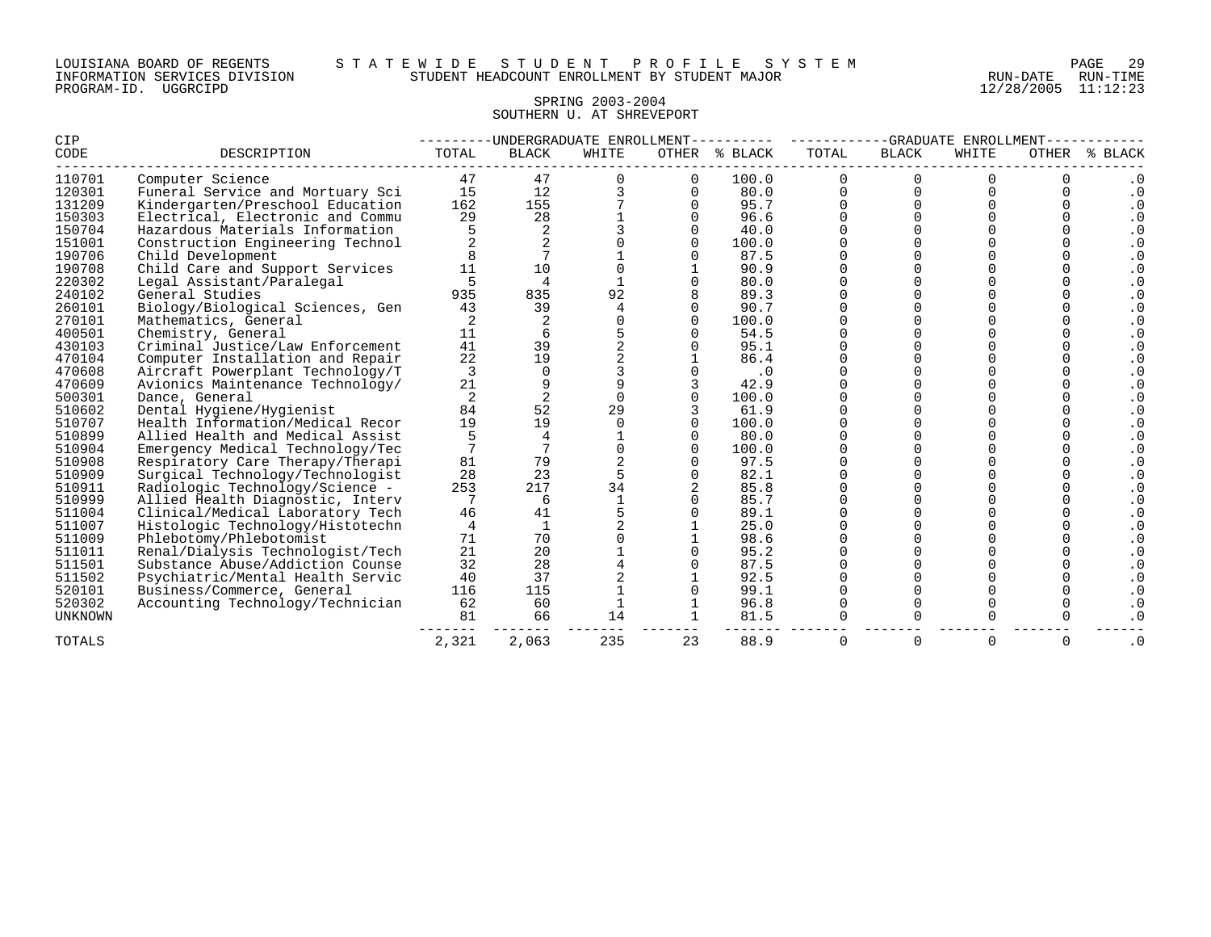#### SPRING 2003-2004 SOUTHERN U. AT SHREVEPORT

| CIP            |                                  | -UNDERGRADUATE ENROLLMENT- |                |        |       |           | -GRADUATE<br>ENROLLMENT- |              |       |             |                        |
|----------------|----------------------------------|----------------------------|----------------|--------|-------|-----------|--------------------------|--------------|-------|-------------|------------------------|
| CODE           | DESCRIPTION                      | TOTAL                      | <b>BLACK</b>   | WHITE  | OTHER | % BLACK   | TOTAL                    | <b>BLACK</b> | WHITE | OTHER       | <b>BLACK</b><br>ႜ      |
| 110701         | Computer Science                 | 47                         | 47             |        |       | 100.0     | $\Omega$                 |              |       |             | . 0                    |
| 120301         | Funeral Service and Mortuary Sci | 15                         | 12             |        |       | 80.0      | $\Omega$                 |              |       |             | $\cdot$ 0              |
| 131209         | Kindergarten/Preschool Education | 162                        | 155            |        |       | 95.7      |                          |              |       |             | . 0                    |
| 150303         | Electrical, Electronic and Commu | 29                         | 28             |        |       | 96.6      |                          |              |       |             |                        |
| 150704         | Hazardous Materials Information  |                            | $\overline{2}$ |        |       | 40.0      |                          |              |       |             | . 0                    |
| 151001         | Construction Engineering Technol |                            |                |        |       | 100.0     |                          |              |       |             | . 0                    |
| 190706         | Child Development                |                            |                |        |       | 87.5      |                          |              |       |             | . 0                    |
| 190708         | Child Care and Support Services  | 11                         | 10             |        |       | 90.9      |                          |              |       |             | $\cdot$ 0              |
| 220302         | Legal Assistant/Paralegal        |                            |                |        |       | 80.0      |                          |              |       |             | $\cdot$ 0              |
| 240102         | General Studies                  | 935                        | 835            | 92     |       | 89.3      |                          |              |       |             |                        |
| 260101         | Biology/Biological Sciences, Gen | 43                         | 39             |        |       | 90.7      |                          |              |       |             | . 0                    |
| 270101         | Mathematics, General             | 2                          |                |        |       | 100.0     |                          |              |       |             | . 0                    |
| 400501         | Chemistry, General               | 11                         | 6              |        |       | 54.5      |                          |              |       |             |                        |
| 430103         | Criminal Justice/Law Enforcement | 41                         | 39             |        |       | 95.1      |                          |              |       |             | . 0                    |
| 470104         | Computer Installation and Repair | 22                         | 19             |        |       | 86.4      |                          |              |       |             | $\cdot$ 0              |
| 470608         | Aircraft Powerplant Technology/T | 3                          |                |        |       | $\cdot$ 0 |                          |              |       |             | $\cdot$ 0              |
| 470609         | Avionics Maintenance Technology/ | 21                         |                |        |       | 42.9      |                          |              |       |             | . 0                    |
| 500301         | Dance, General                   | $\overline{2}$             |                | $\cap$ |       | 100.0     |                          |              |       |             | $\boldsymbol{\cdot}$ 0 |
| 510602         | Dental Hygiene/Hygienist         | 84                         | 52             | 29     |       | 61.9      |                          |              |       |             | . 0                    |
| 510707         | Health Information/Medical Recor | 19                         | 19             |        |       | 100.0     |                          |              |       |             | . 0                    |
| 510899         | Allied Health and Medical Assist |                            |                |        |       | 80.0      |                          |              |       |             | . 0                    |
| 510904         | Emergency Medical Technology/Tec |                            |                |        |       | 100.0     |                          |              |       |             | . 0                    |
| 510908         | Respiratory Care Therapy/Therapi | 81                         | 79             |        |       | 97.5      |                          |              |       |             | . 0                    |
| 510909         | Surgical Technology/Technologist | 28                         | 23             |        |       | 82.1      |                          |              |       |             |                        |
| 510911         | Radiologic Technology/Science -  | 253                        | 217            | 34     |       | 85.8      |                          |              |       |             |                        |
| 510999         | Allied Health Diagnostic, Interv | 7                          | 6              |        |       | 85.7      |                          |              |       |             |                        |
| 511004         | Clinical/Medical Laboratory Tech | 46                         | 41             |        |       | 89.1      |                          |              |       |             | . 0                    |
| 511007         | Histologic Technology/Histotechn | 4                          |                |        |       | 25.0      |                          |              |       |             |                        |
| 511009         | Phlebotomy/Phlebotomist          | 71                         | 70             |        |       | 98.6      |                          |              |       |             | . 0                    |
| 511011         | Renal/Dialysis Technologist/Tech | 21                         | 20             |        |       | 95.2      |                          |              |       |             | $\cdot$ 0              |
| 511501         | Substance Abuse/Addiction Counse | 32                         | 28             |        |       | 87.5      |                          |              |       |             | $\cdot$ 0              |
| 511502         | Psychiatric/Mental Health Servic | 40                         | 37             |        |       | 92.5      |                          |              |       |             | . 0                    |
| 520101         | Business/Commerce, General       | 116                        | 115            |        |       | 99.1      |                          |              |       |             | $\boldsymbol{\cdot}$ 0 |
| 520302         | Accounting Technology/Technician | 62                         | 60             |        |       | 96.8      |                          |              |       | O           | $\boldsymbol{\cdot}$ 0 |
| <b>UNKNOWN</b> |                                  | 81                         | 66             | 14     |       | 81.5      |                          |              |       |             |                        |
| TOTALS         |                                  | 2,321                      | 2,063          | 235    | 23    | 88.9      | 0                        | $\Omega$     | 0     | $\mathbf 0$ | $\cdot$ 0              |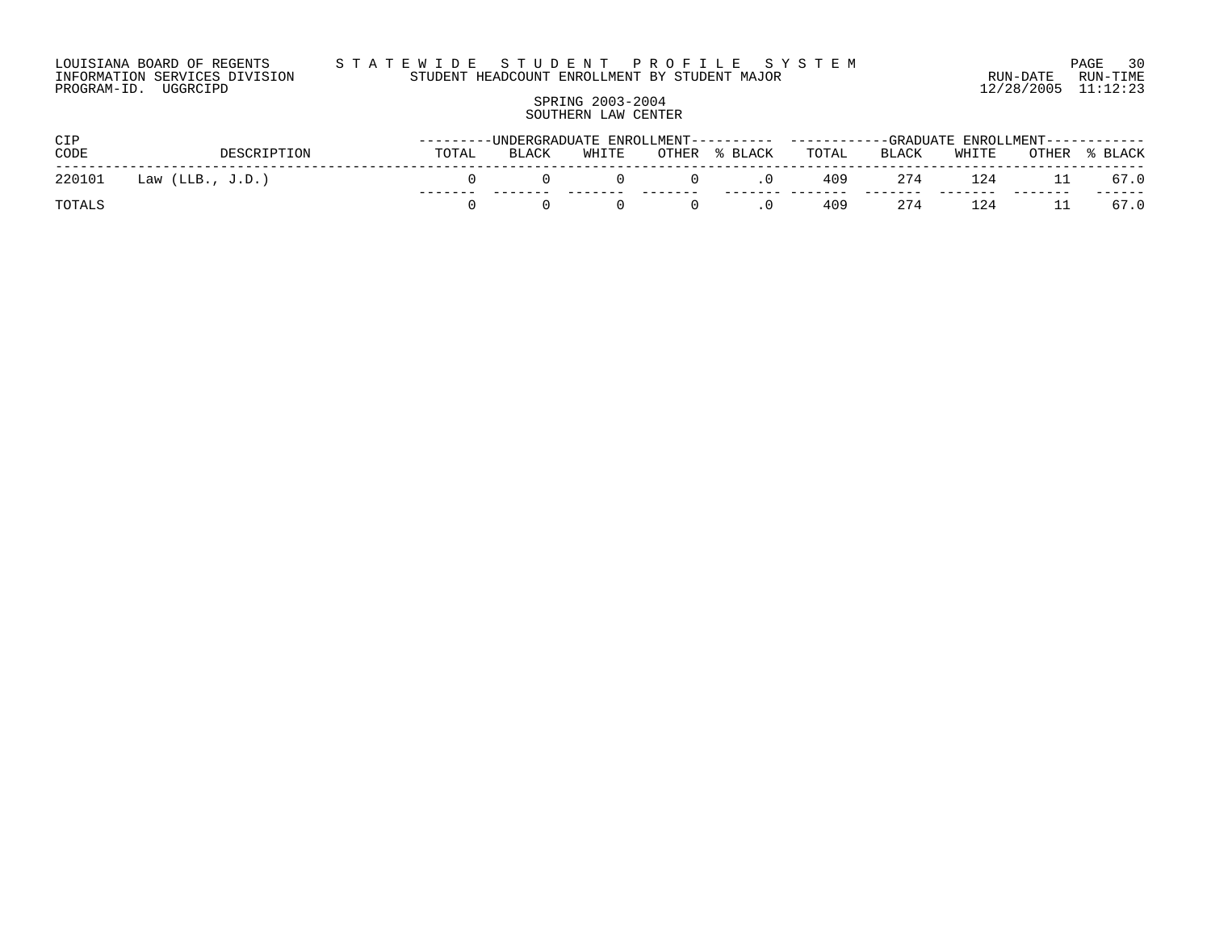#### LOUISIANA BOARD OF REGENTS S T A T E W I D E S T U D E N T P R O F I L E S Y S T E M PAGE 30 INFORMATION SERVICES DIVISION STUDENT HEADCOUNT ENROLLMENT BY STUDENT MAJOR RUN-DATE RUN-TIME

PROGRAM-ID. UGGRCIPD 12/28/2005 11:12:23

#### SPRING 2003-2004 SOUTHERN LAW CENTER

| CIP    |                    |       |       |       |       |         | ---------UNDERGRADUATE ENROLLMENT---------- ----------GRADUATE ENROLLMENT----------- |       |       |       |         |
|--------|--------------------|-------|-------|-------|-------|---------|--------------------------------------------------------------------------------------|-------|-------|-------|---------|
| CODE   | DESCRIPTION        | TOTAL | BLACK | WHITE | OTHER | % BLACK | TOTAL                                                                                | BLACK | WHITE | OTHER | % BLACK |
| 220101 | Law $(LLB., J.D.)$ |       |       |       |       |         | 409                                                                                  | 274   | 124   |       | 67.0    |
| TOTALS |                    |       |       |       |       |         | 409                                                                                  | 274   | 124   |       | 67.0    |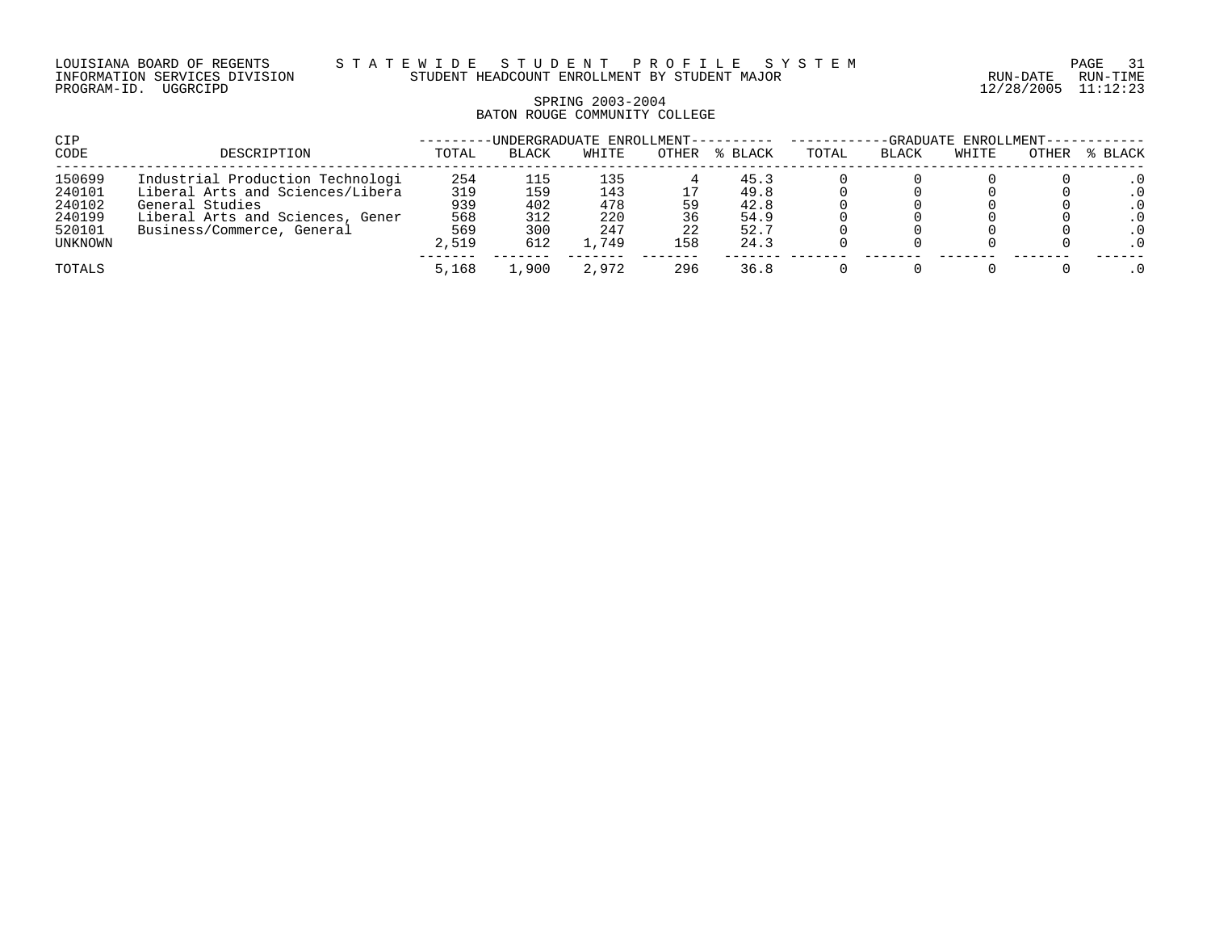LOUISIANA BOARD OF REGENTS S T A T E W I D E S T U D E N T P R O F I L E S Y S T E M PAGE 31 INFORMATION SERVICES DIVISION STUDENT HEADCOUNT ENROLLMENT BY STUDENT MAJOR RUN-DATE RUN-TIME

#### SPRING 2003-2004 BATON ROUGE COMMUNITY COLLEGE

| CIP     |                                  |       | -UNDERGRADUATE ENROLLMENT---------- |       |       |         |       |              | -GRADUATE ENROLLMENT--- |       |         |
|---------|----------------------------------|-------|-------------------------------------|-------|-------|---------|-------|--------------|-------------------------|-------|---------|
| CODE    | DESCRIPTION                      | TOTAL | <b>BLACK</b>                        | WHITE | OTHER | % BLACK | TOTAL | <b>BLACK</b> | WHITE                   | OTHER | % BLACK |
| 150699  | Industrial Production Technologi | 254   | 115                                 | 135   |       | 45.3    |       |              |                         |       |         |
| 240101  | Liberal Arts and Sciences/Libera | 319   | 159                                 | 143   |       | 49.8    |       |              |                         |       | . 0     |
| 240102  | General Studies                  | 939   | 402                                 | 478   | 59    | 42.8    |       |              |                         |       | . 0     |
| 240199  | Liberal Arts and Sciences, Gener | 568   | 312                                 | 220   | 36    | 54.9    |       |              |                         |       | . 0     |
| 520101  | Business/Commerce, General       | 569   | 300                                 | 247   | 22    | 52.7    |       |              |                         |       | . 0     |
| UNKNOWN |                                  | 2,519 | 612                                 | .,749 | 158   | 24.3    |       |              |                         |       |         |
| TOTALS  |                                  | 5,168 | 1,900                               | 2,972 | 296   | 36.8    |       |              |                         |       | . 0     |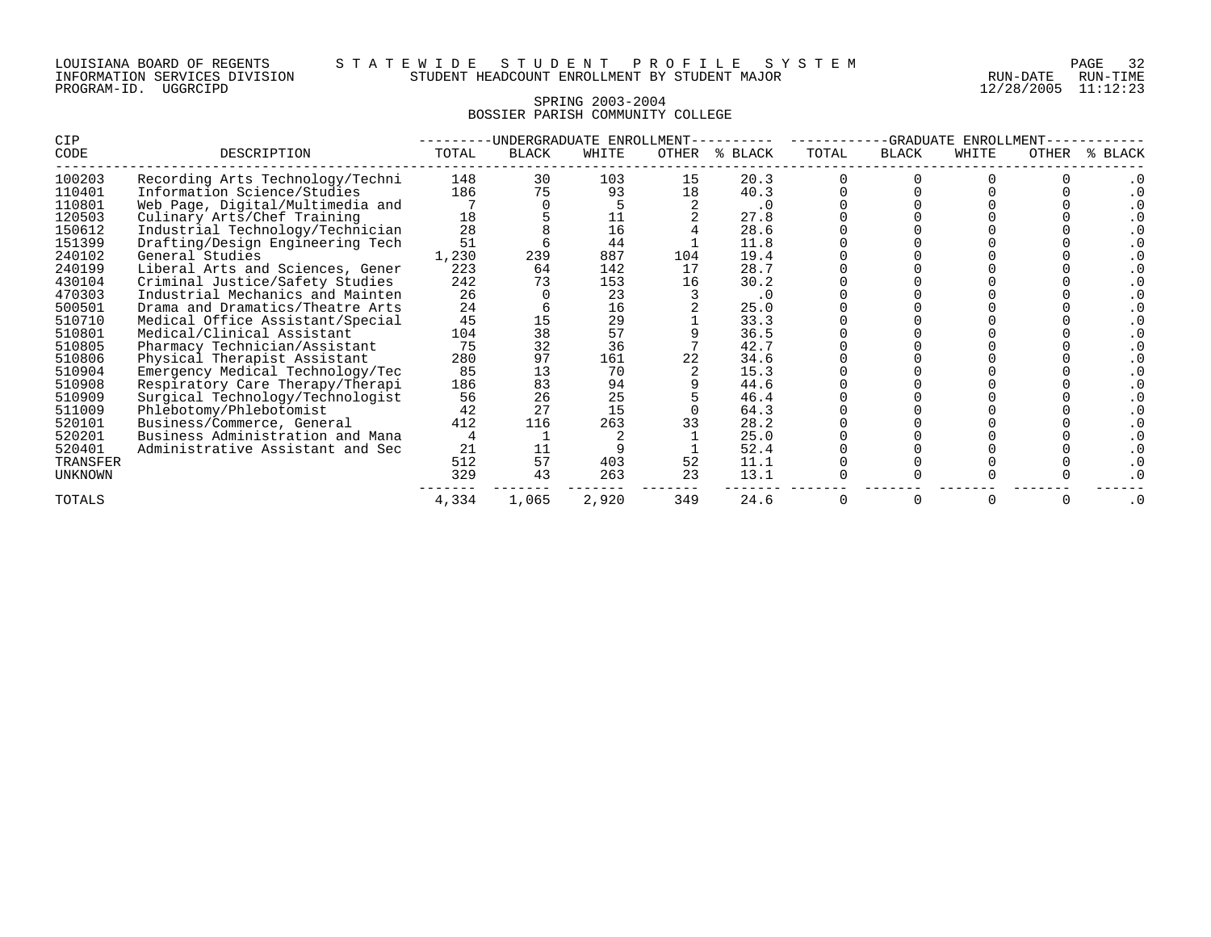| LOUISIANA BOARD OF REGENTS    |          |  |  |
|-------------------------------|----------|--|--|
| INFORMATION SERVICES DIVISION |          |  |  |
| PROGRAM-ID.                   | UGGRCIPD |  |  |

# SPRING 2003-2004 BOSSIER PARISH COMMUNITY COLLEGE

| CIP      |                                  |       | -UNDERGRADUATE ENROLLMENT |       | -GRADUATE<br>ENROLLMENT |           |       |              |       |              |           |
|----------|----------------------------------|-------|---------------------------|-------|-------------------------|-----------|-------|--------------|-------|--------------|-----------|
| CODE     | DESCRIPTION                      | TOTAL | <b>BLACK</b>              | WHITE | OTHER                   | % BLACK   | TOTAL | <b>BLACK</b> | WHITE | <b>OTHER</b> | BLACK     |
| 100203   | Recording Arts Technology/Techni | 148   | 30                        | 103   | 15                      | 20.3      |       |              |       |              |           |
| 110401   | Information Science/Studies      | 186   | 75                        | 93    | 18                      | 40.3      |       |              |       |              |           |
| 110801   | Web Page, Digital/Multimedia and |       |                           |       |                         | $\cdot$ 0 |       |              |       |              |           |
| 120503   | Culinary Arts/Chef Training      | 18    |                           | 11    |                         | 27.8      |       |              |       |              |           |
| 150612   | Industrial Technology/Technician | 28    |                           | 16    |                         | 28.6      |       |              |       |              |           |
| 151399   | Drafting/Design Engineering Tech | 51    |                           | 44    |                         | 11.8      |       |              |       |              |           |
| 240102   | General Studies                  | 1,230 | 239                       | 887   | 104                     | 19.4      |       |              |       |              |           |
| 240199   | Liberal Arts and Sciences, Gener | 223   | 64                        | 142   | 17                      | 28.7      |       |              |       |              |           |
| 430104   | Criminal Justice/Safety Studies  | 242   | 73                        | 153   | 16                      | 30.2      |       |              |       |              |           |
| 470303   | Industrial Mechanics and Mainten | 26    |                           | 23    |                         | $\cdot$ 0 |       |              |       |              |           |
| 500501   | Drama and Dramatics/Theatre Arts | 24    |                           | 16    |                         | 25.0      |       |              |       |              |           |
| 510710   | Medical Office Assistant/Special | 45    | 15                        | 29    |                         | 33.3      |       |              |       |              |           |
| 510801   | Medical/Clinical Assistant       | 104   | 38                        | 57    |                         | 36.5      |       |              |       |              |           |
| 510805   | Pharmacy Technician/Assistant    | 75    | 32                        | 36    |                         | 42.7      |       |              |       |              |           |
| 510806   | Physical Therapist Assistant     | 280   | 97                        | 161   |                         | 34.6      |       |              |       |              |           |
| 510904   | Emergency Medical Technology/Tec | 85    | 13                        | 70    |                         | 15.3      |       |              |       |              |           |
| 510908   | Respiratory Care Therapy/Therapi | 186   | 83                        | 94    |                         | 44.6      |       |              |       |              |           |
| 510909   | Surgical Technology/Technologist | 56    | 26                        | 25    |                         | 46.4      |       |              |       |              |           |
| 511009   | Phlebotomy/Phlebotomist          | 42    | 27                        | 15    |                         | 64.3      |       |              |       |              |           |
| 520101   | Business/Commerce, General       | 412   | 116                       | 263   |                         | 28.2      |       |              |       |              |           |
| 520201   | Business Administration and Mana |       |                           |       |                         | 25.0      |       |              |       |              |           |
| 520401   | Administrative Assistant and Sec | 21    | 11                        |       |                         | 52.4      |       |              |       |              |           |
| TRANSFER |                                  | 512   | 57                        | 403   | 52                      | 11.1      |       |              |       |              |           |
| UNKNOWN  |                                  | 329   | 43                        | 263   | 23                      | 13.1      |       |              |       |              |           |
| TOTALS   |                                  | 4,334 | 1,065                     | 2,920 | 349                     | 24.6      |       |              |       |              | $\cdot$ 0 |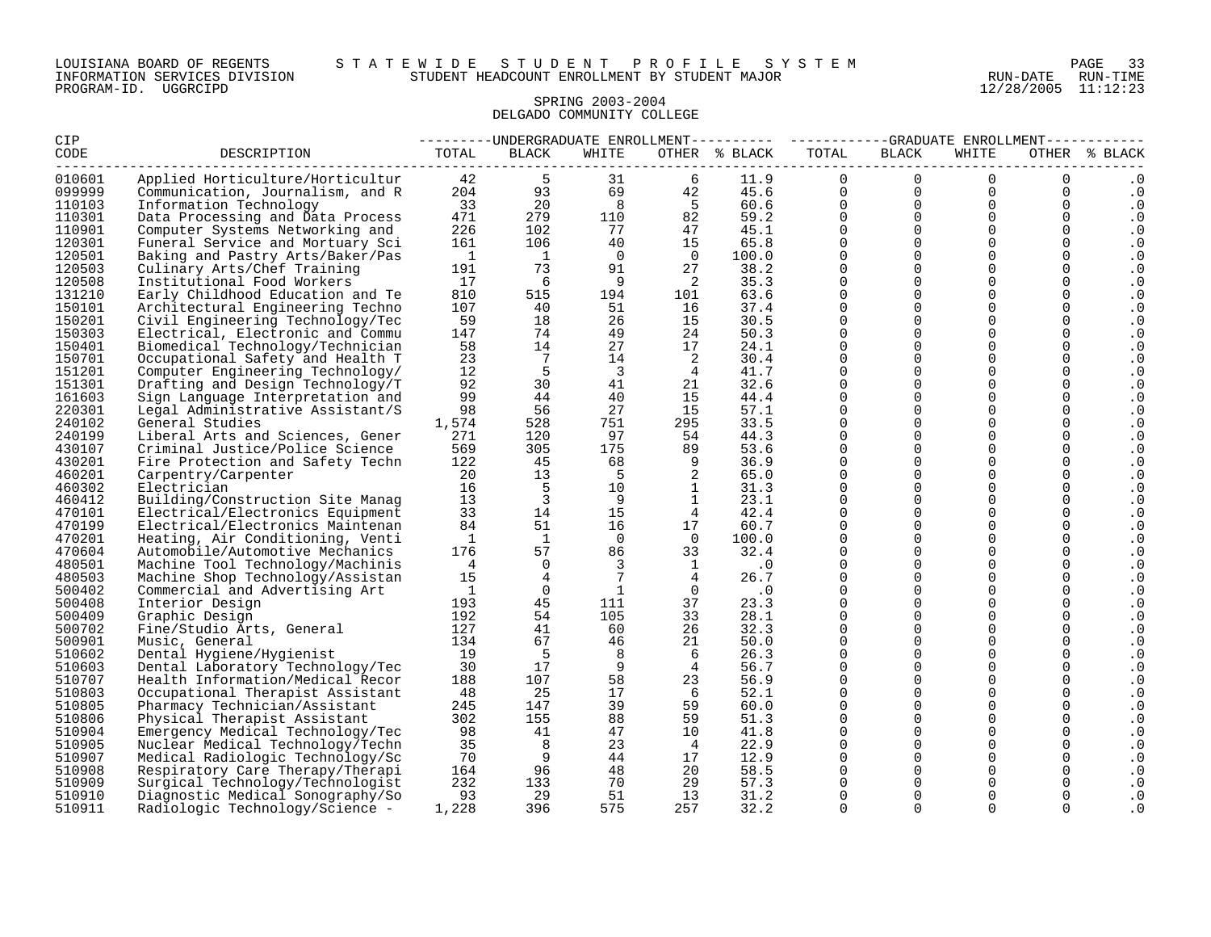#### SPRING 2003-2004 DELGADO COMMUNITY COLLEGE

| CIP    |                                  |                |                              |                 | ---------UNDERGRADUATE ENROLLMENT---------    ----------GRADUATE ENROLLMENT---------- |               |                               |                      |                |             |               |
|--------|----------------------------------|----------------|------------------------------|-----------------|---------------------------------------------------------------------------------------|---------------|-------------------------------|----------------------|----------------|-------------|---------------|
| CODE   | DESCRIPTION                      | TOTAL          | BLACK                        | WHITE           |                                                                                       | OTHER % BLACK | TOTAL<br>-------------------- | BLACK                | WHITE          |             | OTHER % BLACK |
| 010601 | Applied Horticulture/Horticultur | 42             | $5\overline{5}$              | 31              | 6                                                                                     | 11.9          | $\Omega$                      | $\Omega$             | $\Omega$       | $\Omega$    | $\cdot$ 0     |
| 099999 | Communication, Journalism, and R |                | 204<br>93                    | 69              | 42                                                                                    | 45.6          | $\overline{0}$                | $\overline{0}$       | $\mathbf 0$    | $\mathbf 0$ | $\cdot$ 0     |
| 110103 | Information Technology           | 33             | 20                           | 8 <sup>8</sup>  | $5^{\circ}$                                                                           | 60.6          | $\mathbf{0}$                  | $\overline{0}$       | $\overline{0}$ | $\mathbf 0$ | $\cdot$ 0     |
| 110301 | Data Processing and Data Process | 471            | 279                          | 110             | 82                                                                                    | 59.2          | $\overline{0}$                | $\overline{0}$       | $\overline{0}$ | 0           | . 0           |
| 110901 | Computer Systems Networking and  | 226            | 102                          | 77              | 47                                                                                    | 45.1          | $\Omega$                      | $\Omega$             | $\Omega$       | $\Omega$    | $\cdot$ 0     |
| 120301 | Funeral Service and Mortuary Sci | 161            | 106                          | 40              | 15                                                                                    | 65.8          | $\mathbf 0$                   | $\Omega$             | $\overline{0}$ | $\mathbf 0$ | . 0           |
| 120501 | Baking and Pastry Arts/Baker/Pas | $\overline{1}$ | $\overline{1}$               | $\overline{0}$  | $\overline{0}$                                                                        | 100.0         | $\Omega$                      | $\Omega$             | $\Omega$       | $\Omega$    | . 0           |
| 120503 | Culinary Arts/Chef Training      | 191            | 73                           | 91              | 27                                                                                    | 38.2          | $\mathbf 0$                   | $\Omega$             | $\Omega$       | $\mathbf 0$ | $\cdot$ 0     |
| 120508 | Institutional Food Workers       | 17             | 6                            | - 9             | $\overline{\phantom{a}}^2$                                                            | 35.3          | $\Omega$                      | $\mathbf 0$          | $\mathbf 0$    | $\mathbf 0$ | . 0           |
| 131210 | Early Childhood Education and Te | 810            | 515                          | 194             | 101                                                                                   | 63.6          | $\Omega$                      | $\Omega$             | $\Omega$       | $\Omega$    | $\cdot$ 0     |
| 150101 | Architectural Engineering Techno | 107            | 40                           | 51              | 16                                                                                    | 37.4          | 0                             | $\mathbf 0$          | $\mathbf 0$    | 0           | . 0           |
| 150201 | Civil Engineering Technology/Tec | 59             | 18                           | 26              | 15                                                                                    | 30.5          | $\Omega$                      | $\Omega$             | $\Omega$       | $\Omega$    | . 0           |
| 150303 | Electrical, Electronic and Commu | 147            | 74                           | 49              | 24                                                                                    | 50.3          | $\Omega$                      | $\Omega$             | $\Omega$       | $\Omega$    | . 0           |
| 150401 | Biomedical Technology/Technician | 58             | 14                           | 27              | 17                                                                                    | 24.1          | $\Omega$                      | $\Omega$             | $\mathbf 0$    | $\mathbf 0$ | . 0           |
| 150701 | Occupational Safety and Health T | 23             | $7\phantom{.0}\phantom{.0}7$ | 14              | $\overline{\phantom{0}}^2$                                                            | 30.4          | $\Omega$                      | $\Omega$             | $\Omega$       | $\mathbf 0$ | $\cdot$ 0     |
| 151201 | Computer Engineering Technology/ | 12             | 5                            | $\overline{3}$  | $\overline{4}$                                                                        | 41.7          | $\Omega$                      | $\Omega$             | 0              | $\mathbf 0$ | . 0           |
| 151301 | Drafting and Design Technology/T | 92             | 30                           | 41              | 21                                                                                    | 32.6          | $\Omega$                      | $\Omega$             | $\Omega$       | $\Omega$    | . 0           |
| 161603 | Sign Language Interpretation and | 99             | 44                           | 40              | 15                                                                                    | 44.4          | $\mathbf 0$                   | $\Omega$             | $\Omega$       | $\mathbf 0$ | . 0           |
| 220301 | Legal Administrative Assistant/S | 98             | 56                           | 27              | 15                                                                                    | 57.1          | $\mathbf 0$                   | $\mathbf 0$          | 0              | $\mathbf 0$ | . 0           |
| 240102 | General Studies                  | 1,574          | 528                          | 751             | 295                                                                                   | 33.5          | $\Omega$                      | $\Omega$             | $\Omega$       | $\Omega$    | . 0           |
| 240199 | Liberal Arts and Sciences, Gener | 271            | 120                          | 97              | 54                                                                                    | 44.3          | $\Omega$                      | $\Omega$             | $\Omega$       | $\Omega$    | . 0           |
| 430107 | Criminal Justice/Police Science  | 569            | 305                          | 175             | 89                                                                                    | 53.6          | $\Omega$                      | $\Omega$             | $\Omega$       | $\Omega$    | $\cdot$ 0     |
| 430201 | Fire Protection and Safety Techn | 122            | 45                           | 68              | 9                                                                                     | 36.9          | $\Omega$                      | $\Omega$             | $\Omega$       | $\Omega$    | . 0           |
| 460201 | Carpentry/Carpenter              | 20             | 13                           | 5               | 2                                                                                     | 65.0          | $\Omega$                      | $\Omega$             | $\mathbf 0$    | $\mathbf 0$ | . 0           |
| 460302 | Electrician                      | 16             | $5\phantom{0}$               | 10              | $\overline{1}$                                                                        | 31.3          | $\mathbf 0$                   | $\mathbf 0$          | 0              | $\mathbf 0$ | $\cdot$ 0     |
| 460412 | Building/Construction Site Manag | 13             | $\overline{\mathbf{3}}$      | - 9             | 1                                                                                     | 23.1          | $\Omega$                      | $\Omega$             | 0              | $\mathbf 0$ | $\cdot 0$     |
| 470101 | Electrical/Electronics Equipment | 33             | 14                           | 15              | $\overline{4}$                                                                        | 42.4          | $\Omega$                      | $\Omega$             | 0              | $\mathbf 0$ | $\cdot$ 0     |
| 470199 | Electrical/Electronics Maintenan | 84             | 51                           | 16              | 17                                                                                    | 60.7          | $\mathbf 0$                   | $\Omega$             | $\Omega$       | $\mathbf 0$ | . 0           |
| 470201 | Heating, Air Conditioning, Venti | $\overline{1}$ | $\mathbf{1}$                 | $\Omega$        | $\bigcirc$                                                                            | 100.0         | $\Omega$                      | $\Omega$             | $\Omega$       | $\Omega$    | . 0           |
| 470604 | Automobile/Automotive Mechanics  | 176            | 57                           | 86              | 33                                                                                    | 32.4          | $\Omega$                      | $\Omega$             | $\Omega$       | $\Omega$    | $\cdot$ 0     |
| 480501 | Machine Tool Technology/Machinis | $\overline{4}$ | $\Omega$                     | $\overline{3}$  | $\mathbf{1}$                                                                          | $\cdot$ 0     | $\Omega$                      | $\Omega$             | $\mathbf 0$    | $\mathbf 0$ | . 0           |
| 480503 | Machine Shop Technology/Assistan | 15             | $\overline{4}$               | $7\overline{ }$ | $\overline{4}$                                                                        | 26.7          | $\Omega$                      | $\Omega$             | 0              | 0           | $\cdot$ 0     |
| 500402 | Commercial and Advertising Art   | $\mathbf{1}$   | $\overline{0}$               | <sup>1</sup>    | $\overline{0}$                                                                        | $\cdot$ 0     | $\mathbf 0$                   | $\mathbf 0$          | 0              | $\mathbf 0$ | . 0           |
| 500408 | Interior Design                  | 193            | 45                           | 111             | 37                                                                                    | 23.3          | $\Omega$                      | $\Omega$             | $\Omega$       | $\Omega$    | . 0           |
| 500409 | Graphic Design                   | 192            | 54                           | 105             | 33                                                                                    | 28.1          | $\mathbf 0$                   | $\mathbf 0$          | 0              | $\mathbf 0$ | . 0           |
| 500702 | Fine/Studio Arts, General        | 127            | 41                           | 60              | 26                                                                                    | 32.3          | $\Omega$                      | $\Omega$             | $\Omega$       | $\mathbf 0$ | . 0           |
| 500901 | Music, General                   | 134            | 67                           | 46              | 21                                                                                    | 50.0          | $\Omega$                      | $\Omega$             | $\Omega$       | $\Omega$    | $\cdot$ 0     |
| 510602 | Dental Hygiene/Hygienist         | 19             | 5                            | 8               | 6                                                                                     | 26.3          | $\mathbf 0$                   | $\mathbf 0$          | 0              | $\mathbf 0$ | . 0           |
| 510603 | Dental Laboratory Technology/Tec | 30             | 17                           | - 9             | $\frac{4}{3}$                                                                         | 56.7          | $\Omega$                      | $\Omega$             | $\Omega$       | $\Omega$    | . 0           |
| 510707 | Health Information/Medical Recor | 188            | 107                          | 58              | 23                                                                                    | 56.9          | $\Omega$                      | $\Omega$             | $\Omega$       | $\Omega$    | . 0           |
| 510803 | Occupational Therapist Assistant | - 48           | 25                           | 17              | - 6                                                                                   | 52.1          | $\Omega$                      | $\mathbf 0$          | 0              | $\mathbf 0$ | . 0           |
| 510805 | Pharmacy Technician/Assistant    | 245            | 147                          | 39              | 59                                                                                    | 60.0          | 0                             | $\Omega$             | 0              | 0           | . 0           |
| 510806 | Physical Therapist Assistant     | 302            | 155                          | 88              | 59                                                                                    | 51.3          | $\Omega$<br>$\Omega$          | $\Omega$             | $\Omega$       | $\Omega$    | . 0           |
| 510904 | Emergency Medical Technology/Tec | 98             | 41                           | 47              | 10                                                                                    | 41.8          |                               | $\Omega$             | $\Omega$       | $\Omega$    | $\cdot$ 0     |
| 510905 | Nuclear Medical Technology/Techn | 35             | 8                            | 23              | $\overline{4}$                                                                        | 22.9          | $\Omega$                      | $\Omega$             | $\Omega$       | $\mathbf 0$ | . 0           |
| 510907 | Medical Radiologic Technology/Sc | 70             | - 9                          | 44              | 17                                                                                    | 12.9          | $\Omega$                      | $\Omega$<br>$\Omega$ | $\Omega$       | $\mathbf 0$ | . 0           |
| 510908 | Respiratory Care Therapy/Therapi | 164            | 96                           | 48              | 20                                                                                    | 58.5          | $\Omega$                      |                      | $\Omega$       | $\mathbf 0$ | $\cdot$ 0     |
| 510909 | Surgical Technology/Technologist | 232            | 133                          | 70              | 29                                                                                    | 57.3          | $\Omega$                      | $\Omega$             | 0              | $\mathbf 0$ | . 0           |
| 510910 | Diagnostic Medical Sonography/So | 93             | 29                           | 51              | 13                                                                                    | 31.2          | $\Omega$                      | $\Omega$             | 0              | 0           | $\cdot$ 0     |
| 510911 | Radiologic Technology/Science -  | 1,228          | 396                          | 575             | 257                                                                                   | 32.2          | 0                             | $\Omega$             | $\Omega$       | 0           | . 0           |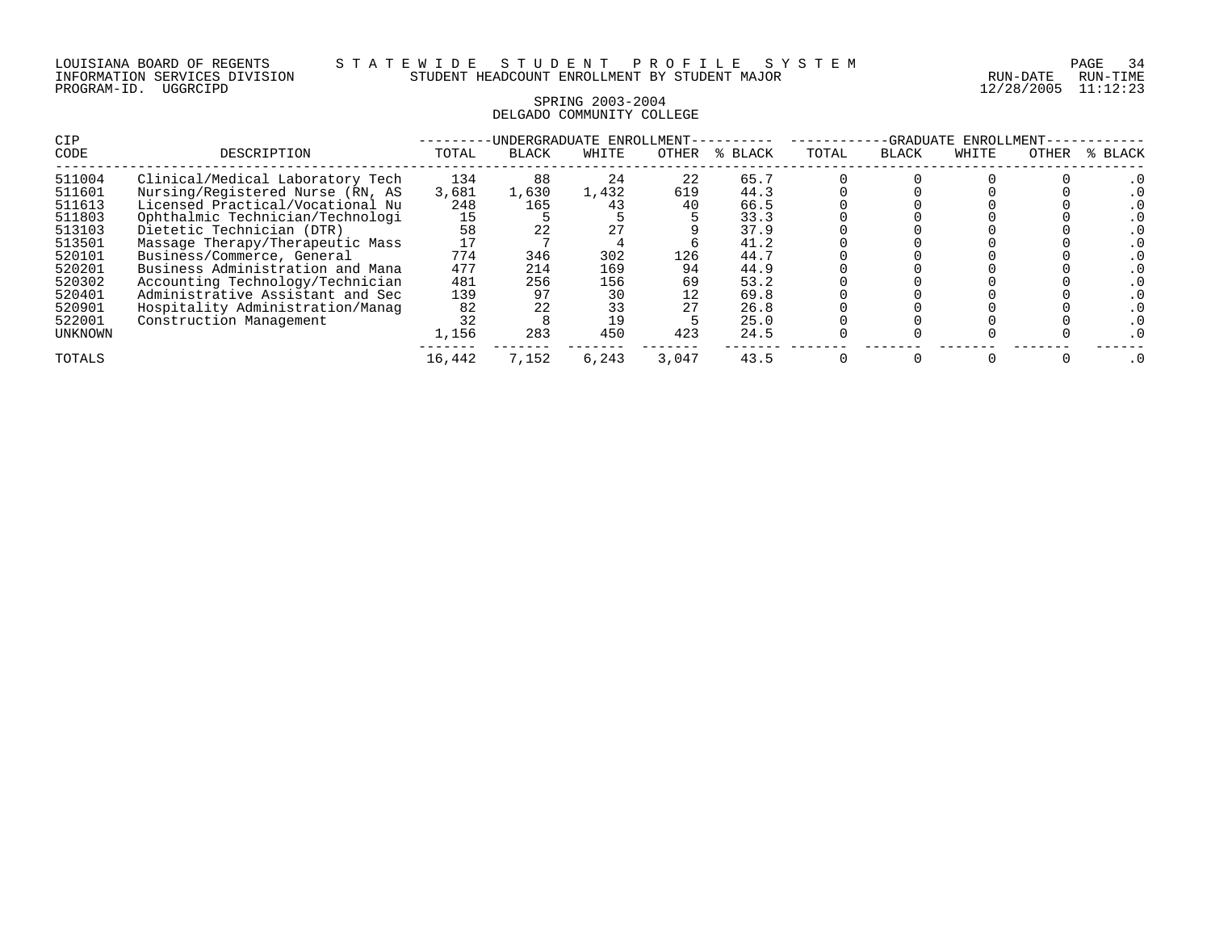| LOUISIANA BOARD OF REGENTS    |          |  |
|-------------------------------|----------|--|
| INFORMATION SERVICES DIVISION |          |  |
| PROGRAM-ID.                   | UGGRCIPD |  |

12/28/2005 11:12:23

#### SPRING 2003-2004 DELGADO COMMUNITY COLLEGE

| <b>CIP</b> |                                  |        | INDERGRADUATE ENROLLMENT- |       | -GRADUATE<br>ENROLLMENT |         |       |              |       |       |         |
|------------|----------------------------------|--------|---------------------------|-------|-------------------------|---------|-------|--------------|-------|-------|---------|
| CODE       | DESCRIPTION                      | TOTAL  | <b>BLACK</b>              | WHITE | OTHER                   | % BLACK | TOTAL | <b>BLACK</b> | WHITE | OTHER | % BLACK |
| 511004     | Clinical/Medical Laboratory Tech | 134    | 88                        | 24    | 22                      | 65.7    |       |              |       |       |         |
| 511601     | Nursing/Registered Nurse (RN, AS | 3,681  | 1,630                     | 1,432 | 619                     | 44.3    |       |              |       |       |         |
| 511613     | Licensed Practical/Vocational Nu | 248    | 165                       | 43    | 40                      | 66.5    |       |              |       |       |         |
| 511803     | Ophthalmic Technician/Technologi | 15     |                           |       |                         | 33.3    |       |              |       |       |         |
| 513103     | Dietetic Technician (DTR)        | 58     | 22                        | 27    |                         | 37.9    |       |              |       |       |         |
| 513501     | Massage Therapy/Therapeutic Mass |        |                           |       |                         | 41.2    |       |              |       |       |         |
| 520101     | Business/Commerce, General       | 774    | 346                       | 302   | 126                     | 44.7    |       |              |       |       |         |
| 520201     | Business Administration and Mana | 477    | 214                       | 169   | 94                      | 44.9    |       |              |       |       |         |
| 520302     | Accounting Technology/Technician | 481    | 256                       | 156   | 69                      | 53.2    |       |              |       |       |         |
| 520401     | Administrative Assistant and Sec | 139    | 97                        | 30    | 12                      | 69.8    |       |              |       |       |         |
| 520901     | Hospitality Administration/Manag | 82     | 22                        | 33    |                         | 26.8    |       |              |       |       |         |
| 522001     | Construction Management          | 32     |                           | 19    |                         | 25.0    |       |              |       |       |         |
| UNKNOWN    |                                  | 1,156  | 283                       | 450   | 423                     | 24.5    |       |              |       |       |         |
| TOTALS     |                                  | 16,442 | 7,152                     | 6,243 | 3,047                   | 43.5    |       |              |       |       |         |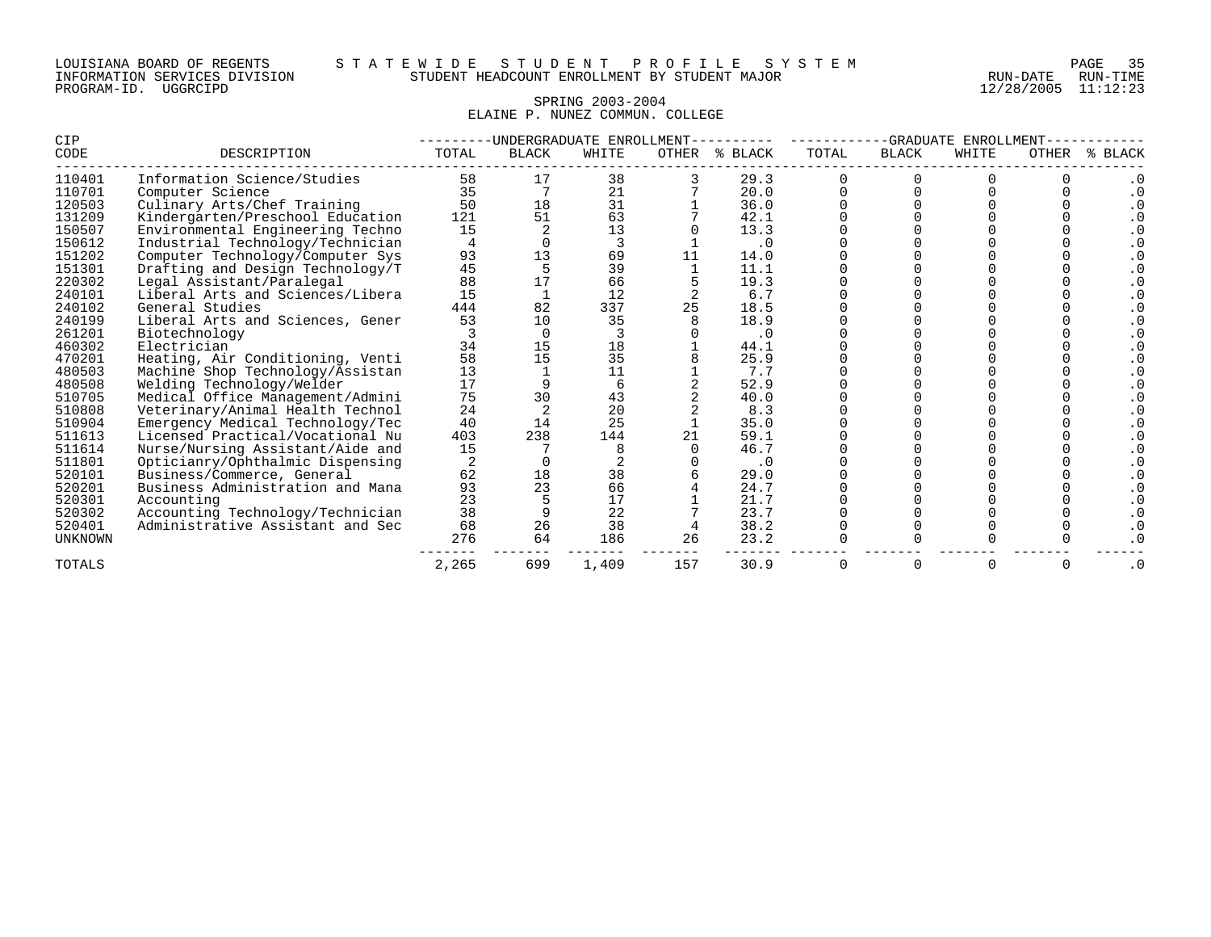#### SPRING 2003-2004 ELAINE P. NUNEZ COMMUN. COLLEGE

| <b>CIP</b>     |                                  |       |              | -UNDERGRADUATE ENROLLMENT | -GRADUATE ENROLLMENT |           |       |          |       |              |       |
|----------------|----------------------------------|-------|--------------|---------------------------|----------------------|-----------|-------|----------|-------|--------------|-------|
| CODE           | DESCRIPTION                      | TOTAL | <b>BLACK</b> | WHITE                     | OTHER                | % BLACK   | TOTAL | BLACK    | WHITE | <b>OTHER</b> | BLACK |
| 110401         | Information Science/Studies      | 58    | 17           | 38                        |                      | 29.3      |       |          |       |              |       |
| 110701         | Computer Science                 | 35    |              | 21                        |                      | 20.0      |       |          |       |              |       |
| 120503         | Culinary Arts/Chef Training      | 50    | 18           | 31                        |                      | 36.0      |       |          |       |              |       |
| 131209         | Kindergarten/Preschool Education | 121   | 51           | 63                        |                      | 42.1      |       |          |       |              |       |
| 150507         | Environmental Engineering Techno | 15    |              | 13                        |                      | 13.3      |       |          |       |              |       |
| 150612         | Industrial Technology/Technician |       |              | 3                         |                      | $\cdot$ 0 |       |          |       |              |       |
| 151202         | Computer Technology/Computer Sys | 93    | 13           | 69                        | 11                   | 14.0      |       |          |       |              |       |
| 151301         | Drafting and Design Technology/T | 45    |              | 39                        |                      | 11.1      |       |          |       |              |       |
| 220302         | Legal Assistant/Paralegal        | 88    |              | 66                        |                      | 19.3      |       |          |       |              |       |
| 240101         | Liberal Arts and Sciences/Libera | 15    |              | 12                        |                      | 6.7       |       |          |       |              |       |
| 240102         | General Studies                  | 444   | 82           | 337                       | 25                   | 18.5      |       |          |       |              |       |
| 240199         | Liberal Arts and Sciences, Gener | 53    | 10           | 35                        |                      | 18.9      |       |          |       |              |       |
| 261201         | Biotechnology                    |       |              |                           |                      | $\cdot$ 0 |       |          |       |              |       |
| 460302         | Electrician                      | 34    | 15           | 18                        |                      | 44.1      |       |          |       |              |       |
| 470201         | Heating, Air Conditioning, Venti | 58    | 15           | 35                        |                      | 25.9      |       |          |       |              |       |
| 480503         | Machine Shop Technology/Assistan | 13    |              | 11                        |                      | 7.7       |       |          |       |              |       |
| 480508         | Welding Technology/Welder        | 17    |              | 6                         |                      | 52.9      |       |          |       |              |       |
| 510705         | Medical Office Management/Admini | 75    | 30           | 43                        |                      | 40.0      |       |          |       |              |       |
| 510808         | Veterinary/Animal Health Technol | 24    |              | 20                        |                      | 8.3       |       |          |       |              |       |
| 510904         | Emergency Medical Technology/Tec | 40    | 14           | 25                        |                      | 35.0      |       |          |       |              |       |
| 511613         | Licensed Practical/Vocational Nu | 403   | 238          | 144                       |                      | 59.1      |       |          |       |              |       |
| 511614         | Nurse/Nursing Assistant/Aide and | 15    |              |                           |                      | 46.7      |       |          |       |              |       |
| 511801         | Opticianry/Ophthalmic Dispensing |       |              |                           |                      | $\cdot$ 0 |       |          |       |              |       |
| 520101         | Business/Commerce, General       | 62    | 18           | 38                        |                      | 29.0      |       |          |       |              |       |
| 520201         | Business Administration and Mana | 93    | 23           | 66                        |                      | 24.7      |       |          |       |              |       |
| 520301         | Accounting                       | 23    |              | 17                        |                      | 21.7      |       |          |       |              |       |
| 520302         | Accounting Technology/Technician | 38    |              | 22                        |                      | 23.7      |       |          |       |              |       |
| 520401         | Administrative Assistant and Sec | 68    | 26           | 38                        |                      | 38.2      |       |          |       |              |       |
| <b>UNKNOWN</b> |                                  | 276   | 64           | 186                       | 26                   | 23.2      |       |          |       |              |       |
| TOTALS         |                                  | 2,265 | 699          | 1,409                     | 157                  | 30.9      |       | $\Omega$ | 0     |              |       |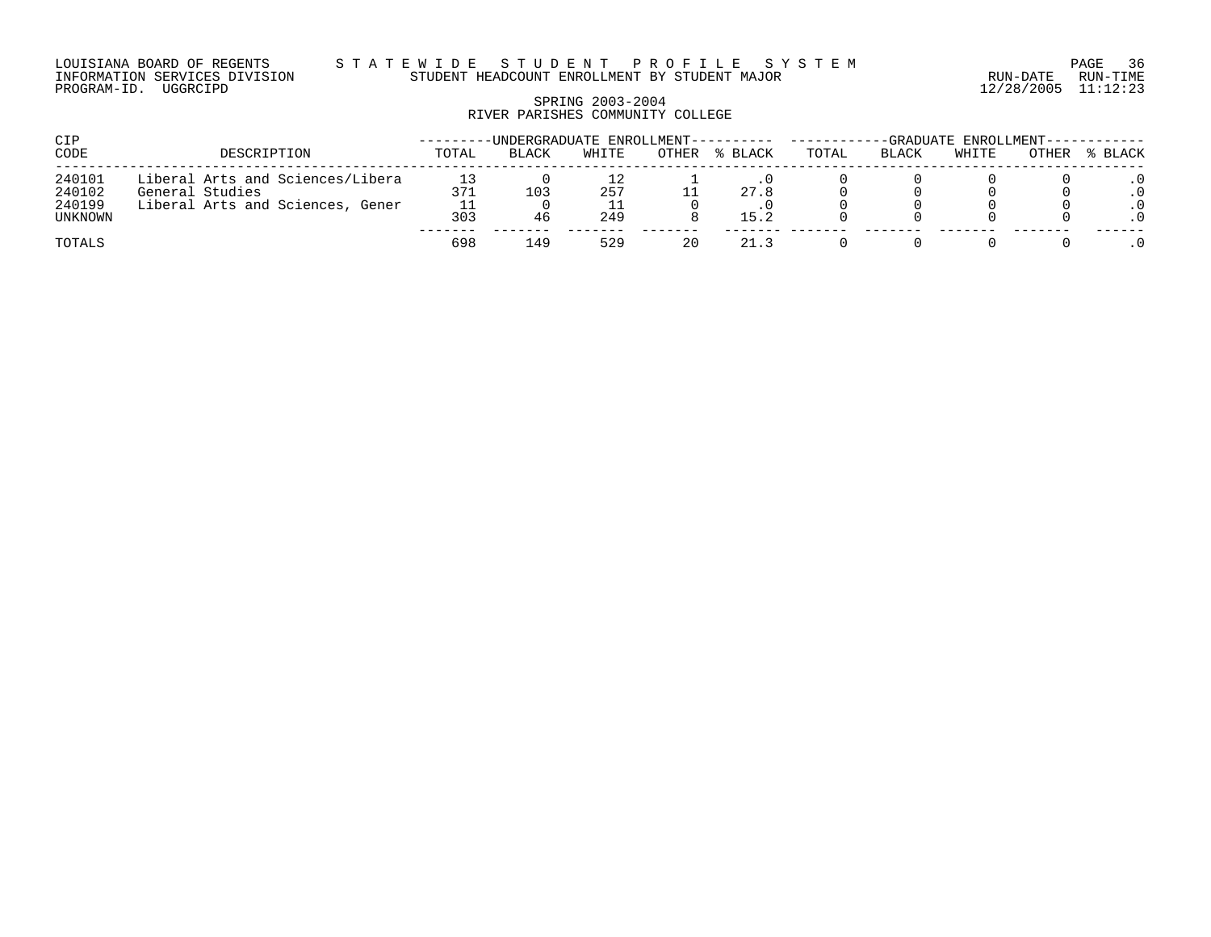LOUISIANA BOARD OF REGENTS S T A T E W I D E S T U D E N T P R O F I L E S Y S T E M PAGE 36 INFORMATION SERVICES DIVISION STUDENT HEADCOUNT ENROLLMENT BY STUDENT MAJOR RUN-DATE RUN-TIME

# SPRING 2003-2004 RIVER PARISHES COMMUNITY COLLEGE

| CIP                                   |                                                                                         |            | -UNDERGRADUATE ENROLLMENT----- |            |       |              | -GRADUATE ENROLLMENT--- |       |       |       |         |
|---------------------------------------|-----------------------------------------------------------------------------------------|------------|--------------------------------|------------|-------|--------------|-------------------------|-------|-------|-------|---------|
| CODE                                  | DESCRIPTION                                                                             | TOTAL      | BLACK                          | WHITE      | OTHER | % BLACK      | TOTAL                   | BLACK | WHITE | OTHER | % BLACK |
| 240101<br>240102<br>240199<br>UNKNOWN | Liberal Arts and Sciences/Libera<br>General Studies<br>Liberal Arts and Sciences, Gener | 371<br>303 | 103<br>46                      | 257<br>249 |       | 27.8<br>15.2 |                         |       |       |       |         |
| TOTALS                                |                                                                                         | 698        | 49                             | 529        | 20    | 21.3         |                         |       |       |       |         |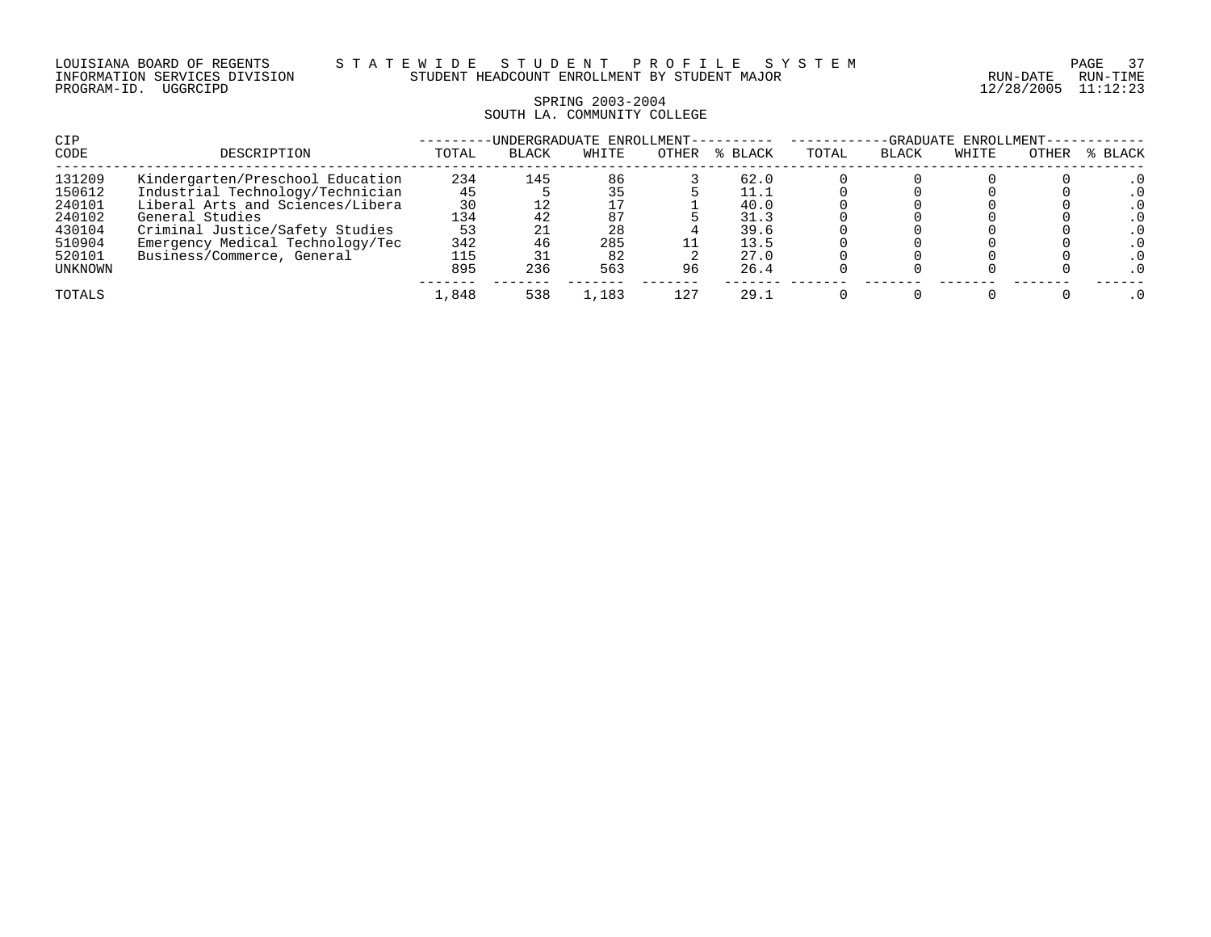# SPRING 2003-2004 SOUTH LA. COMMUNITY COLLEGE

| CIP     |                                  |       | -UNDERGRADUATE ENROLLMENT- |       |       |         | -GRADUATE ENROLLMENT- |              |       |       |         |  |
|---------|----------------------------------|-------|----------------------------|-------|-------|---------|-----------------------|--------------|-------|-------|---------|--|
| CODE    | DESCRIPTION                      | TOTAL | <b>BLACK</b>               | WHITE | OTHER | % BLACK | TOTAL                 | <b>BLACK</b> | WHITE | OTHER | % BLACK |  |
| 131209  | Kindergarten/Preschool Education | 234   | 145                        | 86    |       | 62.0    |                       |              |       |       |         |  |
| 150612  | Industrial Technology/Technician | 45    |                            | 35    |       | 11.1    |                       |              |       |       |         |  |
| 240101  | Liberal Arts and Sciences/Libera | 30    |                            |       |       | 40.0    |                       |              |       |       |         |  |
| 240102  | General Studies                  | 134   |                            | 87    |       | 31.3    |                       |              |       |       |         |  |
| 430104  | Criminal Justice/Safety Studies  | 53    |                            | 28    |       | 39.6    |                       |              |       |       |         |  |
| 510904  | Emergency Medical Technology/Tec | 342   |                            | 285   |       | 13.5    |                       |              |       |       |         |  |
| 520101  | Business/Commerce, General       | 115   |                            | 82    |       | 27.0    |                       |              |       |       |         |  |
| UNKNOWN |                                  | 895   | 236                        | 563   | 96    | 26.4    |                       |              |       |       |         |  |
| TOTALS  |                                  | 1,848 | 538                        | .,183 | 127   | 29.1    |                       |              |       |       |         |  |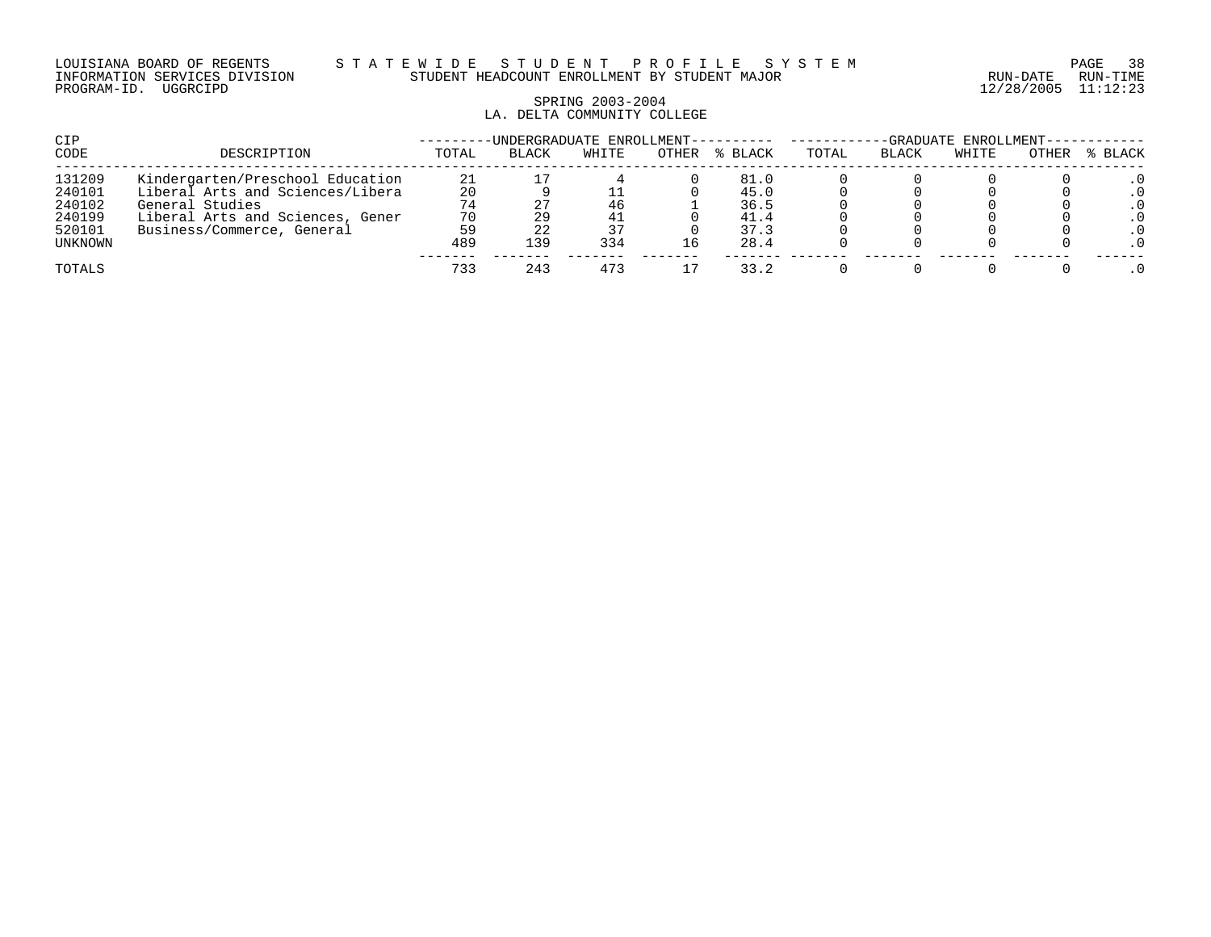#### LOUISIANA BOARD OF REGENTS S T A T E W I D E S T U D E N T P R O F I L E S Y S T E M PAGE 38 INFORMATION SERVICES DIVISION STUDENT HEADCOUNT ENROLLMENT BY STUDENT MAJOR RUN-DATE RUN-TIME

# SPRING 2003-2004 LA. DELTA COMMUNITY COLLEGE

| CIP     |                                  |       | -UNDERGRADUATE ENROLLMENT---------- |       |       | -GRADUATE ENROLLMENT-- |       |       |       |       |           |
|---------|----------------------------------|-------|-------------------------------------|-------|-------|------------------------|-------|-------|-------|-------|-----------|
| CODE    | DESCRIPTION                      | TOTAL | <b>BLACK</b>                        | WHITE | OTHER | % BLACK                | TOTAL | BLACK | WHITE | OTHER | % BLACK   |
| 131209  | Kindergarten/Preschool Education | 21    |                                     |       |       | 81.0                   |       |       |       |       |           |
| 240101  | Liberal Arts and Sciences/Libera | 20    |                                     |       |       | 45.0                   |       |       |       |       |           |
| 240102  | General Studies                  | 74    |                                     | 46    |       | 36.5                   |       |       |       |       | . 0       |
| 240199  | Liberal Arts and Sciences, Gener | 70    |                                     | 41    |       | 41.4                   |       |       |       |       |           |
| 520101  | Business/Commerce, General       | 59    |                                     | 37    |       | 37.3                   |       |       |       |       | $\cdot$ 0 |
| UNKNOWN |                                  | 489   | 139                                 | 334   | 16.   | 28.4                   |       |       |       |       |           |
| TOTALS  |                                  | 733   | 243                                 | 473   |       | 33.2                   |       |       |       |       |           |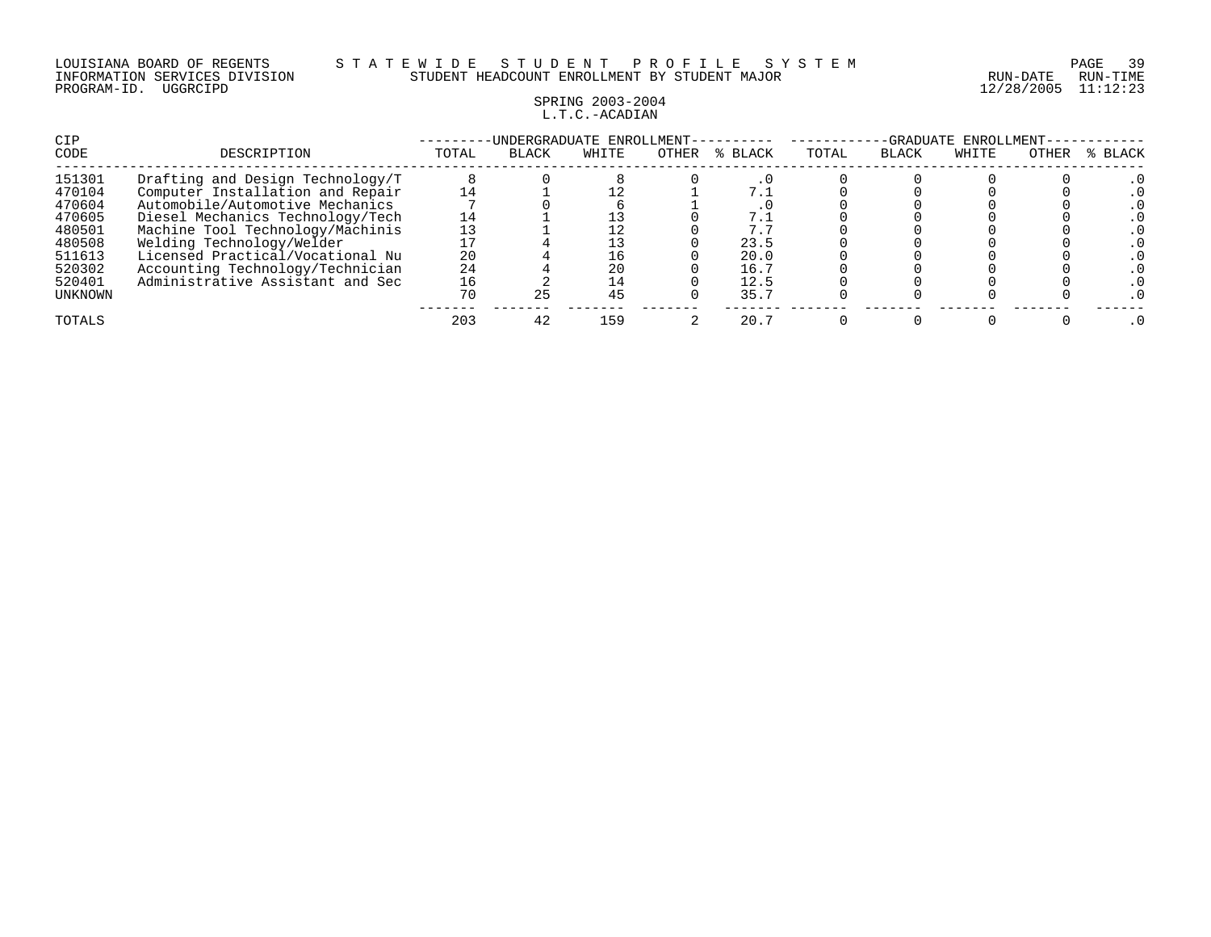### LOUISIANA BOARD OF REGENTS S T A T E W I D E S T U D E N T P R O F I L E S Y S T E M PAGE 39 INFORMATION SERVICES DIVISION STUDENT HEADCOUNT ENROLLMENT BY STUDENT MAJOR RUN-DATE RUN-TIME

# SPRING 2003-2004 L.T.C.-ACADIAN

| CIP<br>CODE       | DESCRIPTION                                                          | TOTAL    | -UNDERGRADUATE ENROLLMENT-<br><b>BLACK</b> | WHITE    | OTHER | % BLACK      | TOTAL | <b>BLACK</b> | -GRADUATE ENROLLMENT-<br>WHITE | OTHER | % BLACK |
|-------------------|----------------------------------------------------------------------|----------|--------------------------------------------|----------|-------|--------------|-------|--------------|--------------------------------|-------|---------|
| 151301<br>470104  | Drafting and Design Technology/T<br>Computer Installation and Repair | 14       |                                            |          |       | 7.1          |       |              |                                |       |         |
| 470604<br>470605  | Automobile/Automotive Mechanics<br>Diesel Mechanics Technology/Tech  | 14       |                                            |          |       | 7.1          |       |              |                                |       |         |
| 480501<br>480508  | Machine Tool Technology/Machinis<br>Welding Technology/Welder        | 13       |                                            |          |       | 7.5<br>23.5  |       |              |                                |       |         |
| 511613<br>520302  | Licensed Practical/Vocational Nu<br>Accounting Technology/Technician | 20<br>24 |                                            | 16<br>20 |       | 20.0<br>16.7 |       |              |                                |       |         |
| 520401<br>UNKNOWN | Administrative Assistant and Sec                                     | 16<br>70 | 25                                         | 14<br>45 |       | 12.5<br>35.7 |       |              |                                |       |         |
| TOTALS            |                                                                      | 203      | 42                                         | 159      |       | 20.7         |       |              |                                |       |         |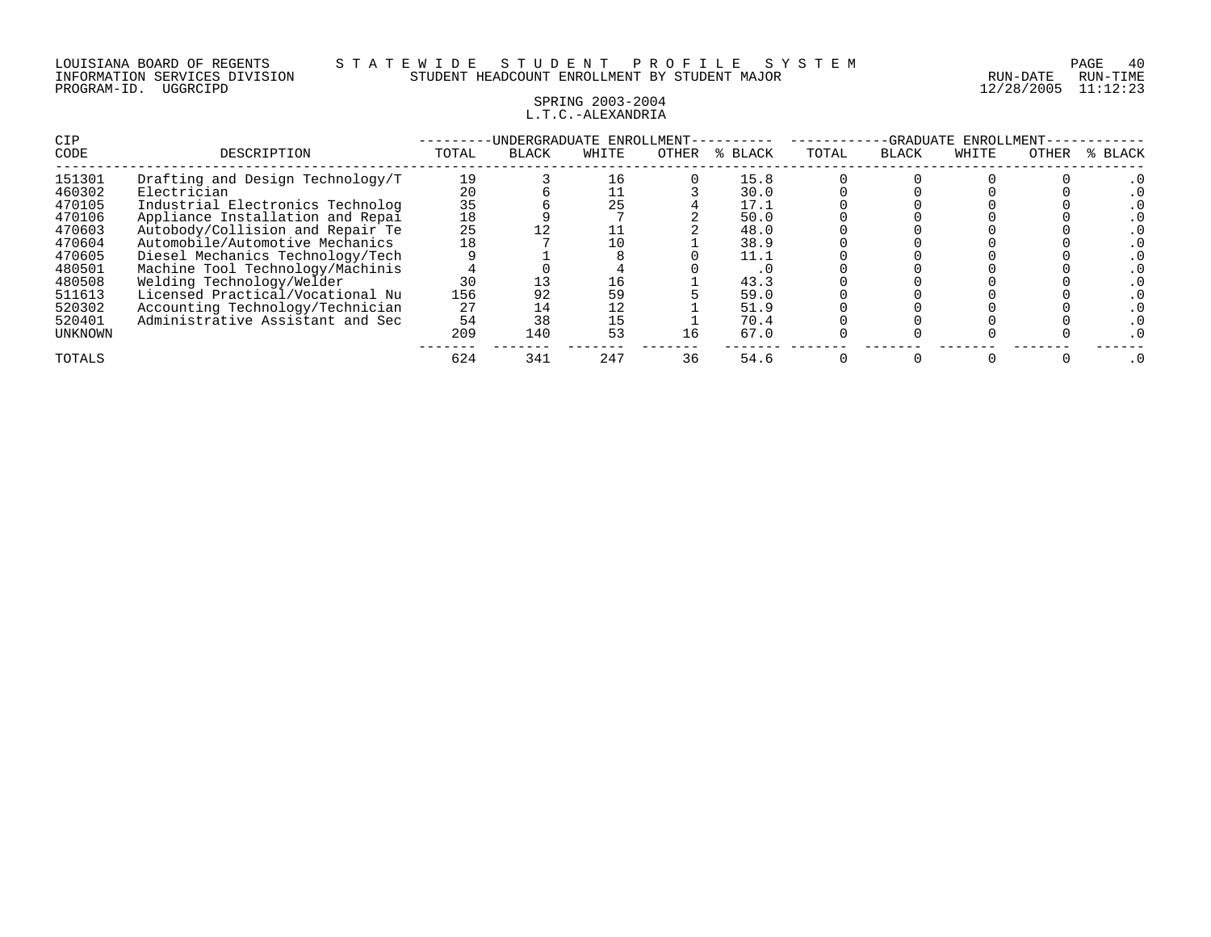### SPRING 2003-2004 L.T.C.-ALEXANDRIA

| <b>CIP</b> |                                  |       |              | -UNDERGRADUATE ENROLLMENT- |       |             | ENROLLMENT-<br>-GRADUATE |              |       |       |         |
|------------|----------------------------------|-------|--------------|----------------------------|-------|-------------|--------------------------|--------------|-------|-------|---------|
| CODE       | DESCRIPTION                      | TOTAL | <b>BLACK</b> | WHITE                      | OTHER | BLACK<br>°≈ | TOTAL                    | <b>BLACK</b> | WHITE | OTHER | % BLACK |
| 151301     | Drafting and Design Technology/T | 19    |              | 16                         |       | 15.8        |                          |              |       |       |         |
| 460302     | Electrician                      | 20    |              |                            |       | 30.0        |                          |              |       |       |         |
| 470105     | Industrial Electronics Technolog | 35    |              | 25                         |       | 17.1        |                          |              |       |       |         |
| 470106     | Appliance Installation and Repai | 18    |              |                            |       | 50.0        |                          |              |       |       |         |
| 470603     | Autobody/Collision and Repair Te | 25    |              |                            |       | 48.0        |                          |              |       |       |         |
| 470604     | Automobile/Automotive Mechanics  | 18    |              | 10                         |       | 38.9        |                          |              |       |       |         |
| 470605     | Diesel Mechanics Technology/Tech |       |              |                            |       | 11.1        |                          |              |       |       |         |
| 480501     | Machine Tool Technology/Machinis |       |              |                            |       | . 0         |                          |              |       |       |         |
| 480508     | Welding Technology/Welder        | 30    |              | 16                         |       | 43.3        |                          |              |       |       |         |
| 511613     | Licensed Practical/Vocational Nu | 156   | 92           | 59                         |       | 59.0        |                          |              |       |       |         |
| 520302     | Accounting Technology/Technician | 27    | 14           | 12                         |       | 51.9        |                          |              |       |       |         |
| 520401     | Administrative Assistant and Sec | 54    | 38           | 15                         |       | 70.4        |                          |              |       |       |         |
| UNKNOWN    |                                  | 209   | 140          | 53                         | 16    | 67.0        |                          |              |       |       |         |
| TOTALS     |                                  | 624   | 341          | 247                        | 36    | 54.6        |                          |              |       |       |         |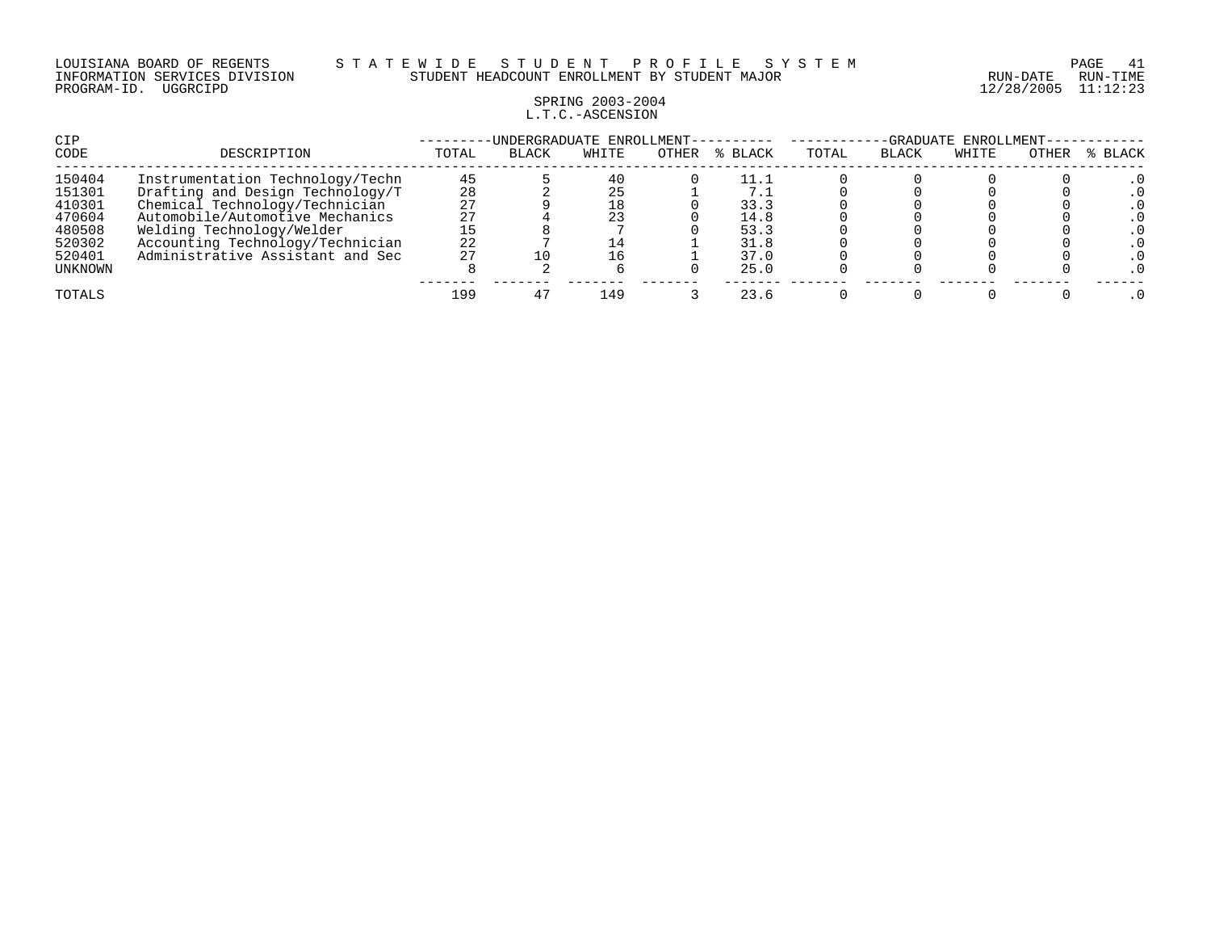#### LOUISIANA BOARD OF REGENTS S T A T E W I D E S T U D E N T P R O F I L E S Y S T E M PAGE 41 INFORMATION SERVICES DIVISION STUDENT HEADCOUNT ENROLLMENT BY STUDENT MAJOR RUN-DATE RUN-TIME

# SPRING 2003-2004 L.T.C.-ASCENSION

| CIP     |                                  |       | -UNDERGRADUATE ENROLLMENT- |       |       |         | ENROLLMENT-<br>-GRADUATE |              |       |       |         |  |
|---------|----------------------------------|-------|----------------------------|-------|-------|---------|--------------------------|--------------|-------|-------|---------|--|
| CODE    | DESCRIPTION                      | TOTAL | <b>BLACK</b>               | WHITE | OTHER | % BLACK | TOTAL                    | <b>BLACK</b> | WHITE | OTHER | % BLACK |  |
| 150404  | Instrumentation Technology/Techn | 45    |                            | 40    |       | 11.1    |                          |              |       |       |         |  |
| 151301  | Drafting and Design Technology/T | 28    |                            | 25    |       |         |                          |              |       |       |         |  |
| 410301  | Chemical Technology/Technician   | 27    |                            | 18    |       | 33.3    |                          |              |       |       |         |  |
| 470604  | Automobile/Automotive Mechanics  | 27    |                            | 23    |       | 14.8    |                          |              |       |       |         |  |
| 480508  | Welding Technology/Welder        |       |                            |       |       | 53.3    |                          |              |       |       |         |  |
| 520302  | Accounting Technology/Technician | 22    |                            |       |       | 31.8    |                          |              |       |       |         |  |
| 520401  | Administrative Assistant and Sec | 27    |                            | 16    |       | 37.0    |                          |              |       |       |         |  |
| UNKNOWN |                                  |       |                            |       |       | 25.0    |                          |              |       |       |         |  |
| TOTALS  |                                  | 199   |                            | 149   |       | 23.6    |                          |              |       |       |         |  |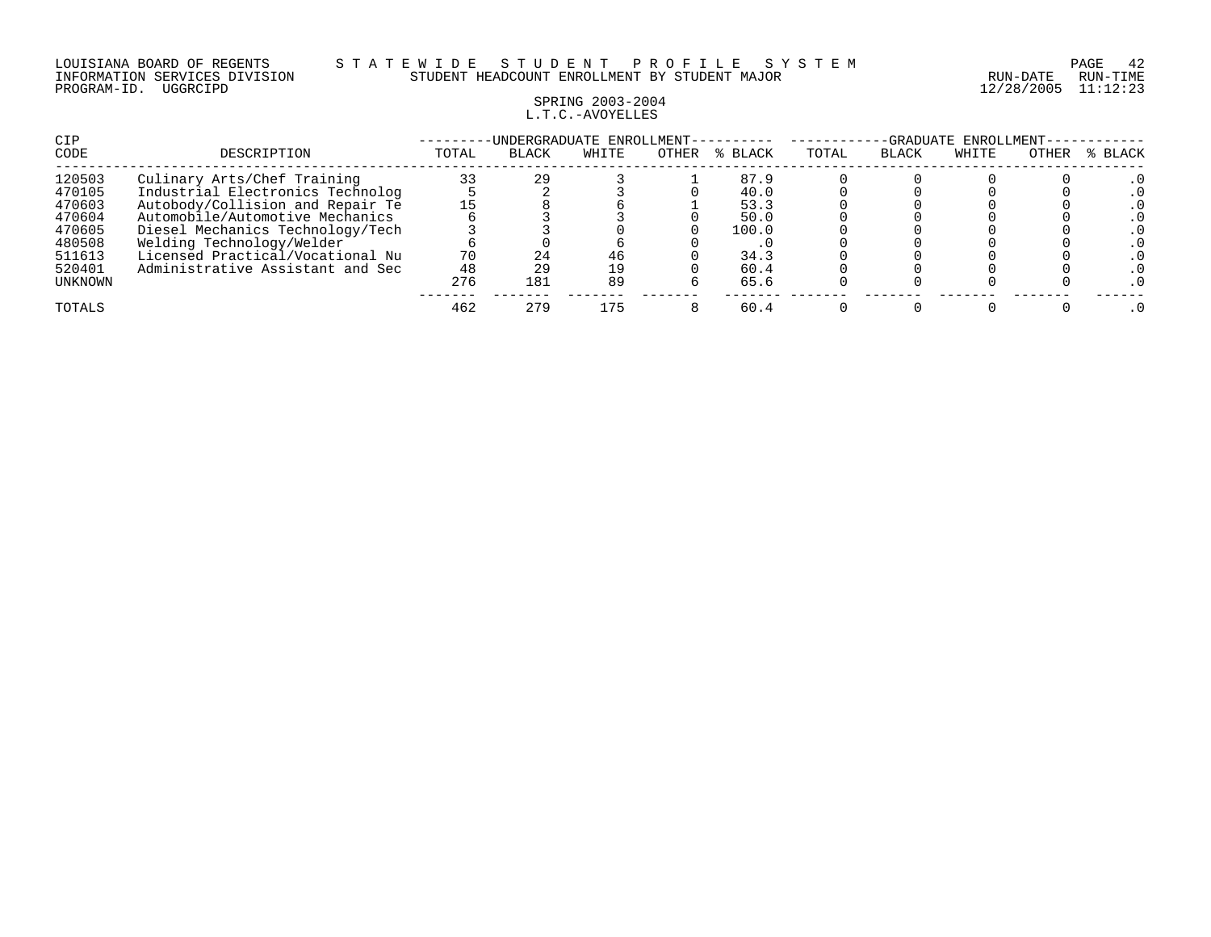#### LOUISIANA BOARD OF REGENTS S T A T E W I D E S T U D E N T P R O F I L E S Y S T E M PAGE 42 INFORMATION SERVICES DIVISION STUDENT HEADCOUNT ENROLLMENT BY STUDENT MAJOR RUN-DATE RUN-TIME

# SPRING 2003-2004 L.T.C.-AVOYELLES

| CIP     |                                  |       | UNDERGRADUATE ENROLLMENT- |       |       |             | ENROLLMENT<br>-GRADUATE |              |       |       |         |  |
|---------|----------------------------------|-------|---------------------------|-------|-------|-------------|-------------------------|--------------|-------|-------|---------|--|
| CODE    | DESCRIPTION                      | TOTAL | <b>BLACK</b>              | WHITE | OTHER | BLACK<br>້≼ | TOTAL                   | <b>BLACK</b> | WHITE | OTHER | % BLACK |  |
| 120503  | Culinary Arts/Chef Training      | 33    | 29                        |       |       | 87.9        |                         |              |       |       |         |  |
| 470105  | Industrial Electronics Technolog |       |                           |       |       | 40.0        |                         |              |       |       |         |  |
| 470603  | Autobody/Collision and Repair Te | 15    |                           |       |       | 53.3        |                         |              |       |       |         |  |
| 470604  | Automobile/Automotive Mechanics  |       |                           |       |       | 50.0        |                         |              |       |       |         |  |
| 470605  | Diesel Mechanics Technology/Tech |       |                           |       |       | 100.0       |                         |              |       |       |         |  |
| 480508  | Welding Technology/Welder        |       |                           |       |       |             |                         |              |       |       |         |  |
| 511613  | Licensed Practical/Vocational Nu | 70    |                           | 46    |       | 34.3        |                         |              |       |       |         |  |
| 520401  | Administrative Assistant and Sec | 48    | 29                        | 19    |       | 60.4        |                         |              |       |       |         |  |
| UNKNOWN |                                  | 276   | 181                       | 89    |       | 65.6        |                         |              |       |       |         |  |
| TOTALS  |                                  | 462   | 279                       | 175   |       | 60.4        |                         |              |       |       |         |  |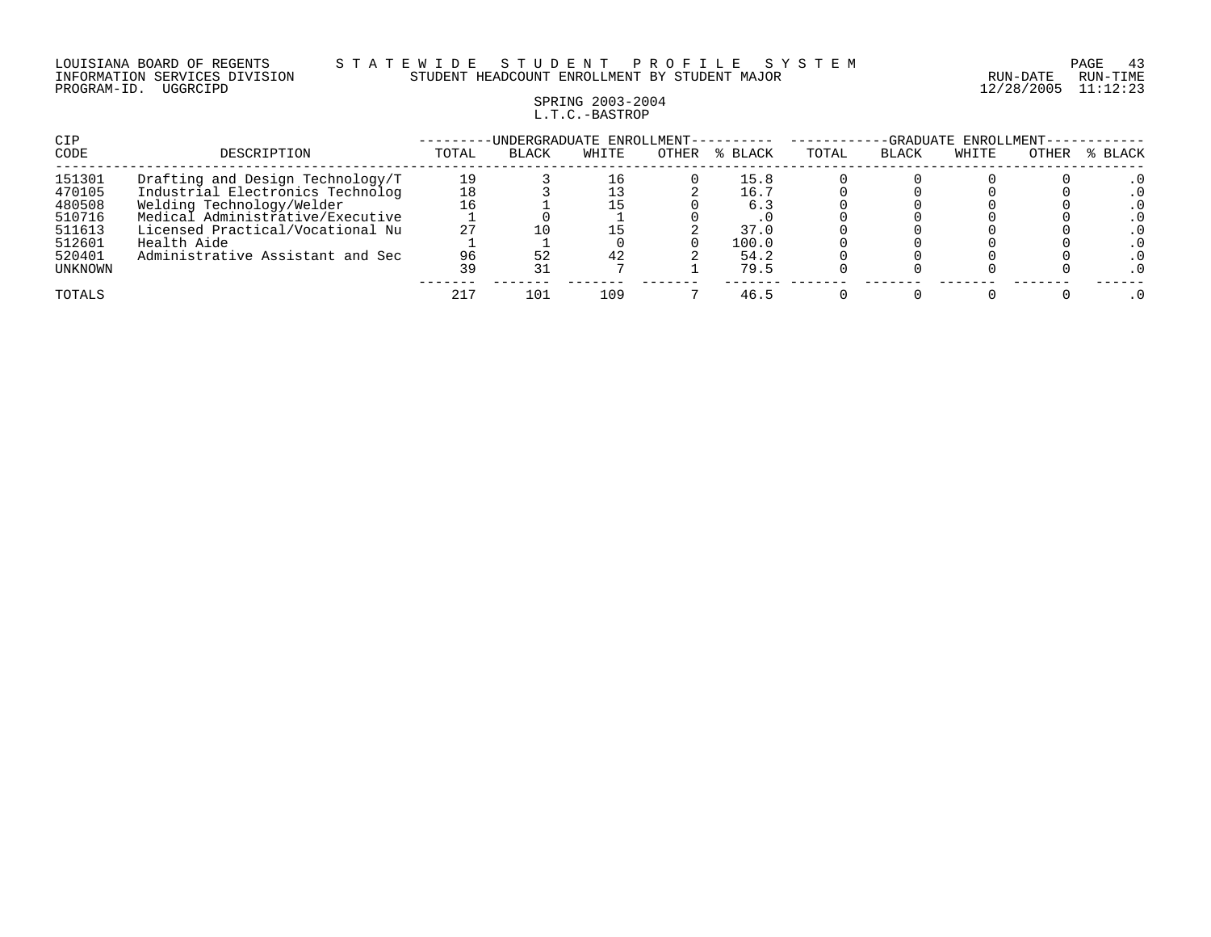#### LOUISIANA BOARD OF REGENTS S T A T E W I D E S T U D E N T P R O F I L E S Y S T E M PAGE 43 INFORMATION SERVICES DIVISION STUDENT HEADCOUNT ENROLLMENT BY STUDENT MAJOR RUN-DATE RUN-TIME

# SPRING 2003-2004 L.T.C.-BASTROP

| CIP     |                                  |       | UNDERGRADUATE ENROLLMENT- |       |       |         | -GRADUATE ENROLLMENT- |              |       |       |          |  |
|---------|----------------------------------|-------|---------------------------|-------|-------|---------|-----------------------|--------------|-------|-------|----------|--|
| CODE    | DESCRIPTION                      | TOTAL | <b>BLACK</b>              | WHITE | OTHER | % BLACK | TOTAL                 | <b>BLACK</b> | WHITE | OTHER | % BLACK  |  |
| 151301  | Drafting and Design Technology/T | 19    |                           | 16    |       | 15.8    |                       |              |       |       |          |  |
| 470105  | Industrial Electronics Technolog | 18    |                           |       |       | 16.7    |                       |              |       |       |          |  |
| 480508  | Welding Technology/Welder        | 16    |                           |       |       | 6.3     |                       |              |       |       |          |  |
| 510716  | Medical Administrative/Executive |       |                           |       |       |         |                       |              |       |       |          |  |
| 511613  | Licensed Practical/Vocational Nu | 27    |                           |       |       | 37.0    |                       |              |       |       |          |  |
| 512601  | Health Aide                      |       |                           |       |       | 100.0   |                       |              |       |       |          |  |
| 520401  | Administrative Assistant and Sec | 96    |                           | 42    |       | 54.2    |                       |              |       |       |          |  |
| UNKNOWN |                                  | 39    |                           |       |       | 79.5    |                       |              |       |       | $\Omega$ |  |
| TOTALS  |                                  | 217   | 101                       | 109   |       | 46.5    |                       |              |       |       |          |  |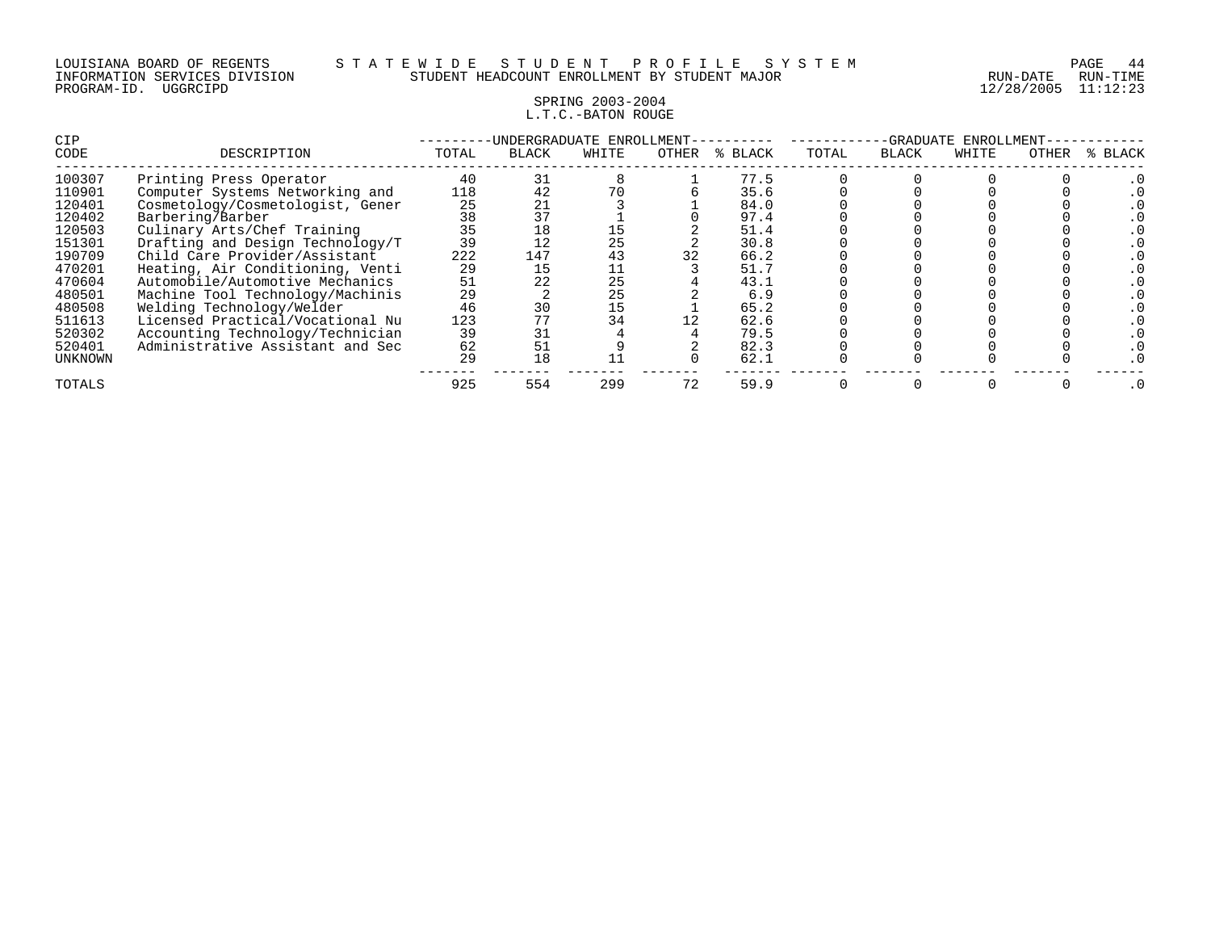### SPRING 2003-2004 L.T.C.-BATON ROUGE

| <b>CIP</b>  |                                  |       | -UNDERGRADUATE ENROLLMENT- |       |       | -GRADUATE<br>ENROLLMENT |       |              |       |       |         |
|-------------|----------------------------------|-------|----------------------------|-------|-------|-------------------------|-------|--------------|-------|-------|---------|
| <b>CODE</b> | DESCRIPTION                      | TOTAL | BLACK                      | WHITE | OTHER | °≈<br>BLACK             | TOTAL | <b>BLACK</b> | WHITE | OTHER | % BLACK |
| 100307      | Printing Press Operator          | 40    | 31                         |       |       | 77.5                    |       |              |       |       |         |
| 110901      | Computer Systems Networking and  | 118   | 42                         | 70    |       | 35.6                    |       |              |       |       |         |
| 120401      | Cosmetology/Cosmetologist, Gener | 25    |                            |       |       | 84.0                    |       |              |       |       |         |
| 120402      | Barbering/Barber                 | 38    |                            |       |       | 97.4                    |       |              |       |       |         |
| 120503      | Culinary Arts/Chef Training      | 35    | 18                         | 15    |       | 51.4                    |       |              |       |       |         |
| 151301      | Drafting and Design Technology/T | 39    |                            | 25    |       | 30.8                    |       |              |       |       |         |
| 190709      | Child Care Provider/Assistant    | 222   | 147                        | 43    | 32    | 66.2                    |       |              |       |       |         |
| 470201      | Heating, Air Conditioning, Venti | 29    | 15                         | 11    |       | 51.7                    |       |              |       |       |         |
| 470604      | Automobile/Automotive Mechanics  | 51    | 22                         | 25    |       | 43.1                    |       |              |       |       |         |
| 480501      | Machine Tool Technology/Machinis | 29    |                            | 25    |       | 6.9                     |       |              |       |       |         |
| 480508      | Welding Technology/Welder        | 46    | 30                         | 15    |       | 65.2                    |       |              |       |       |         |
| 511613      | Licensed Practical/Vocational Nu | 123   |                            | 34    |       | 62.6                    |       |              |       |       |         |
| 520302      | Accounting Technology/Technician | 39    | 31                         |       |       | 79.5                    |       |              |       |       |         |
| 520401      | Administrative Assistant and Sec | 62    | 51                         |       |       | 82.3                    |       |              |       |       |         |
| UNKNOWN     |                                  | 29    | 18                         |       |       | 62.1                    |       |              |       |       |         |
| TOTALS      |                                  | 925   | 554                        | 299   | 72    | 59.9                    |       |              |       |       |         |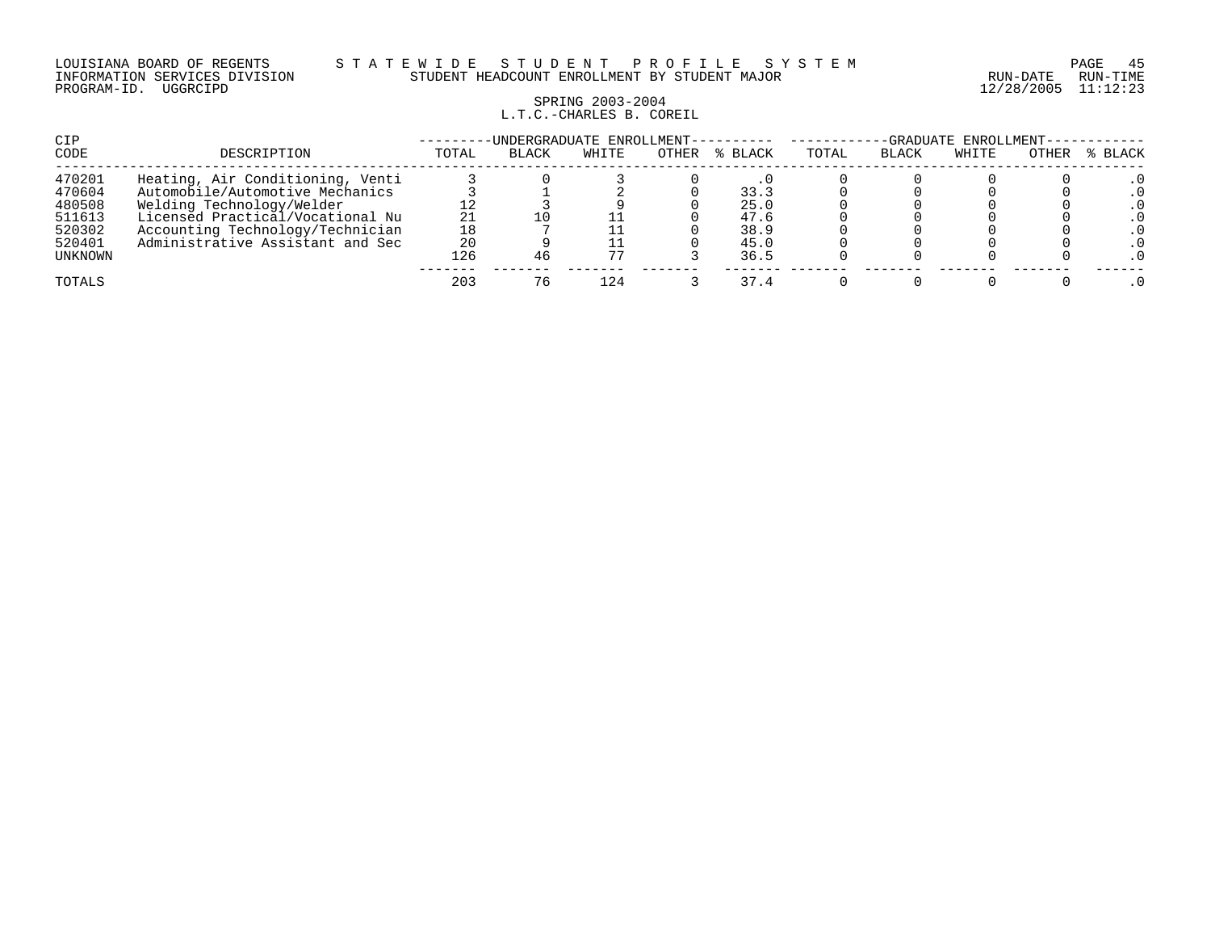#### LOUISIANA BOARD OF REGENTS S T A T E W I D E S T U D E N T P R O F I L E S Y S T E M PAGE 45 INFORMATION SERVICES DIVISION STUDENT HEADCOUNT ENROLLMENT BY STUDENT MAJOR RUN-DATE RUN-TIME

### SPRING 2003-2004 L.T.C.-CHARLES B. COREIL

| CIP     |                                  | -UNDERGRADUATE ENROLLMENT- | -GRADUATE ENROLLMENT- |       |       |         |       |              |       |       |         |
|---------|----------------------------------|----------------------------|-----------------------|-------|-------|---------|-------|--------------|-------|-------|---------|
| CODE    | DESCRIPTION                      | TOTAL                      | <b>BLACK</b>          | WHITE | OTHER | % BLACK | TOTAL | <b>BLACK</b> | WHITE | OTHER | % BLACK |
| 470201  | Heating, Air Conditioning, Venti |                            |                       |       |       |         |       |              |       |       |         |
| 470604  | Automobile/Automotive Mechanics  |                            |                       |       |       | 33.3    |       |              |       |       |         |
| 480508  | Welding Technology/Welder        |                            |                       |       |       | 25.0    |       |              |       |       |         |
| 511613  | Licensed Practical/Vocational Nu |                            |                       |       |       | 47.6    |       |              |       |       |         |
| 520302  | Accounting Technology/Technician | 18                         |                       |       |       | 38.9    |       |              |       |       |         |
| 520401  | Administrative Assistant and Sec | 20                         |                       |       |       | 45.0    |       |              |       |       |         |
| UNKNOWN |                                  | 126                        |                       | 77    |       | 36.5    |       |              |       |       |         |
| TOTALS  |                                  | 203                        |                       | 124   |       | 37.4    |       |              |       |       |         |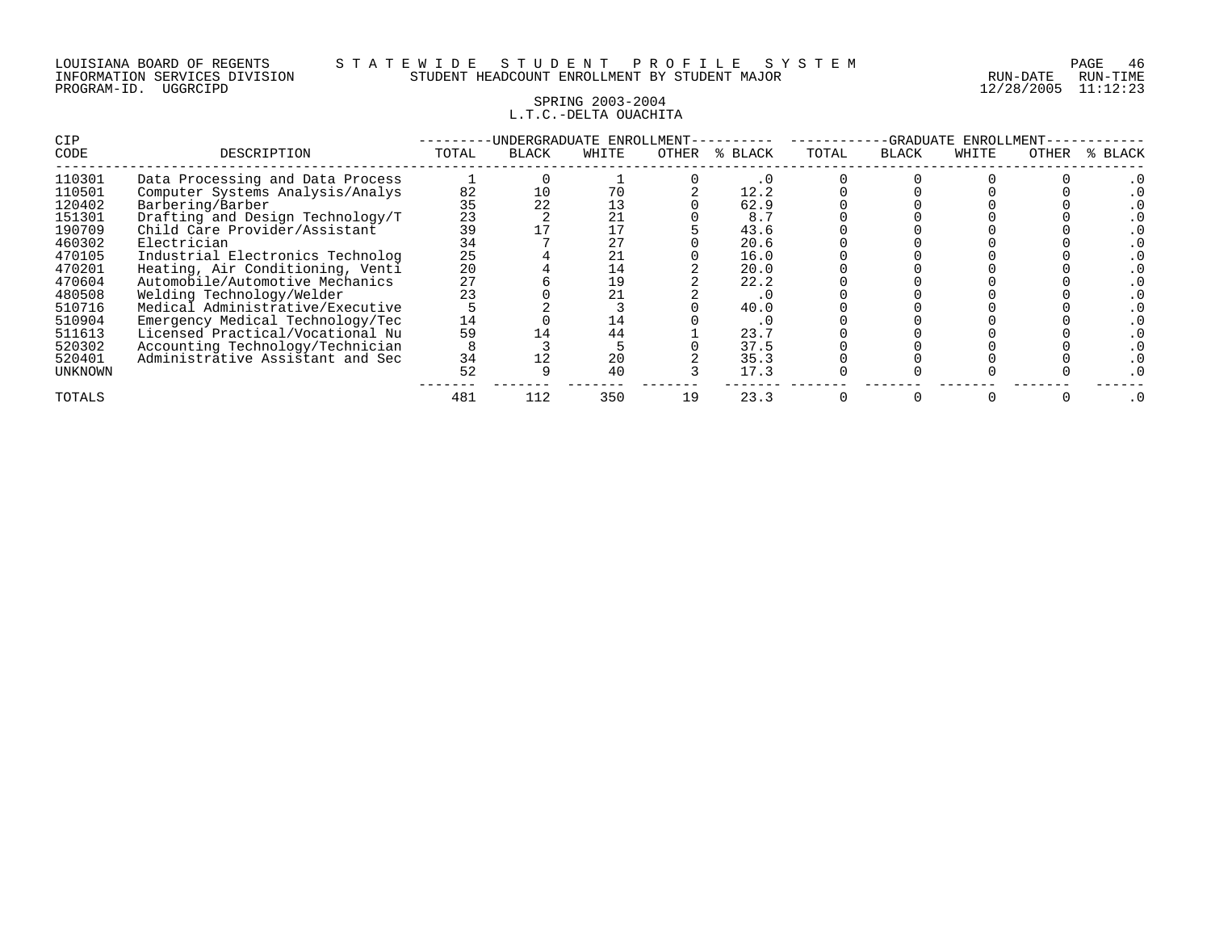### SPRING 2003-2004 L.T.C.-DELTA OUACHITA

| CIP            |                                  |       | INDERGRADUATE ENROLLMENT- |       |       |         | -GRADUATE<br>ENROLLMENT |              |       |       |         |  |
|----------------|----------------------------------|-------|---------------------------|-------|-------|---------|-------------------------|--------------|-------|-------|---------|--|
| CODE           | DESCRIPTION                      | TOTAL | <b>BLACK</b>              | WHITE | OTHER | % BLACK | TOTAL                   | <b>BLACK</b> | WHITE | OTHER | % BLACK |  |
| 110301         | Data Processing and Data Process |       |                           |       |       | . 0     |                         |              |       |       |         |  |
| 110501         | Computer Systems Analysis/Analys | 82    | 10                        | 70    |       | 12.2    |                         |              |       |       |         |  |
| 120402         | Barbering/Barber                 | 35    |                           | 13    |       | 62.9    |                         |              |       |       |         |  |
| 151301         | Drafting and Design Technology/T | 23    |                           |       |       | 8.7     |                         |              |       |       |         |  |
| 190709         | Child Care Provider/Assistant    | 39    |                           |       |       | 43.6    |                         |              |       |       |         |  |
| 460302         | Electrician                      | 34    |                           |       |       | 20.6    |                         |              |       |       |         |  |
| 470105         | Industrial Electronics Technolog | 25    |                           |       |       | 16.0    |                         |              |       |       |         |  |
| 470201         | Heating, Air Conditioning, Venti | 20    |                           | 14    |       | 20.0    |                         |              |       |       |         |  |
| 470604         | Automobile/Automotive Mechanics  | 27    |                           | 19    |       | 22.2    |                         |              |       |       |         |  |
| 480508         | Welding Technology/Welder        | 23    |                           |       |       | . 0     |                         |              |       |       |         |  |
| 510716         | Medical Administrative/Executive |       |                           |       |       | 40.0    |                         |              |       |       |         |  |
| 510904         | Emergency Medical Technology/Tec | 14    |                           | 14    |       | . u     |                         |              |       |       |         |  |
| 511613         | Licensed Practical/Vocational Nu | 59    |                           | 44    |       | 23.7    |                         |              |       |       |         |  |
| 520302         | Accounting Technology/Technician |       |                           |       |       | 37.5    |                         |              |       |       |         |  |
| 520401         | Administrative Assistant and Sec | 34    |                           | 20    |       | 35.3    |                         |              |       |       |         |  |
| <b>UNKNOWN</b> |                                  | 52    |                           | 40    |       | 17.3    |                         |              |       |       |         |  |
| TOTALS         |                                  | 481   | 112                       | 350   | 19    | 23.3    |                         |              |       |       |         |  |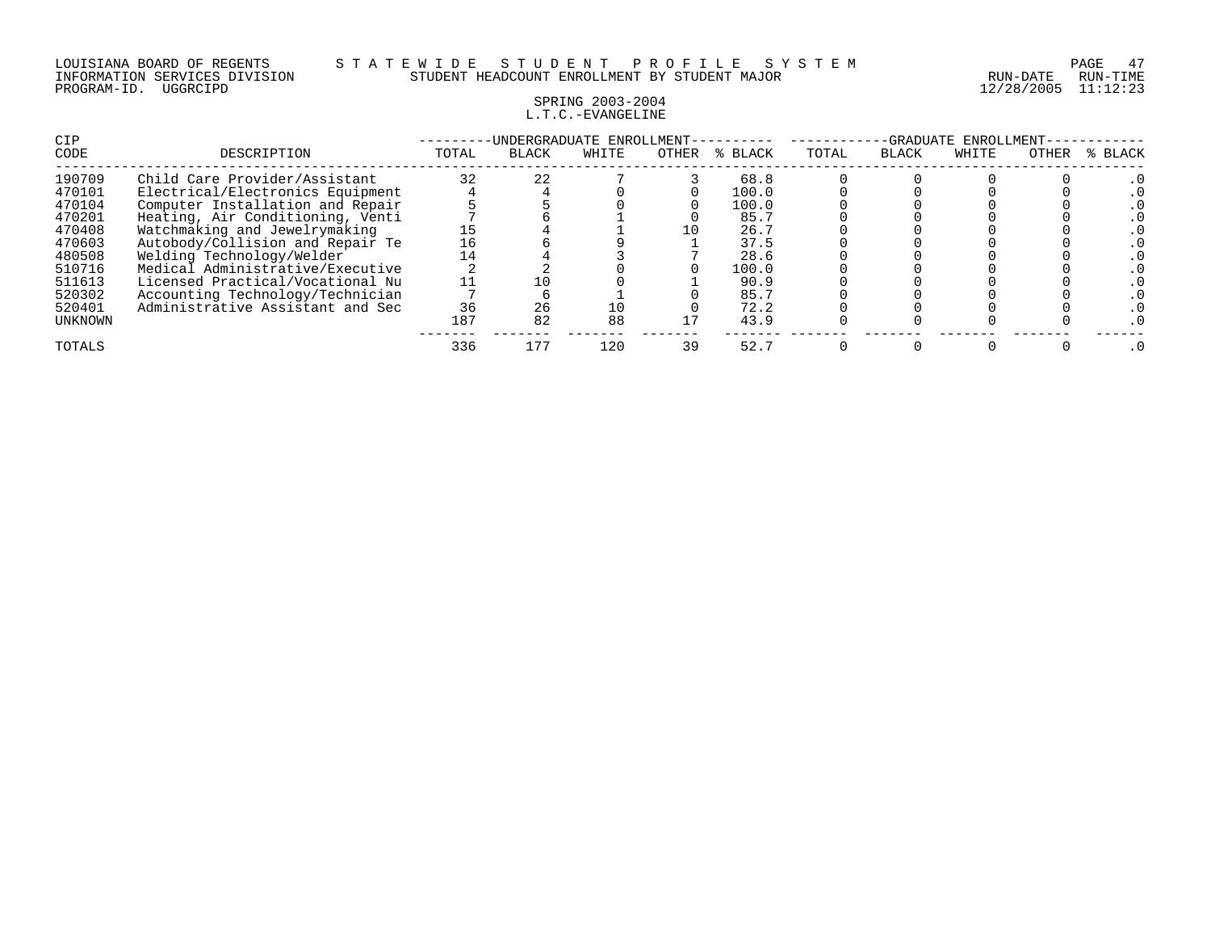# SPRING 2003-2004 L.T.C.-EVANGELINE

| CIP     |                                  | UNDERGRADUATE ENROLLMENT-<br>-GRADUATE<br>ENROLLMENT- |              |       |       |         |       |              |       |       |         |
|---------|----------------------------------|-------------------------------------------------------|--------------|-------|-------|---------|-------|--------------|-------|-------|---------|
| CODE    | DESCRIPTION                      | TOTAL                                                 | <b>BLACK</b> | WHITE | OTHER | % BLACK | TOTAL | <b>BLACK</b> | WHITE | OTHER | % BLACK |
| 190709  | Child Care Provider/Assistant    | 32                                                    | 22           |       |       | 68.8    |       |              |       |       |         |
| 470101  | Electrical/Electronics Equipment |                                                       |              |       |       | 100.0   |       |              |       |       |         |
| 470104  | Computer Installation and Repair |                                                       |              |       |       | 100.0   |       |              |       |       |         |
| 470201  | Heating, Air Conditioning, Venti |                                                       |              |       |       | 85.7    |       |              |       |       |         |
| 470408  | Watchmaking and Jewelrymaking    |                                                       |              |       |       | 26.7    |       |              |       |       |         |
| 470603  | Autobody/Collision and Repair Te | 16                                                    |              |       |       | 37.5    |       |              |       |       |         |
| 480508  | Welding Technology/Welder        | 14                                                    |              |       |       | 28.6    |       |              |       |       |         |
| 510716  | Medical Administrative/Executive |                                                       |              |       |       | 100.0   |       |              |       |       |         |
| 511613  | Licensed Practical/Vocational Nu |                                                       |              |       |       | 90.9    |       |              |       |       |         |
| 520302  | Accounting Technology/Technician |                                                       |              |       |       | 85.7    |       |              |       |       |         |
| 520401  | Administrative Assistant and Sec | 36                                                    | 26           | 10    |       | 72.2    |       |              |       |       |         |
| UNKNOWN |                                  | 187                                                   | 82           | 88    |       | 43.9    |       |              |       |       |         |
| TOTALS  |                                  | 336                                                   | 177          | 120   | 39    | 52.7    |       |              |       |       |         |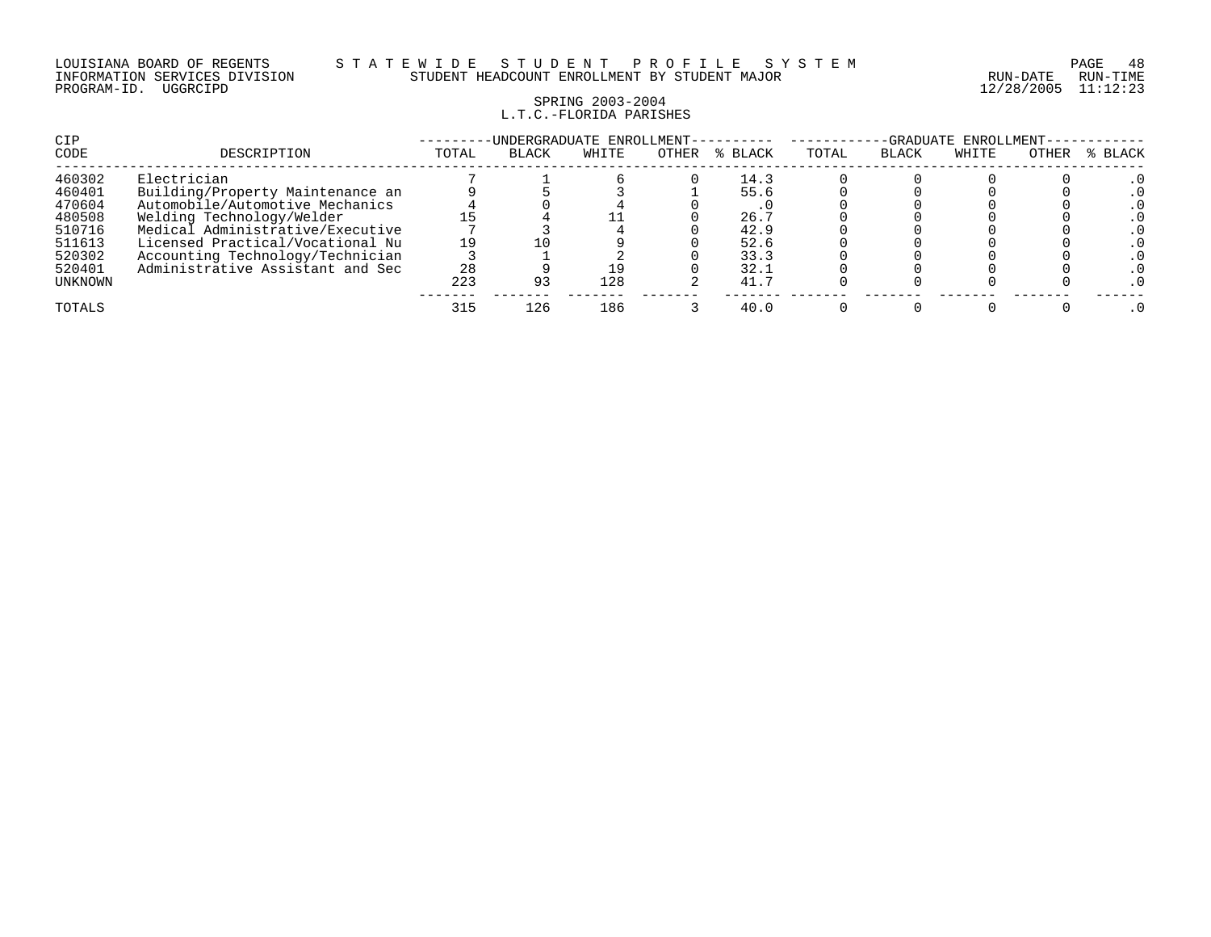# SPRING 2003-2004 L.T.C.-FLORIDA PARISHES

| CIP<br>CODE | DESCRIPTION                      | TOTAL | -UNDERGRADUATE ENROLLMENT-<br><b>BLACK</b> | WHITE | OTHER | % BLACK | TOTAL | -GRADUATE<br><b>BLACK</b> | ENROLLMENT-<br>WHITE | OTHER | % BLACK |
|-------------|----------------------------------|-------|--------------------------------------------|-------|-------|---------|-------|---------------------------|----------------------|-------|---------|
| 460302      | Electrician                      |       |                                            |       |       | 14.3    |       |                           |                      |       |         |
| 460401      | Building/Property Maintenance an |       |                                            |       |       | 55.6    |       |                           |                      |       |         |
| 470604      | Automobile/Automotive Mechanics  |       |                                            |       |       | . .     |       |                           |                      |       |         |
| 480508      | Welding Technology/Welder        |       |                                            |       |       | 26.7    |       |                           |                      |       |         |
| 510716      | Medical Administrative/Executive |       |                                            |       |       | 42.9    |       |                           |                      |       |         |
| 511613      | Licensed Practical/Vocational Nu |       |                                            |       |       | 52.6    |       |                           |                      |       |         |
| 520302      | Accounting Technology/Technician |       |                                            |       |       | 33.3    |       |                           |                      |       |         |
| 520401      | Administrative Assistant and Sec | 28    |                                            |       |       | 32.1    |       |                           |                      |       |         |
| UNKNOWN     |                                  | 223   |                                            | 128   |       | 41.7    |       |                           |                      |       |         |
| TOTALS      |                                  | 315   | 126                                        | 186   |       | 40.0    |       |                           |                      |       |         |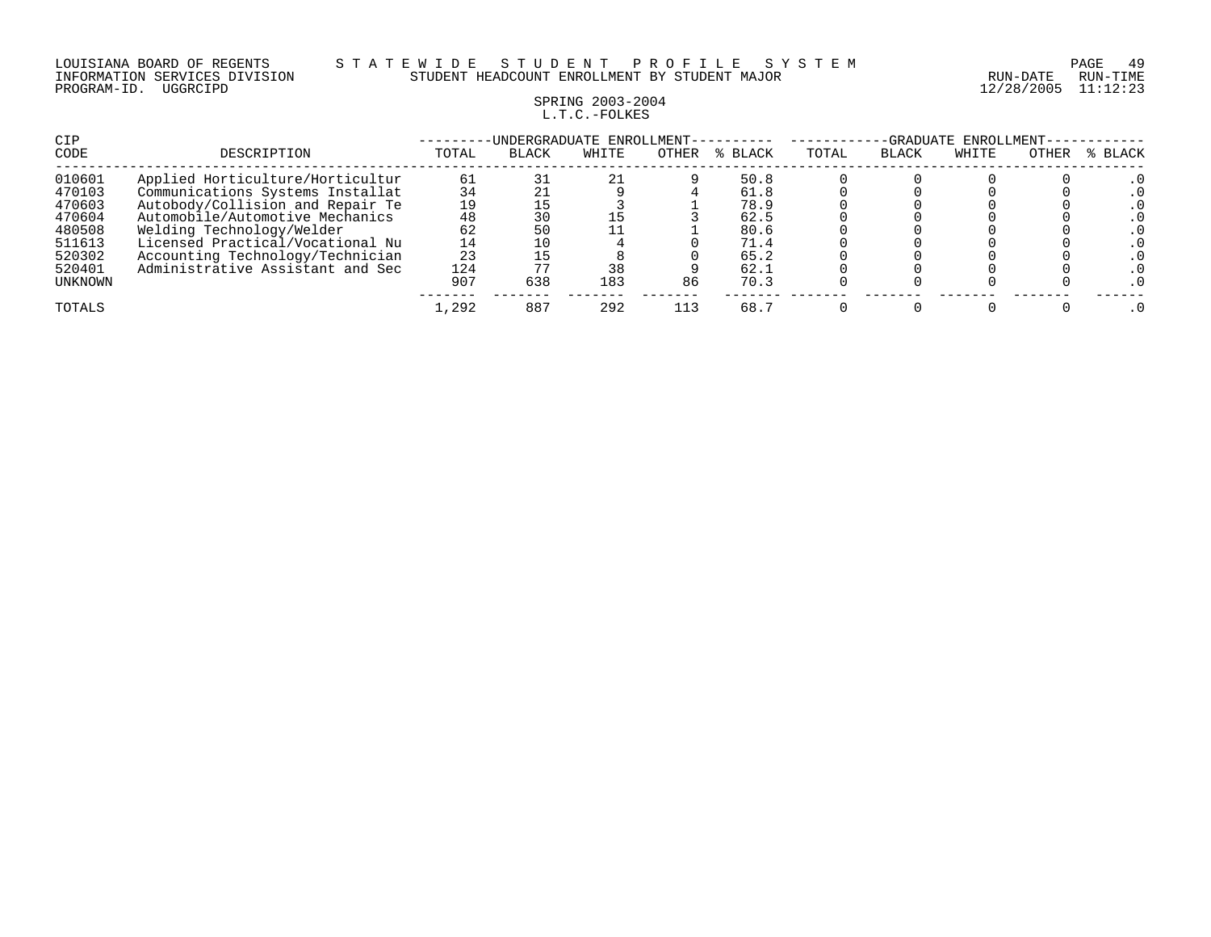### LOUISIANA BOARD OF REGENTS S T A T E W I D E S T U D E N T P R O F I L E S Y S T E M PAGE 49 INFORMATION SERVICES DIVISION STUDENT HEADCOUNT ENROLLMENT BY STUDENT MAJOR RUN-DATE RUN-TIME

# SPRING 2003-2004 L.T.C.-FOLKES

| CIP            |                                  |       | UNDERGRADUATE ENROLLMENT- |       |       |         |       |       | -GRADUATE ENROLLMENT- |       |         |
|----------------|----------------------------------|-------|---------------------------|-------|-------|---------|-------|-------|-----------------------|-------|---------|
| CODE           | DESCRIPTION                      | TOTAL | <b>BLACK</b>              | WHITE | OTHER | % BLACK | TOTAL | BLACK | WHITE                 | OTHER | % BLACK |
| 010601         | Applied Horticulture/Horticultur | 61    |                           | 21    |       | 50.8    |       |       |                       |       |         |
| 470103         | Communications Systems Installat | 34    |                           |       |       | 61.8    |       |       |                       |       |         |
| 470603         | Autobody/Collision and Repair Te | 19    |                           |       |       | 78.9    |       |       |                       |       |         |
| 470604         | Automobile/Automotive Mechanics  | 48    |                           |       |       | 62.5    |       |       |                       |       |         |
| 480508         | Welding Technology/Welder        | 62    | 50                        |       |       | 80.6    |       |       |                       |       |         |
| 511613         | Licensed Practical/Vocational Nu | 14    |                           |       |       | 71.4    |       |       |                       |       |         |
| 520302         | Accounting Technology/Technician | 23    |                           |       |       | 65.2    |       |       |                       |       |         |
| 520401         | Administrative Assistant and Sec | 124   |                           | 38    |       | 62.1    |       |       |                       |       |         |
| <b>UNKNOWN</b> |                                  | 907   | 638                       | 183   | 86    | 70.3    |       |       |                       |       |         |
| TOTALS         |                                  | 1,292 | 887                       | 292   | 113   | 68.7    |       |       |                       |       |         |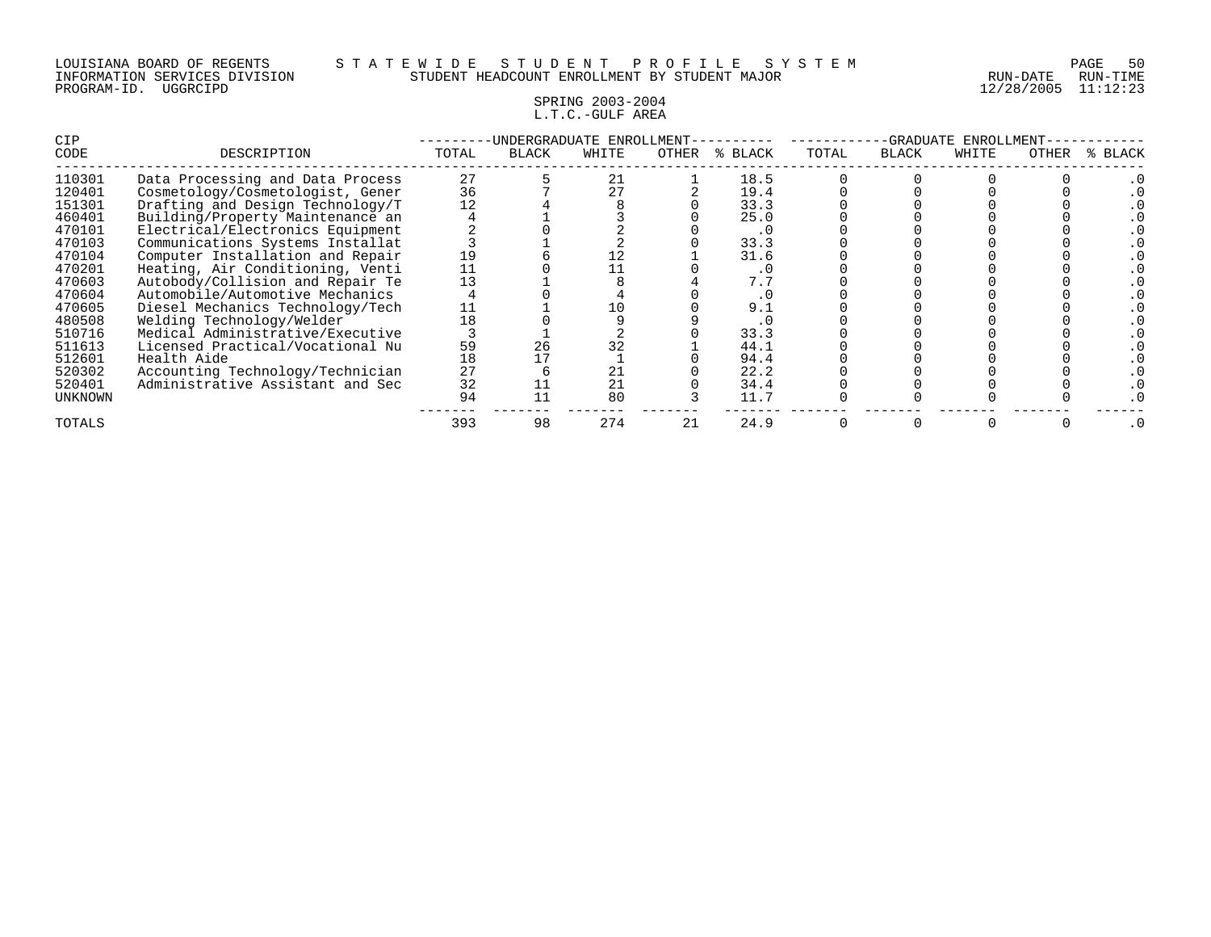## SPRING 2003-2004 L.T.C.-GULF AREA

| CIP     |                                  |       | -UNDERGRADUATE ENROLLMENT- |       |       |         |       |              | ENROLLMENT-<br>-GRADUATE<br>WHITE<br>OTHER |  |           |
|---------|----------------------------------|-------|----------------------------|-------|-------|---------|-------|--------------|--------------------------------------------|--|-----------|
| CODE    | DESCRIPTION                      | TOTAL | <b>BLACK</b>               | WHITE | OTHER | % BLACK | TOTAL | <b>BLACK</b> |                                            |  | % BLACK   |
| 110301  | Data Processing and Data Process | 27    |                            | 21    |       | 18.5    |       |              |                                            |  |           |
| 120401  | Cosmetology/Cosmetologist, Gener | 36    |                            | 27    |       | 19.4    |       |              |                                            |  |           |
| 151301  | Drafting and Design Technology/T | 12    |                            |       |       | 33.3    |       |              |                                            |  |           |
| 460401  | Building/Property Maintenance an |       |                            |       |       | 25.0    |       |              |                                            |  |           |
| 470101  | Electrical/Electronics Equipment |       |                            |       |       | . 0     |       |              |                                            |  |           |
| 470103  | Communications Systems Installat |       |                            |       |       | 33.3    |       |              |                                            |  |           |
| 470104  | Computer Installation and Repair |       |                            |       |       | 31.6    |       |              |                                            |  |           |
| 470201  | Heating, Air Conditioning, Venti |       |                            |       |       | . 0     |       |              |                                            |  |           |
| 470603  | Autobody/Collision and Repair Te | 13    |                            |       |       | 7.7     |       |              |                                            |  |           |
| 470604  | Automobile/Automotive Mechanics  |       |                            |       |       |         |       |              |                                            |  |           |
| 470605  | Diesel Mechanics Technology/Tech |       |                            |       |       | 9.1     |       |              |                                            |  |           |
| 480508  | Welding Technology/Welder        | 18    |                            |       |       | . 0     |       |              |                                            |  |           |
| 510716  | Medical Administrative/Executive |       |                            |       |       | 33.3    |       |              |                                            |  |           |
| 511613  | Licensed Practical/Vocational Nu | 59    | 26                         |       |       | 44.1    |       |              |                                            |  |           |
| 512601  | Health Aide                      | 18    |                            |       |       | 94.4    |       |              |                                            |  |           |
| 520302  | Accounting Technology/Technician | 27    |                            | 21    |       | 22.2    |       |              |                                            |  |           |
| 520401  | Administrative Assistant and Sec | 32    |                            | 21    |       | 34.4    |       |              |                                            |  |           |
| UNKNOWN |                                  | 94    |                            | 80    |       | 11.7    |       |              |                                            |  |           |
| TOTALS  |                                  | 393   | 98                         | 274   | 21    | 24.9    |       |              |                                            |  | $\cdot$ 0 |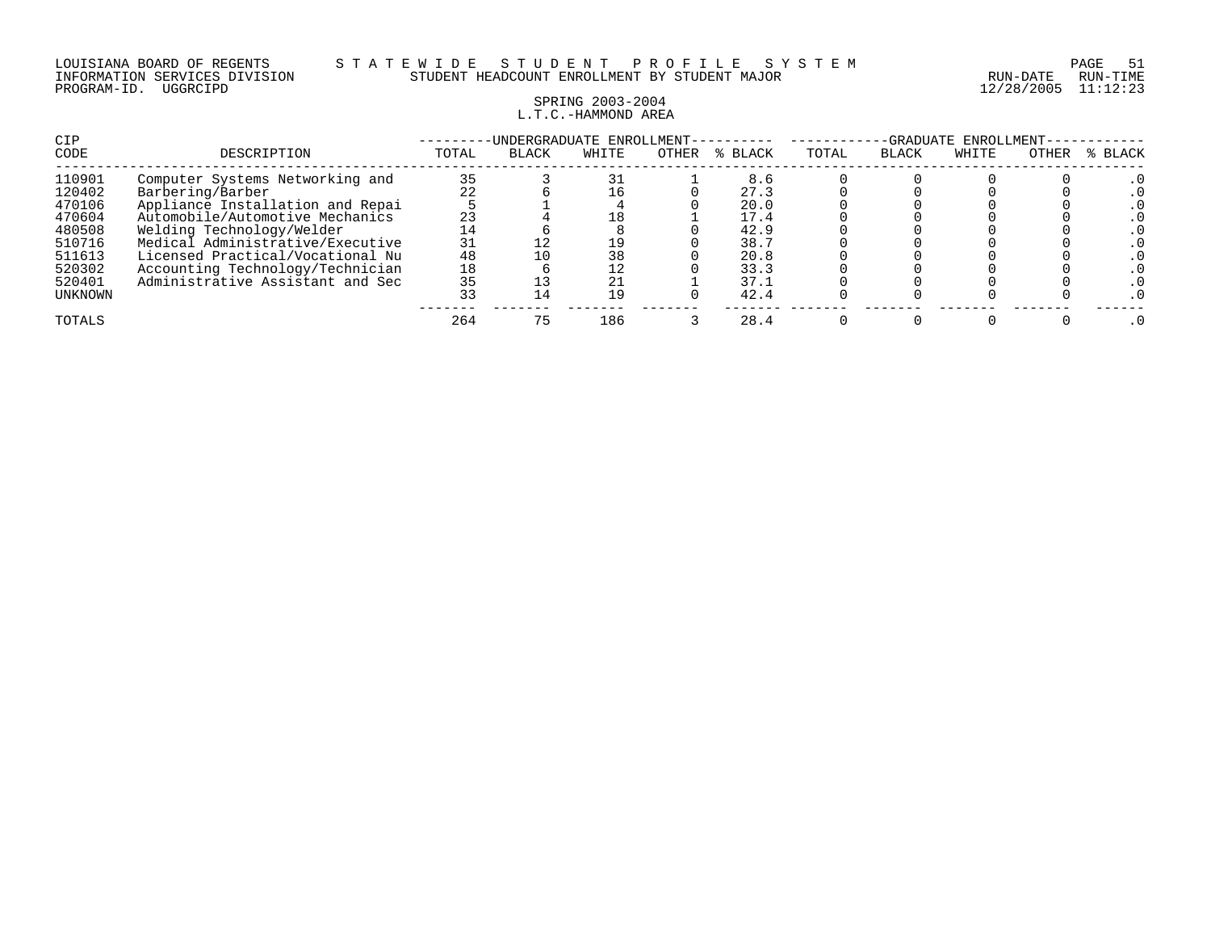## SPRING 2003-2004 L.T.C.-HAMMOND AREA

| CIP<br>CODE      | DESCRIPTION                                                          | -UNDERGRADUATE ENROLLMENT-<br><b>BLACK</b><br>OTHER<br>WHITE<br>% BLACK<br>TOTAL |     |          |  |              |  | -GRADUATE ENROLLMENT<br>% BLACK<br>TOTAL<br><b>BLACK</b><br>OTHER<br>WHITE |  |  |  |  |  |
|------------------|----------------------------------------------------------------------|----------------------------------------------------------------------------------|-----|----------|--|--------------|--|----------------------------------------------------------------------------|--|--|--|--|--|
| 110901<br>120402 | Computer Systems Networking and<br>Barbering/Barber                  | 35                                                                               |     | 16       |  | 8.6<br>27.3  |  |                                                                            |  |  |  |  |  |
| 470106<br>470604 | Appliance Installation and Repai<br>Automobile/Automotive Mechanics  | 23                                                                               |     | 18       |  | 20.0<br>17.4 |  |                                                                            |  |  |  |  |  |
| 480508           | Welding Technology/Welder                                            |                                                                                  |     |          |  | 42.9         |  |                                                                            |  |  |  |  |  |
| 510716<br>511613 | Medical Administrative/Executive<br>Licensed Practical/Vocational Nu | 31<br>48                                                                         |     | 19<br>38 |  | 38.7<br>20.8 |  |                                                                            |  |  |  |  |  |
| 520302<br>520401 | Accounting Technology/Technician<br>Administrative Assistant and Sec | 18<br>35                                                                         |     | 12<br>21 |  | 33.3<br>37.1 |  |                                                                            |  |  |  |  |  |
| UNKNOWN          |                                                                      | 33                                                                               | L 4 | 19       |  | 42.4         |  |                                                                            |  |  |  |  |  |
| TOTALS           |                                                                      | 264                                                                              | 75  | 186      |  | 28.4         |  |                                                                            |  |  |  |  |  |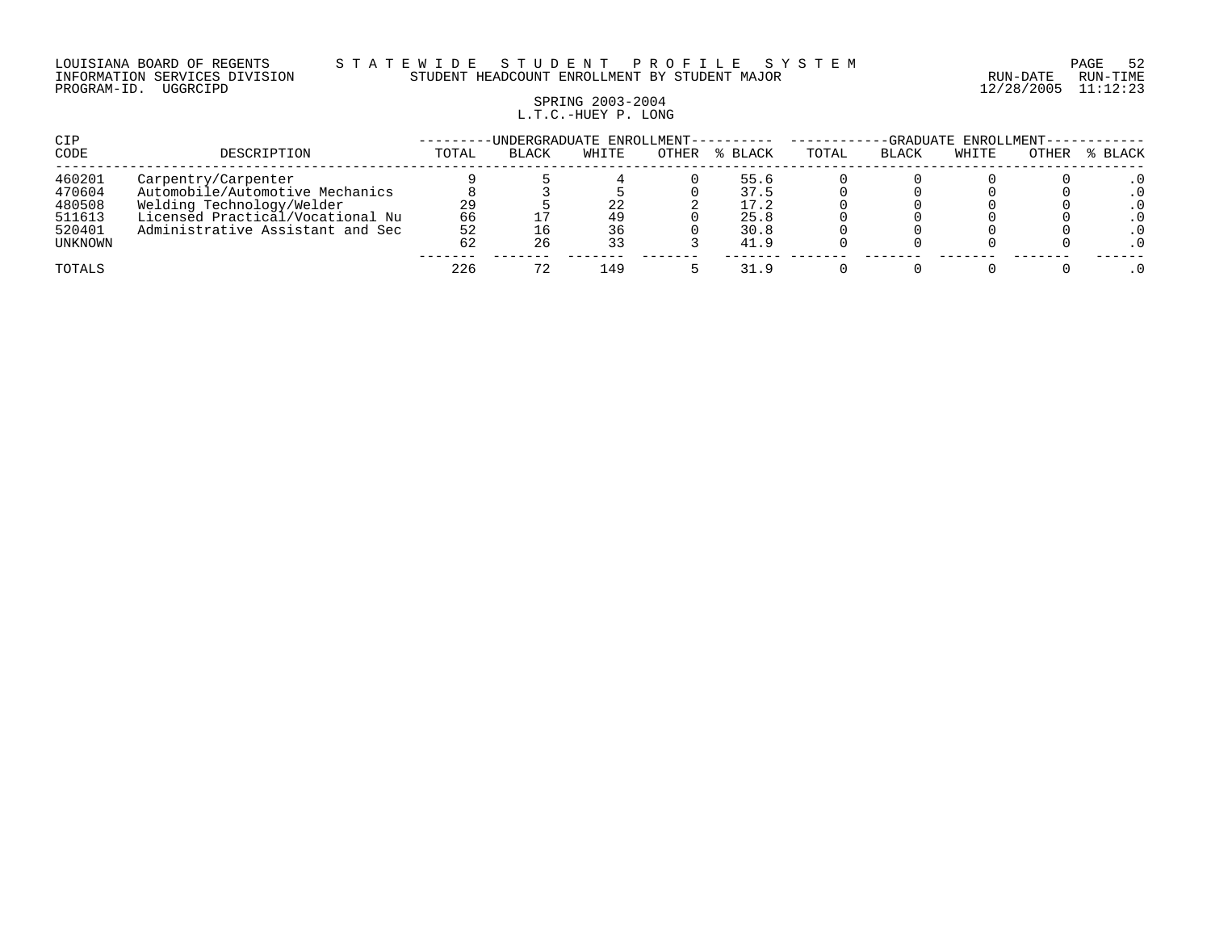# SPRING 2003-2004 L.T.C.-HUEY P. LONG

| CIP     |                                  |       | -UNDERGRADUATE ENROLLMENT---------- | -GRADUATE ENROLLMENT- |       |         |       |              |       |       |         |
|---------|----------------------------------|-------|-------------------------------------|-----------------------|-------|---------|-------|--------------|-------|-------|---------|
| CODE    | DESCRIPTION                      | TOTAL | <b>BLACK</b>                        | WHITE                 | OTHER | % BLACK | TOTAL | <b>BLACK</b> | WHITE | OTHER | % BLACK |
| 460201  | Carpentry/Carpenter              |       |                                     |                       |       | 55.6    |       |              |       |       |         |
| 470604  | Automobile/Automotive Mechanics  |       |                                     |                       |       | 37.5    |       |              |       |       |         |
| 480508  | Welding Technology/Welder        | 29    |                                     | 22                    |       | 17.2    |       |              |       |       |         |
| 511613  | Licensed Practical/Vocational Nu | 66    |                                     | 49                    |       | 25.8    |       |              |       |       |         |
| 520401  | Administrative Assistant and Sec | 52    |                                     | 36                    |       | 30.8    |       |              |       |       |         |
| UNKNOWN |                                  | 62    | 26                                  | 33                    |       | 41.9    |       |              |       |       |         |
| TOTALS  |                                  | 226   |                                     | L49                   |       | 31.9    |       |              |       |       |         |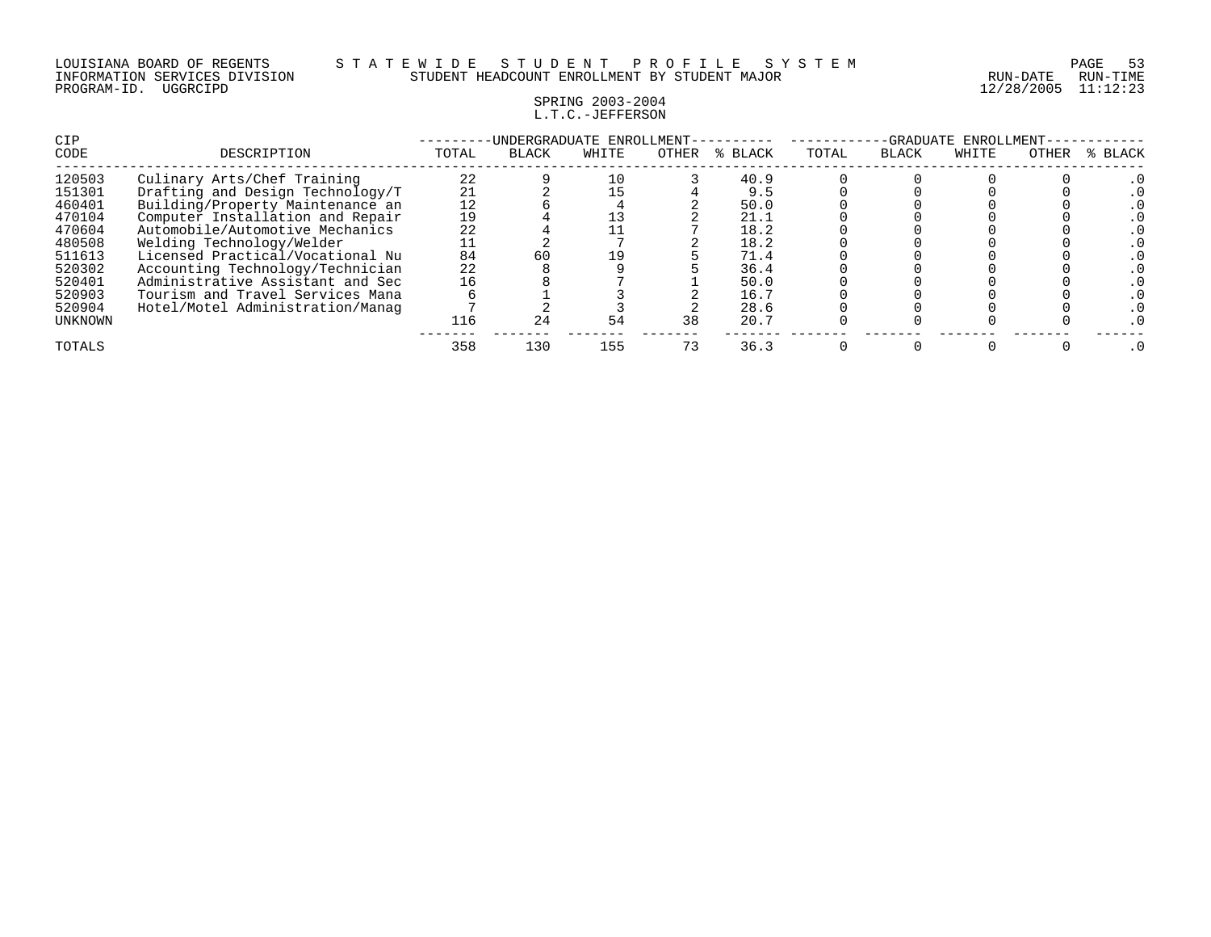## SPRING 2003-2004 L.T.C.-JEFFERSON

| <b>CIP</b> |                                  |       | UNDERGRADUATE ENROLLMENT- |       |       |         |       | -GRADUATE    | ENROLLMENT- |       |         |
|------------|----------------------------------|-------|---------------------------|-------|-------|---------|-------|--------------|-------------|-------|---------|
| CODE       | DESCRIPTION                      | TOTAL | <b>BLACK</b>              | WHITE | OTHER | % BLACK | TOTAL | <b>BLACK</b> | WHITE       | OTHER | % BLACK |
| 120503     | Culinary Arts/Chef Training      | 22    |                           | 10    |       | 40.9    |       |              |             |       |         |
| 151301     | Drafting and Design Technology/T | 21    |                           | 15    |       | 9.5     |       |              |             |       |         |
| 460401     | Building/Property Maintenance an | 12    |                           |       |       | 50.0    |       |              |             |       |         |
| 470104     | Computer Installation and Repair | 19    |                           |       |       | 21.1    |       |              |             |       |         |
| 470604     | Automobile/Automotive Mechanics  | 22    |                           |       |       | 18.2    |       |              |             |       |         |
| 480508     | Welding Technology/Welder        |       |                           |       |       | 18.2    |       |              |             |       |         |
| 511613     | Licensed Practical/Vocational Nu | 84    | 60                        | 19    |       | 71.4    |       |              |             |       |         |
| 520302     | Accounting Technology/Technician | 22    |                           |       |       | 36.4    |       |              |             |       |         |
| 520401     | Administrative Assistant and Sec | 16    |                           |       |       | 50.0    |       |              |             |       |         |
| 520903     | Tourism and Travel Services Mana |       |                           |       |       | 16.7    |       |              |             |       |         |
| 520904     | Hotel/Motel Administration/Manag |       |                           |       |       | 28.6    |       |              |             |       |         |
| UNKNOWN    |                                  | 116   | 24                        | 54    | 38    | 20.7    |       |              |             |       |         |
| TOTALS     |                                  | 358   | 130                       | 155   | 73    | 36.3    |       |              |             |       |         |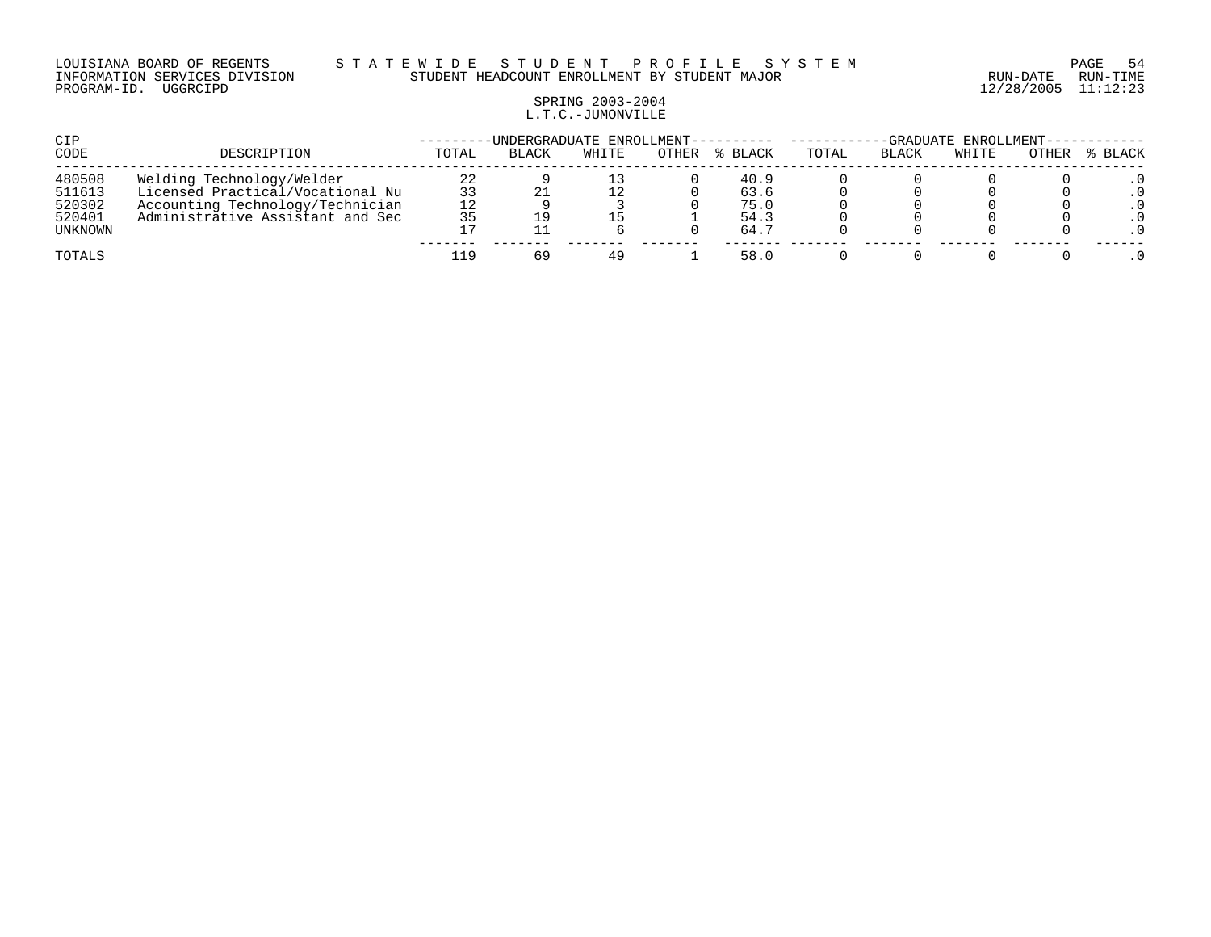#### LOUISIANA BOARD OF REGENTS S T A T E W I D E S T U D E N T P R O F I L E S Y S T E M PAGE 54 INFORMATION SERVICES DIVISION STUDENT HEADCOUNT ENROLLMENT BY STUDENT MAJOR RUN-DATE RUN-TIME

# SPRING 2003-2004 L.T.C.-JUMONVILLE

| CIP              |                                                                      |          | -UNDERGRADUATE ENROLLMENT- |       |       |              | -GRADUATE ENROLLMENT---- |       |       |       |       |  |
|------------------|----------------------------------------------------------------------|----------|----------------------------|-------|-------|--------------|--------------------------|-------|-------|-------|-------|--|
| CODE             | DESCRIPTION                                                          | TOTAL    | <b>BLACK</b>               | WHITE | OTHER | BLACK        | TOTAL                    | BLACK | WHITE | OTHER | BLACK |  |
| 480508<br>511613 | Welding Technology/Welder<br>Licensed Practical/Vocational Nu        | 22<br>33 |                            | 12    |       | 40.9<br>63.6 |                          |       |       |       | . 0   |  |
| 520302<br>520401 | Accounting Technology/Technician<br>Administrative Assistant and Sec | 12<br>35 |                            | 15    |       | 75.0<br>54.3 |                          |       |       |       | . 0   |  |
| UNKNOWN          |                                                                      |          |                            |       |       | 64.7         |                          |       |       |       | . 0   |  |
| TOTALS           |                                                                      | 119      | 69                         | 49    |       | 58.0         |                          |       |       |       |       |  |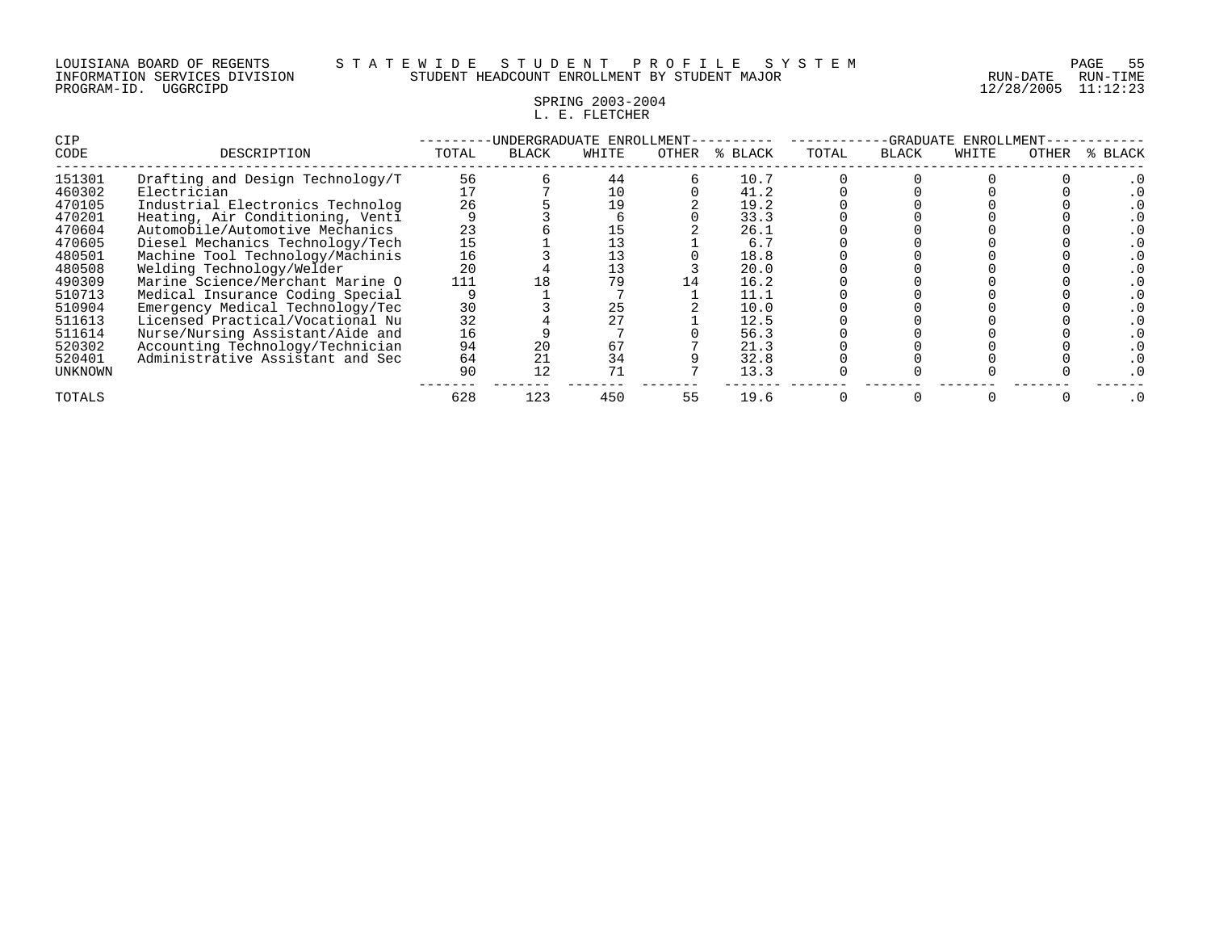### LOUISIANA BOARD OF REGENTS S T A T E W I D E S T U D E N T P R O F I L E S Y S T E M PAGE 55 INFORMATION SERVICES DIVISION STUDENT HEADCOUNT ENROLLMENT BY STUDENT MAJOR RUN-DATE RUN-TIME

# SPRING 2003-2004 L. E. FLETCHER

| <b>CIP</b>     |                                  |       | -UNDERGRADUATE ENROLLMENT- |       |       |         |       | -GRADUATE    | ENROLLMENT |       |         |
|----------------|----------------------------------|-------|----------------------------|-------|-------|---------|-------|--------------|------------|-------|---------|
| CODE           | DESCRIPTION                      | TOTAL | BLACK                      | WHITE | OTHER | % BLACK | TOTAL | <b>BLACK</b> | WHITE      | OTHER | % BLACK |
| 151301         | Drafting and Design Technology/T | 56    |                            | 44    |       | 10.7    |       |              |            |       |         |
| 460302         | Electrician                      |       |                            | 10    |       | 41.2    |       |              |            |       |         |
| 470105         | Industrial Electronics Technolog | 26    |                            | 19    |       | 19.2    |       |              |            |       |         |
| 470201         | Heating, Air Conditioning, Venti |       |                            |       |       | 33.3    |       |              |            |       |         |
| 470604         | Automobile/Automotive Mechanics  | 23    |                            |       |       | 26.1    |       |              |            |       |         |
| 470605         | Diesel Mechanics Technology/Tech | 15    |                            |       |       | 6.7     |       |              |            |       |         |
| 480501         | Machine Tool Technology/Machinis | 16    |                            |       |       | 18.8    |       |              |            |       |         |
| 480508         | Welding Technology/Welder        | 20    |                            | 13    |       | 20.0    |       |              |            |       |         |
| 490309         | Marine Science/Merchant Marine O | 111   |                            | 79    |       | 16.2    |       |              |            |       |         |
| 510713         | Medical Insurance Coding Special |       |                            |       |       | 11.1    |       |              |            |       |         |
| 510904         | Emergency Medical Technology/Tec | 30    |                            | 25    |       | 10.0    |       |              |            |       |         |
| 511613         | Licensed Practical/Vocational Nu | 32    |                            | 27    |       | 12.5    |       |              |            |       |         |
| 511614         | Nurse/Nursing Assistant/Aide and | 16    |                            |       |       | 56.3    |       |              |            |       |         |
| 520302         | Accounting Technology/Technician | 94    | 20                         | 67    |       | 21.3    |       |              |            |       |         |
| 520401         | Administrative Assistant and Sec | 64    | 21                         | 34    |       | 32.8    |       |              |            |       |         |
| <b>UNKNOWN</b> |                                  | 90    | 12                         | 71    |       | 13.3    |       |              |            |       |         |
| TOTALS         |                                  | 628   | 123                        | 450   | 55    | 19.6    |       |              |            |       |         |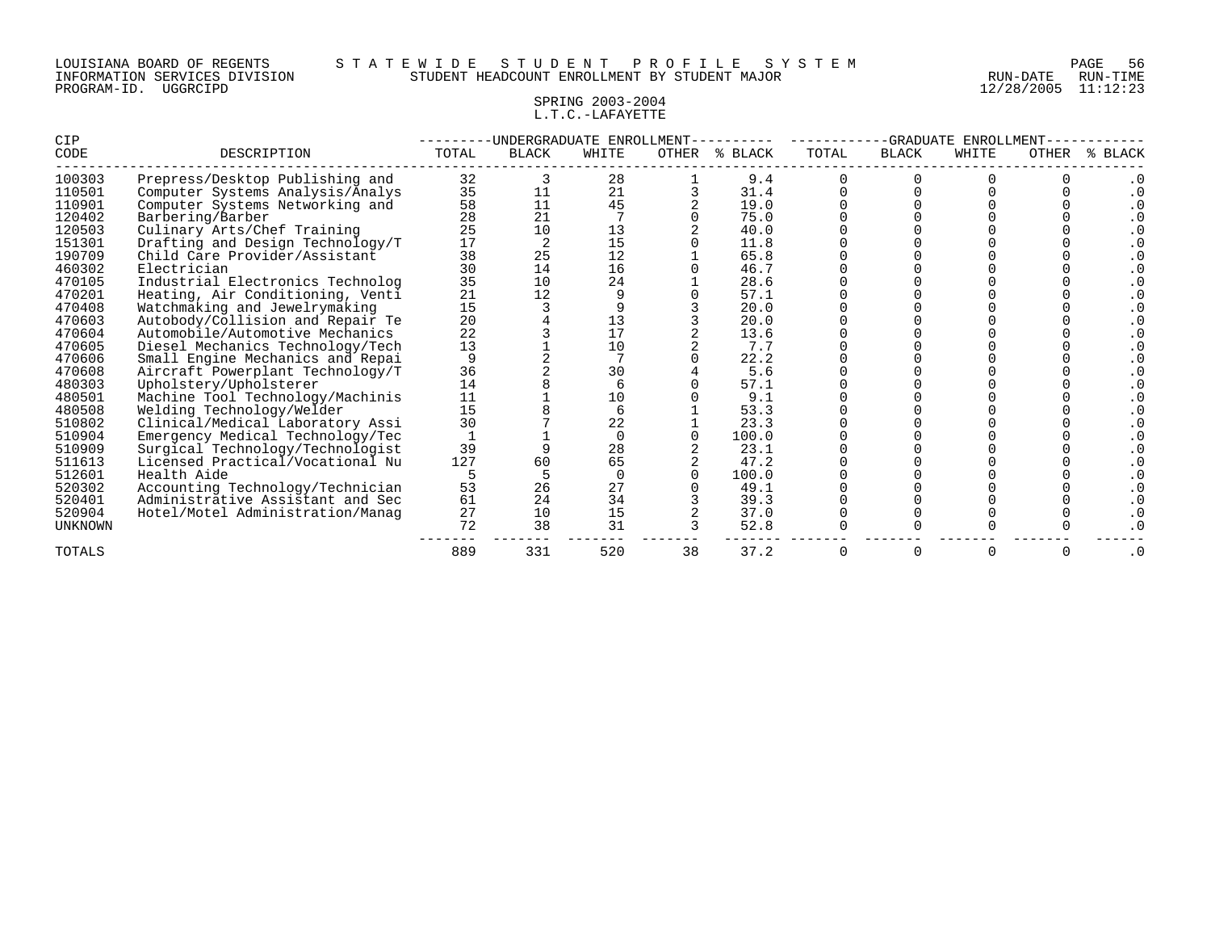### LOUISIANA BOARD OF REGENTS S T A T E W I D E S T U D E N T P R O F I L E S Y S T E M PAGE 56 INFORMATION SERVICES DIVISION STUDENT HEADCOUNT ENROLLMENT BY STUDENT MAJOR RUN-DATE RUN-TIME

## SPRING 2003-2004 L.T.C.-LAFAYETTE

| CIP            |                                  |       | -UNDERGRADUATE ENROLLMENT |        |    |               |       | -GRADUATE    | ENROLLMENT |       |              |
|----------------|----------------------------------|-------|---------------------------|--------|----|---------------|-------|--------------|------------|-------|--------------|
| CODE           | DESCRIPTION                      | TOTAL | <b>BLACK</b>              | WHITE  |    | OTHER % BLACK | TOTAL | <b>BLACK</b> | WHITE      | OTHER | <b>BLACK</b> |
| 100303         | Prepress/Desktop Publishing and  | 32    |                           | 28     |    | 9.4           |       |              |            |       |              |
| 110501         | Computer Systems Analysis/Analys | 35    | 11                        | 21     |    | 31.4          |       |              |            |       |              |
| 110901         | Computer Systems Networking and  | 58    | 11                        | 45     |    | 19.0          |       |              |            |       |              |
| 120402         | Barbering/Barber                 | 28    | 21                        |        |    | 75.0          |       |              |            |       |              |
| 120503         | Culinary Arts/Chef Training      | 25    | 10                        | 13     |    | 40.0          |       |              |            |       |              |
| 151301         | Drafting and Design Technology/T | 17    |                           | 15     |    | 11.8          |       |              |            |       |              |
| 190709         | Child Care Provider/Assistant    | 38    | 25                        | 12     |    | 65.8          |       |              |            |       |              |
| 460302         | Electrician                      | 30    | 14                        | 16     |    | 46.7          |       |              |            |       |              |
| 470105         | Industrial Electronics Technolog | 35    | 10                        | 24     |    | 28.6          |       |              |            |       |              |
| 470201         | Heating, Air Conditioning, Venti | 21    | 12                        |        |    | 57.1          |       |              |            |       |              |
| 470408         | Watchmaking and Jewelrymaking    | 15    |                           |        |    | 20.0          |       |              |            |       |              |
| 470603         | Autobody/Collision and Repair Te | 20    |                           | 13     |    | 20.0          |       |              |            |       |              |
| 470604         | Automobile/Automotive Mechanics  | 22    |                           | 17     |    | 13.6          |       |              |            |       |              |
| 470605         | Diesel Mechanics Technology/Tech | 13    |                           | 10     |    | 7.7           |       |              |            |       |              |
| 470606         | Small Engine Mechanics and Repai |       |                           |        |    | 22.2          |       |              |            |       |              |
| 470608         | Aircraft Powerplant Technology/T | 36    |                           | 30     |    | 5.6           |       |              |            |       |              |
| 480303         | Upholstery/Upholsterer           | 14    |                           |        |    | 57.1          |       |              |            |       |              |
| 480501         | Machine Tool Technology/Machinis | 11    |                           | 10     |    | 9.1           |       |              |            |       |              |
| 480508         | Welding Technology/Welder        | 15    |                           |        |    | 53.3          |       |              |            |       |              |
| 510802         | Clinical/Medical Laboratory Assi | 30    |                           | 22     |    | 23.3          |       |              |            |       |              |
| 510904         | Emergency Medical Technology/Tec |       |                           | $\cap$ |    | 100.0         |       |              |            |       |              |
| 510909         | Surgical Technology/Technologist | 39    |                           | 28     |    | 23.1          |       |              |            |       |              |
| 511613         | Licensed Practical/Vocational Nu | 127   | 60                        | 65     |    | 47.2          |       |              |            |       |              |
| 512601         | Health Aide                      |       |                           |        |    | 100.0         |       |              |            |       |              |
| 520302         | Accounting Technology/Technician | 53    | 26                        | 27     |    | 49.1          |       |              |            |       |              |
| 520401         | Administrative Assistant and Sec | 61    | 24                        | 34     |    | 39.3          |       |              |            |       |              |
| 520904         | Hotel/Motel Administration/Manaq | 27    | 10                        | 15     |    | 37.0          |       |              |            |       |              |
| <b>UNKNOWN</b> |                                  | 72    | 38                        | 31     |    | 52.8          |       |              |            |       |              |
| TOTALS         |                                  | 889   | 331                       | 520    | 38 | 37.2          |       |              | 0          | 0     | $\cdot$ 0    |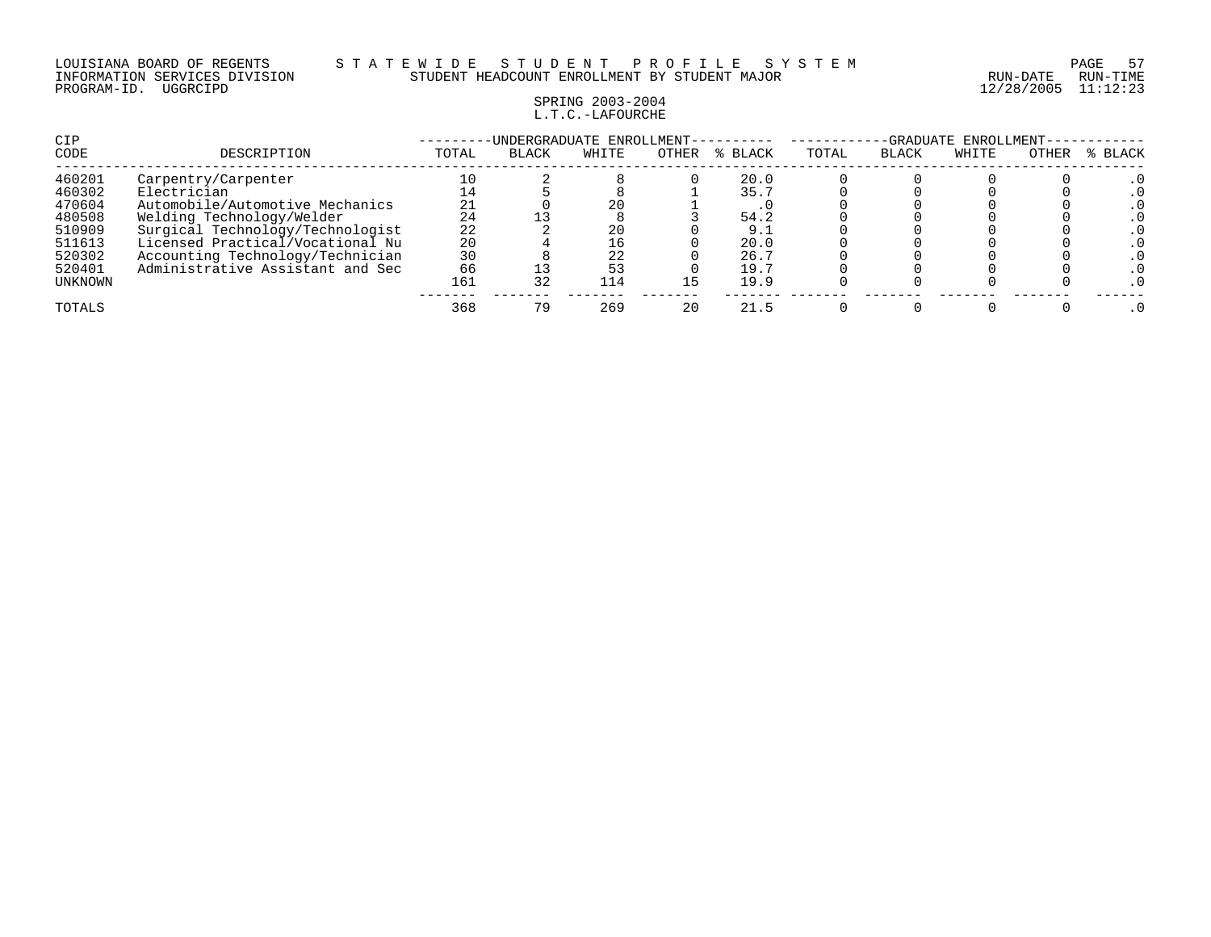### LOUISIANA BOARD OF REGENTS S T A T E W I D E S T U D E N T P R O F I L E S Y S T E M PAGE 57 INFORMATION SERVICES DIVISION STUDENT HEADCOUNT ENROLLMENT BY STUDENT MAJOR RUN-DATE RUN-TIME

## SPRING 2003-2004 L.T.C.-LAFOURCHE

| CIP<br>CODE      | DESCRIPTION                                    | TOTAL    | UNDERGRADUATE ENROLLMENT-<br><b>BLACK</b> | WHITE | <b>OTHER</b> | % BLACK | TOTAL | -GRADUATE<br><b>BLACK</b> | ENROLLMENT-<br>WHITE | OTHER | % BLACK |
|------------------|------------------------------------------------|----------|-------------------------------------------|-------|--------------|---------|-------|---------------------------|----------------------|-------|---------|
| 460201           | Carpentry/Carpenter                            |          |                                           |       |              | 20.0    |       |                           |                      |       |         |
| 460302<br>470604 | Electrician<br>Automobile/Automotive Mechanics | 14<br>21 |                                           | 20    |              | 35.7    |       |                           |                      |       |         |
| 480508           | Welding Technology/Welder                      | 24       |                                           |       |              | 54.2    |       |                           |                      |       |         |
| 510909           | Surgical Technology/Technologist               | 22       |                                           | 20    |              | 9.      |       |                           |                      |       |         |
| 511613           | Licensed Practical/Vocational Nu               | 20       |                                           |       |              | 20.0    |       |                           |                      |       |         |
| 520302           | Accounting Technology/Technician               | 30       |                                           | 22    |              | 26.7    |       |                           |                      |       |         |
| 520401           | Administrative Assistant and Sec               | 66       |                                           | 53    |              | 19.7    |       |                           |                      |       |         |
| UNKNOWN          |                                                | 161      | 32                                        | 114   | L 5          | 19.9    |       |                           |                      |       |         |
| TOTALS           |                                                | 368      | 79                                        | 269   | 20           | 21.5    |       |                           |                      |       |         |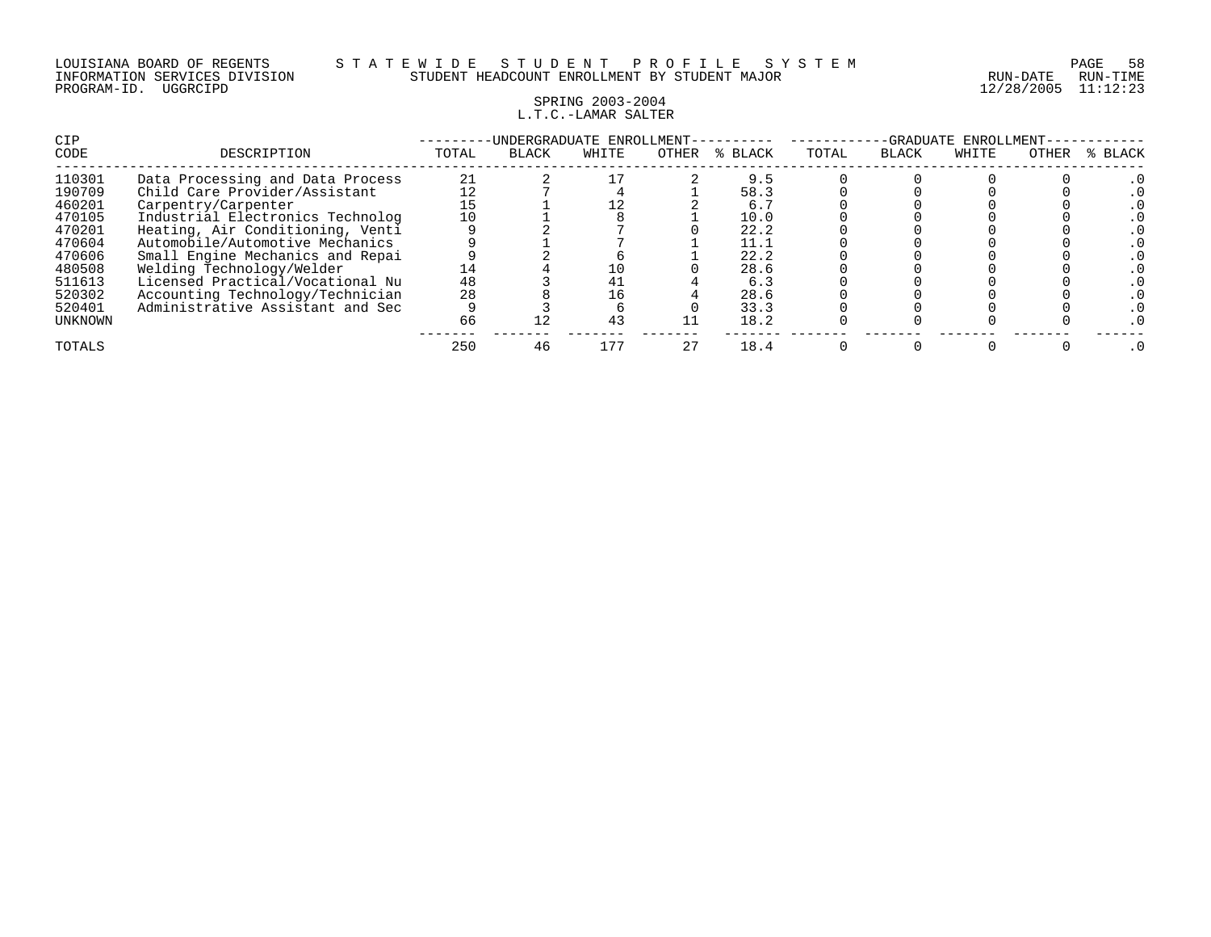## SPRING 2003-2004 L.T.C.-LAMAR SALTER

| CIP     |                                  |       | UNDERGRADUATE ENROLLMENT- |       |       |         | -GRADUATE<br>ENROLLMENT |              |       |       |         |  |
|---------|----------------------------------|-------|---------------------------|-------|-------|---------|-------------------------|--------------|-------|-------|---------|--|
| CODE    | DESCRIPTION                      | TOTAL | <b>BLACK</b>              | WHITE | OTHER | % BLACK | TOTAL                   | <b>BLACK</b> | WHITE | OTHER | % BLACK |  |
| 110301  | Data Processing and Data Process | 21    |                           |       |       | 9.5     |                         |              |       |       |         |  |
| 190709  | Child Care Provider/Assistant    |       |                           |       |       | 58.3    |                         |              |       |       |         |  |
| 460201  | Carpentry/Carpenter              |       |                           |       |       | 6.7     |                         |              |       |       |         |  |
| 470105  | Industrial Electronics Technolog |       |                           |       |       | 10.0    |                         |              |       |       |         |  |
| 470201  | Heating, Air Conditioning, Venti |       |                           |       |       | 22.2    |                         |              |       |       |         |  |
| 470604  | Automobile/Automotive Mechanics  |       |                           |       |       | 11.1    |                         |              |       |       |         |  |
| 470606  | Small Engine Mechanics and Repai |       |                           |       |       | 22.2    |                         |              |       |       |         |  |
| 480508  | Welding Technology/Welder        | 14    |                           | 10    |       | 28.6    |                         |              |       |       |         |  |
| 511613  | Licensed Practical/Vocational Nu | 48    |                           | 41    |       | 6.3     |                         |              |       |       |         |  |
| 520302  | Accounting Technology/Technician | 28    |                           | 16    |       | 28.6    |                         |              |       |       |         |  |
| 520401  | Administrative Assistant and Sec |       |                           |       |       | 33.3    |                         |              |       |       |         |  |
| UNKNOWN |                                  | 66    |                           | 43    |       | 18.2    |                         |              |       |       |         |  |
| TOTALS  |                                  | 250   | 46                        | . 77  | 27    | 18.4    |                         |              |       |       |         |  |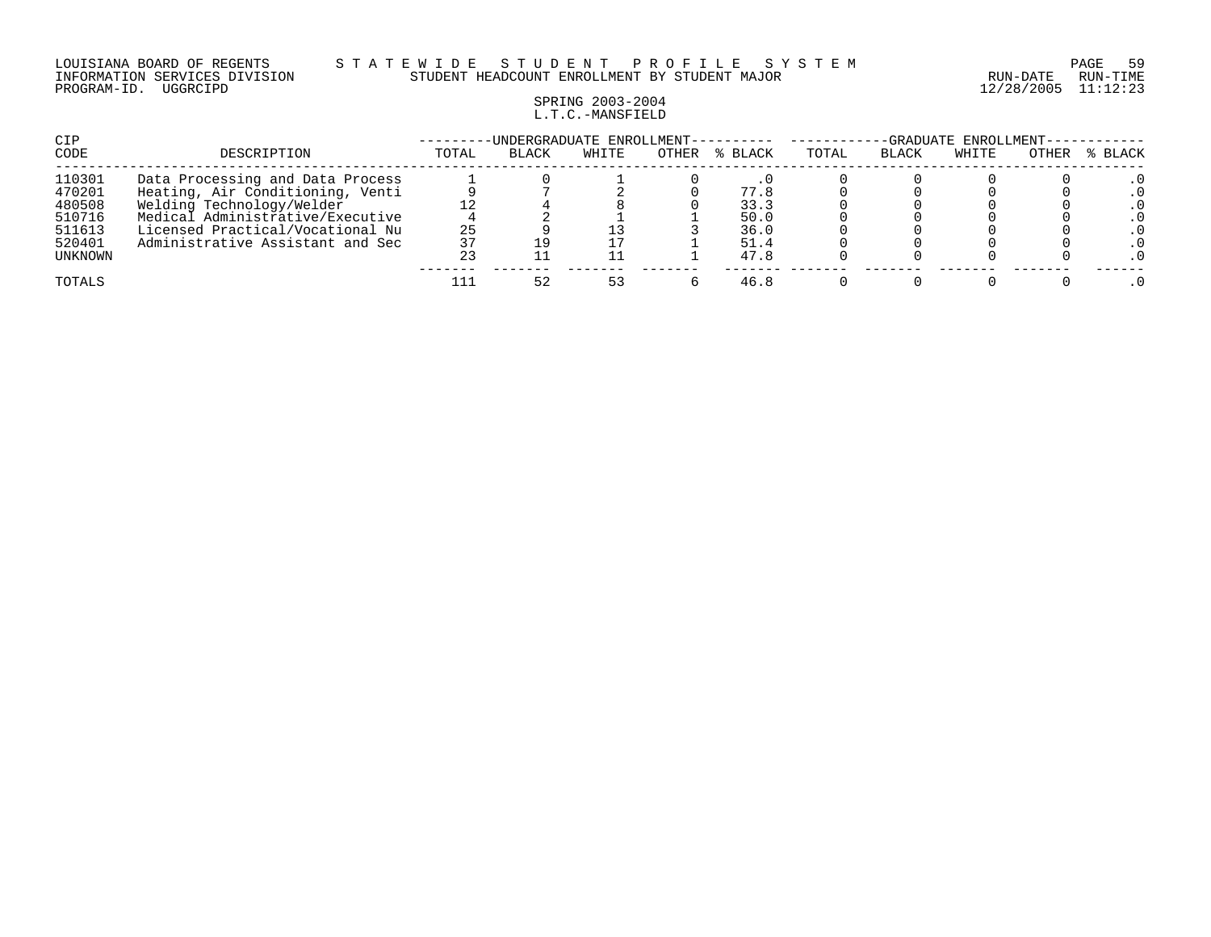#### LOUISIANA BOARD OF REGENTS S T A T E W I D E S T U D E N T P R O F I L E S Y S T E M PAGE 59 INFORMATION SERVICES DIVISION STUDENT HEADCOUNT ENROLLMENT BY STUDENT MAJOR RUN-DATE RUN-TIME

### SPRING 2003-2004 L.T.C.-MANSFIELD

| CIP              |                                                                      | -UNDERGRADUATE ENROLLMENT-- |              |       |       |              |       |              |       | -GRADUATE ENROLLMENT- |         |  |  |
|------------------|----------------------------------------------------------------------|-----------------------------|--------------|-------|-------|--------------|-------|--------------|-------|-----------------------|---------|--|--|
| CODE             | DESCRIPTION                                                          | TOTAL                       | <b>BLACK</b> | WHITE | OTHER | % BLACK      | TOTAL | <b>BLACK</b> | WHITE | OTHER                 | % BLACK |  |  |
| 110301<br>470201 | Data Processing and Data Process<br>Heating, Air Conditioning, Venti |                             |              |       |       | 77.8         |       |              |       |                       |         |  |  |
| 480508<br>510716 | Welding Technology/Welder<br>Medical Administrative/Executive        |                             |              |       |       | 33.3<br>50.0 |       |              |       |                       |         |  |  |
| 511613<br>520401 | Licensed Practical/Vocational Nu<br>Administrative Assistant and Sec | 25<br>37                    |              |       |       | 36.0<br>51.4 |       |              |       |                       |         |  |  |
| UNKNOWN          |                                                                      | 23                          |              |       |       | 47.8         |       |              |       |                       |         |  |  |
| TOTALS           |                                                                      |                             | 52           | 53    |       | 46.8         |       |              |       |                       |         |  |  |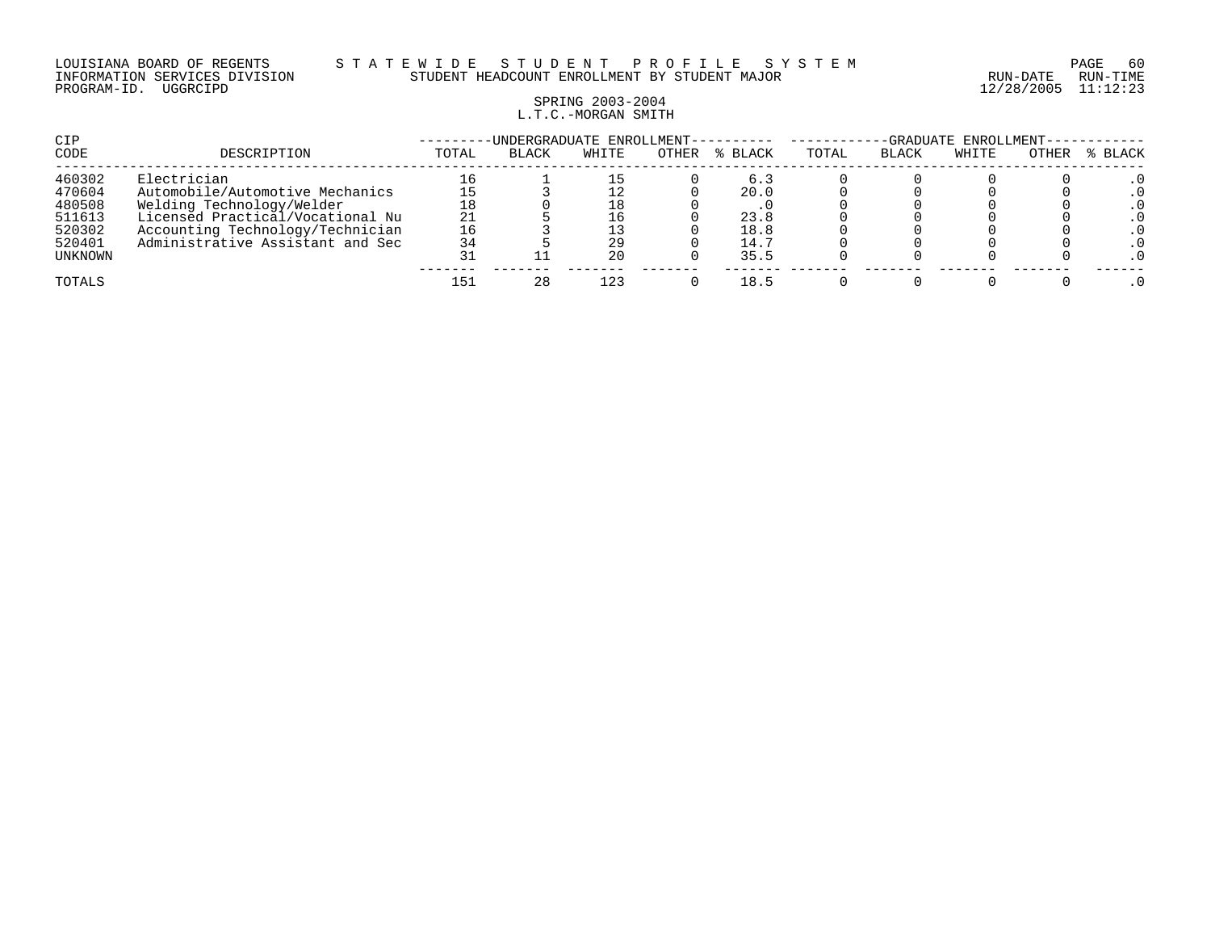# SPRING 2003-2004 L.T.C.-MORGAN SMITH

| CIP     |                                  |       | -UNDERGRADUATE ENROLLMENT- |       |       |         | ENROLLMENT-<br>-GRADUATE |       |       |       |         |  |
|---------|----------------------------------|-------|----------------------------|-------|-------|---------|--------------------------|-------|-------|-------|---------|--|
| CODE    | DESCRIPTION                      | TOTAL | <b>BLACK</b>               | WHITE | OTHER | % BLACK | TOTAL                    | BLACK | WHITE | OTHER | % BLACK |  |
| 460302  | Electrician                      |       |                            |       |       | 6.3     |                          |       |       |       |         |  |
| 470604  | Automobile/Automotive Mechanics  |       |                            |       |       | 20.0    |                          |       |       |       |         |  |
| 480508  | Welding Technology/Welder        |       |                            | 18    |       |         |                          |       |       |       |         |  |
| 511613  | Licensed Practical/Vocational Nu | 21    |                            | 16    |       | 23.8    |                          |       |       |       |         |  |
| 520302  | Accounting Technology/Technician | 16    |                            |       |       | 18.8    |                          |       |       |       |         |  |
| 520401  | Administrative Assistant and Sec | 34    |                            | 29    |       | 14.7    |                          |       |       |       |         |  |
| UNKNOWN |                                  |       |                            | 20    |       | 35.5    |                          |       |       |       |         |  |
| TOTALS  |                                  |       | 28                         | 123   |       | 18.5    |                          |       |       |       |         |  |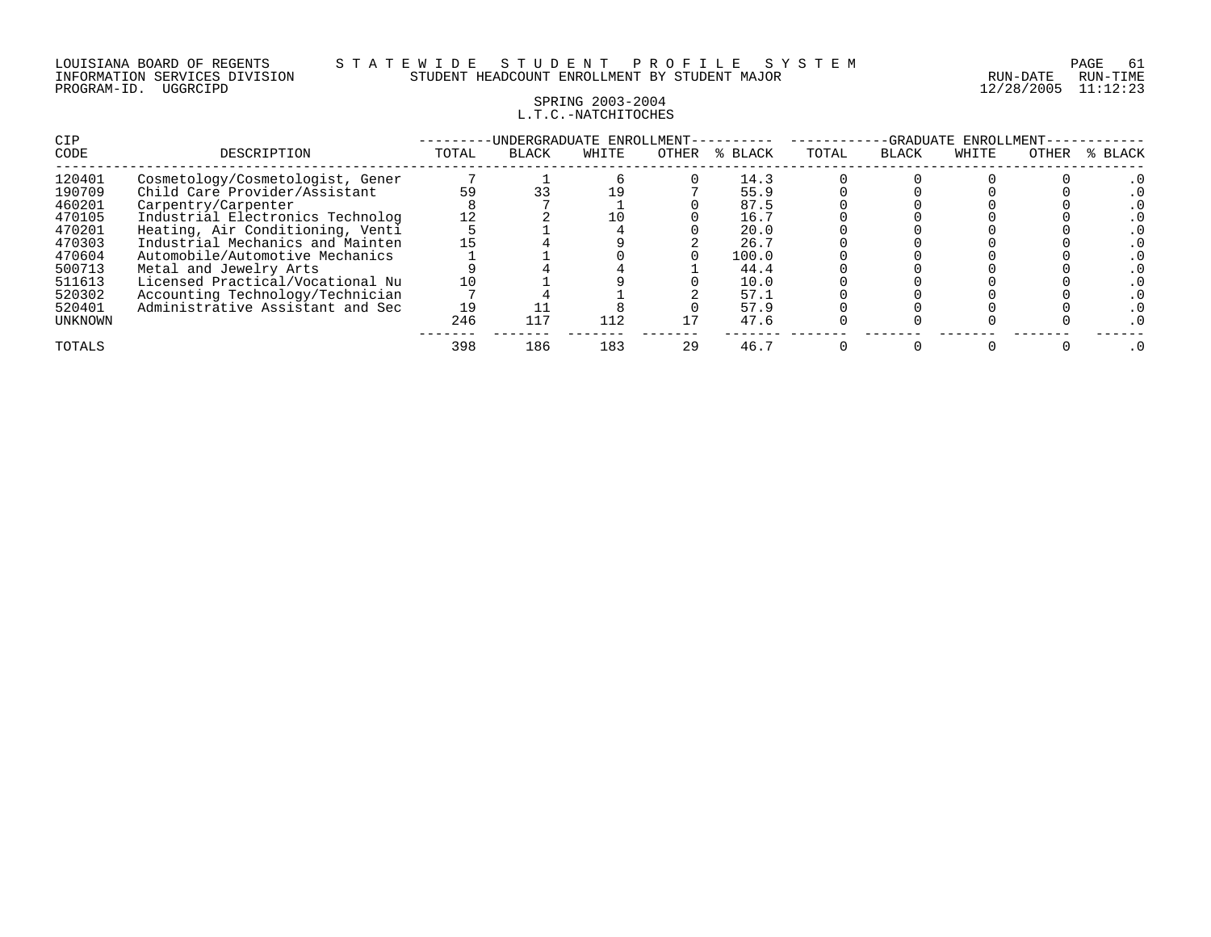### SPRING 2003-2004 L.T.C.-NATCHITOCHES

| <b>CIP</b><br>CODE                                                                                         | DESCRIPTION                                                                                                                                                                                                                                                                                                                                                                   | TOTAL          | -UNDERGRADUATE ENROLLMENT-<br><b>BLACK</b> | WHITE      | OTHER | % BLACK                                                                               | TOTAL | -GRADUATE<br><b>BLACK</b> | ENROLLMENT<br>WHITE | OTHER | % BLACK |
|------------------------------------------------------------------------------------------------------------|-------------------------------------------------------------------------------------------------------------------------------------------------------------------------------------------------------------------------------------------------------------------------------------------------------------------------------------------------------------------------------|----------------|--------------------------------------------|------------|-------|---------------------------------------------------------------------------------------|-------|---------------------------|---------------------|-------|---------|
| 120401<br>190709<br>460201<br>470105<br>470201<br>470303<br>470604<br>500713<br>511613<br>520302<br>520401 | Cosmetology/Cosmetologist, Gener<br>Child Care Provider/Assistant<br>Carpentry/Carpenter<br>Industrial Electronics Technolog<br>Heating, Air Conditioning, Venti<br>Industrial Mechanics and Mainten<br>Automobile/Automotive Mechanics<br>Metal and Jewelry Arts<br>Licensed Practical/Vocational Nu<br>Accounting Technology/Technician<br>Administrative Assistant and Sec | 59<br>10<br>19 |                                            | 19         |       | 14.3<br>55.9<br>87.5<br>16.7<br>20.0<br>26.7<br>100.0<br>44.4<br>10.0<br>57.1<br>57.9 |       |                           |                     |       |         |
| UNKNOWN<br>TOTALS                                                                                          |                                                                                                                                                                                                                                                                                                                                                                               | 246<br>398     | 117<br>186                                 | 112<br>183 | 29    | 47.6<br>46.7                                                                          |       |                           |                     |       |         |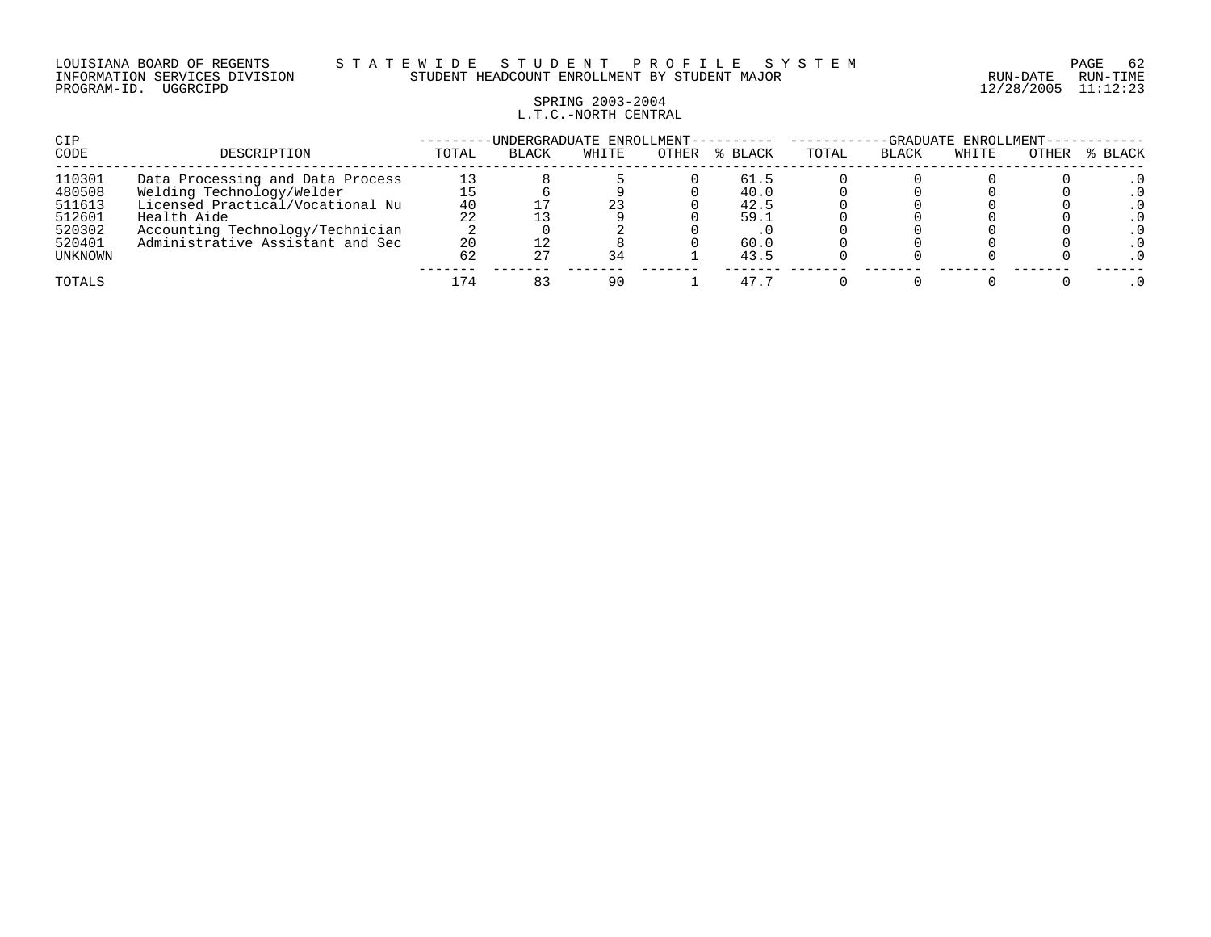### LOUISIANA BOARD OF REGENTS S T A T E W I D E S T U D E N T P R O F I L E S Y S T E M PAGE 62 INFORMATION SERVICES DIVISION STUDENT HEADCOUNT ENROLLMENT BY STUDENT MAJOR RUN-DATE RUN-TIME

## SPRING 2003-2004 L.T.C.-NORTH CENTRAL

| CIP               |                                                               |          | -UNDERGRADUATE ENROLLMENT-- |       |       |              | -GRADUATE ENROLLMENT- |              |       |       |         |  |
|-------------------|---------------------------------------------------------------|----------|-----------------------------|-------|-------|--------------|-----------------------|--------------|-------|-------|---------|--|
| CODE              | DESCRIPTION                                                   | TOTAL    | <b>BLACK</b>                | WHITE | OTHER | % BLACK      | TOTAL                 | <b>BLACK</b> | WHITE | OTHER | % BLACK |  |
| 110301<br>480508  | Data Processing and Data Process<br>Welding Technology/Welder | 13       |                             |       |       | 61.5<br>40.0 |                       |              |       |       |         |  |
| 511613<br>512601  | Licensed Practical/Vocational Nu<br>Health Aide               | 40<br>22 |                             | 23    |       | 42.5<br>59.1 |                       |              |       |       |         |  |
| 520302            | Accounting Technology/Technician                              |          |                             |       |       |              |                       |              |       |       |         |  |
| 520401<br>UNKNOWN | Administrative Assistant and Sec                              | 20<br>62 |                             | 34    |       | 60.0<br>43.5 |                       |              |       |       |         |  |
| TOTALS            |                                                               |          |                             | 90    |       | 47.5         |                       |              |       |       |         |  |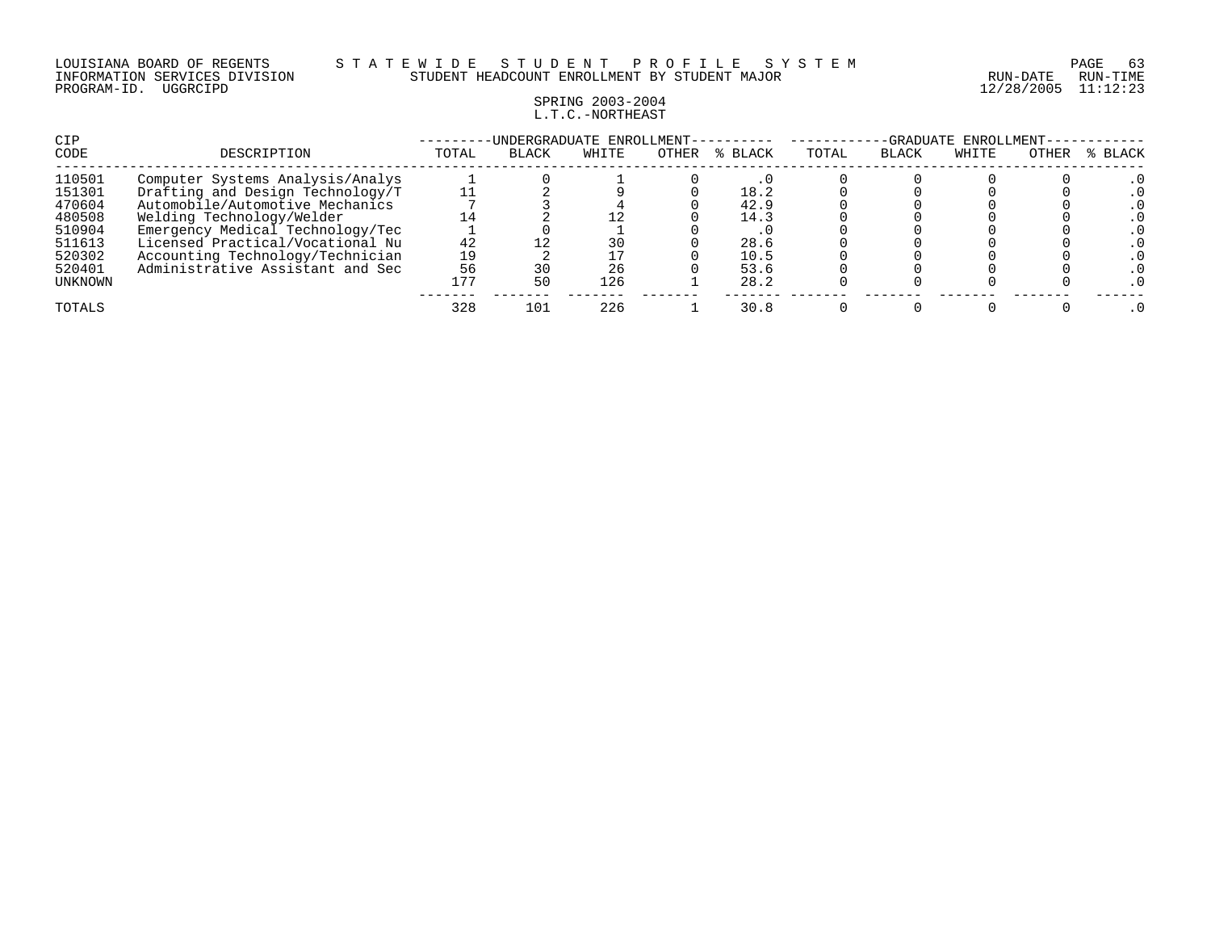#### LOUISIANA BOARD OF REGENTS S T A T E W I D E S T U D E N T P R O F I L E S Y S T E M PAGE 63 INFORMATION SERVICES DIVISION STUDENT HEADCOUNT ENROLLMENT BY STUDENT MAJOR RUN-DATE RUN-TIME

## SPRING 2003-2004 L.T.C.-NORTHEAST

| CIP     |                                  |       | UNDERGRADUATE ENROLLMENT- |       |       | -GRADUATE ENROLLMENT- |       |       |       |       |         |
|---------|----------------------------------|-------|---------------------------|-------|-------|-----------------------|-------|-------|-------|-------|---------|
| CODE    | DESCRIPTION                      | TOTAL | <b>BLACK</b>              | WHITE | OTHER | % BLACK               | TOTAL | BLACK | WHITE | OTHER | % BLACK |
| 110501  | Computer Systems Analysis/Analys |       |                           |       |       |                       |       |       |       |       |         |
| 151301  | Drafting and Design Technology/T |       |                           |       |       | 18.2                  |       |       |       |       |         |
| 470604  | Automobile/Automotive Mechanics  |       |                           |       |       | 42.9                  |       |       |       |       |         |
| 480508  | Welding Technology/Welder        |       |                           |       |       | 14.3                  |       |       |       |       |         |
| 510904  | Emergency Medical Technology/Tec |       |                           |       |       |                       |       |       |       |       |         |
| 511613  | Licensed Practical/Vocational Nu | 42    |                           | 30    |       | 28.6                  |       |       |       |       |         |
| 520302  | Accounting Technology/Technician | 19    |                           |       |       | 10.5                  |       |       |       |       |         |
| 520401  | Administrative Assistant and Sec | 56    | 30                        | 26    |       | 53.6                  |       |       |       |       |         |
| UNKNOWN |                                  | 177   | 50                        | 126   |       | 28.2                  |       |       |       |       |         |
| TOTALS  |                                  | 328   | 101                       | 226   |       | 30.8                  |       |       |       |       |         |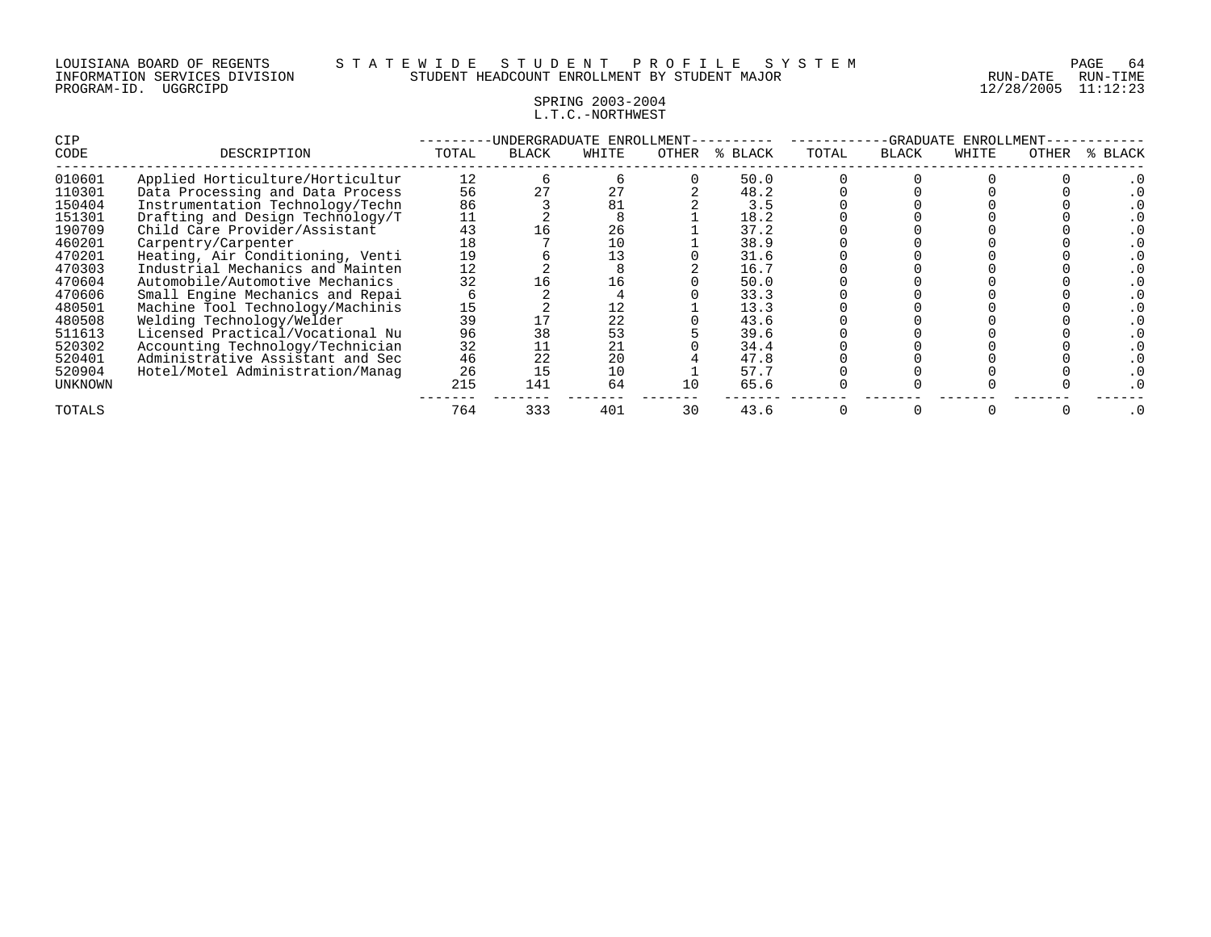### SPRING 2003-2004 L.T.C.-NORTHWEST

| <b>CIP</b> |                                  |       |              | UNDERGRADUATE ENROLLMENT- |       |         |       | -GRADUATE | ENROLLMENT |       |         |
|------------|----------------------------------|-------|--------------|---------------------------|-------|---------|-------|-----------|------------|-------|---------|
| CODE       | DESCRIPTION                      | TOTAL | <b>BLACK</b> | WHITE                     | OTHER | % BLACK | TOTAL | BLACK     | WHITE      | OTHER | % BLACK |
| 010601     | Applied Horticulture/Horticultur | 12    |              |                           |       | 50.0    |       |           |            |       |         |
| 110301     | Data Processing and Data Process | 56    |              | 27                        |       | 48.2    |       |           |            |       |         |
| 150404     | Instrumentation Technology/Techn | 86    |              | 81                        |       | 3.5     |       |           |            |       |         |
| 151301     | Drafting and Design Technology/T | 11    |              |                           |       | 18.2    |       |           |            |       |         |
| 190709     | Child Care Provider/Assistant    | 43    |              | 26                        |       | 37.2    |       |           |            |       |         |
| 460201     | Carpentry/Carpenter              | 18    |              | 10                        |       | 38.9    |       |           |            |       |         |
| 470201     | Heating, Air Conditioning, Venti | 19    |              | 13                        |       | 31.6    |       |           |            |       |         |
| 470303     | Industrial Mechanics and Mainten | 12    |              |                           |       | 16.7    |       |           |            |       |         |
| 470604     | Automobile/Automotive Mechanics  | 32    |              | 16                        |       | 50.0    |       |           |            |       |         |
| 470606     | Small Engine Mechanics and Repai |       |              |                           |       | 33.3    |       |           |            |       |         |
| 480501     | Machine Tool Technology/Machinis | 15    |              | 12                        |       | 13.3    |       |           |            |       |         |
| 480508     | Welding Technology/Welder        | 39    |              | 22                        |       | 43.6    |       |           |            |       |         |
| 511613     | Licensed Practical/Vocational Nu | 96    | 38           | 53                        |       | 39.6    |       |           |            |       |         |
| 520302     | Accounting Technology/Technician | 32    |              | 21                        |       | 34.4    |       |           |            |       |         |
| 520401     | Administrative Assistant and Sec | 46    | 22           | 20                        |       | 47.8    |       |           |            |       |         |
| 520904     | Hotel/Motel Administration/Manag | 26    |              | 10                        |       | 57.7    |       |           |            |       |         |
| UNKNOWN    |                                  | 215   | 141          | 64                        | 10    | 65.6    |       |           |            |       |         |
| TOTALS     |                                  | 764   | 333          | 401                       | 30    | 43.6    |       |           |            |       | . 0     |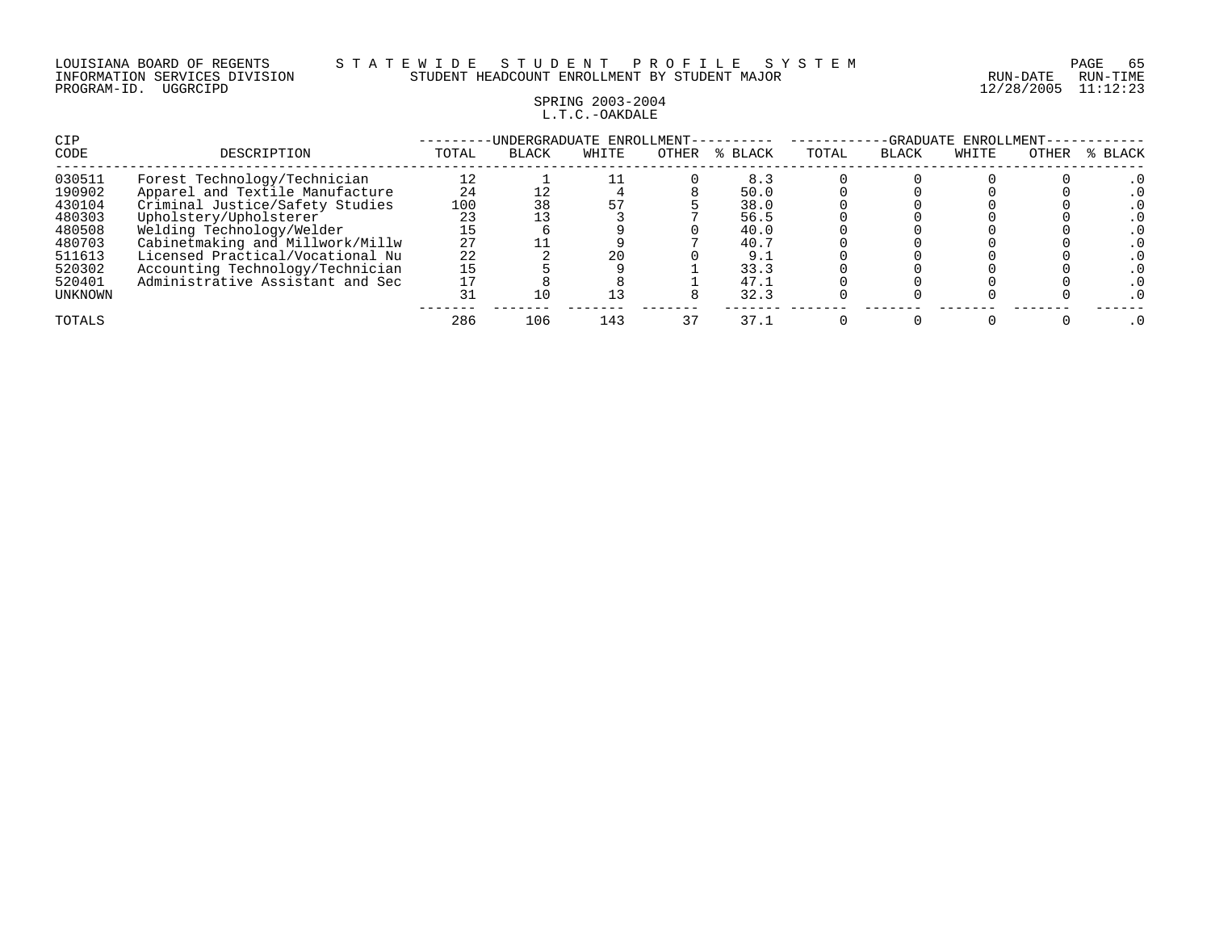### LOUISIANA BOARD OF REGENTS S T A T E W I D E S T U D E N T P R O F I L E S Y S T E M PAGE 65 INFORMATION SERVICES DIVISION STUDENT HEADCOUNT ENROLLMENT BY STUDENT MAJOR RUN-DATE RUN-TIME

# SPRING 2003-2004 L.T.C.-OAKDALE

| CIP<br>CODE                                                                                       | DESCRIPTION                                                                                                                                                                                                                                                                                               | TOTAL                                                     | -UNDERGRADUATE ENROLLMENT-<br><b>BLACK</b> | WHITE     | OTHER | % BLACK                                                                    | TOTAL | -GRADUATE<br><b>BLACK</b> | ENROLLMENT-<br>WHITE | OTHER | % BLACK |
|---------------------------------------------------------------------------------------------------|-----------------------------------------------------------------------------------------------------------------------------------------------------------------------------------------------------------------------------------------------------------------------------------------------------------|-----------------------------------------------------------|--------------------------------------------|-----------|-------|----------------------------------------------------------------------------|-------|---------------------------|----------------------|-------|---------|
| 030511<br>190902<br>430104<br>480303<br>480508<br>480703<br>511613<br>520302<br>520401<br>UNKNOWN | Forest Technology/Technician<br>Apparel and Textile Manufacture<br>Criminal Justice/Safety Studies<br>Upholstery/Upholsterer<br>Welding Technology/Welder<br>Cabinetmaking and Millwork/Millw<br>Licensed Practical/Vocational Nu<br>Accounting Technology/Technician<br>Administrative Assistant and Sec | 12<br>24<br>100<br>23<br>15<br>27<br>22<br>15<br>17<br>31 |                                            | 20<br>1 3 |       | 8.3<br>50.0<br>38.0<br>56.5<br>40.0<br>40.7<br>9.1<br>33.3<br>47.1<br>32.3 |       |                           |                      |       |         |
| TOTALS                                                                                            |                                                                                                                                                                                                                                                                                                           | 286                                                       | 106                                        | 143       | 37    | 37.1                                                                       |       |                           |                      |       |         |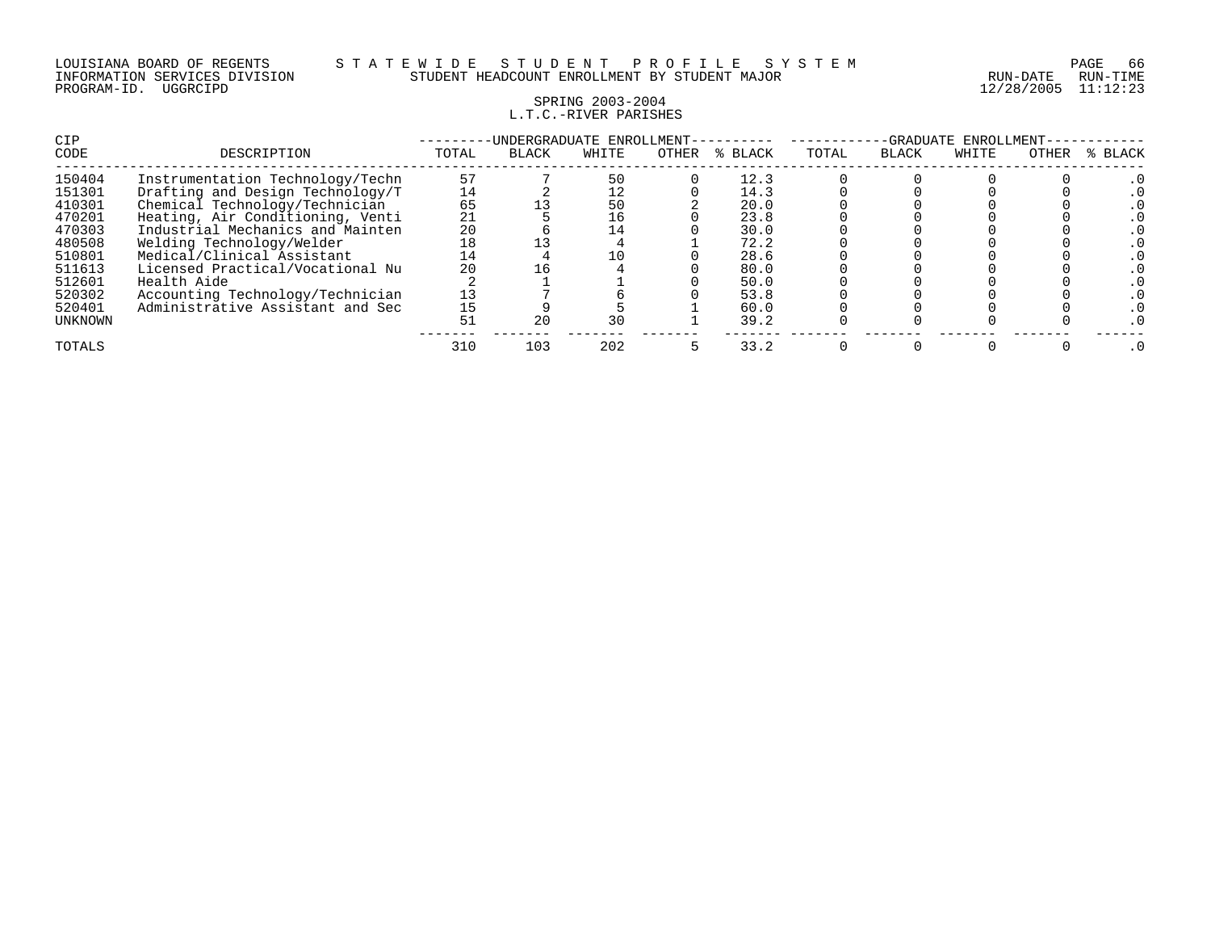## SPRING 2003-2004 L.T.C.-RIVER PARISHES

| <b>CIP</b> |                                  |       | -UNDERGRADUATE ENROLLMENT- |       |       |             | -GRADUATE<br>ENROLLMENT |              |       |       |         |
|------------|----------------------------------|-------|----------------------------|-------|-------|-------------|-------------------------|--------------|-------|-------|---------|
| CODE       | DESCRIPTION                      | TOTAL | <b>BLACK</b>               | WHITE | OTHER | BLACK<br>°≈ | TOTAL                   | <b>BLACK</b> | WHITE | OTHER | % BLACK |
| 150404     | Instrumentation Technology/Techn | 57    |                            | 50    |       | 12.3        |                         |              |       |       |         |
| 151301     | Drafting and Design Technology/T | 14    |                            | 12    |       | 14.3        |                         |              |       |       |         |
| 410301     | Chemical Technology/Technician   | 65    |                            | 50    |       | 20.0        |                         |              |       |       |         |
| 470201     | Heating, Air Conditioning, Venti | 21    |                            | 16    |       | 23.8        |                         |              |       |       |         |
| 470303     | Industrial Mechanics and Mainten | 20    |                            | 14    |       | 30.0        |                         |              |       |       |         |
| 480508     | Welding Technology/Welder        | 18    |                            |       |       | 72.2        |                         |              |       |       |         |
| 510801     | Medical/Clinical Assistant       | 14    |                            | 10    |       | 28.6        |                         |              |       |       |         |
| 511613     | Licensed Practical/Vocational Nu | 20    |                            |       |       | 80.0        |                         |              |       |       |         |
| 512601     | Health Aide                      |       |                            |       |       | 50.0        |                         |              |       |       |         |
| 520302     | Accounting Technology/Technician | 13    |                            |       |       | 53.8        |                         |              |       |       |         |
| 520401     | Administrative Assistant and Sec | 15    |                            |       |       | 60.0        |                         |              |       |       |         |
| UNKNOWN    |                                  | 51    |                            | 30    |       | 39.2        |                         |              |       |       |         |
| TOTALS     |                                  | 310   | 103                        | 202   |       | 33.2        |                         |              |       |       |         |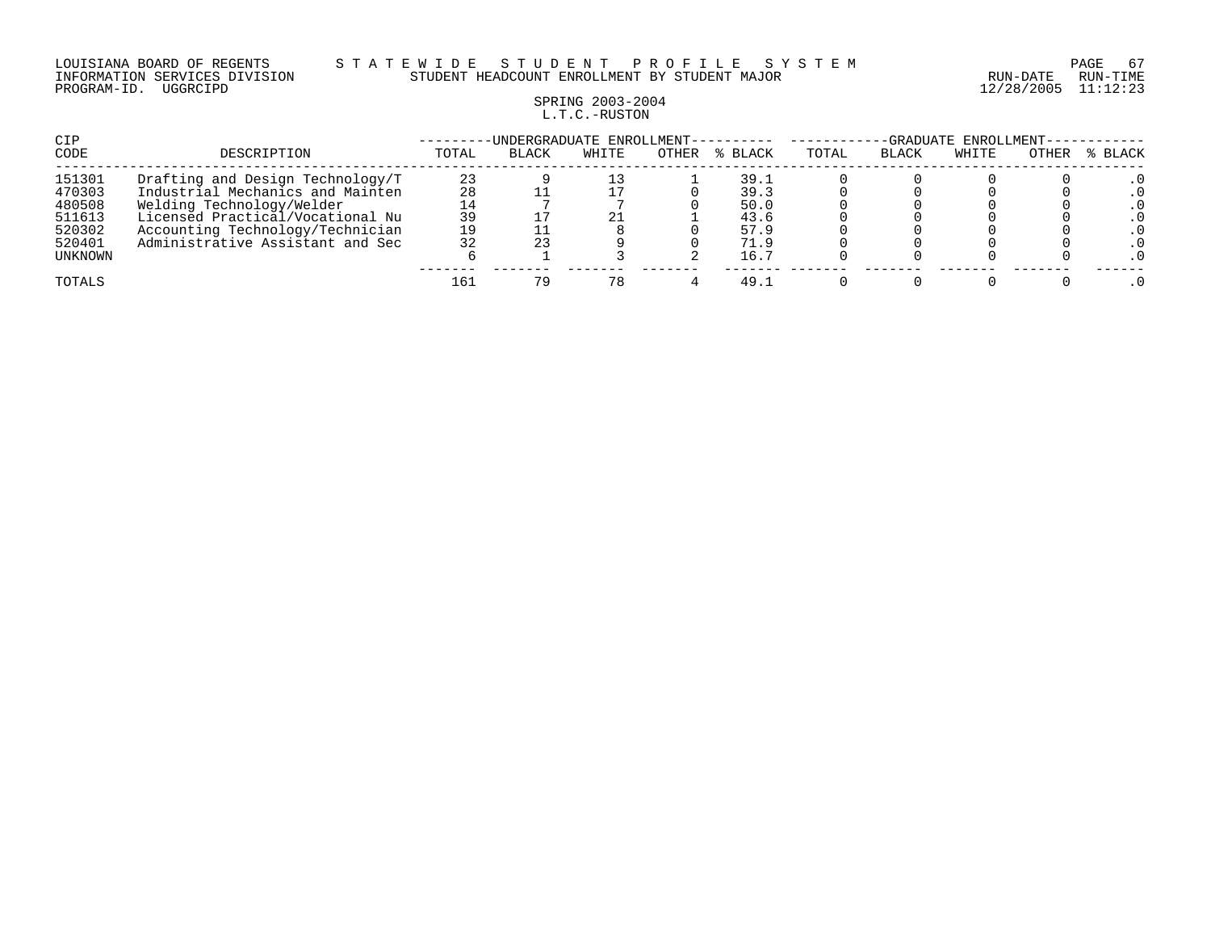#### LOUISIANA BOARD OF REGENTS S T A T E W I D E S T U D E N T P R O F I L E S Y S T E M PAGE 67 INFORMATION SERVICES DIVISION STUDENT HEADCOUNT ENROLLMENT BY STUDENT MAJOR RUN-DATE RUN-TIME

# SPRING 2003-2004 L.T.C.-RUSTON

| CIP              |                                                                      |          | -UNDERGRADUATE ENROLLMENT- |       |       |              | -GRADUATE ENROLLMENT- |              |       |       |           |  |
|------------------|----------------------------------------------------------------------|----------|----------------------------|-------|-------|--------------|-----------------------|--------------|-------|-------|-----------|--|
| CODE             | DESCRIPTION                                                          | TOTAL    | <b>BLACK</b>               | WHITE | OTHER | % BLACK      | TOTAL                 | <b>BLACK</b> | WHITE | OTHER | % BLACK   |  |
| 151301<br>470303 | Drafting and Design Technology/T<br>Industrial Mechanics and Mainten | 23<br>28 |                            |       |       | 39.1<br>39.3 |                       |              |       |       |           |  |
| 480508<br>511613 | Welding Technology/Welder<br>Licensed Practical/Vocational Nu        | 39       |                            |       |       | 50.0<br>43.6 |                       |              |       |       |           |  |
| 520302<br>520401 | Accounting Technology/Technician<br>Administrative Assistant and Sec | 19<br>32 |                            |       |       | 57.9<br>71.9 |                       |              |       |       | . 0       |  |
| UNKNOWN          |                                                                      |          |                            |       |       | 16.7         |                       |              |       |       | $\cdot$ 0 |  |
| TOTALS           |                                                                      | 161      | 7 Q                        | 78    |       | 49.1         |                       |              |       |       |           |  |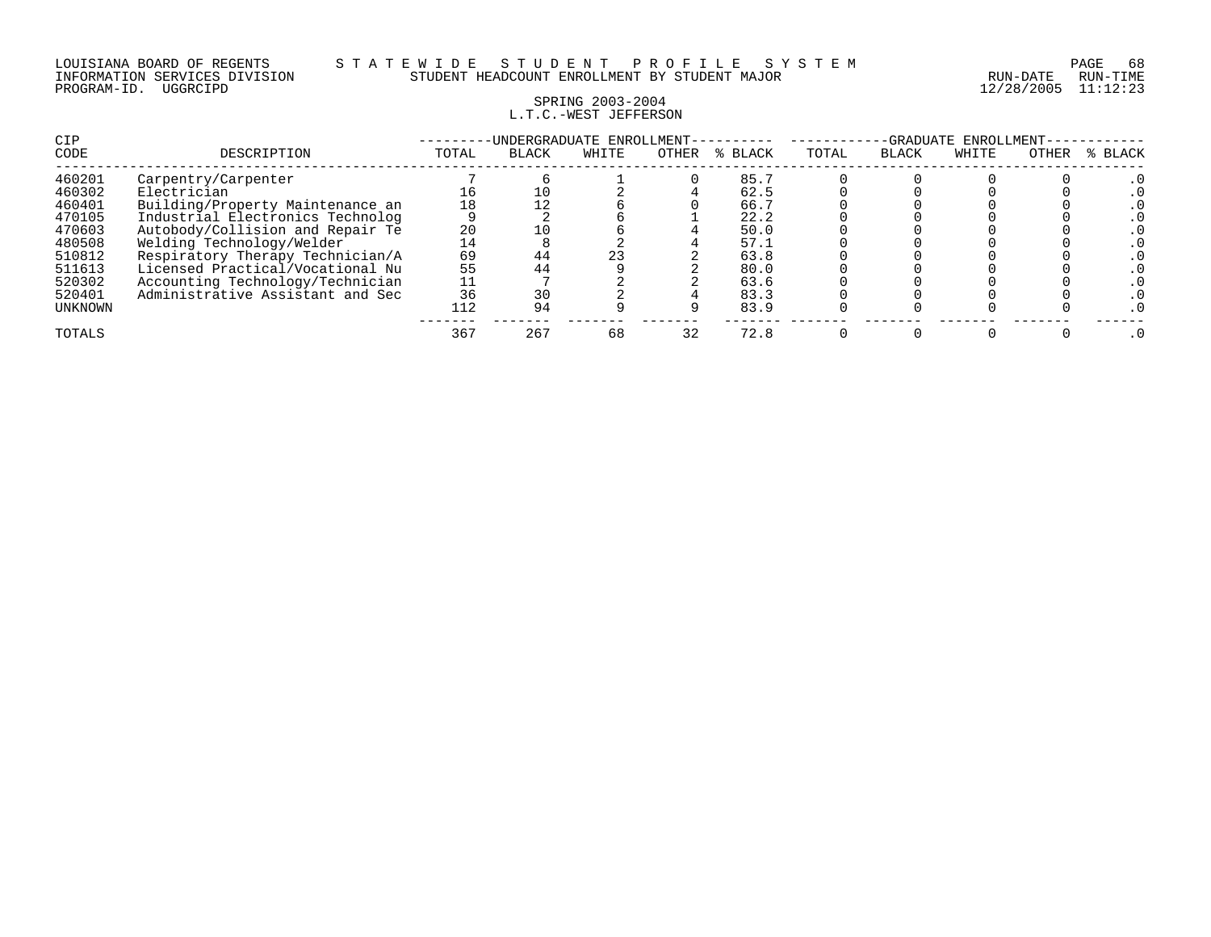### SPRING 2003-2004 L.T.C.-WEST JEFFERSON

| CIP<br>CODE | DESCRIPTION                      | TOTAL | -UNDERGRADUATE ENROLLMENT-<br><b>BLACK</b> | WHITE | OTHER | % BLACK | TOTAL | -GRADUATE<br><b>BLACK</b> | ENROLLMENT<br>WHITE | OTHER | % BLACK |
|-------------|----------------------------------|-------|--------------------------------------------|-------|-------|---------|-------|---------------------------|---------------------|-------|---------|
| 460201      | Carpentry/Carpenter              |       |                                            |       |       | 85.7    |       |                           |                     |       |         |
| 460302      | Electrician                      | 16    |                                            |       |       | 62.5    |       |                           |                     |       |         |
| 460401      | Building/Property Maintenance an | 18    |                                            |       |       | 66.7    |       |                           |                     |       |         |
| 470105      | Industrial Electronics Technolog |       |                                            |       |       | 22.2    |       |                           |                     |       |         |
| 470603      | Autobody/Collision and Repair Te | 20    |                                            |       |       | 50.0    |       |                           |                     |       |         |
| 480508      | Welding Technology/Welder        | 14    |                                            |       |       | 57.1    |       |                           |                     |       |         |
| 510812      | Respiratory Therapy Technician/A | 69    |                                            | 23    |       | 63.8    |       |                           |                     |       |         |
| 511613      | Licensed Practical/Vocational Nu | 55    |                                            |       |       | 80.0    |       |                           |                     |       |         |
| 520302      | Accounting Technology/Technician |       |                                            |       |       | 63.6    |       |                           |                     |       |         |
| 520401      | Administrative Assistant and Sec | 36    |                                            |       |       | 83.3    |       |                           |                     |       |         |
| UNKNOWN     |                                  | 112   | 94                                         |       |       | 83.9    |       |                           |                     |       |         |
| TOTALS      |                                  | 367   | 267                                        | 68    | 32    | 72.8    |       |                           |                     |       |         |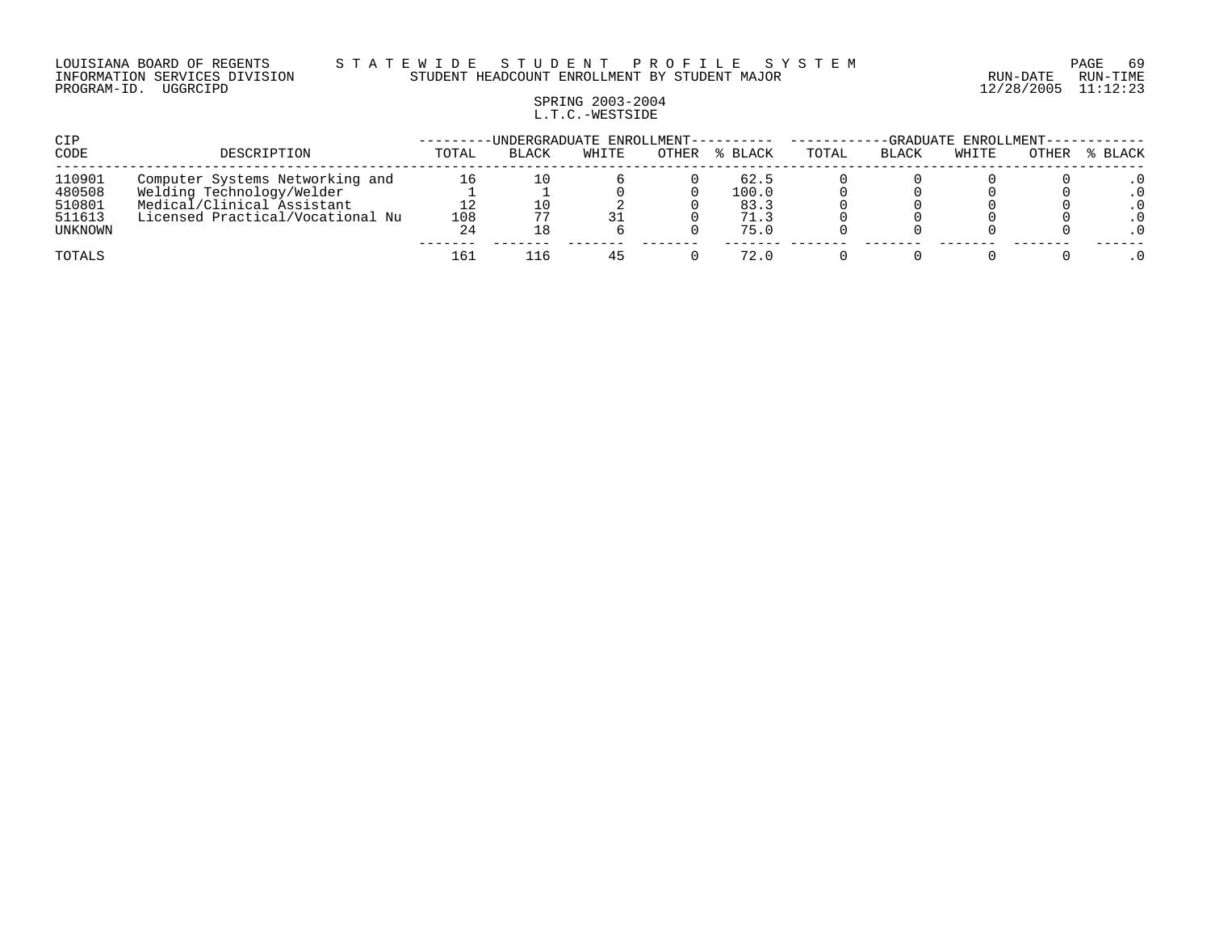#### LOUISIANA BOARD OF REGENTS S T A T E W I D E S T U D E N T P R O F I L E S Y S T E M PAGE 69 INFORMATION SERVICES DIVISION STUDENT HEADCOUNT ENROLLMENT BY STUDENT MAJOR RUN-DATE RUN-TIME

# SPRING 2003-2004 L.T.C.-WESTSIDE

| CIP              |                                                         |       | -UNDERGRADUATE ENROLLMENT---------- |       |       |               |       |              | -GRADUATE ENROLLMENT- |       |         |
|------------------|---------------------------------------------------------|-------|-------------------------------------|-------|-------|---------------|-------|--------------|-----------------------|-------|---------|
| CODE             | DESCRIPTION                                             | TOTAL | <b>BLACK</b>                        | WHITE | OTHER | % BLACK       | TOTAL | <b>BLACK</b> | WHITE                 | OTHER | % BLACK |
| 110901           | Computer Systems Networking and                         | 16    | 10                                  |       |       | 62.5          |       |              |                       |       |         |
| 480508<br>510801 | Welding Technology/Welder<br>Medical/Clinical Assistant | 12    |                                     |       |       | 100.0<br>83.3 |       |              |                       |       |         |
| 511613           | Licensed Practical/Vocational Nu                        | 108   | 77                                  | 31    |       | 71.3          |       |              |                       |       |         |
| UNKNOWN          |                                                         | 24    | ⊥8                                  |       |       | 75.0          |       |              |                       |       |         |
| TOTALS           |                                                         | 161   | 116.                                | 45    |       | 72.0          |       |              |                       |       |         |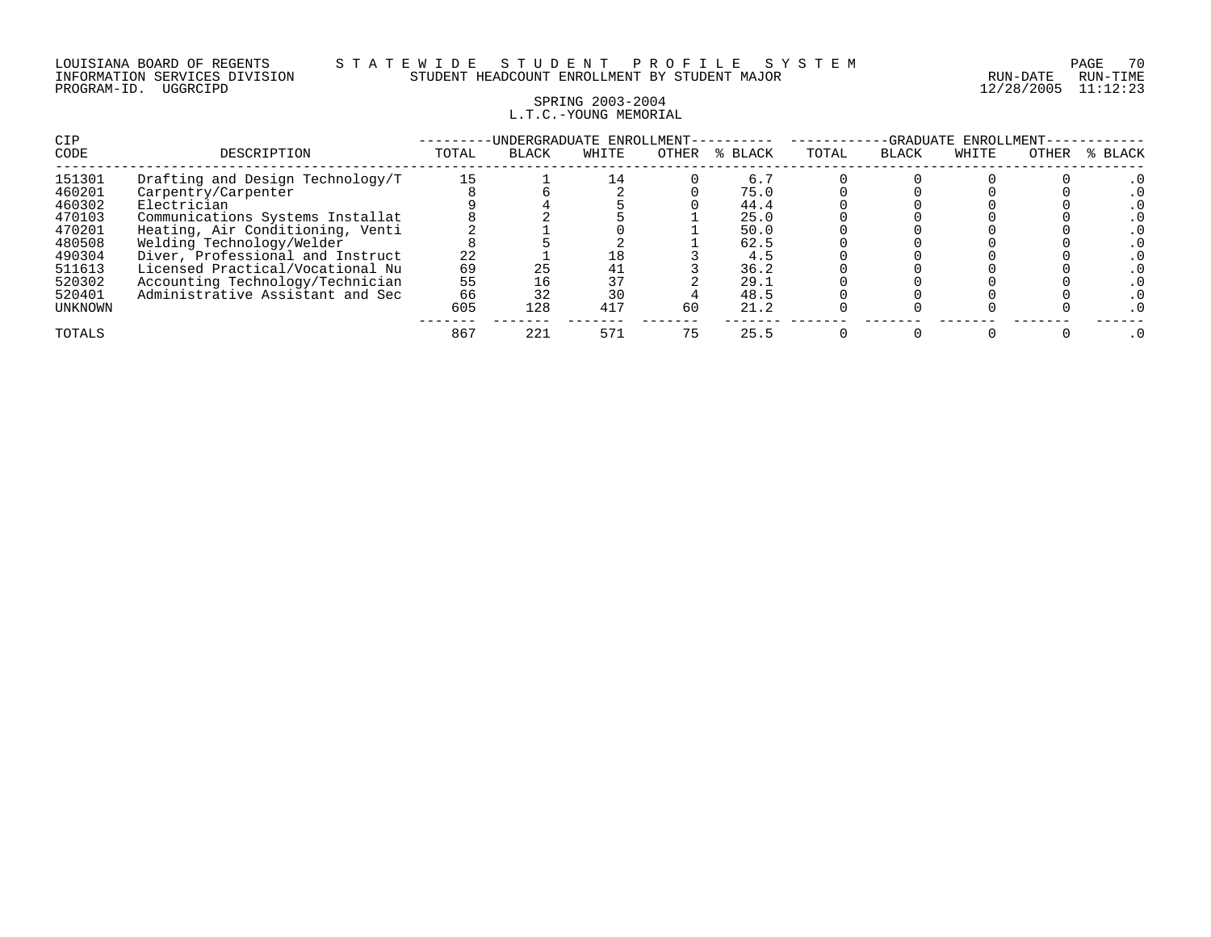### SPRING 2003-2004 L.T.C.-YOUNG MEMORIAL

| CIP     |                                  |       | -UNDERGRADUATE ENROLLMENT- |       |       |         |       | -GRADUATE    | ENROLLMENT- |       |           |
|---------|----------------------------------|-------|----------------------------|-------|-------|---------|-------|--------------|-------------|-------|-----------|
| CODE    | DESCRIPTION                      | TOTAL | <b>BLACK</b>               | WHITE | OTHER | % BLACK | TOTAL | <b>BLACK</b> | WHITE       | OTHER | % BLACK   |
| 151301  | Drafting and Design Technology/T | 15    |                            | 14    |       | 6.7     |       |              |             |       |           |
| 460201  | Carpentry/Carpenter              |       |                            |       |       | 75.0    |       |              |             |       |           |
| 460302  | Electrician                      |       |                            |       |       | 44.4    |       |              |             |       |           |
| 470103  | Communications Systems Installat |       |                            |       |       | 25.0    |       |              |             |       |           |
| 470201  | Heating, Air Conditioning, Venti |       |                            |       |       | 50.0    |       |              |             |       |           |
| 480508  | Welding Technology/Welder        |       |                            |       |       | 62.5    |       |              |             |       |           |
| 490304  | Diver, Professional and Instruct | 22    |                            | 18    |       | 4.5     |       |              |             |       |           |
| 511613  | Licensed Practical/Vocational Nu | 69    | 25                         | 41    |       | 36.2    |       |              |             |       |           |
| 520302  | Accounting Technology/Technician | 55    |                            | 37    |       | 29.1    |       |              |             |       |           |
| 520401  | Administrative Assistant and Sec | 66    | 32                         | 30    |       | 48.5    |       |              |             |       |           |
| UNKNOWN |                                  | 605   | 128                        | 417   | 60    | 21.2    |       |              |             |       |           |
| TOTALS  |                                  | 867   | 221                        | 571   | 75    | 25.5    |       |              |             |       | $\cdot$ 0 |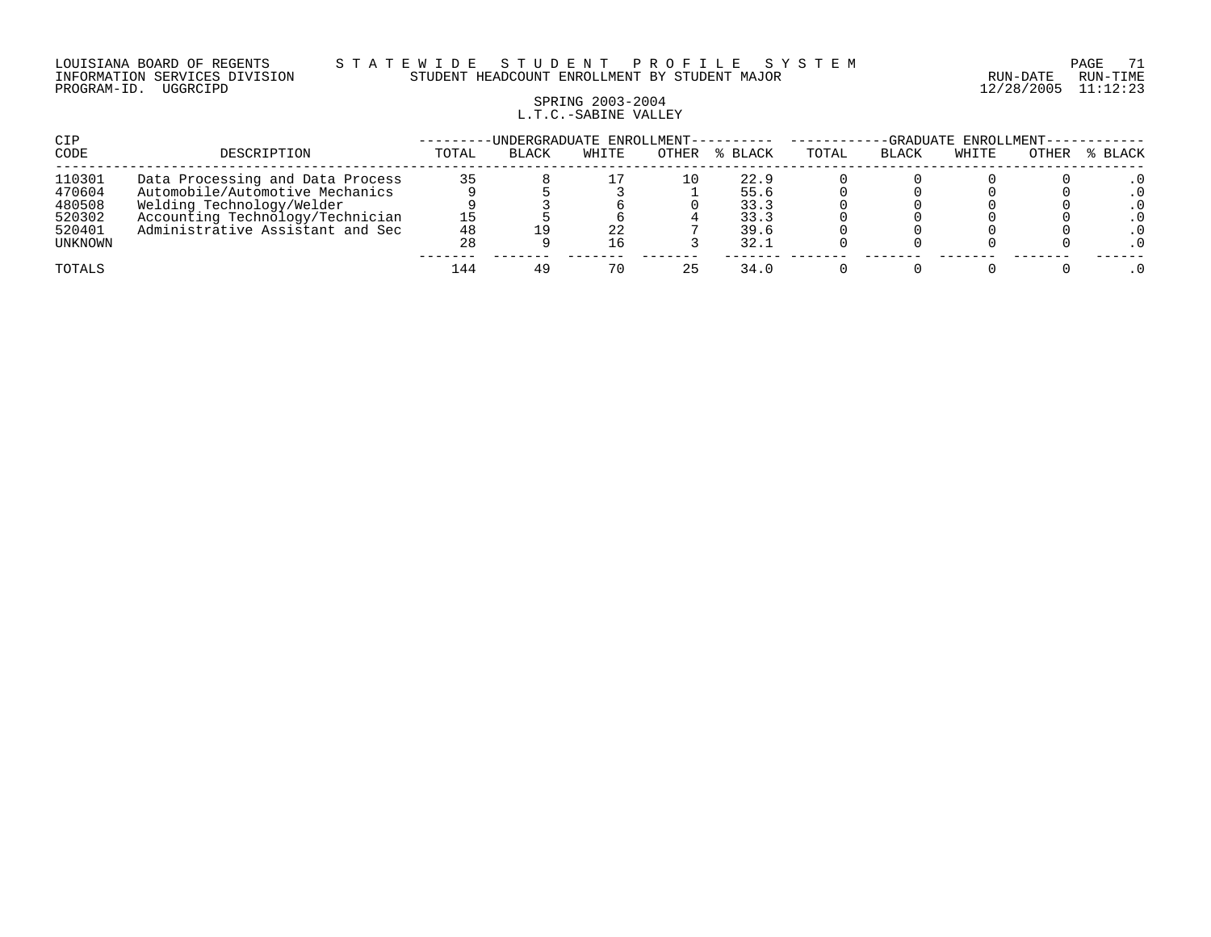#### LOUISIANA BOARD OF REGENTS S T A T E W I D E S T U D E N T P R O F I L E S Y S T E M PAGE 71 INFORMATION SERVICES DIVISION STUDENT HEADCOUNT ENROLLMENT BY STUDENT MAJOR RUN-DATE RUN-TIME

# SPRING 2003-2004 L.T.C.-SABINE VALLEY

| CIP     |                                  | -UNDERGRADUATE ENROLLMENT-- |       |       |       |         |       | -GRADUATE ENROLLMENT-- |       |       |         |  |
|---------|----------------------------------|-----------------------------|-------|-------|-------|---------|-------|------------------------|-------|-------|---------|--|
| CODE    | DESCRIPTION                      | TOTAL                       | BLACK | WHITE | OTHER | % BLACK | TOTAL | BLACK                  | WHITE | OTHER | % BLACK |  |
| 110301  | Data Processing and Data Process | 35                          |       |       | 10    | 22.9    |       |                        |       |       |         |  |
| 470604  | Automobile/Automotive Mechanics  |                             |       |       |       | 55.6    |       |                        |       |       |         |  |
| 480508  | Welding Technology/Welder        |                             |       |       |       | 33.3    |       |                        |       |       |         |  |
| 520302  | Accounting Technology/Technician |                             |       |       |       | 33.3    |       |                        |       |       |         |  |
| 520401  | Administrative Assistant and Sec | 48                          |       | 22    |       | 39.6    |       |                        |       |       |         |  |
| UNKNOWN |                                  | 28                          |       | 16    |       | 32.1    |       |                        |       |       |         |  |
| TOTALS  |                                  | 144                         |       | 70    |       | 34.0    |       |                        |       |       |         |  |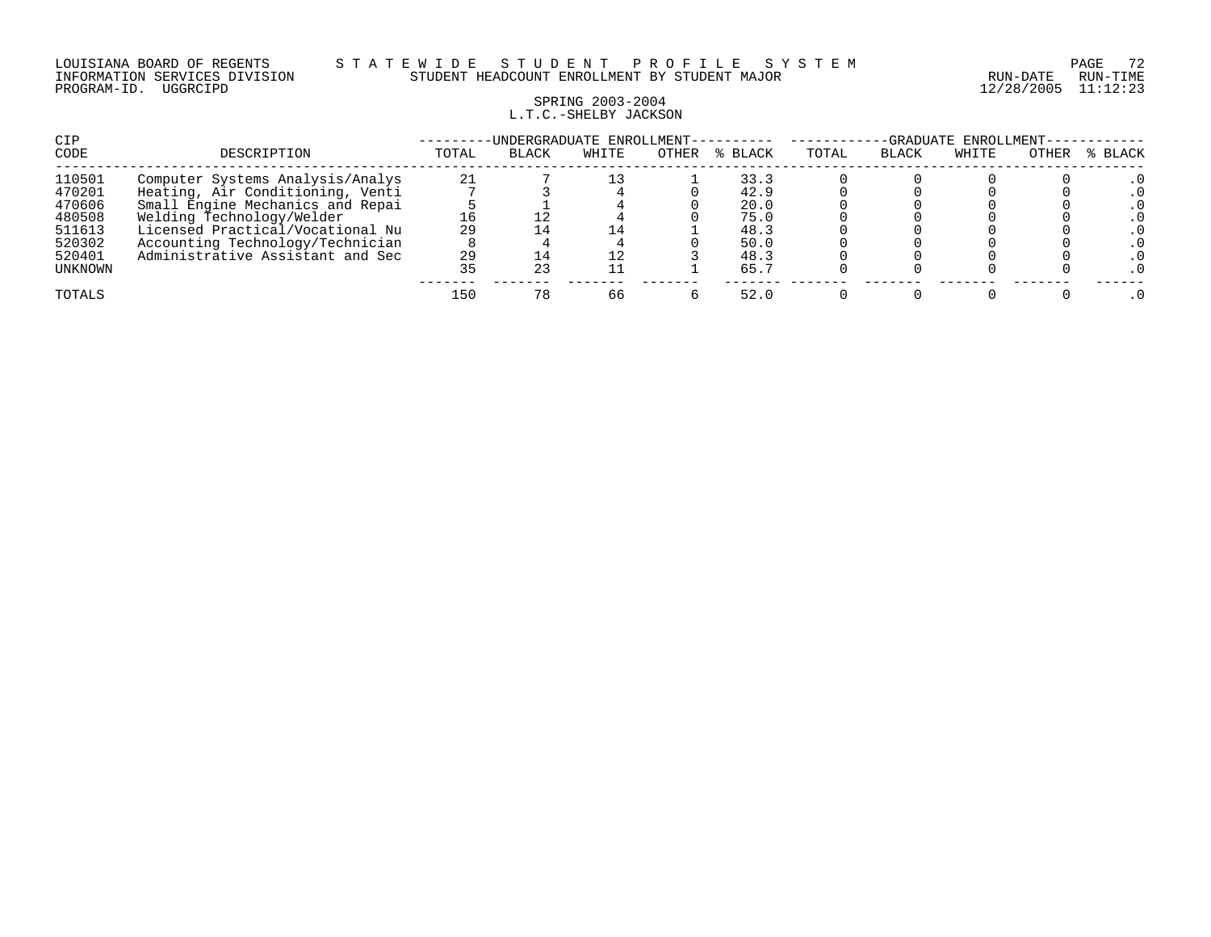## SPRING 2003-2004 L.T.C.-SHELBY JACKSON

| CIP            |                                  |       | -UNDERGRADUATE ENROLLMENT-- |       |       |         | -GRADUATE ENROLLMENT- |       |       |       |         |  |
|----------------|----------------------------------|-------|-----------------------------|-------|-------|---------|-----------------------|-------|-------|-------|---------|--|
| CODE           | DESCRIPTION                      | TOTAL | <b>BLACK</b>                | WHITE | OTHER | % BLACK | TOTAL                 | BLACK | WHITE | OTHER | % BLACK |  |
| 110501         | Computer Systems Analysis/Analys | 21    |                             |       |       | 33.3    |                       |       |       |       |         |  |
| 470201         | Heating, Air Conditioning, Venti |       |                             |       |       | 42.9    |                       |       |       |       |         |  |
| 470606         | Small Engine Mechanics and Repai |       |                             |       |       | 20.0    |                       |       |       |       |         |  |
| 480508         | Welding Technology/Welder        |       |                             |       |       | 75.0    |                       |       |       |       |         |  |
| 511613         | Licensed Practical/Vocational Nu | 29    |                             |       |       | 48.3    |                       |       |       |       |         |  |
| 520302         | Accounting Technology/Technician |       |                             |       |       | 50.0    |                       |       |       |       |         |  |
| 520401         | Administrative Assistant and Sec | 29    |                             |       |       | 48.3    |                       |       |       |       |         |  |
| <b>UNKNOWN</b> |                                  |       | 23                          |       |       | 65.7    |                       |       |       |       |         |  |
| TOTALS         |                                  | 150   |                             | 66    |       | 52.0    |                       |       |       |       |         |  |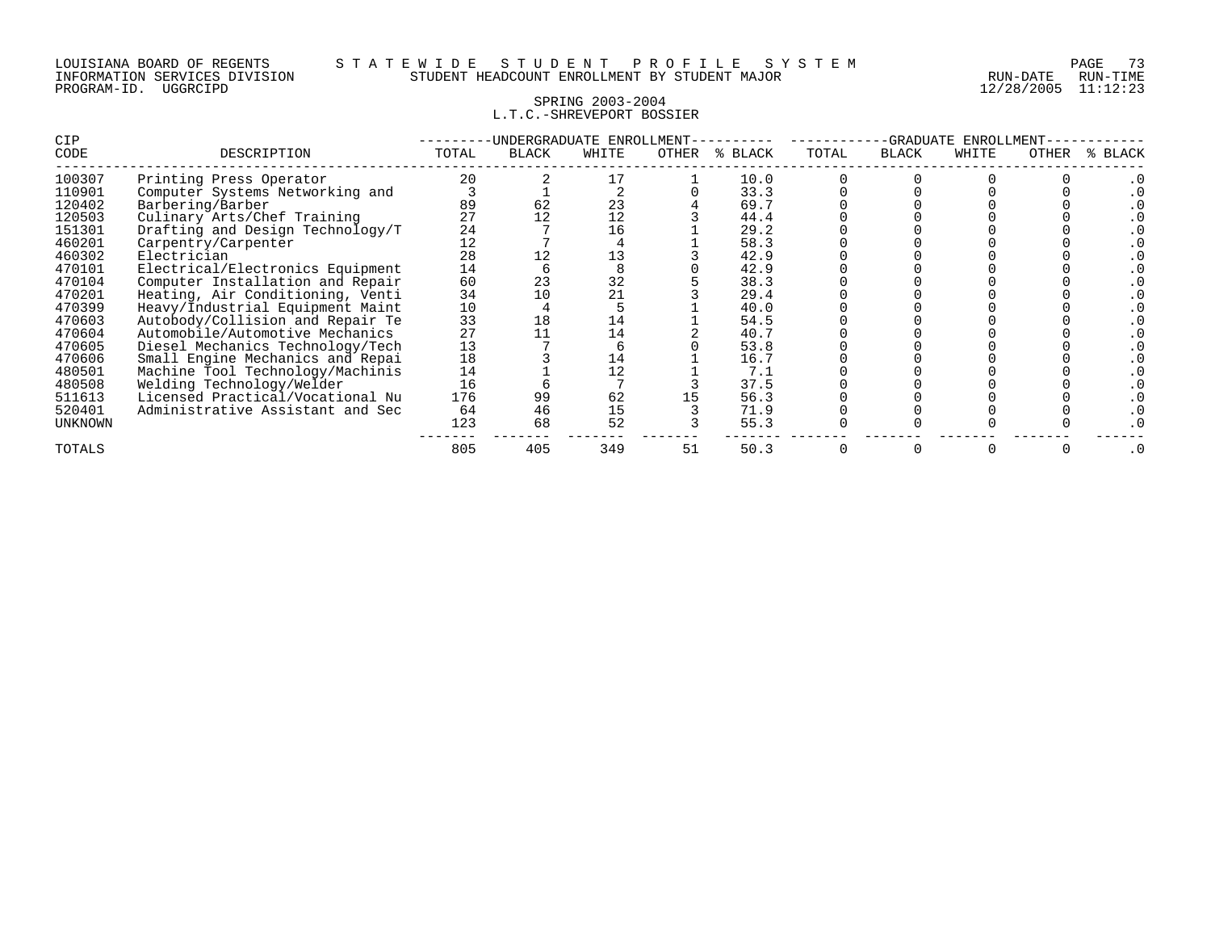# SPRING 2003-2004 L.T.C.-SHREVEPORT BOSSIER

| <b>CIP</b>     |                                  | UNDERGRADUATE ENROLLMENT |              |       |       |         |       | GRADUATE<br>ENROLLMENT |       |       |             |  |  |
|----------------|----------------------------------|--------------------------|--------------|-------|-------|---------|-------|------------------------|-------|-------|-------------|--|--|
| CODE           | DESCRIPTION                      | TOTAL                    | <b>BLACK</b> | WHITE | OTHER | % BLACK | TOTAL | BLACK                  | WHITE | OTHER | BLACK<br>້≼ |  |  |
| 100307         | Printing Press Operator          | 20                       |              |       |       | 10.0    |       |                        |       |       |             |  |  |
| 110901         | Computer Systems Networking and  |                          |              |       |       | 33.3    |       |                        |       |       |             |  |  |
| 120402         | Barbering/Barber                 | 89                       | 62           | 23    |       | 69.7    |       |                        |       |       |             |  |  |
| 120503         | Culinary Arts/Chef Training      | 27                       |              | 12    |       | 44.4    |       |                        |       |       |             |  |  |
| 151301         | Drafting and Design Technology/T | 24                       |              | 16    |       | 29.2    |       |                        |       |       |             |  |  |
| 460201         | Carpentry/Carpenter              | 12                       |              |       |       | 58.3    |       |                        |       |       |             |  |  |
| 460302         | Electrician                      | 28                       |              | 13    |       | 42.9    |       |                        |       |       |             |  |  |
| 470101         | Electrical/Electronics Equipment | 14                       |              |       |       | 42.9    |       |                        |       |       |             |  |  |
| 470104         | Computer Installation and Repair | 60                       | 23           | 32    |       | 38.3    |       |                        |       |       |             |  |  |
| 470201         | Heating, Air Conditioning, Venti | 34                       |              | 21    |       | 29.4    |       |                        |       |       |             |  |  |
| 470399         | Heavy/Industrial Equipment Maint | 10                       |              |       |       | 40.0    |       |                        |       |       |             |  |  |
| 470603         | Autobody/Collision and Repair Te | 33                       | 18           | 14    |       | 54.5    |       |                        |       |       |             |  |  |
| 470604         | Automobile/Automotive Mechanics  | 27                       |              | 14    |       | 40.7    |       |                        |       |       |             |  |  |
| 470605         | Diesel Mechanics Technology/Tech | 13                       |              |       |       | 53.8    |       |                        |       |       |             |  |  |
| 470606         | Small Engine Mechanics and Repai | 18                       |              | 14    |       | 16.7    |       |                        |       |       |             |  |  |
| 480501         | Machine Tool Technology/Machinis | 14                       |              |       |       | 7.1     |       |                        |       |       |             |  |  |
| 480508         | Welding Technology/Welder        | 16                       |              |       |       | 37.5    |       |                        |       |       |             |  |  |
| 511613         | Licensed Practical/Vocational Nu | 176                      | 99           | 62    |       | 56.3    |       |                        |       |       |             |  |  |
| 520401         | Administrative Assistant and Sec | 64                       | 46           | 15    |       | 71.9    |       |                        |       |       |             |  |  |
| <b>UNKNOWN</b> |                                  | 123                      | 68           | 52    |       | 55.3    |       |                        |       |       |             |  |  |
| TOTALS         |                                  | 805                      | 405          | 349   | 51    | 50.3    |       |                        |       |       |             |  |  |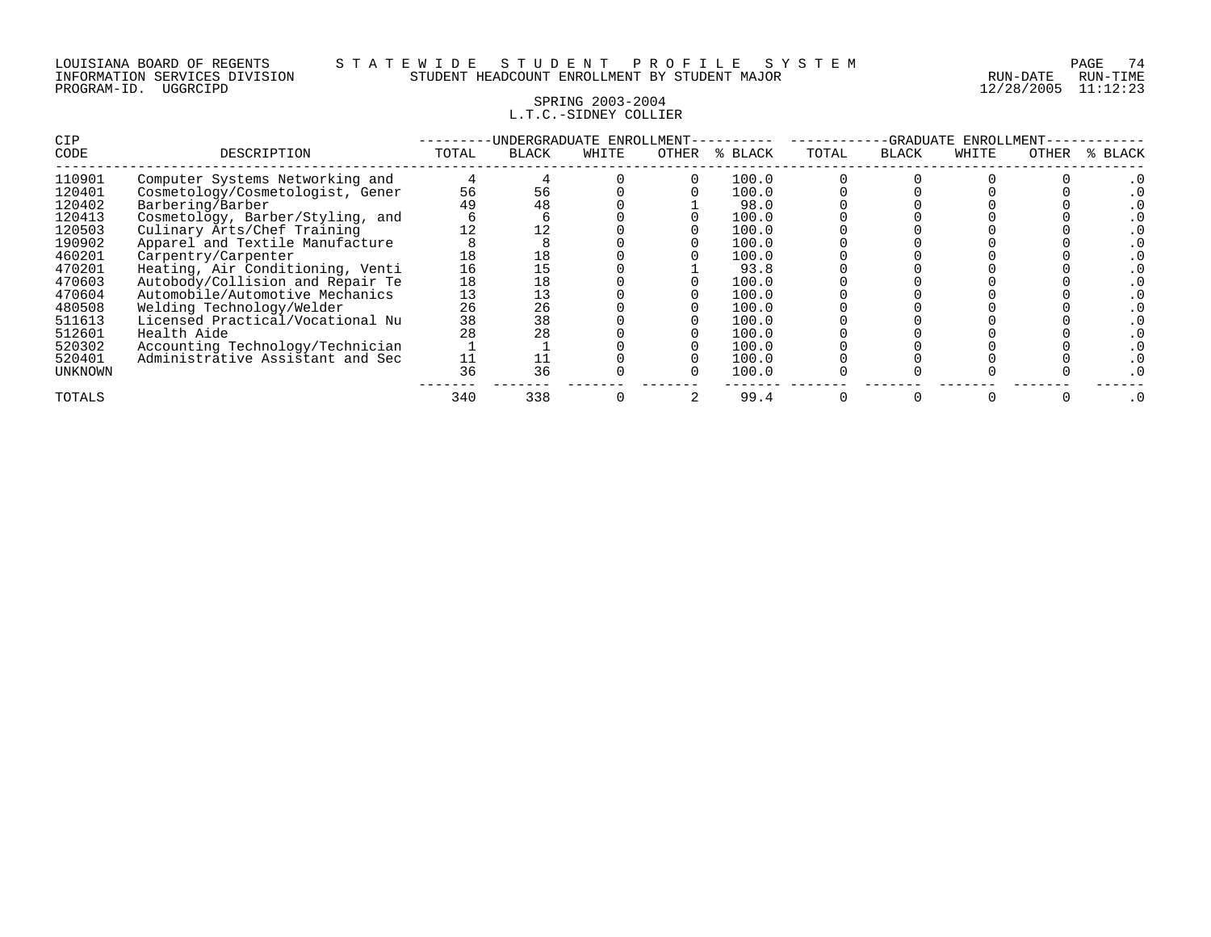#### SPRING 2003-2004 L.T.C.-SIDNEY COLLIER

| <b>CIP</b>     |                                  |       | -UNDERGRADUATE ENROLLMENT- |       |       | -GRADUATE<br>ENROLLMENT |       |              |       |       |         |
|----------------|----------------------------------|-------|----------------------------|-------|-------|-------------------------|-------|--------------|-------|-------|---------|
| CODE           | DESCRIPTION                      | TOTAL | <b>BLACK</b>               | WHITE | OTHER | % BLACK                 | TOTAL | <b>BLACK</b> | WHITE | OTHER | % BLACK |
| 110901         | Computer Systems Networking and  |       |                            |       |       | 100.0                   |       |              |       |       |         |
| 120401         | Cosmetology/Cosmetologist, Gener | 56    | 56                         |       |       | 100.0                   |       |              |       |       |         |
| 120402         | Barbering/Barber                 | 49    |                            |       |       | 98.0                    |       |              |       |       |         |
| 120413         | Cosmetology, Barber/Styling, and |       |                            |       |       | 100.0                   |       |              |       |       |         |
| 120503         | Culinary Arts/Chef Training      | 12    |                            |       |       | 100.0                   |       |              |       |       |         |
| 190902         | Apparel and Textile Manufacture  |       |                            |       |       | 100.0                   |       |              |       |       |         |
| 460201         | Carpentry/Carpenter              | 18    |                            |       |       | 100.0                   |       |              |       |       |         |
| 470201         | Heating, Air Conditioning, Venti | 16    |                            |       |       | 93.8                    |       |              |       |       |         |
| 470603         | Autobody/Collision and Repair Te | 18    |                            |       |       | 100.0                   |       |              |       |       |         |
| 470604         | Automobile/Automotive Mechanics  | 13    |                            |       |       | 100.0                   |       |              |       |       |         |
| 480508         | Welding Technology/Welder        | 26    | 26                         |       |       | 100.0                   |       |              |       |       |         |
| 511613         | Licensed Practical/Vocational Nu | 38    | 38                         |       |       | 100.0                   |       |              |       |       |         |
| 512601         | Health Aide                      |       |                            |       |       | 100.0                   |       |              |       |       |         |
| 520302         | Accounting Technology/Technician |       |                            |       |       | 100.0                   |       |              |       |       |         |
| 520401         | Administrative Assistant and Sec |       |                            |       |       | 100.0                   |       |              |       |       |         |
| <b>UNKNOWN</b> |                                  | 36    | 36                         |       |       | 100.0                   |       |              |       |       |         |
| TOTALS         |                                  | 340   | 338                        |       |       | 99.4                    |       |              |       |       |         |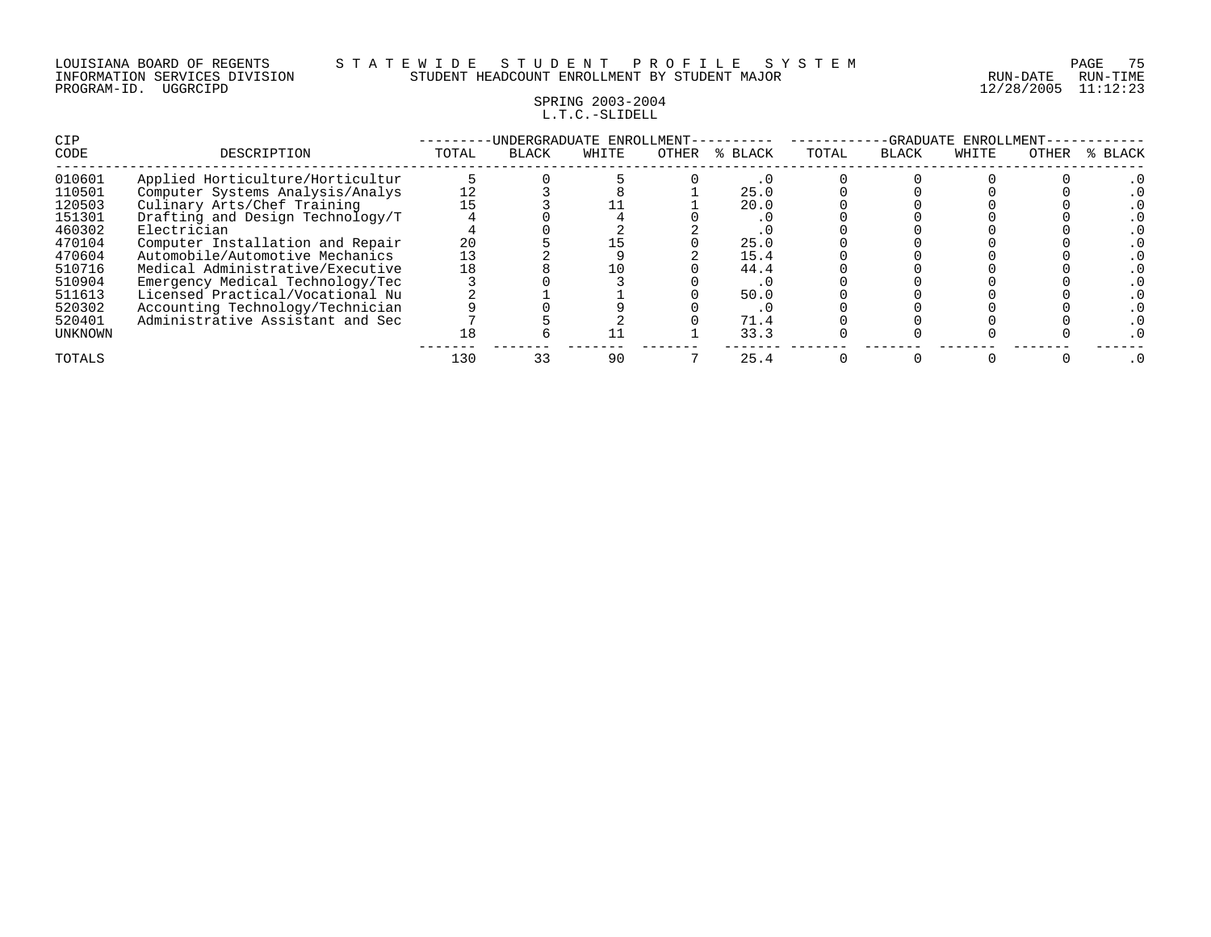| LOUISIANA BOARD OF REGENTS    |          |  |
|-------------------------------|----------|--|
| INFORMATION SERVICES DIVISION |          |  |
| PROGRAM-ID.                   | UGGRCIPD |  |

#### LOUISIANA BOARD OF REGENTS S T A T E W I D E S T U D E N T P R O F I L E S Y S T E M PAGE 75 INFORMATION SERVICES DIVISION STUDENT HEADCOUNT ENROLLMENT BY STUDENT MAJOR RUN-DATE RUN-TIME

12/28/2005 11:12:23

## SPRING 2003-2004 L.T.C.-SLIDELL

| CIP     |                                  |       |              | UNDERGRADUATE ENROLLMENT- |       | -GRADUATE<br>ENROLLMENT |       |              |       |       |         |
|---------|----------------------------------|-------|--------------|---------------------------|-------|-------------------------|-------|--------------|-------|-------|---------|
| CODE    | DESCRIPTION                      | TOTAL | <b>BLACK</b> | WHITE                     | OTHER | % BLACK                 | TOTAL | <b>BLACK</b> | WHITE | OTHER | % BLACK |
| 010601  | Applied Horticulture/Horticultur |       |              |                           |       |                         |       |              |       |       |         |
| 110501  | Computer Systems Analysis/Analys | 12    |              |                           |       | 25.0                    |       |              |       |       |         |
| 120503  | Culinary Arts/Chef Training      |       |              |                           |       | 20.0                    |       |              |       |       |         |
| 151301  | Drafting and Design Technology/T |       |              |                           |       | . .                     |       |              |       |       |         |
| 460302  | Electrician                      |       |              |                           |       |                         |       |              |       |       |         |
| 470104  | Computer Installation and Repair | 20    |              |                           |       | 25.0                    |       |              |       |       |         |
| 470604  | Automobile/Automotive Mechanics  |       |              |                           |       | 15.4                    |       |              |       |       |         |
| 510716  | Medical Administrative/Executive | 18    |              |                           |       | 44.4                    |       |              |       |       |         |
| 510904  | Emergency Medical Technology/Tec |       |              |                           |       | . .                     |       |              |       |       |         |
| 511613  | Licensed Practical/Vocational Nu |       |              |                           |       | 50.0                    |       |              |       |       |         |
| 520302  | Accounting Technology/Technician |       |              |                           |       | . U                     |       |              |       |       |         |
| 520401  | Administrative Assistant and Sec |       |              |                           |       | 71.4                    |       |              |       |       |         |
| UNKNOWN |                                  | l 8   |              |                           |       | 33.3                    |       |              |       |       |         |
| TOTALS  |                                  | 130   |              | 90                        |       | 25.4                    |       |              |       |       |         |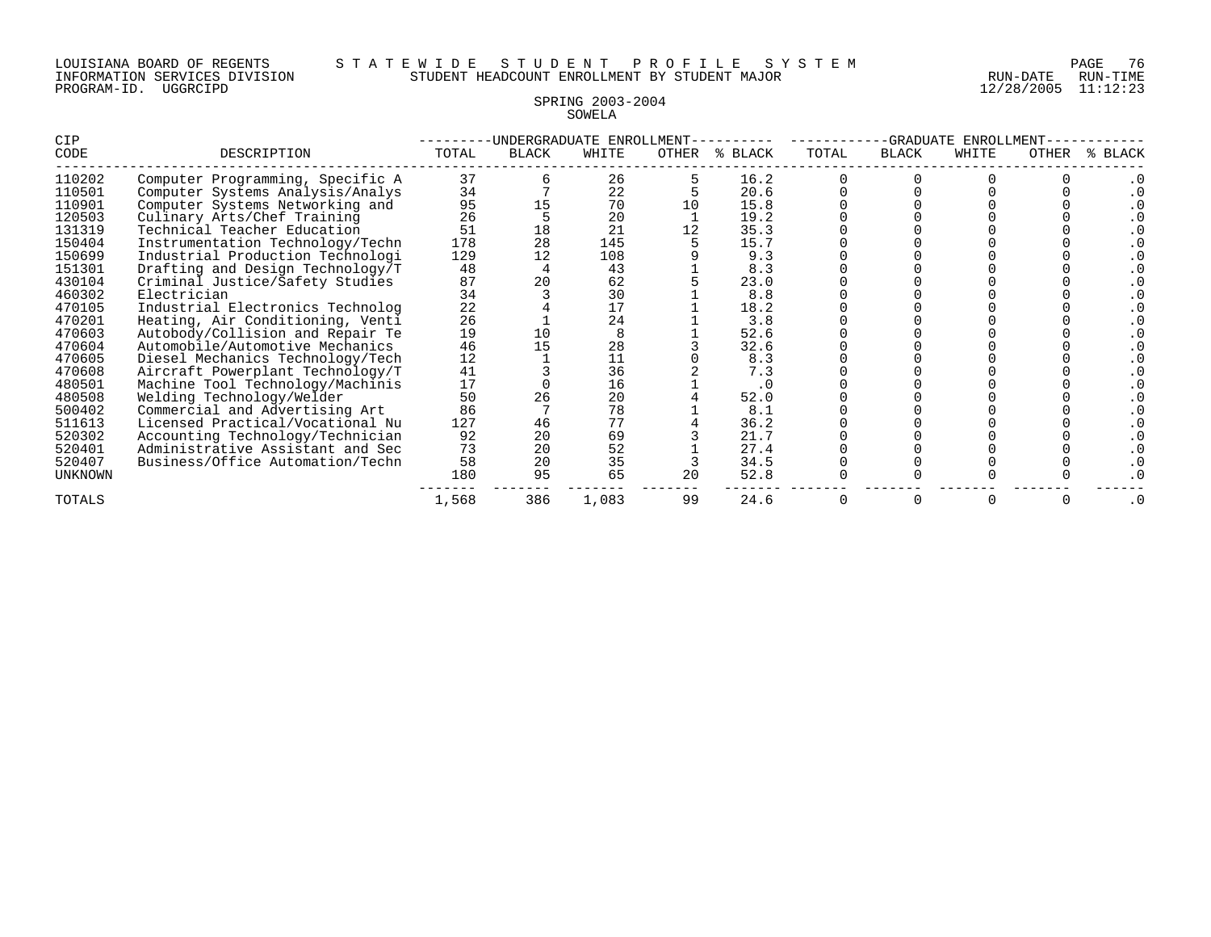#### LOUISIANA BOARD OF REGENTS S T A T E W I D E S T U D E N T P R O F I L E S Y S T E M PAGE 76 INFORMATION SERVICES DIVISION STUDENT HEADCOUNT ENROLLMENT BY STUDENT MAJOR RUN-DATE RUN-TIME

## SPRING 2003-2004 SOWELA

| CIP     |                                  |       |       | -UNDERGRADUATE ENROLLMENT- |    | -GRADUATE ENROLLMENT |       |              |       |       |             |
|---------|----------------------------------|-------|-------|----------------------------|----|----------------------|-------|--------------|-------|-------|-------------|
| CODE    | DESCRIPTION                      | TOTAL | BLACK | WHITE                      |    | OTHER % BLACK        | TOTAL | <b>BLACK</b> | WHITE | OTHER | BLACK<br>°≈ |
| 110202  | Computer Programming, Specific A | 37    |       | 26                         |    | 16.2                 |       |              |       |       |             |
| 110501  | Computer Systems Analysis/Analys | 34    |       | 22                         |    | 20.6                 |       |              |       |       |             |
| 110901  | Computer Systems Networking and  | 95    | 15    | 70                         |    | 15.8                 |       |              |       |       |             |
| 120503  | Culinary Arts/Chef Training      | 26    |       | 20                         |    | 19.2                 |       |              |       |       |             |
| 131319  | Technical Teacher Education      | 51    | 18    | 21                         |    | 35.3                 |       |              |       |       |             |
| 150404  | Instrumentation Technology/Techn | 178   | 28    | 145                        |    | 15.7                 |       |              |       |       |             |
| 150699  | Industrial Production Technologi | 129   | 12    | 108                        |    | 9.3                  |       |              |       |       |             |
| 151301  | Drafting and Design Technology/T | 48    |       | 43                         |    | 8.3                  |       |              |       |       |             |
| 430104  | Criminal Justice/Safety Studies  | 87    | 20    | 62                         |    | 23.0                 |       |              |       |       |             |
| 460302  | Electrician                      | 34    |       | 30                         |    | $8.8$                |       |              |       |       |             |
| 470105  | Industrial Electronics Technolog | 22    |       | 17                         |    | 18.2                 |       |              |       |       |             |
| 470201  | Heating, Air Conditioning, Venti | 26    |       | 24                         |    | 3.8                  |       |              |       |       |             |
| 470603  | Autobody/Collision and Repair Te | 19    | 10    | 8                          |    | 52.6                 |       |              |       |       |             |
| 470604  | Automobile/Automotive Mechanics  | 46    | 15    | 28                         |    | 32.6                 |       |              |       |       |             |
| 470605  | Diesel Mechanics Technology/Tech | 12    |       | $\frac{11}{36}$            |    | 8.3                  |       |              |       |       |             |
| 470608  | Aircraft Powerplant Technology/T | 41    |       |                            |    | 7.3                  |       |              |       |       |             |
| 480501  | Machine Tool Technology/Machinis | 17    |       | 16                         |    |                      |       |              |       |       |             |
| 480508  | Welding Technology/Welder        | 50    | 26    | 20                         |    | 52.0                 |       |              |       |       |             |
| 500402  | Commercial and Advertising Art   | 86    |       | 78                         |    | 8.1                  |       |              |       |       |             |
| 511613  | Licensed Practical/Vocational Nu | 127   | 46    | 77                         |    | 36.2                 |       |              |       |       |             |
| 520302  | Accounting Technology/Technician | 92    | 20    | 69                         |    | 21.7                 |       |              |       |       |             |
| 520401  | Administrative Assistant and Sec | 73    | 20    | 52                         |    | 27.4                 |       |              |       |       |             |
| 520407  | Business/Office Automation/Techn | 58    | 20    | 35                         |    | 34.5                 |       |              |       |       |             |
| UNKNOWN |                                  | 180   | 95    | 65                         | 20 | 52.8                 |       |              |       |       |             |
| TOTALS  |                                  | 1,568 | 386   | 1,083                      | 99 | 24.6                 |       |              |       |       | $\cdot$ 0   |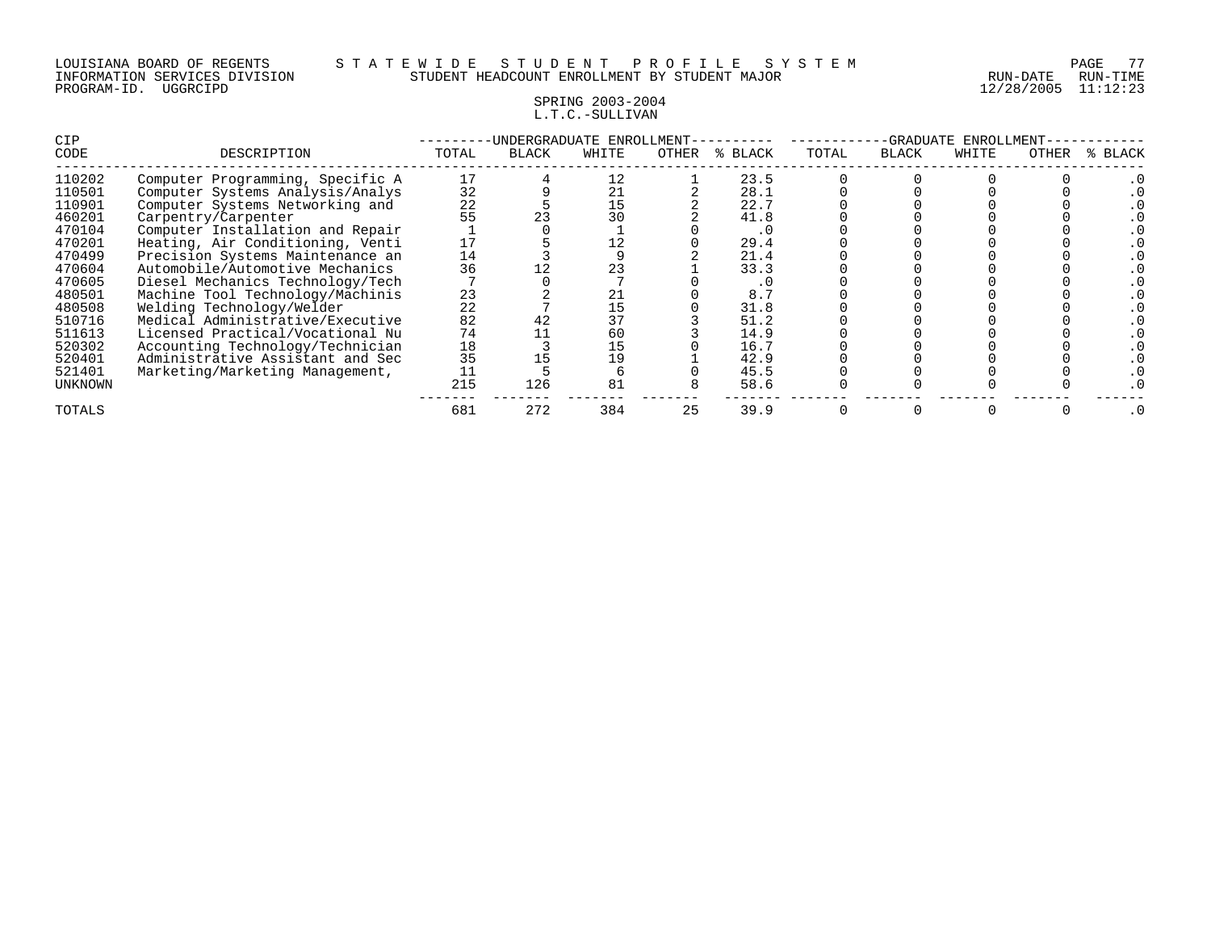## SPRING 2003-2004 L.T.C.-SULLIVAN

| <b>CIP</b> |                                  | UNDERGRADUATE ENROLLMENT- |       |       |       |         |       | -GRADUATE<br>ENROLLMENT |       |       |         |  |  |
|------------|----------------------------------|---------------------------|-------|-------|-------|---------|-------|-------------------------|-------|-------|---------|--|--|
| CODE       | DESCRIPTION                      | TOTAL                     | BLACK | WHITE | OTHER | % BLACK | TOTAL | BLACK                   | WHITE | OTHER | % BLACK |  |  |
| 110202     | Computer Programming, Specific A | 17                        |       | 12    |       | 23.5    |       |                         |       |       |         |  |  |
| 110501     | Computer Systems Analysis/Analys | 32                        |       | 21    |       | 28.1    |       |                         |       |       |         |  |  |
| 110901     | Computer Systems Networking and  | 22                        |       | 15    |       | 22.7    |       |                         |       |       |         |  |  |
| 460201     | Carpentry/Carpenter              | 55                        |       | 30    |       | 41.8    |       |                         |       |       |         |  |  |
| 470104     | Computer Installation and Repair |                           |       |       |       | . U     |       |                         |       |       |         |  |  |
| 470201     | Heating, Air Conditioning, Venti | 17                        |       |       |       | 29.4    |       |                         |       |       |         |  |  |
| 470499     | Precision Systems Maintenance an | 14                        |       |       |       | 21.4    |       |                         |       |       |         |  |  |
| 470604     | Automobile/Automotive Mechanics  | 36                        |       | 23    |       | 33.3    |       |                         |       |       |         |  |  |
| 470605     | Diesel Mechanics Technology/Tech |                           |       |       |       |         |       |                         |       |       |         |  |  |
| 480501     | Machine Tool Technology/Machinis | 23                        |       | 21    |       | 8.7     |       |                         |       |       |         |  |  |
| 480508     | Welding Technology/Welder        | 22                        |       | 15    |       | 31.8    |       |                         |       |       |         |  |  |
| 510716     | Medical Administrative/Executive | 82                        |       | 37    |       | 51.2    |       |                         |       |       |         |  |  |
| 511613     | Licensed Practical/Vocational Nu | 74                        |       | 60    |       | 14.9    |       |                         |       |       |         |  |  |
| 520302     | Accounting Technology/Technician | 18                        |       | 15    |       | 16.7    |       |                         |       |       |         |  |  |
| 520401     | Administrative Assistant and Sec | 35                        |       | 19    |       | 42.9    |       |                         |       |       |         |  |  |
| 521401     | Marketing/Marketing Management,  | 11                        |       |       |       | 45.5    |       |                         |       |       |         |  |  |
| UNKNOWN    |                                  | 215                       | 126   | 81    |       | 58.6    |       |                         |       |       |         |  |  |
| TOTALS     |                                  | 681                       | 272   | 384   | 25    | 39.9    |       |                         |       |       |         |  |  |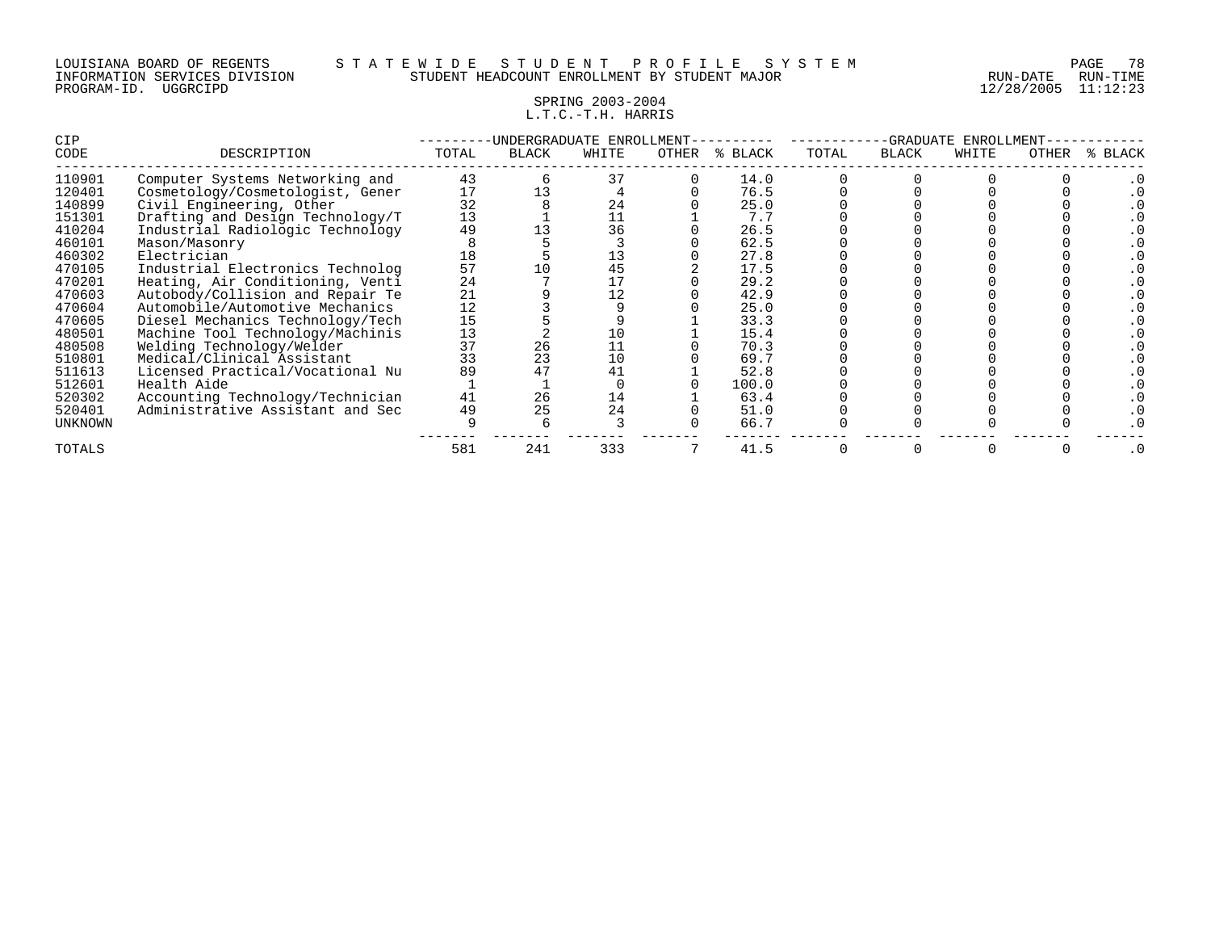#### SPRING 2003-2004 L.T.C.-T.H. HARRIS

| CIP            |                                  |       |              | INDERGRADUATE ENROLLMENT |       | -GRADUATE<br>ENROLLMENT |       |              |       |       |             |
|----------------|----------------------------------|-------|--------------|--------------------------|-------|-------------------------|-------|--------------|-------|-------|-------------|
| CODE           | DESCRIPTION                      | TOTAL | <b>BLACK</b> | WHITE                    | OTHER | % BLACK                 | TOTAL | <b>BLACK</b> | WHITE | OTHER | BLACK<br>°≈ |
| 110901         | Computer Systems Networking and  | 43    |              | 37                       |       | 14.0                    |       |              |       |       |             |
| 120401         | Cosmetology/Cosmetologist, Gener | 17    |              |                          |       | 76.5                    |       |              |       |       |             |
| 140899         | Civil Engineering, Other         | 32    |              | 24                       |       | 25.0                    |       |              |       |       |             |
| 151301         | Drafting and Design Technology/T | 13    |              |                          |       | 7.7                     |       |              |       |       |             |
| 410204         | Industrial Radiologic Technology | 49    |              | 36                       |       | 26.5                    |       |              |       |       |             |
| 460101         | Mason/Masonry                    |       |              |                          |       | 62.5                    |       |              |       |       |             |
| 460302         | Electrician                      |       |              | 13                       |       | 27.8                    |       |              |       |       |             |
| 470105         | Industrial Electronics Technolog | 57    |              | 45                       |       | 17.5                    |       |              |       |       |             |
| 470201         | Heating, Air Conditioning, Venti | 24    |              |                          |       | 29.2                    |       |              |       |       |             |
| 470603         | Autobody/Collision and Repair Te | 21    |              |                          |       | 42.9                    |       |              |       |       |             |
| 470604         | Automobile/Automotive Mechanics  | 12    |              |                          |       | 25.0                    |       |              |       |       |             |
| 470605         | Diesel Mechanics Technology/Tech | 15    |              |                          |       | 33.3                    |       |              |       |       |             |
| 480501         | Machine Tool Technology/Machinis | 13    |              | 10                       |       | 15.4                    |       |              |       |       |             |
| 480508         | Welding Technology/Welder        | 37    | 26           |                          |       | 70.3                    |       |              |       |       |             |
| 510801         | Medical/Clinical Assistant       | 33    | 23           | 10                       |       | 69.7                    |       |              |       |       |             |
| 511613         | Licensed Practical/Vocational Nu | 89    |              | 41                       |       | 52.8                    |       |              |       |       |             |
| 512601         | Health Aide                      |       |              |                          |       | 100.0                   |       |              |       |       |             |
| 520302         | Accounting Technology/Technician | 41    | 26           | 14                       |       | 63.4                    |       |              |       |       |             |
| 520401         | Administrative Assistant and Sec | 49    | 25           | 24                       |       | 51.0                    |       |              |       |       |             |
| <b>UNKNOWN</b> |                                  |       |              |                          |       | 66.7                    |       |              |       |       |             |
| TOTALS         |                                  | 581   | 241          | 333                      |       | 41.5                    |       |              |       |       |             |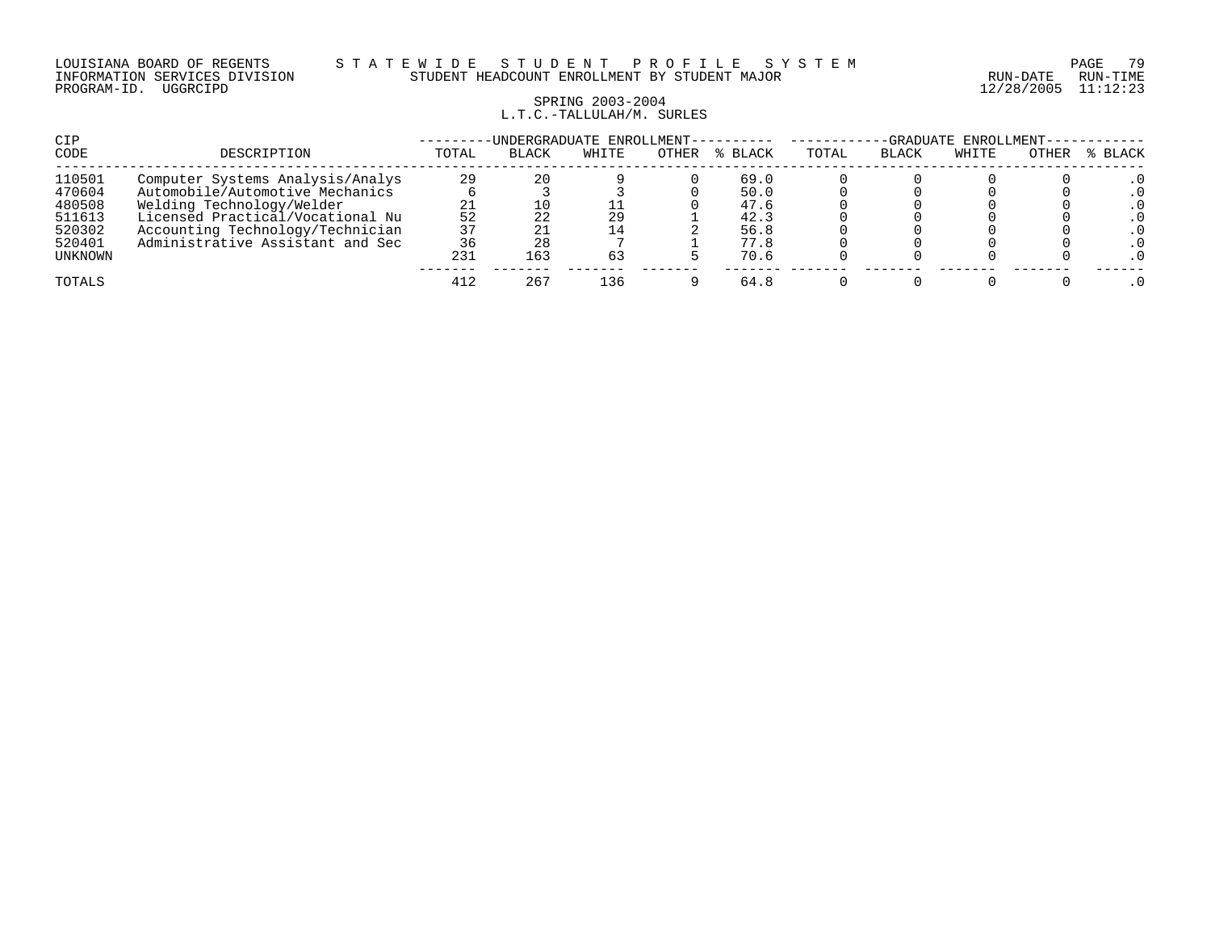#### LOUISIANA BOARD OF REGENTS S T A T E W I D E S T U D E N T P R O F I L E S Y S T E M PAGE 79 INFORMATION SERVICES DIVISION STUDENT HEADCOUNT ENROLLMENT BY STUDENT MAJOR RUN-DATE RUN-TIME

## SPRING 2003-2004 L.T.C.-TALLULAH/M. SURLES

| CIP         |                                  | UNDERGRADUATE ENROLLMENT- | -GRADUATE ENROLLMENT- |       |       |         |       |              |       |              |         |
|-------------|----------------------------------|---------------------------|-----------------------|-------|-------|---------|-------|--------------|-------|--------------|---------|
| <b>CODE</b> | DESCRIPTION                      | TOTAL                     | <b>BLACK</b>          | WHITE | OTHER | % BLACK | TOTAL | <b>BLACK</b> | WHITE | <b>OTHER</b> | % BLACK |
| 110501      | Computer Systems Analysis/Analys | 29                        | 20                    |       |       | 69.0    |       |              |       |              |         |
| 470604      | Automobile/Automotive Mechanics  |                           |                       |       |       | 50.0    |       |              |       |              |         |
| 480508      | Welding Technology/Welder        |                           |                       |       |       | 47.6    |       |              |       |              |         |
| 511613      | Licensed Practical/Vocational Nu | 52                        |                       | 29    |       | 42.3    |       |              |       |              |         |
| 520302      | Accounting Technology/Technician | 37                        |                       | 14    |       | 56.8    |       |              |       |              |         |
| 520401      | Administrative Assistant and Sec | 36                        | 28                    |       |       | 77.8    |       |              |       |              |         |
| UNKNOWN     |                                  | 231                       | 163                   | 63    |       | 70.6    |       |              |       |              |         |
| TOTALS      |                                  |                           | 267                   | 136   |       | 64.8    |       |              |       |              |         |